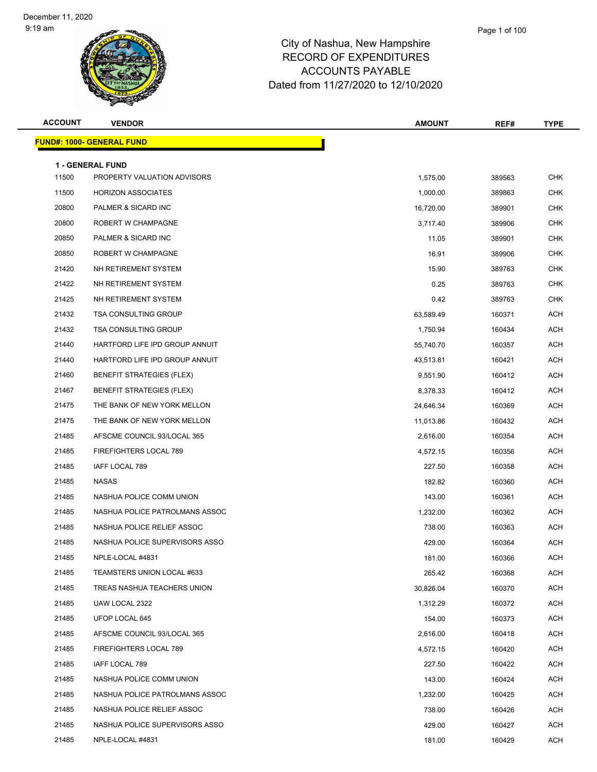## City of Nashua, New Hampshire RECORD OF EXPENDITURES ACCOUNTS PAYABLE

Dated from 11/27/2020 to 12/10/2020

| <b>ACCOUNT</b> | <b>VENDOR</b>                                          | <b>AMOUNT</b> | REF#   | <b>TYPE</b> |
|----------------|--------------------------------------------------------|---------------|--------|-------------|
|                | <u> FUND#: 1000- GENERAL FUND</u>                      |               |        |             |
|                |                                                        |               |        |             |
| 11500          | <b>1 - GENERAL FUND</b><br>PROPERTY VALUATION ADVISORS | 1,575.00      | 389563 | <b>CHK</b>  |
| 11500          | <b>HORIZON ASSOCIATES</b>                              | 1,000.00      | 389863 | <b>CHK</b>  |
| 20800          | PALMER & SICARD INC                                    | 16,720.00     | 389901 | <b>CHK</b>  |
| 20800          | ROBERT W CHAMPAGNE                                     | 3,717.40      | 389906 | <b>CHK</b>  |
| 20850          | PALMER & SICARD INC                                    | 11.05         | 389901 | <b>CHK</b>  |
| 20850          | ROBERT W CHAMPAGNE                                     | 16.91         | 389906 | <b>CHK</b>  |
| 21420          | NH RETIREMENT SYSTEM                                   | 15.90         | 389763 | <b>CHK</b>  |
| 21422          | NH RETIREMENT SYSTEM                                   | 0.25          | 389763 | <b>CHK</b>  |
| 21425          | NH RETIREMENT SYSTEM                                   | 0.42          | 389763 | <b>CHK</b>  |
| 21432          | <b>TSA CONSULTING GROUP</b>                            | 63,589.49     | 160371 | <b>ACH</b>  |
| 21432          | <b>TSA CONSULTING GROUP</b>                            | 1,750.94      | 160434 | <b>ACH</b>  |
| 21440          | HARTFORD LIFE IPD GROUP ANNUIT                         | 55,740.70     | 160357 | <b>ACH</b>  |
| 21440          | HARTFORD LIFE IPD GROUP ANNUIT                         | 43,513.81     | 160421 | <b>ACH</b>  |
| 21460          | <b>BENEFIT STRATEGIES (FLEX)</b>                       | 9,551.90      | 160412 | <b>ACH</b>  |
| 21467          | <b>BENEFIT STRATEGIES (FLEX)</b>                       | 8,378.33      | 160412 | <b>ACH</b>  |
| 21475          | THE BANK OF NEW YORK MELLON                            | 24,646.34     | 160369 | <b>ACH</b>  |
| 21475          | THE BANK OF NEW YORK MELLON                            | 11,013.86     | 160432 | <b>ACH</b>  |
| 21485          | AFSCME COUNCIL 93/LOCAL 365                            | 2,616.00      | 160354 | <b>ACH</b>  |
| 21485          | FIREFIGHTERS LOCAL 789                                 | 4,572.15      | 160356 | <b>ACH</b>  |
| 21485          | IAFF LOCAL 789                                         | 227.50        | 160358 | <b>ACH</b>  |
| 21485          | NASAS                                                  | 182.82        | 160360 | <b>ACH</b>  |
| 21485          | NASHUA POLICE COMM UNION                               | 143.00        | 160361 | <b>ACH</b>  |
| 21485          | NASHUA POLICE PATROLMANS ASSOC                         | 1,232.00      | 160362 | <b>ACH</b>  |
| 21485          | NASHUA POLICE RELIEF ASSOC                             | 738.00        | 160363 | ACH         |
| 21485          | NASHUA POLICE SUPERVISORS ASSO                         | 429.00        | 160364 | <b>ACH</b>  |
| 21485          | NPLE-LOCAL #4831                                       | 181.00        | 160366 | <b>ACH</b>  |
| 21485          | TEAMSTERS UNION LOCAL #633                             | 265.42        | 160368 | ACH         |
| 21485          | TREAS NASHUA TEACHERS UNION                            | 30,826.04     | 160370 | ACH         |
| 21485          | UAW LOCAL 2322                                         | 1,312.29      | 160372 | ACH         |
| 21485          | UFOP LOCAL 645                                         | 154.00        | 160373 | <b>ACH</b>  |
| 21485          | AFSCME COUNCIL 93/LOCAL 365                            | 2,616.00      | 160418 | ACH         |
| 21485          | FIREFIGHTERS LOCAL 789                                 | 4,572.15      | 160420 | ACH         |
| 21485          | IAFF LOCAL 789                                         | 227.50        | 160422 | ACH         |
| 21485          | NASHUA POLICE COMM UNION                               | 143.00        | 160424 | <b>ACH</b>  |
| 21485          | NASHUA POLICE PATROLMANS ASSOC                         | 1,232.00      | 160425 | ACH         |
| 21485          | NASHUA POLICE RELIEF ASSOC                             | 738.00        | 160426 | ACH         |
| 21485          | NASHUA POLICE SUPERVISORS ASSO                         | 429.00        | 160427 | ACH         |
| 21485          | NPLE-LOCAL #4831                                       | 181.00        | 160429 | ACH         |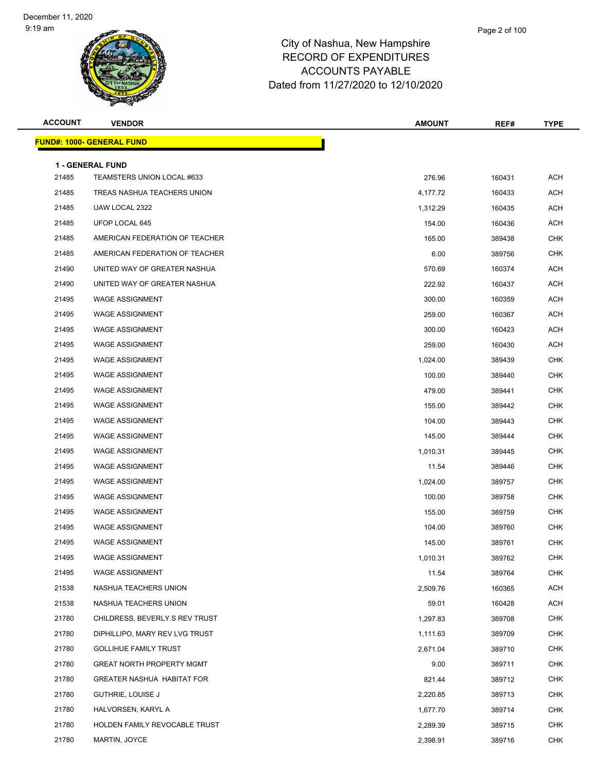| <b>ACCOUNT</b> | <b>VENDOR</b>                                         | <b>AMOUNT</b> | REF#   | <b>TYPE</b> |
|----------------|-------------------------------------------------------|---------------|--------|-------------|
|                | <b>FUND#: 1000- GENERAL FUND</b>                      |               |        |             |
|                |                                                       |               |        |             |
| 21485          | <b>1 - GENERAL FUND</b><br>TEAMSTERS UNION LOCAL #633 | 276.96        | 160431 | <b>ACH</b>  |
| 21485          | TREAS NASHUA TEACHERS UNION                           | 4,177.72      | 160433 | ACH         |
| 21485          | UAW LOCAL 2322                                        | 1,312.29      | 160435 | <b>ACH</b>  |
| 21485          | UFOP LOCAL 645                                        | 154.00        | 160436 | <b>ACH</b>  |
| 21485          | AMERICAN FEDERATION OF TEACHER                        | 165.00        | 389438 | <b>CHK</b>  |
| 21485          | AMERICAN FEDERATION OF TEACHER                        | 6.00          | 389756 | <b>CHK</b>  |
| 21490          | UNITED WAY OF GREATER NASHUA                          | 570.69        | 160374 | ACH         |
| 21490          | UNITED WAY OF GREATER NASHUA                          | 222.92        | 160437 | <b>ACH</b>  |
| 21495          | <b>WAGE ASSIGNMENT</b>                                | 300.00        | 160359 | ACH         |
| 21495          | <b>WAGE ASSIGNMENT</b>                                | 259.00        | 160367 | ACH         |
| 21495          | <b>WAGE ASSIGNMENT</b>                                | 300.00        | 160423 | <b>ACH</b>  |
| 21495          | <b>WAGE ASSIGNMENT</b>                                | 259.00        | 160430 | ACH         |
| 21495          | <b>WAGE ASSIGNMENT</b>                                | 1,024.00      | 389439 | <b>CHK</b>  |
| 21495          | <b>WAGE ASSIGNMENT</b>                                | 100.00        | 389440 | <b>CHK</b>  |
| 21495          | <b>WAGE ASSIGNMENT</b>                                | 479.00        | 389441 | <b>CHK</b>  |
| 21495          | <b>WAGE ASSIGNMENT</b>                                | 155.00        | 389442 | <b>CHK</b>  |
| 21495          | <b>WAGE ASSIGNMENT</b>                                | 104.00        | 389443 | <b>CHK</b>  |
| 21495          | <b>WAGE ASSIGNMENT</b>                                | 145.00        | 389444 | <b>CHK</b>  |
| 21495          | <b>WAGE ASSIGNMENT</b>                                | 1,010.31      | 389445 | <b>CHK</b>  |
| 21495          | <b>WAGE ASSIGNMENT</b>                                | 11.54         | 389446 | <b>CHK</b>  |
| 21495          | <b>WAGE ASSIGNMENT</b>                                | 1,024.00      | 389757 | <b>CHK</b>  |
| 21495          | <b>WAGE ASSIGNMENT</b>                                | 100.00        | 389758 | <b>CHK</b>  |
| 21495          | <b>WAGE ASSIGNMENT</b>                                | 155.00        | 389759 | <b>CHK</b>  |
| 21495          | <b>WAGE ASSIGNMENT</b>                                | 104.00        | 389760 | <b>CHK</b>  |
| 21495          | <b>WAGE ASSIGNMENT</b>                                | 145.00        | 389761 | <b>CHK</b>  |
| 21495          | WAGE ASSIGNMENT                                       | 1,010.31      | 389762 | <b>CHK</b>  |
| 21495          | <b>WAGE ASSIGNMENT</b>                                | 11.54         | 389764 | <b>CHK</b>  |
| 21538          | NASHUA TEACHERS UNION                                 | 2,509.76      | 160365 | <b>ACH</b>  |
| 21538          | NASHUA TEACHERS UNION                                 | 59.01         | 160428 | <b>ACH</b>  |
| 21780          | CHILDRESS, BEVERLY S REV TRUST                        | 1,297.83      | 389708 | <b>CHK</b>  |
| 21780          | DIPHILLIPO, MARY REV LVG TRUST                        | 1,111.63      | 389709 | <b>CHK</b>  |
| 21780          | <b>GOLLIHUE FAMILY TRUST</b>                          | 2,671.04      | 389710 | <b>CHK</b>  |
| 21780          | <b>GREAT NORTH PROPERTY MGMT</b>                      | 9.00          | 389711 | <b>CHK</b>  |
| 21780          | <b>GREATER NASHUA HABITAT FOR</b>                     | 821.44        | 389712 | <b>CHK</b>  |
| 21780          | <b>GUTHRIE, LOUISE J</b>                              | 2,220.85      | 389713 | CHK         |
| 21780          | HALVORSEN, KARYL A                                    | 1,677.70      | 389714 | <b>CHK</b>  |
| 21780          | HOLDEN FAMILY REVOCABLE TRUST                         | 2,289.39      | 389715 | <b>CHK</b>  |
| 21780          | MARTIN, JOYCE                                         | 2,398.91      | 389716 | <b>CHK</b>  |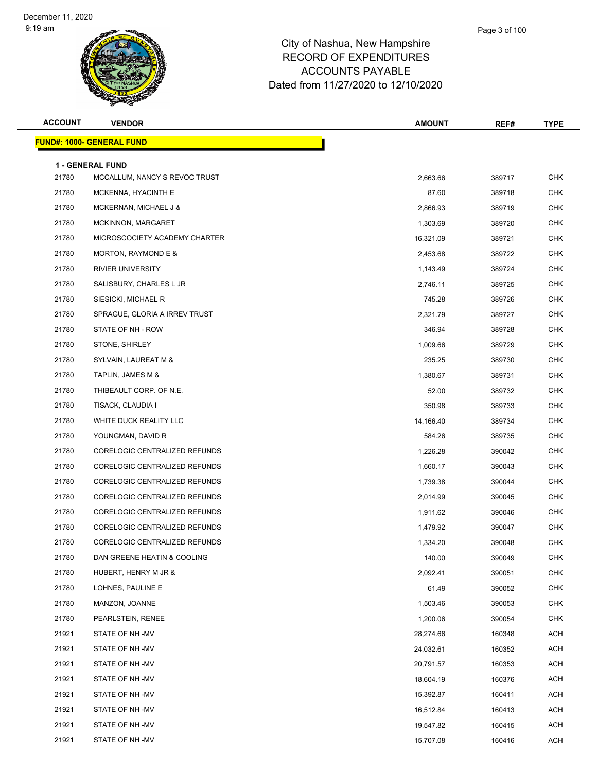| <b>ACCOUNT</b> | <b>VENDOR</b>                                            | <b>AMOUNT</b> | REF#   | <b>TYPE</b> |
|----------------|----------------------------------------------------------|---------------|--------|-------------|
|                | <b>FUND#: 1000- GENERAL FUND</b>                         |               |        |             |
|                |                                                          |               |        |             |
| 21780          | <b>1 - GENERAL FUND</b><br>MCCALLUM, NANCY S REVOC TRUST | 2,663.66      | 389717 | <b>CHK</b>  |
| 21780          | MCKENNA, HYACINTH E                                      | 87.60         | 389718 | CHK         |
| 21780          | MCKERNAN, MICHAEL J &                                    | 2,866.93      | 389719 | <b>CHK</b>  |
| 21780          | MCKINNON, MARGARET                                       | 1,303.69      | 389720 | <b>CHK</b>  |
| 21780          | MICROSCOCIETY ACADEMY CHARTER                            | 16,321.09     | 389721 | <b>CHK</b>  |
| 21780          | MORTON, RAYMOND E &                                      | 2,453.68      | 389722 | <b>CHK</b>  |
| 21780          | <b>RIVIER UNIVERSITY</b>                                 | 1,143.49      | 389724 | CHK         |
| 21780          | SALISBURY, CHARLES L JR                                  | 2,746.11      | 389725 | <b>CHK</b>  |
| 21780          | SIESICKI, MICHAEL R                                      | 745.28        | 389726 | <b>CHK</b>  |
| 21780          | SPRAGUE, GLORIA A IRREV TRUST                            | 2,321.79      | 389727 | <b>CHK</b>  |
| 21780          | STATE OF NH - ROW                                        | 346.94        | 389728 | <b>CHK</b>  |
| 21780          | STONE, SHIRLEY                                           | 1,009.66      | 389729 | CHK         |
| 21780          | SYLVAIN, LAUREAT M &                                     | 235.25        | 389730 | <b>CHK</b>  |
| 21780          | TAPLIN, JAMES M &                                        | 1,380.67      | 389731 | <b>CHK</b>  |
| 21780          | THIBEAULT CORP. OF N.E.                                  | 52.00         | 389732 | <b>CHK</b>  |
| 21780          | TISACK, CLAUDIA I                                        | 350.98        | 389733 | <b>CHK</b>  |
| 21780          | WHITE DUCK REALITY LLC                                   | 14,166.40     | 389734 | CHK         |
| 21780          | YOUNGMAN, DAVID R                                        | 584.26        | 389735 | <b>CHK</b>  |
| 21780          | CORELOGIC CENTRALIZED REFUNDS                            | 1,226.28      | 390042 | <b>CHK</b>  |
| 21780          | CORELOGIC CENTRALIZED REFUNDS                            | 1,660.17      | 390043 | <b>CHK</b>  |
| 21780          | CORELOGIC CENTRALIZED REFUNDS                            | 1,739.38      | 390044 | <b>CHK</b>  |
| 21780          | CORELOGIC CENTRALIZED REFUNDS                            | 2,014.99      | 390045 | CHK         |
| 21780          | CORELOGIC CENTRALIZED REFUNDS                            | 1,911.62      | 390046 | <b>CHK</b>  |
| 21780          | CORELOGIC CENTRALIZED REFUNDS                            | 1,479.92      | 390047 | <b>CHK</b>  |
| 21780          | CORELOGIC CENTRALIZED REFUNDS                            | 1,334.20      | 390048 | <b>CHK</b>  |
| 21780          | DAN GREENE HEATIN & COOLING                              | 140.00        | 390049 | <b>CHK</b>  |
| 21780          | HUBERT, HENRY M JR &                                     | 2,092.41      | 390051 | <b>CHK</b>  |
| 21780          | LOHNES, PAULINE E                                        | 61.49         | 390052 | <b>CHK</b>  |
| 21780          | MANZON, JOANNE                                           | 1,503.46      | 390053 | <b>CHK</b>  |
| 21780          | PEARLSTEIN, RENEE                                        | 1,200.06      | 390054 | <b>CHK</b>  |
| 21921          | STATE OF NH -MV                                          | 28,274.66     | 160348 | ACH         |
| 21921          | STATE OF NH -MV                                          | 24,032.61     | 160352 | ACH         |
| 21921          | STATE OF NH -MV                                          | 20,791.57     | 160353 | <b>ACH</b>  |
| 21921          | STATE OF NH-MV                                           | 18,604.19     | 160376 | ACH         |
| 21921          | STATE OF NH -MV                                          | 15,392.87     | 160411 | ACH         |
| 21921          | STATE OF NH -MV                                          | 16,512.84     | 160413 | ACH         |
| 21921          | STATE OF NH -MV                                          | 19,547.82     | 160415 | ACH         |
| 21921          | STATE OF NH-MV                                           | 15,707.08     | 160416 | <b>ACH</b>  |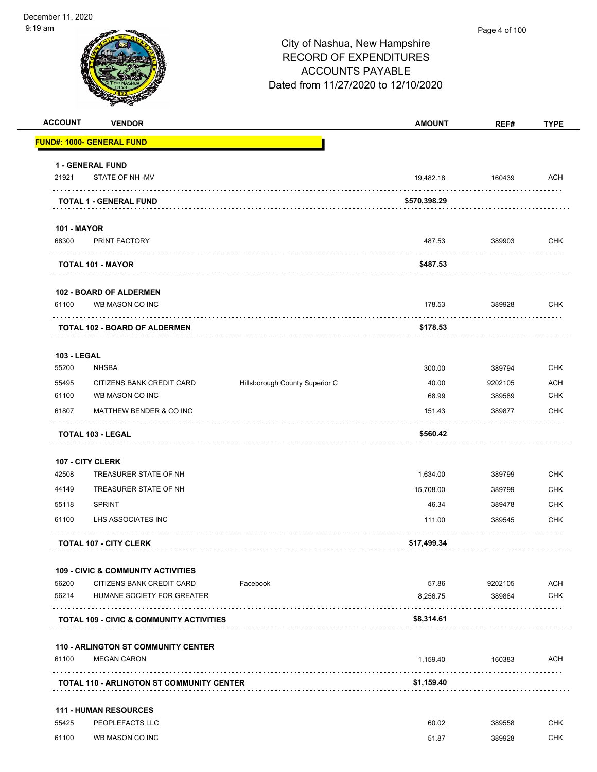| 9 am               |                                                     |                                     |               | Page 4 of 100 |             |
|--------------------|-----------------------------------------------------|-------------------------------------|---------------|---------------|-------------|
|                    |                                                     | City of Nashua, New Hampshire       |               |               |             |
|                    |                                                     | <b>RECORD OF EXPENDITURES</b>       |               |               |             |
|                    |                                                     | <b>ACCOUNTS PAYABLE</b>             |               |               |             |
|                    |                                                     | Dated from 11/27/2020 to 12/10/2020 |               |               |             |
|                    |                                                     |                                     |               |               |             |
| <b>ACCOUNT</b>     | <b>VENDOR</b>                                       |                                     | <b>AMOUNT</b> | REF#          | <b>TYPE</b> |
|                    | <mark>FUND#: 1000- GENERAL FUND</mark>              |                                     |               |               |             |
|                    | <b>1 - GENERAL FUND</b>                             |                                     |               |               |             |
| 21921              | STATE OF NH -MV                                     |                                     | 19,482.18     | 160439        | ACH         |
|                    | .<br><b>TOTAL 1 - GENERAL FUND</b>                  |                                     | \$570,398.29  |               |             |
| <b>101 - MAYOR</b> |                                                     |                                     |               |               |             |
| 68300              | PRINT FACTORY                                       |                                     | 487.53        | 389903        | <b>CHK</b>  |
|                    | <b>TOTAL 101 - MAYOR</b>                            |                                     | \$487.53      |               |             |
|                    | <b>102 - BOARD OF ALDERMEN</b>                      |                                     |               |               |             |
| 61100              | WB MASON CO INC                                     |                                     | 178.53        | 389928<br>.   | <b>CHK</b>  |
|                    | <b>TOTAL 102 - BOARD OF ALDERMEN</b>                |                                     | \$178.53      |               |             |
| <b>103 - LEGAL</b> |                                                     |                                     |               |               |             |
| 55200              | <b>NHSBA</b>                                        |                                     | 300.00        | 389794        | <b>CHK</b>  |
| 55495              | CITIZENS BANK CREDIT CARD                           | Hillsborough County Superior C      | 40.00         | 9202105       | <b>ACH</b>  |
| 61100              | WB MASON CO INC                                     |                                     | 68.99         | 389589        | <b>CHK</b>  |
| 61807              | MATTHEW BENDER & CO INC                             |                                     | 151.43        | 389877        | <b>CHK</b>  |
|                    | <b>TOTAL 103 - LEGAL</b>                            |                                     | \$560.42      |               |             |
|                    | 107 - CITY CLERK                                    |                                     |               |               |             |
| 42508              | TREASURER STATE OF NH                               |                                     | 1,634.00      | 389799        | <b>CHK</b>  |
| 44149              | TREASURER STATE OF NH                               |                                     | 15,708.00     | 389799        | <b>CHK</b>  |
| 55118              | SPRINT                                              |                                     | 46.34         | 389478        | <b>CHK</b>  |
| 61100              | LHS ASSOCIATES INC                                  |                                     | 111.00        | 389545        | <b>CHK</b>  |
|                    | <b>TOTAL 107 - CITY CLERK</b>                       |                                     | \$17,499.34   |               |             |
|                    | <b>109 - CIVIC &amp; COMMUNITY ACTIVITIES</b>       |                                     |               |               |             |
| 56200              | CITIZENS BANK CREDIT CARD                           | Facebook                            | 57.86         | 9202105       | ACH         |
| 56214              | HUMANE SOCIETY FOR GREATER                          |                                     | 8,256.75      | 389864        | <b>CHK</b>  |
|                    | <b>TOTAL 109 - CIVIC &amp; COMMUNITY ACTIVITIES</b> |                                     | \$8,314.61    |               |             |
|                    | <b>110 - ARLINGTON ST COMMUNITY CENTER</b>          |                                     |               |               |             |
| 61100              | <b>MEGAN CARON</b>                                  |                                     | 1,159.40      | 160383        | ACH         |
|                    | <b>TOTAL 110 - ARLINGTON ST COMMUNITY CENTER</b>    |                                     | \$1,159.40    |               |             |
|                    | <b>111 - HUMAN RESOURCES</b>                        |                                     |               |               |             |
| 55425              | PEOPLEFACTS LLC                                     |                                     | 60.02         | 389558        | <b>CHK</b>  |
| 61100              | WB MASON CO INC                                     |                                     | 51.87         | 389928        | <b>CHK</b>  |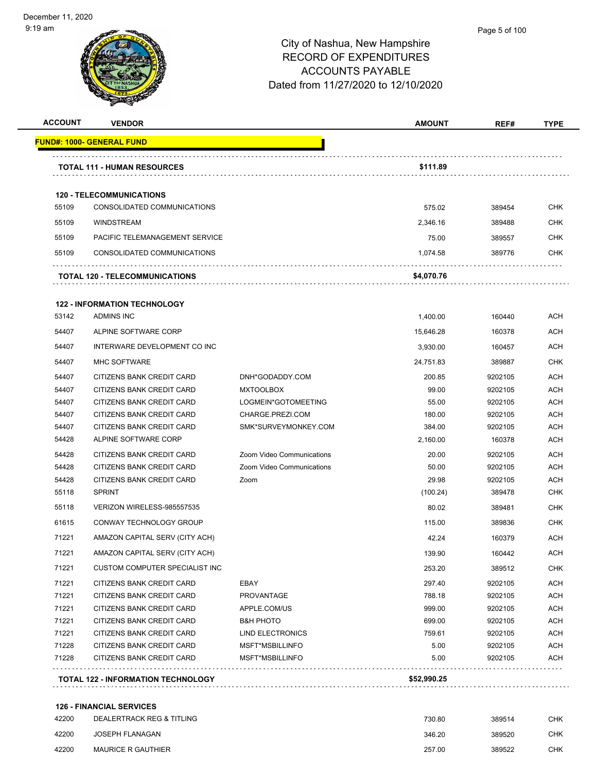#### Page 5 of 100

### City of Nashua, New Hampshire RECORD OF EXPENDITURES ACCOUNTS PAYABLE Dated from 11/27/2020 to 12/10/2020

| <b>ACCOUNT</b> | <b>VENDOR</b>                                          |                           | <b>AMOUNT</b>    | REF#               | <b>TYPE</b>              |
|----------------|--------------------------------------------------------|---------------------------|------------------|--------------------|--------------------------|
|                | <u> FUND#: 1000- GENERAL FUND</u>                      |                           |                  |                    |                          |
|                | <b>TOTAL 111 - HUMAN RESOURCES</b>                     |                           | \$111.89         |                    |                          |
|                |                                                        |                           |                  |                    |                          |
|                | <b>120 - TELECOMMUNICATIONS</b>                        |                           |                  |                    |                          |
| 55109          | CONSOLIDATED COMMUNICATIONS                            |                           | 575.02           | 389454             | CHK                      |
| 55109          | <b>WINDSTREAM</b>                                      |                           | 2,346.16         | 389488             | <b>CHK</b>               |
| 55109          | PACIFIC TELEMANAGEMENT SERVICE                         |                           | 75.00            | 389557             | CHK                      |
| 55109          | CONSOLIDATED COMMUNICATIONS                            |                           | 1,074.58         | 389776             | <b>CHK</b>               |
|                | <b>TOTAL 120 - TELECOMMUNICATIONS</b>                  |                           | \$4,070.76       |                    |                          |
|                | <b>122 - INFORMATION TECHNOLOGY</b>                    |                           |                  |                    |                          |
| 53142          | ADMINS INC                                             |                           | 1,400.00         | 160440             | ACH                      |
| 54407          | ALPINE SOFTWARE CORP                                   |                           | 15,646.28        | 160378             | <b>ACH</b>               |
| 54407          | INTERWARE DEVELOPMENT CO INC                           |                           | 3,930.00         | 160457             | <b>ACH</b>               |
| 54407          | <b>MHC SOFTWARE</b>                                    |                           | 24,751.83        | 389887             | CHK                      |
| 54407          | CITIZENS BANK CREDIT CARD                              | DNH*GODADDY.COM           | 200.85           | 9202105            | <b>ACH</b>               |
| 54407          | <b>CITIZENS BANK CREDIT CARD</b>                       | <b>MXTOOLBOX</b>          | 99.00            | 9202105            | ACH                      |
| 54407          | CITIZENS BANK CREDIT CARD                              | LOGMEIN*GOTOMEETING       | 55.00            | 9202105            | <b>ACH</b>               |
| 54407          | CITIZENS BANK CREDIT CARD                              | CHARGE.PREZI.COM          | 180.00           | 9202105            | <b>ACH</b>               |
| 54407          | CITIZENS BANK CREDIT CARD                              | SMK*SURVEYMONKEY.COM      | 384.00           | 9202105            | <b>ACH</b>               |
| 54428          | ALPINE SOFTWARE CORP                                   |                           | 2,160.00         | 160378             | ACH                      |
| 54428          | CITIZENS BANK CREDIT CARD                              | Zoom Video Communications | 20.00            | 9202105            | <b>ACH</b>               |
| 54428          | CITIZENS BANK CREDIT CARD                              | Zoom Video Communications | 50.00            | 9202105            | <b>ACH</b>               |
| 54428          | CITIZENS BANK CREDIT CARD                              | Zoom                      | 29.98            | 9202105            | ACH                      |
| 55118          | <b>SPRINT</b>                                          |                           | (100.24)         | 389478             | <b>CHK</b>               |
| 55118          | VERIZON WIRELESS-985557535                             |                           | 80.02            | 389481             | <b>CHK</b>               |
| 61615          | CONWAY TECHNOLOGY GROUP                                |                           | 115.00           | 389836             | <b>CHK</b>               |
| 71221          | AMAZON CAPITAL SERV (CITY ACH)                         |                           | 42.24            | 160379             | ACH                      |
| 71221          | AMAZON CAPITAL SERV (CITY ACH)                         |                           | 139.90           | 160442             | <b>ACH</b>               |
| 71221          | <b>CUSTOM COMPUTER SPECIALIST INC</b>                  |                           | 253.20           | 389512             | <b>CHK</b>               |
|                |                                                        |                           |                  |                    |                          |
| 71221<br>71221 | CITIZENS BANK CREDIT CARD<br>CITIZENS BANK CREDIT CARD | EBAY<br>PROVANTAGE        | 297.40           | 9202105            | <b>ACH</b>               |
| 71221          | CITIZENS BANK CREDIT CARD                              | APPLE.COM/US              | 788.18<br>999.00 | 9202105<br>9202105 | <b>ACH</b><br><b>ACH</b> |
| 71221          | CITIZENS BANK CREDIT CARD                              | <b>B&amp;H PHOTO</b>      | 699.00           | 9202105            | <b>ACH</b>               |
| 71221          | CITIZENS BANK CREDIT CARD                              | <b>LIND ELECTRONICS</b>   | 759.61           | 9202105            | <b>ACH</b>               |
| 71228          | CITIZENS BANK CREDIT CARD                              | MSFT*MSBILLINFO           | 5.00             | 9202105            | <b>ACH</b>               |
| 71228          | CITIZENS BANK CREDIT CARD                              | MSFT*MSBILLINFO           | 5.00             | 9202105            | <b>ACH</b>               |
|                |                                                        |                           |                  |                    |                          |
|                | <b>TOTAL 122 - INFORMATION TECHNOLOGY</b>              |                           | \$52,990.25      |                    |                          |

## And the DEALERTRACK REG & TITLING CHK CHANGER AND THE REG ASSESSED TO A 230-80 A 230-514 CHK 42200 JOSEPH FLANAGAN 346.20 389520 CHK 42200 MAURICE R GAUTHIER 257.00 389522 CHK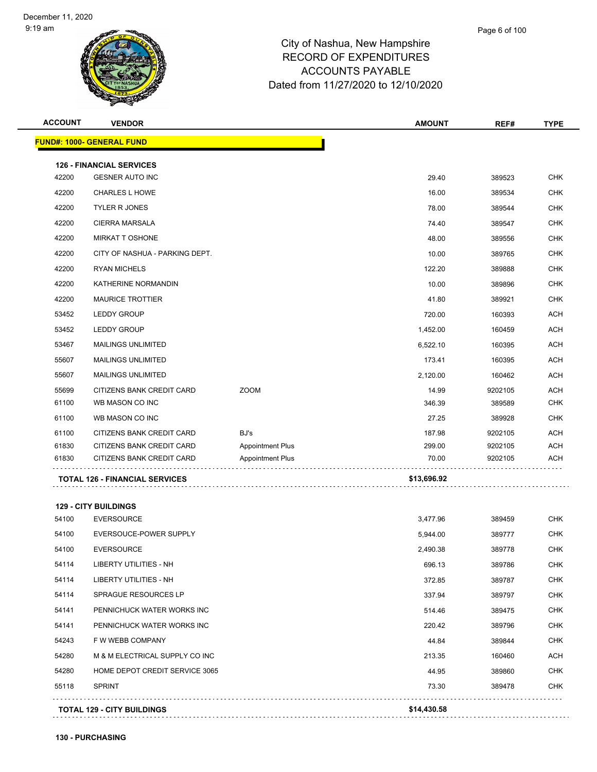| <b>ACCOUNT</b> | <b>VENDOR</b>                                    |                         | <b>AMOUNT</b> | REF#    | <b>TYPE</b> |
|----------------|--------------------------------------------------|-------------------------|---------------|---------|-------------|
|                | <b>FUND#: 1000- GENERAL FUND</b>                 |                         |               |         |             |
|                | <b>126 - FINANCIAL SERVICES</b>                  |                         |               |         |             |
| 42200          | <b>GESNER AUTO INC</b>                           |                         | 29.40         | 389523  | <b>CHK</b>  |
| 42200          | <b>CHARLES L HOWE</b>                            |                         | 16.00         | 389534  | <b>CHK</b>  |
| 42200          | <b>TYLER R JONES</b>                             |                         | 78.00         | 389544  | <b>CHK</b>  |
| 42200          | <b>CIERRA MARSALA</b>                            |                         | 74.40         | 389547  | <b>CHK</b>  |
| 42200          | <b>MIRKAT T OSHONE</b>                           |                         | 48.00         | 389556  | <b>CHK</b>  |
| 42200          | CITY OF NASHUA - PARKING DEPT.                   |                         | 10.00         | 389765  | <b>CHK</b>  |
| 42200          | <b>RYAN MICHELS</b>                              |                         | 122.20        | 389888  | CHK         |
| 42200          | KATHERINE NORMANDIN                              |                         | 10.00         | 389896  | <b>CHK</b>  |
| 42200          | <b>MAURICE TROTTIER</b>                          |                         | 41.80         | 389921  | <b>CHK</b>  |
| 53452          | <b>LEDDY GROUP</b>                               |                         | 720.00        | 160393  | <b>ACH</b>  |
| 53452          | <b>LEDDY GROUP</b>                               |                         | 1,452.00      | 160459  | <b>ACH</b>  |
| 53467          | MAILINGS UNLIMITED                               |                         | 6,522.10      | 160395  | <b>ACH</b>  |
| 55607          | <b>MAILINGS UNLIMITED</b>                        |                         | 173.41        | 160395  | <b>ACH</b>  |
| 55607          | <b>MAILINGS UNLIMITED</b>                        |                         | 2,120.00      | 160462  | <b>ACH</b>  |
| 55699          | CITIZENS BANK CREDIT CARD                        | <b>ZOOM</b>             | 14.99         | 9202105 | <b>ACH</b>  |
| 61100          | WB MASON CO INC                                  |                         | 346.39        | 389589  | <b>CHK</b>  |
| 61100          | WB MASON CO INC                                  |                         | 27.25         | 389928  | <b>CHK</b>  |
| 61100          | CITIZENS BANK CREDIT CARD                        | BJ's                    | 187.98        | 9202105 | <b>ACH</b>  |
| 61830          | CITIZENS BANK CREDIT CARD                        | <b>Appointment Plus</b> | 299.00        | 9202105 | <b>ACH</b>  |
| 61830          | CITIZENS BANK CREDIT CARD                        | <b>Appointment Plus</b> | 70.00         | 9202105 | ACH         |
|                | <b>TOTAL 126 - FINANCIAL SERVICES</b>            |                         | \$13,696.92   |         |             |
|                |                                                  |                         |               |         |             |
| 54100          | <b>129 - CITY BUILDINGS</b><br><b>EVERSOURCE</b> |                         | 3,477.96      | 389459  | <b>CHK</b>  |
| 54100          | EVERSOUCE-POWER SUPPLY                           |                         | 5,944.00      | 389777  | <b>CHK</b>  |
| 54100          | <b>EVERSOURCE</b>                                |                         | 2,490.38      | 389778  | <b>CHK</b>  |
| 54114          | LIBERTY UTILITIES - NH                           |                         | 696.13        | 389786  | <b>CHK</b>  |
| 54114          | LIBERTY UTILITIES - NH                           |                         | 372.85        | 389787  | <b>CHK</b>  |
| 54114          | SPRAGUE RESOURCES LP                             |                         | 337.94        | 389797  | <b>CHK</b>  |
| 54141          | PENNICHUCK WATER WORKS INC                       |                         | 514.46        | 389475  | <b>CHK</b>  |
| 54141          | PENNICHUCK WATER WORKS INC                       |                         | 220.42        | 389796  | CHK         |
| 54243          | F W WEBB COMPANY                                 |                         | 44.84         | 389844  | <b>CHK</b>  |
| 54280          | M & M ELECTRICAL SUPPLY CO INC                   |                         | 213.35        | 160460  | ACH         |
| 54280          | HOME DEPOT CREDIT SERVICE 3065                   |                         | 44.95         | 389860  | <b>CHK</b>  |
| 55118          | <b>SPRINT</b>                                    |                         | 73.30         | 389478  | <b>CHK</b>  |
|                |                                                  |                         |               |         |             |

**TOTAL 129 - CITY BUILDINGS \$14,430.58**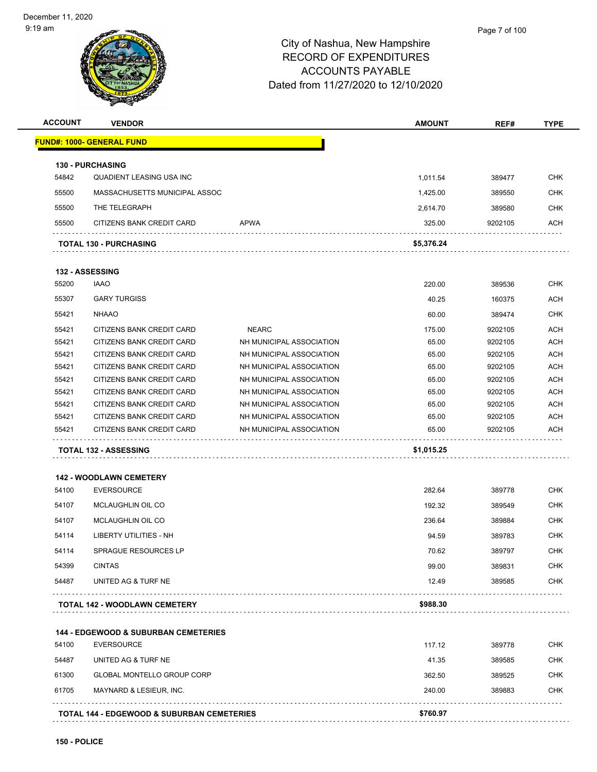

| <b>ACCOUNT</b> | <b>VENDOR</b>                                                        |                                                      | <b>AMOUNT</b>  | REF#             | <b>TYPE</b> |
|----------------|----------------------------------------------------------------------|------------------------------------------------------|----------------|------------------|-------------|
|                | <u> FUND#: 1000- GENERAL FUND</u>                                    |                                                      |                |                  |             |
|                | <b>130 - PURCHASING</b>                                              |                                                      |                |                  |             |
| 54842          | QUADIENT LEASING USA INC                                             |                                                      | 1,011.54       | 389477           | <b>CHK</b>  |
| 55500          | MASSACHUSETTS MUNICIPAL ASSOC                                        |                                                      | 1,425.00       | 389550           | CHK         |
| 55500          | THE TELEGRAPH                                                        |                                                      | 2,614.70       | 389580           | <b>CHK</b>  |
| 55500          | CITIZENS BANK CREDIT CARD                                            | <b>APWA</b>                                          | 325.00         | 9202105          | <b>ACH</b>  |
|                | <b>TOTAL 130 - PURCHASING</b>                                        |                                                      | \$5,376.24     |                  |             |
|                | <b>132 - ASSESSING</b>                                               |                                                      |                |                  |             |
| 55200          | <b>IAAO</b>                                                          |                                                      | 220.00         | 389536           | <b>CHK</b>  |
| 55307          | <b>GARY TURGISS</b>                                                  |                                                      | 40.25          | 160375           | <b>ACH</b>  |
|                |                                                                      |                                                      |                |                  | <b>CHK</b>  |
| 55421          | <b>NHAAO</b>                                                         |                                                      | 60.00          | 389474           |             |
| 55421          | CITIZENS BANK CREDIT CARD                                            | <b>NEARC</b>                                         | 175.00         | 9202105          | <b>ACH</b>  |
| 55421          | CITIZENS BANK CREDIT CARD                                            | NH MUNICIPAL ASSOCIATION                             | 65.00          | 9202105          | <b>ACH</b>  |
| 55421          | CITIZENS BANK CREDIT CARD                                            | NH MUNICIPAL ASSOCIATION                             | 65.00          | 9202105          | <b>ACH</b>  |
| 55421          | CITIZENS BANK CREDIT CARD                                            | NH MUNICIPAL ASSOCIATION                             | 65.00          | 9202105          | <b>ACH</b>  |
| 55421          | CITIZENS BANK CREDIT CARD                                            | NH MUNICIPAL ASSOCIATION                             | 65.00          | 9202105          | <b>ACH</b>  |
| 55421          | CITIZENS BANK CREDIT CARD                                            | NH MUNICIPAL ASSOCIATION                             | 65.00          | 9202105          | <b>ACH</b>  |
| 55421          | CITIZENS BANK CREDIT CARD                                            | NH MUNICIPAL ASSOCIATION                             | 65.00          | 9202105          | <b>ACH</b>  |
| 55421          | CITIZENS BANK CREDIT CARD                                            | NH MUNICIPAL ASSOCIATION<br>NH MUNICIPAL ASSOCIATION | 65.00<br>65.00 | 9202105          | <b>ACH</b>  |
| 55421          | CITIZENS BANK CREDIT CARD                                            |                                                      |                | 9202105          | ACH         |
|                | <b>TOTAL 132 - ASSESSING</b>                                         |                                                      | \$1,015.25     |                  |             |
|                | <b>142 - WOODLAWN CEMETERY</b>                                       |                                                      |                |                  |             |
| 54100          | <b>EVERSOURCE</b>                                                    |                                                      | 282.64         | 389778           | <b>CHK</b>  |
| 54107          | <b>MCLAUGHLIN OIL CO</b>                                             |                                                      | 192.32         | 389549           | <b>CHK</b>  |
| 54107          | MCLAUGHLIN OIL CO                                                    |                                                      | 236.64         | 389884           | <b>CHK</b>  |
| 54114          | <b>LIBERTY UTILITIES - NH</b>                                        |                                                      | 94.59          | 389783           | <b>CHK</b>  |
|                | <b>SPRAGUE RESOURCES LP</b>                                          |                                                      |                |                  | <b>CHK</b>  |
| 54114          |                                                                      |                                                      | 70.62          | 389797           |             |
| 54399          | <b>CINTAS</b>                                                        |                                                      | 99.00          | 389831           | <b>CHK</b>  |
| 54487          | UNITED AG & TURF NE                                                  |                                                      | 12.49          | 389585           | <b>CHK</b>  |
|                | TOTAL 142 - WOODLAWN CEMETERY                                        |                                                      | \$988.30       |                  |             |
|                |                                                                      |                                                      |                |                  |             |
| 54100          | <b>144 - EDGEWOOD &amp; SUBURBAN CEMETERIES</b><br><b>EVERSOURCE</b> |                                                      | 117.12         | 389778           | <b>CHK</b>  |
| 54487          | UNITED AG & TURF NE                                                  |                                                      | 41.35          | 389585           | CHK         |
| 61300          | <b>GLOBAL MONTELLO GROUP CORP</b>                                    |                                                      | 362.50         |                  | <b>CHK</b>  |
| 61705          | MAYNARD & LESIEUR, INC.                                              |                                                      | 240.00         | 389525<br>389883 | <b>CHK</b>  |
|                |                                                                      |                                                      |                |                  |             |
|                | <b>TOTAL 144 - EDGEWOOD &amp; SUBURBAN CEMETERIES</b>                |                                                      | \$760.97       |                  |             |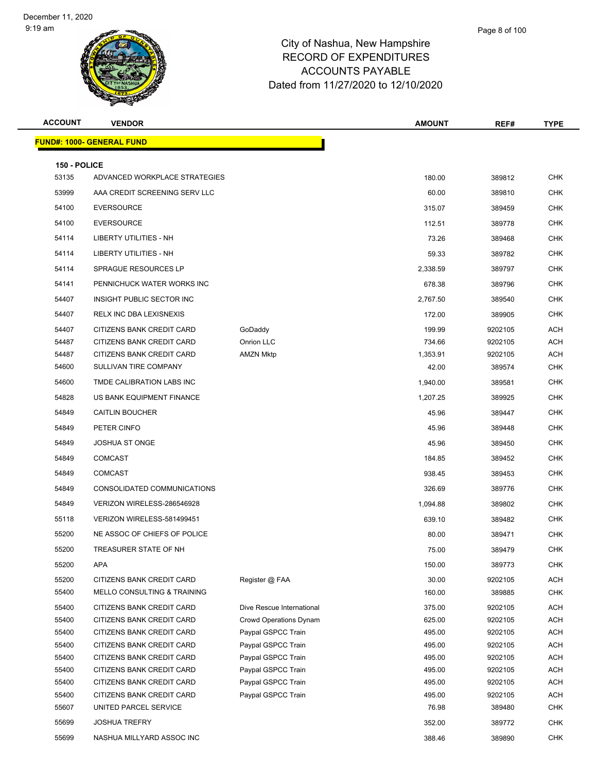| <b>ACCOUNT</b>        | <b>VENDOR</b>                                          |                                          | <b>AMOUNT</b>    | REF#               | <b>TYPE</b> |
|-----------------------|--------------------------------------------------------|------------------------------------------|------------------|--------------------|-------------|
|                       | FUND#: 1000- GENERAL FUND                              |                                          |                  |                    |             |
|                       |                                                        |                                          |                  |                    |             |
| 150 - POLICE<br>53135 | ADVANCED WORKPLACE STRATEGIES                          |                                          | 180.00           | 389812             | <b>CHK</b>  |
| 53999                 | AAA CREDIT SCREENING SERV LLC                          |                                          | 60.00            | 389810             | <b>CHK</b>  |
|                       |                                                        |                                          |                  |                    |             |
| 54100                 | <b>EVERSOURCE</b>                                      |                                          | 315.07           | 389459             | <b>CHK</b>  |
| 54100                 | <b>EVERSOURCE</b>                                      |                                          | 112.51           | 389778             | <b>CHK</b>  |
| 54114                 | LIBERTY UTILITIES - NH                                 |                                          | 73.26            | 389468             | <b>CHK</b>  |
| 54114                 | <b>LIBERTY UTILITIES - NH</b>                          |                                          | 59.33            | 389782             | CHK         |
| 54114                 | <b>SPRAGUE RESOURCES LP</b>                            |                                          | 2,338.59         | 389797             | <b>CHK</b>  |
| 54141                 | PENNICHUCK WATER WORKS INC                             |                                          | 678.38           | 389796             | CHK         |
| 54407                 | INSIGHT PUBLIC SECTOR INC                              |                                          | 2,767.50         | 389540             | <b>CHK</b>  |
| 54407                 | RELX INC DBA LEXISNEXIS                                |                                          | 172.00           | 389905             | <b>CHK</b>  |
| 54407                 | CITIZENS BANK CREDIT CARD                              | GoDaddy                                  | 199.99           | 9202105            | ACH         |
| 54487                 | CITIZENS BANK CREDIT CARD                              | Onrion LLC                               | 734.66           | 9202105            | ACH         |
| 54487                 | CITIZENS BANK CREDIT CARD                              | <b>AMZN Mktp</b>                         | 1,353.91         | 9202105            | ACH         |
| 54600                 | SULLIVAN TIRE COMPANY                                  |                                          | 42.00            | 389574             | <b>CHK</b>  |
| 54600                 | TMDE CALIBRATION LABS INC                              |                                          | 1,940.00         | 389581             | <b>CHK</b>  |
| 54828                 | US BANK EQUIPMENT FINANCE                              |                                          | 1,207.25         | 389925             | <b>CHK</b>  |
| 54849                 | <b>CAITLIN BOUCHER</b>                                 |                                          | 45.96            | 389447             | <b>CHK</b>  |
| 54849                 | PETER CINFO                                            |                                          | 45.96            | 389448             | <b>CHK</b>  |
| 54849                 | <b>JOSHUA ST ONGE</b>                                  |                                          | 45.96            | 389450             | <b>CHK</b>  |
| 54849                 | <b>COMCAST</b>                                         |                                          | 184.85           | 389452             | <b>CHK</b>  |
| 54849                 | <b>COMCAST</b>                                         |                                          | 938.45           | 389453             | <b>CHK</b>  |
| 54849                 | CONSOLIDATED COMMUNICATIONS                            |                                          | 326.69           | 389776             | <b>CHK</b>  |
| 54849                 | VERIZON WIRELESS-286546928                             |                                          | 1,094.88         | 389802             | <b>CHK</b>  |
| 55118                 | VERIZON WIRELESS-581499451                             |                                          | 639.10           | 389482             | <b>CHK</b>  |
| 55200                 | NE ASSOC OF CHIEFS OF POLICE                           |                                          | 80.00            | 389471             | CHK         |
| 55200                 | TREASURER STATE OF NH                                  |                                          | 75.00            | 389479             | <b>CHK</b>  |
| 55200                 | APA                                                    |                                          | 150.00           | 389773             | <b>CHK</b>  |
| 55200                 | CITIZENS BANK CREDIT CARD                              | Register @ FAA                           | 30.00            | 9202105            | ACH         |
| 55400                 | <b>MELLO CONSULTING &amp; TRAINING</b>                 |                                          | 160.00           | 389885             | <b>CHK</b>  |
| 55400                 | CITIZENS BANK CREDIT CARD                              | Dive Rescue International                | 375.00           | 9202105            | ACH         |
| 55400                 | CITIZENS BANK CREDIT CARD                              | <b>Crowd Operations Dynam</b>            | 625.00           | 9202105            | ACH         |
| 55400                 | CITIZENS BANK CREDIT CARD                              | Paypal GSPCC Train                       | 495.00           | 9202105            | ACH         |
| 55400                 | CITIZENS BANK CREDIT CARD                              | Paypal GSPCC Train                       | 495.00           | 9202105            | ACH         |
| 55400<br>55400        | CITIZENS BANK CREDIT CARD<br>CITIZENS BANK CREDIT CARD | Paypal GSPCC Train                       | 495.00<br>495.00 | 9202105<br>9202105 | ACH<br>ACH  |
| 55400                 | CITIZENS BANK CREDIT CARD                              | Paypal GSPCC Train<br>Paypal GSPCC Train | 495.00           | 9202105            | ACH         |
| 55400                 | CITIZENS BANK CREDIT CARD                              | Paypal GSPCC Train                       | 495.00           | 9202105            | ACH         |
| 55607                 | UNITED PARCEL SERVICE                                  |                                          | 76.98            | 389480             | <b>CHK</b>  |
| 55699                 | <b>JOSHUA TREFRY</b>                                   |                                          | 352.00           | 389772             | <b>CHK</b>  |
| 55699                 | NASHUA MILLYARD ASSOC INC                              |                                          | 388.46           | 389890             | <b>CHK</b>  |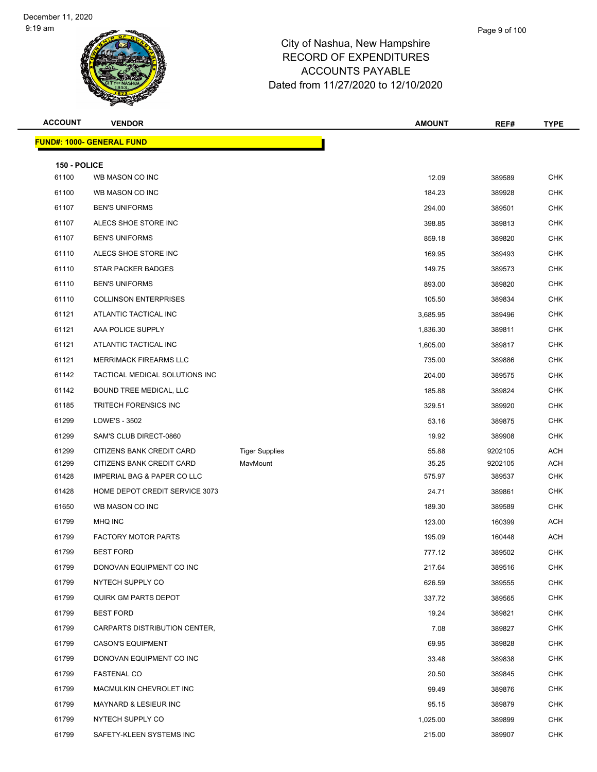| <b>ACCOUNT</b>        | <b>VENDOR</b>                    |                       | <b>AMOUNT</b> | REF#    | <b>TYPE</b> |
|-----------------------|----------------------------------|-----------------------|---------------|---------|-------------|
|                       | <b>FUND#: 1000- GENERAL FUND</b> |                       |               |         |             |
|                       |                                  |                       |               |         |             |
| 150 - POLICE<br>61100 | WB MASON CO INC                  |                       | 12.09         | 389589  | <b>CHK</b>  |
| 61100                 | WB MASON CO INC                  |                       | 184.23        | 389928  | <b>CHK</b>  |
| 61107                 | <b>BEN'S UNIFORMS</b>            |                       | 294.00        | 389501  | <b>CHK</b>  |
| 61107                 | ALECS SHOE STORE INC             |                       | 398.85        | 389813  | <b>CHK</b>  |
| 61107                 | <b>BEN'S UNIFORMS</b>            |                       | 859.18        | 389820  | <b>CHK</b>  |
| 61110                 | ALECS SHOE STORE INC             |                       | 169.95        | 389493  | <b>CHK</b>  |
| 61110                 | <b>STAR PACKER BADGES</b>        |                       | 149.75        | 389573  | <b>CHK</b>  |
| 61110                 | <b>BEN'S UNIFORMS</b>            |                       | 893.00        | 389820  | <b>CHK</b>  |
| 61110                 | <b>COLLINSON ENTERPRISES</b>     |                       | 105.50        | 389834  | <b>CHK</b>  |
| 61121                 | ATLANTIC TACTICAL INC            |                       | 3,685.95      | 389496  | <b>CHK</b>  |
| 61121                 | AAA POLICE SUPPLY                |                       | 1,836.30      | 389811  | <b>CHK</b>  |
| 61121                 | ATLANTIC TACTICAL INC            |                       | 1,605.00      | 389817  | <b>CHK</b>  |
| 61121                 | MERRIMACK FIREARMS LLC           |                       | 735.00        | 389886  | <b>CHK</b>  |
| 61142                 | TACTICAL MEDICAL SOLUTIONS INC   |                       | 204.00        | 389575  | <b>CHK</b>  |
| 61142                 | BOUND TREE MEDICAL, LLC          |                       | 185.88        | 389824  | CHK         |
| 61185                 | <b>TRITECH FORENSICS INC</b>     |                       | 329.51        | 389920  | <b>CHK</b>  |
| 61299                 | LOWE'S - 3502                    |                       | 53.16         | 389875  | <b>CHK</b>  |
| 61299                 | SAM'S CLUB DIRECT-0860           |                       | 19.92         | 389908  | <b>CHK</b>  |
| 61299                 | CITIZENS BANK CREDIT CARD        | <b>Tiger Supplies</b> | 55.88         | 9202105 | <b>ACH</b>  |
| 61299                 | CITIZENS BANK CREDIT CARD        | MavMount              | 35.25         | 9202105 | <b>ACH</b>  |
| 61428                 | IMPERIAL BAG & PAPER CO LLC      |                       | 575.97        | 389537  | <b>CHK</b>  |
| 61428                 | HOME DEPOT CREDIT SERVICE 3073   |                       | 24.71         | 389861  | <b>CHK</b>  |
| 61650                 | WB MASON CO INC                  |                       | 189.30        | 389589  | <b>CHK</b>  |
| 61799                 | MHQ INC                          |                       | 123.00        | 160399  | <b>ACH</b>  |
| 61799                 | <b>FACTORY MOTOR PARTS</b>       |                       | 195.09        | 160448  | <b>ACH</b>  |
| 61799                 | <b>BEST FORD</b>                 |                       | 777.12        | 389502  | <b>CHK</b>  |
| 61799                 | DONOVAN EQUIPMENT CO INC         |                       | 217.64        | 389516  | <b>CHK</b>  |
| 61799                 | NYTECH SUPPLY CO                 |                       | 626.59        | 389555  | <b>CHK</b>  |
| 61799                 | QUIRK GM PARTS DEPOT             |                       | 337.72        | 389565  | <b>CHK</b>  |
| 61799                 | <b>BEST FORD</b>                 |                       | 19.24         | 389821  | CHK         |
| 61799                 | CARPARTS DISTRIBUTION CENTER,    |                       | 7.08          | 389827  | <b>CHK</b>  |
| 61799                 | <b>CASON'S EQUIPMENT</b>         |                       | 69.95         | 389828  | <b>CHK</b>  |
| 61799                 | DONOVAN EQUIPMENT CO INC         |                       | 33.48         | 389838  | <b>CHK</b>  |
| 61799                 | <b>FASTENAL CO</b>               |                       | 20.50         | 389845  | <b>CHK</b>  |
| 61799                 | MACMULKIN CHEVROLET INC          |                       | 99.49         | 389876  | CHK         |
| 61799                 | MAYNARD & LESIEUR INC            |                       | 95.15         | 389879  | <b>CHK</b>  |
| 61799                 | NYTECH SUPPLY CO                 |                       | 1,025.00      | 389899  | <b>CHK</b>  |
| 61799                 | SAFETY-KLEEN SYSTEMS INC         |                       | 215.00        | 389907  | <b>CHK</b>  |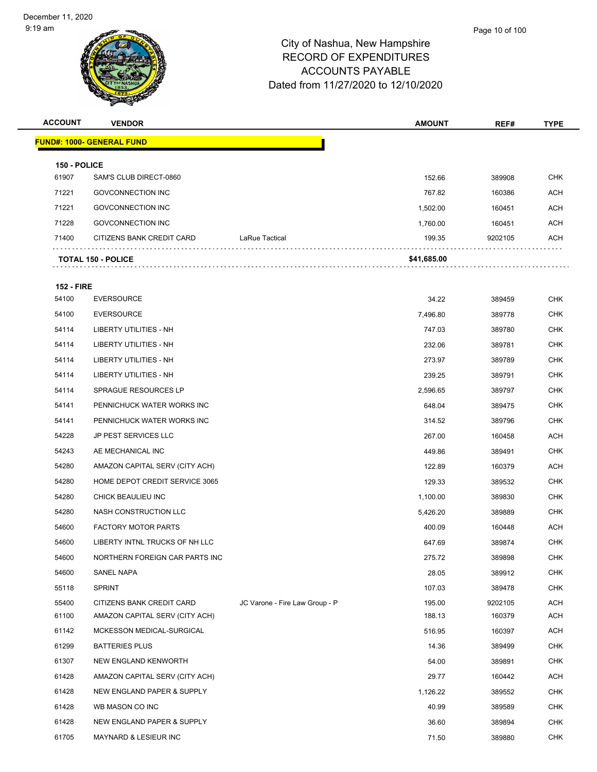| <b>ACCOUNT</b>        | <b>VENDOR</b>                  |                                | <b>AMOUNT</b> | REF#    | <b>TYPE</b> |
|-----------------------|--------------------------------|--------------------------------|---------------|---------|-------------|
|                       | FUND#: 1000- GENERAL FUND      |                                |               |         |             |
|                       |                                |                                |               |         |             |
| 150 - POLICE<br>61907 | SAM'S CLUB DIRECT-0860         |                                | 152.66        | 389908  | <b>CHK</b>  |
| 71221                 | <b>GOVCONNECTION INC</b>       |                                | 767.82        | 160386  | <b>ACH</b>  |
| 71221                 | <b>GOVCONNECTION INC</b>       |                                | 1,502.00      | 160451  | <b>ACH</b>  |
| 71228                 | <b>GOVCONNECTION INC</b>       |                                | 1,760.00      | 160451  | <b>ACH</b>  |
| 71400                 | CITIZENS BANK CREDIT CARD      | LaRue Tactical                 | 199.35        | 9202105 | <b>ACH</b>  |
|                       |                                |                                |               |         |             |
|                       | <b>TOTAL 150 - POLICE</b>      |                                | \$41,685.00   |         |             |
| <b>152 - FIRE</b>     |                                |                                |               |         |             |
| 54100                 | <b>EVERSOURCE</b>              |                                | 34.22         | 389459  | <b>CHK</b>  |
| 54100                 | <b>EVERSOURCE</b>              |                                | 7,496.80      | 389778  | <b>CHK</b>  |
| 54114                 | LIBERTY UTILITIES - NH         |                                | 747.03        | 389780  | <b>CHK</b>  |
| 54114                 | LIBERTY UTILITIES - NH         |                                | 232.06        | 389781  | <b>CHK</b>  |
| 54114                 | LIBERTY UTILITIES - NH         |                                | 273.97        | 389789  | <b>CHK</b>  |
| 54114                 | LIBERTY UTILITIES - NH         |                                | 239.25        | 389791  | <b>CHK</b>  |
| 54114                 | SPRAGUE RESOURCES LP           |                                | 2,596.65      | 389797  | <b>CHK</b>  |
| 54141                 | PENNICHUCK WATER WORKS INC     |                                | 648.04        | 389475  | <b>CHK</b>  |
| 54141                 | PENNICHUCK WATER WORKS INC     |                                | 314.52        | 389796  | <b>CHK</b>  |
| 54228                 | <b>JP PEST SERVICES LLC</b>    |                                | 267.00        | 160458  | ACH         |
| 54243                 | AE MECHANICAL INC              |                                | 449.86        | 389491  | <b>CHK</b>  |
| 54280                 | AMAZON CAPITAL SERV (CITY ACH) |                                | 122.89        | 160379  | <b>ACH</b>  |
| 54280                 | HOME DEPOT CREDIT SERVICE 3065 |                                | 129.33        | 389532  | <b>CHK</b>  |
| 54280                 | CHICK BEAULIEU INC             |                                | 1,100.00      | 389830  | <b>CHK</b>  |
| 54280                 | NASH CONSTRUCTION LLC          |                                | 5,426.20      | 389889  | CHK         |
| 54600                 | <b>FACTORY MOTOR PARTS</b>     |                                | 400.09        | 160448  | ACH         |
| 54600                 | LIBERTY INTNL TRUCKS OF NH LLC |                                | 647.69        | 389874  | <b>CHK</b>  |
| 54600                 | NORTHERN FOREIGN CAR PARTS INC |                                | 275.72        | 389898  | <b>CHK</b>  |
| 54600                 | <b>SANEL NAPA</b>              |                                | 28.05         | 389912  | <b>CHK</b>  |
| 55118                 | <b>SPRINT</b>                  |                                | 107.03        | 389478  | <b>CHK</b>  |
| 55400                 | CITIZENS BANK CREDIT CARD      | JC Varone - Fire Law Group - P | 195.00        | 9202105 | ACH         |
| 61100                 | AMAZON CAPITAL SERV (CITY ACH) |                                | 188.13        | 160379  | ACH         |
| 61142                 | MCKESSON MEDICAL-SURGICAL      |                                | 516.95        | 160397  | <b>ACH</b>  |
| 61299                 | <b>BATTERIES PLUS</b>          |                                | 14.36         | 389499  | <b>CHK</b>  |
| 61307                 | NEW ENGLAND KENWORTH           |                                | 54.00         | 389891  | <b>CHK</b>  |
| 61428                 | AMAZON CAPITAL SERV (CITY ACH) |                                | 29.77         | 160442  | ACH         |
| 61428                 | NEW ENGLAND PAPER & SUPPLY     |                                | 1,126.22      | 389552  | <b>CHK</b>  |
| 61428                 | WB MASON CO INC                |                                | 40.99         | 389589  | <b>CHK</b>  |
| 61428                 | NEW ENGLAND PAPER & SUPPLY     |                                | 36.60         | 389894  | <b>CHK</b>  |
| 61705                 | MAYNARD & LESIEUR INC          |                                | 71.50         | 389880  | <b>CHK</b>  |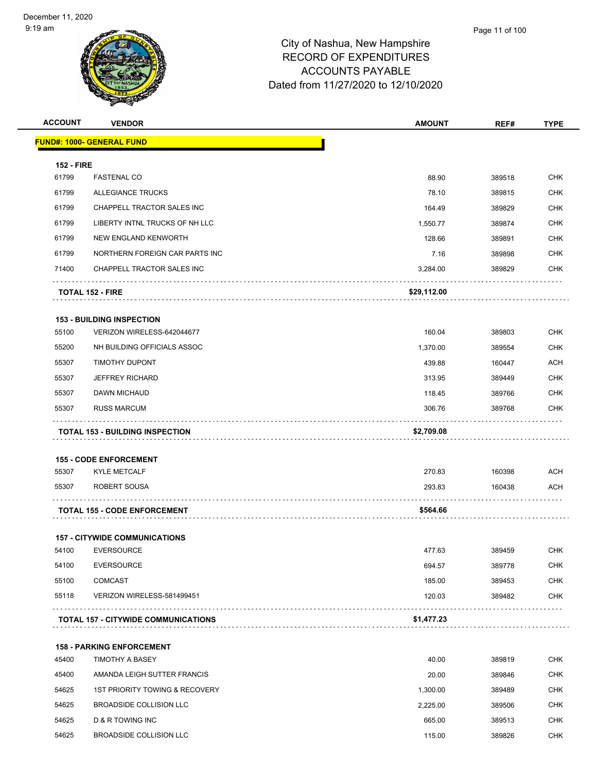| <b>ACCOUNT</b>    | <b>VENDOR</b>                                             | <b>AMOUNT</b> | REF#   | <b>TYPE</b> |
|-------------------|-----------------------------------------------------------|---------------|--------|-------------|
|                   | <u> FUND#: 1000- GENERAL FUND</u>                         |               |        |             |
| <b>152 - FIRE</b> |                                                           |               |        |             |
| 61799             | <b>FASTENAL CO</b>                                        | 88.90         | 389518 | <b>CHK</b>  |
| 61799             | <b>ALLEGIANCE TRUCKS</b>                                  | 78.10         | 389815 | <b>CHK</b>  |
| 61799             | CHAPPELL TRACTOR SALES INC                                | 164.49        | 389829 | <b>CHK</b>  |
| 61799             | LIBERTY INTNL TRUCKS OF NH LLC                            | 1,550.77      | 389874 | <b>CHK</b>  |
| 61799             | NEW ENGLAND KENWORTH                                      | 128.66        | 389891 | <b>CHK</b>  |
| 61799             | NORTHERN FOREIGN CAR PARTS INC                            | 7.16          | 389898 | <b>CHK</b>  |
| 71400             | CHAPPELL TRACTOR SALES INC                                | 3,284.00      | 389829 | <b>CHK</b>  |
|                   | <b>TOTAL 152 - FIRE</b>                                   | \$29,112.00   |        |             |
|                   | <b>153 - BUILDING INSPECTION</b>                          |               |        |             |
| 55100             | VERIZON WIRELESS-642044677                                | 160.04        | 389803 | <b>CHK</b>  |
| 55200             | NH BUILDING OFFICIALS ASSOC                               | 1,370.00      | 389554 | <b>CHK</b>  |
| 55307             | TIMOTHY DUPONT                                            | 439.88        | 160447 | <b>ACH</b>  |
| 55307             | <b>JEFFREY RICHARD</b>                                    | 313.95        | 389449 | <b>CHK</b>  |
| 55307             | DAWN MICHAUD                                              | 118.45        | 389766 | <b>CHK</b>  |
| 55307             | <b>RUSS MARCUM</b>                                        | 306.76        | 389768 | <b>CHK</b>  |
|                   | <b>TOTAL 153 - BUILDING INSPECTION</b>                    | \$2,709.08    |        |             |
|                   |                                                           |               |        |             |
|                   | <b>155 - CODE ENFORCEMENT</b>                             |               |        |             |
| 55307             | <b>KYLE METCALF</b>                                       | 270.83        | 160398 | <b>ACH</b>  |
| 55307             | ROBERT SOUSA                                              | 293.83        | 160438 | <b>ACH</b>  |
|                   | <b>TOTAL 155 - CODE ENFORCEMENT</b>                       | \$564.66      | .      |             |
|                   |                                                           |               |        |             |
| 54100             | <b>157 - CITYWIDE COMMUNICATIONS</b><br><b>EVERSOURCE</b> | 477.63        | 389459 | <b>CHK</b>  |
| 54100             | <b>EVERSOURCE</b>                                         | 694.57        | 389778 | <b>CHK</b>  |
| 55100             | <b>COMCAST</b>                                            | 185.00        | 389453 | <b>CHK</b>  |
| 55118             | VERIZON WIRELESS-581499451                                | 120.03        | 389482 | <b>CHK</b>  |
|                   |                                                           |               |        |             |
|                   | <b>TOTAL 157 - CITYWIDE COMMUNICATIONS</b>                | \$1,477.23    |        |             |
|                   | <b>158 - PARKING ENFORCEMENT</b>                          |               |        |             |
| 45400             | <b>TIMOTHY A BASEY</b>                                    | 40.00         | 389819 | <b>CHK</b>  |
| 45400             | AMANDA LEIGH SUTTER FRANCIS                               | 20.00         | 389846 | <b>CHK</b>  |
| 54625             | 1ST PRIORITY TOWING & RECOVERY                            | 1,300.00      | 389489 | <b>CHK</b>  |
| 54625             | <b>BROADSIDE COLLISION LLC</b>                            | 2,225.00      | 389506 | <b>CHK</b>  |
| 54625             | D & R TOWING INC                                          | 665.00        | 389513 | <b>CHK</b>  |
| 54625             | BROADSIDE COLLISION LLC                                   | 115.00        | 389826 | <b>CHK</b>  |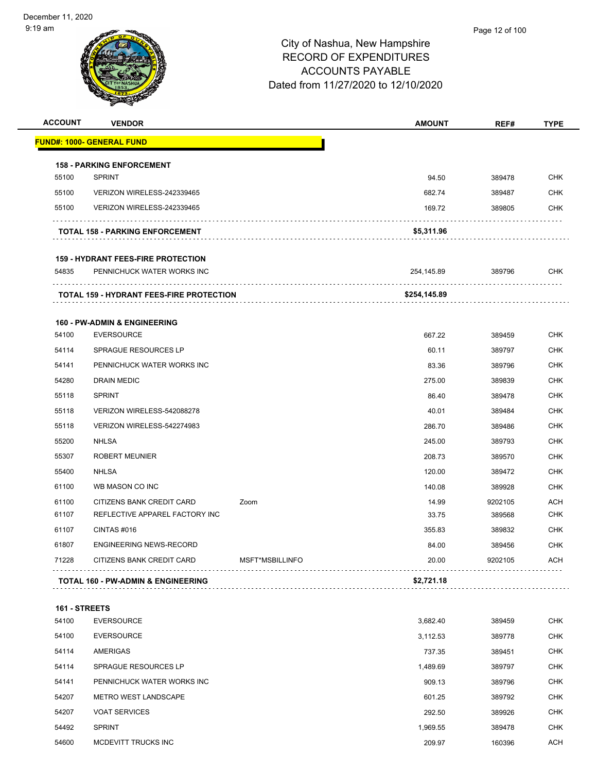

| <b>ACCOUNT</b> | <b>VENDOR</b>                                                           |                 | <b>AMOUNT</b> | REF#    | <b>TYPE</b> |
|----------------|-------------------------------------------------------------------------|-----------------|---------------|---------|-------------|
|                | <b>FUND#: 1000- GENERAL FUND</b>                                        |                 |               |         |             |
|                | <b>158 - PARKING ENFORCEMENT</b>                                        |                 |               |         |             |
| 55100          | <b>SPRINT</b>                                                           |                 | 94.50         | 389478  | CHK         |
| 55100          | VERIZON WIRELESS-242339465                                              |                 | 682.74        | 389487  | <b>CHK</b>  |
| 55100          | VERIZON WIRELESS-242339465                                              |                 | 169.72        | 389805  | CHK         |
|                | <b>TOTAL 158 - PARKING ENFORCEMENT</b>                                  |                 | \$5,311.96    |         |             |
|                |                                                                         |                 |               |         |             |
| 54835          | <b>159 - HYDRANT FEES-FIRE PROTECTION</b><br>PENNICHUCK WATER WORKS INC |                 | 254,145.89    | 389796  | CHK         |
|                | <b>TOTAL 159 - HYDRANT FEES-FIRE PROTECTION</b>                         |                 | \$254,145.89  |         |             |
|                | <b>160 - PW-ADMIN &amp; ENGINEERING</b>                                 |                 |               |         |             |
| 54100          | <b>EVERSOURCE</b>                                                       |                 | 667.22        | 389459  | <b>CHK</b>  |
| 54114          | SPRAGUE RESOURCES LP                                                    |                 | 60.11         | 389797  | CHK         |
| 54141          | PENNICHUCK WATER WORKS INC                                              |                 | 83.36         | 389796  | <b>CHK</b>  |
| 54280          | DRAIN MEDIC                                                             |                 | 275.00        | 389839  | CHK         |
| 55118          | <b>SPRINT</b>                                                           |                 | 86.40         | 389478  | <b>CHK</b>  |
| 55118          | VERIZON WIRELESS-542088278                                              |                 | 40.01         | 389484  | <b>CHK</b>  |
| 55118          | VERIZON WIRELESS-542274983                                              |                 | 286.70        | 389486  | CHK         |
| 55200          | <b>NHLSA</b>                                                            |                 | 245.00        | 389793  | <b>CHK</b>  |
| 55307          | <b>ROBERT MEUNIER</b>                                                   |                 | 208.73        | 389570  | CHK         |
| 55400          | <b>NHLSA</b>                                                            |                 | 120.00        | 389472  | <b>CHK</b>  |
| 61100          | WB MASON CO INC                                                         |                 | 140.08        | 389928  | <b>CHK</b>  |
| 61100          | CITIZENS BANK CREDIT CARD                                               | Zoom            | 14.99         | 9202105 | ACH         |
| 61107          | REFLECTIVE APPAREL FACTORY INC                                          |                 | 33.75         | 389568  | <b>CHK</b>  |
| 61107          | CINTAS#016                                                              |                 | 355.83        | 389832  | CHK         |
| 61807          | <b>ENGINEERING NEWS-RECORD</b>                                          |                 | 84.00         | 389456  | <b>CHK</b>  |
| 71228          | CITIZENS BANK CREDIT CARD                                               | MSFT*MSBILLINFO | 20.00         | 9202105 | <b>ACH</b>  |
|                | <b>TOTAL 160 - PW-ADMIN &amp; ENGINEERING</b>                           |                 | \$2,721.18    |         |             |
| 161 - STREETS  |                                                                         |                 |               |         |             |
| 54100          | <b>EVERSOURCE</b>                                                       |                 | 3,682.40      | 389459  | CHK         |
| 54100          | <b>EVERSOURCE</b>                                                       |                 | 3,112.53      | 389778  | <b>CHK</b>  |
| 54114          | AMERIGAS                                                                |                 | 737.35        | 389451  | CHK         |
| 54114          | SPRAGUE RESOURCES LP                                                    |                 | 1,489.69      | 389797  | <b>CHK</b>  |
| 54141          | PENNICHUCK WATER WORKS INC                                              |                 | 909.13        | 389796  | CHK         |
| 54207          | <b>METRO WEST LANDSCAPE</b>                                             |                 | 601.25        | 389792  | <b>CHK</b>  |
| 54207          | <b>VOAT SERVICES</b>                                                    |                 | 292.50        | 389926  | CHK         |
| 54492          | <b>SPRINT</b>                                                           |                 | 1,969.55      | 389478  | CHK         |
| 54600          | MCDEVITT TRUCKS INC                                                     |                 | 209.97        | 160396  | <b>ACH</b>  |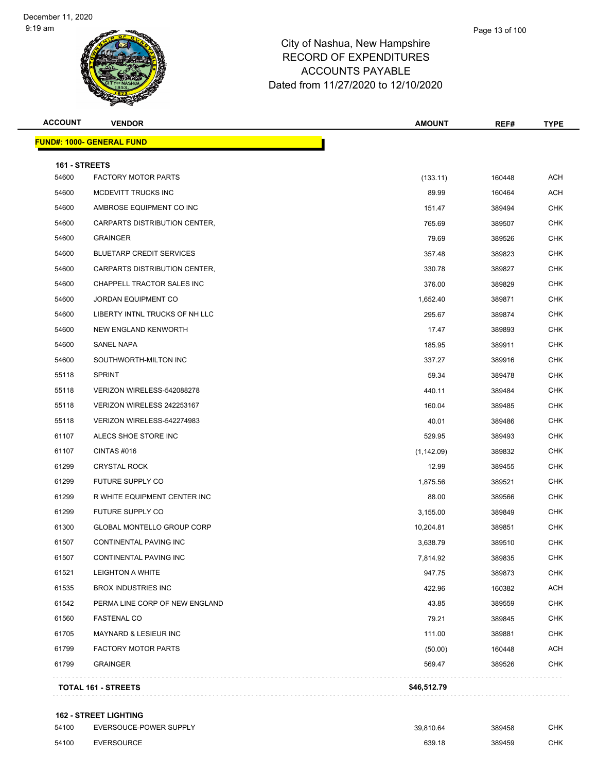Page 13 of 100



#### City of Nashua, New Hampshire RECORD OF EXPENDITURES ACCOUNTS PAYABLE Dated from 11/27/2020 to 12/10/2020

| <b>ACCOUNT</b> | <b>VENDOR</b>                     | <b>AMOUNT</b> | REF#   | <b>TYPE</b> |
|----------------|-----------------------------------|---------------|--------|-------------|
|                | <b>FUND#: 1000- GENERAL FUND</b>  |               |        |             |
| 161 - STREETS  |                                   |               |        |             |
| 54600          | <b>FACTORY MOTOR PARTS</b>        | (133.11)      | 160448 | ACH         |
| 54600          | MCDEVITT TRUCKS INC               | 89.99         | 160464 | ACH         |
| 54600          | AMBROSE EQUIPMENT CO INC          | 151.47        | 389494 | CHK         |
| 54600          | CARPARTS DISTRIBUTION CENTER,     | 765.69        | 389507 | <b>CHK</b>  |
| 54600          | <b>GRAINGER</b>                   | 79.69         | 389526 | CHK         |
| 54600          | <b>BLUETARP CREDIT SERVICES</b>   | 357.48        | 389823 | <b>CHK</b>  |
| 54600          | CARPARTS DISTRIBUTION CENTER,     | 330.78        | 389827 | <b>CHK</b>  |
| 54600          | CHAPPELL TRACTOR SALES INC        | 376.00        | 389829 | CHK         |
| 54600          | <b>JORDAN EQUIPMENT CO</b>        | 1,652.40      | 389871 | <b>CHK</b>  |
| 54600          | LIBERTY INTNL TRUCKS OF NH LLC    | 295.67        | 389874 | <b>CHK</b>  |
| 54600          | NEW ENGLAND KENWORTH              | 17.47         | 389893 | <b>CHK</b>  |
| 54600          | <b>SANEL NAPA</b>                 | 185.95        | 389911 | <b>CHK</b>  |
| 54600          | SOUTHWORTH-MILTON INC             | 337.27        | 389916 | CHK         |
| 55118          | <b>SPRINT</b>                     | 59.34         | 389478 | <b>CHK</b>  |
| 55118          | VERIZON WIRELESS-542088278        | 440.11        | 389484 | CHK         |
| 55118          | VERIZON WIRELESS 242253167        | 160.04        | 389485 | <b>CHK</b>  |
| 55118          | VERIZON WIRELESS-542274983        | 40.01         | 389486 | <b>CHK</b>  |
| 61107          | ALECS SHOE STORE INC              | 529.95        | 389493 | CHK         |
| 61107          | CINTAS#016                        | (1, 142.09)   | 389832 | <b>CHK</b>  |
| 61299          | <b>CRYSTAL ROCK</b>               | 12.99         | 389455 | CHK         |
| 61299          | FUTURE SUPPLY CO                  | 1,875.56      | 389521 | <b>CHK</b>  |
| 61299          | R WHITE EQUIPMENT CENTER INC      | 88.00         | 389566 | <b>CHK</b>  |
| 61299          | FUTURE SUPPLY CO                  | 3,155.00      | 389849 | CHK         |
| 61300          | <b>GLOBAL MONTELLO GROUP CORP</b> | 10,204.81     | 389851 | <b>CHK</b>  |
| 61507          | CONTINENTAL PAVING INC            | 3,638.79      | 389510 | CHK         |
| 61507          | CONTINENTAL PAVING INC            | 7,814.92      | 389835 | CHK         |
| 61521          | <b>LEIGHTON A WHITE</b>           | 947.75        | 389873 | <b>CHK</b>  |
| 61535          | <b>BROX INDUSTRIES INC</b>        | 422.96        | 160382 | ACH         |
| 61542          | PERMA LINE CORP OF NEW ENGLAND    | 43.85         | 389559 | <b>CHK</b>  |
| 61560          | <b>FASTENAL CO</b>                | 79.21         | 389845 | CHK         |
| 61705          | <b>MAYNARD &amp; LESIEUR INC</b>  | 111.00        | 389881 | <b>CHK</b>  |
| 61799          | <b>FACTORY MOTOR PARTS</b>        | (50.00)       | 160448 | <b>ACH</b>  |
| 61799          | <b>GRAINGER</b>                   | 569.47        | 389526 | CHK         |
|                | <b>TOTAL 161 - STREETS</b>        | \$46,512.79   |        |             |
|                |                                   |               |        |             |

#### **162 - STREET LIGHTING**

| 54100 | EVERSOUCE-POWER SUPPLY | 39.810.64 | 389458 | снк |
|-------|------------------------|-----------|--------|-----|
| 54100 | EVERSOURCE             | 639.18    | 389459 | СНК |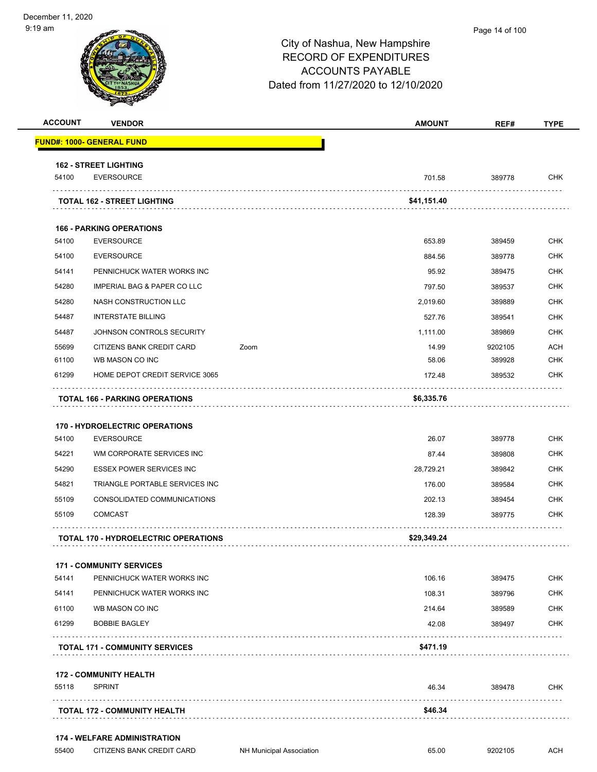|                                                                                        |                                                            |      | <b>AMOUNT</b> | REF#    | <b>TYPE</b>                                                                                                  |
|----------------------------------------------------------------------------------------|------------------------------------------------------------|------|---------------|---------|--------------------------------------------------------------------------------------------------------------|
|                                                                                        | <b>FUND#: 1000- GENERAL FUND</b>                           |      |               |         |                                                                                                              |
|                                                                                        | <b>162 - STREET LIGHTING</b>                               |      |               |         |                                                                                                              |
| 54100                                                                                  | <b>EVERSOURCE</b>                                          |      | 701.58        | 389778  | <b>CHK</b>                                                                                                   |
|                                                                                        | <b>TOTAL 162 - STREET LIGHTING</b>                         |      | \$41,151.40   | .       |                                                                                                              |
|                                                                                        | <b>166 - PARKING OPERATIONS</b>                            |      |               |         |                                                                                                              |
| 54100                                                                                  | <b>EVERSOURCE</b>                                          |      | 653.89        | 389459  | CHK                                                                                                          |
| 54100                                                                                  | <b>EVERSOURCE</b>                                          |      | 884.56        | 389778  | <b>CHK</b>                                                                                                   |
| 54141                                                                                  | PENNICHUCK WATER WORKS INC                                 |      | 95.92         | 389475  | CHK                                                                                                          |
| 54280                                                                                  | IMPERIAL BAG & PAPER CO LLC                                |      | 797.50        | 389537  | <b>CHK</b>                                                                                                   |
| 54280                                                                                  | NASH CONSTRUCTION LLC                                      |      | 2,019.60      | 389889  | <b>CHK</b>                                                                                                   |
| 54487                                                                                  | <b>INTERSTATE BILLING</b>                                  |      | 527.76        | 389541  | CHK                                                                                                          |
| 54487                                                                                  | JOHNSON CONTROLS SECURITY                                  |      | 1,111.00      | 389869  | <b>CHK</b>                                                                                                   |
| 55699                                                                                  | CITIZENS BANK CREDIT CARD                                  | Zoom | 14.99         | 9202105 | <b>ACH</b>                                                                                                   |
| 61100                                                                                  | WB MASON CO INC                                            |      | 58.06         | 389928  | <b>CHK</b>                                                                                                   |
| 61299                                                                                  | HOME DEPOT CREDIT SERVICE 3065                             |      | 172.48        | 389532  | CHK                                                                                                          |
|                                                                                        | <b>TOTAL 166 - PARKING OPERATIONS</b>                      |      | \$6,335.76    |         |                                                                                                              |
|                                                                                        |                                                            |      |               |         |                                                                                                              |
|                                                                                        | <b>170 - HYDROELECTRIC OPERATIONS</b><br><b>EVERSOURCE</b> |      | 26.07         | 389778  |                                                                                                              |
|                                                                                        | WM CORPORATE SERVICES INC                                  |      | 87.44         | 389808  |                                                                                                              |
|                                                                                        | <b>ESSEX POWER SERVICES INC</b>                            |      | 28,729.21     | 389842  |                                                                                                              |
|                                                                                        | TRIANGLE PORTABLE SERVICES INC                             |      | 176.00        | 389584  |                                                                                                              |
|                                                                                        | CONSOLIDATED COMMUNICATIONS                                |      | 202.13        | 389454  |                                                                                                              |
|                                                                                        | <b>COMCAST</b>                                             |      | 128.39        | 389775  |                                                                                                              |
|                                                                                        | <b>TOTAL 170 - HYDROELECTRIC OPERATIONS</b>                |      | \$29,349.24   |         |                                                                                                              |
|                                                                                        | <b>171 - COMMUNITY SERVICES</b>                            |      |               |         |                                                                                                              |
|                                                                                        | PENNICHUCK WATER WORKS INC                                 |      | 106.16        | 389475  |                                                                                                              |
|                                                                                        | PENNICHUCK WATER WORKS INC                                 |      | 108.31        | 389796  |                                                                                                              |
|                                                                                        | WB MASON CO INC                                            |      | 214.64        | 389589  |                                                                                                              |
|                                                                                        | <b>BOBBIE BAGLEY</b>                                       |      | 42.08         | 389497  |                                                                                                              |
| 54100<br>54221<br>54290<br>54821<br>55109<br>55109<br>54141<br>54141<br>61100<br>61299 | <b>TOTAL 171 - COMMUNITY SERVICES</b>                      |      | \$471.19      |         | <b>CHK</b><br><b>CHK</b><br>CHK<br><b>CHK</b><br><b>CHK</b><br>CHK<br>CHK<br>CHK<br><b>CHK</b><br><b>CHK</b> |
|                                                                                        | <b>172 - COMMUNITY HEALTH</b>                              |      |               |         |                                                                                                              |
| 55118                                                                                  | <b>SPRINT</b>                                              |      | 46.34         | 389478  | CHK                                                                                                          |

55400 CITIZENS BANK CREDIT CARD NH Municipal Association 65.00 9202105 ACH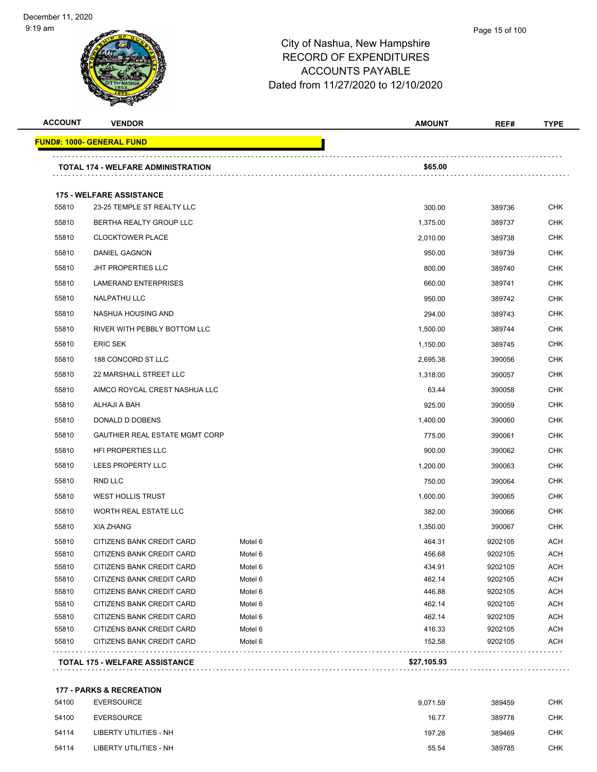| <b>ACCOUNT</b> | <b>VENDOR</b>                                          |                    | <b>AMOUNT</b>    | REF#               | <b>TYPE</b>              |
|----------------|--------------------------------------------------------|--------------------|------------------|--------------------|--------------------------|
|                | <u> FUND#: 1000- GENERAL FUND</u>                      |                    |                  |                    |                          |
|                | TOTAL 174 - WELFARE ADMINISTRATION                     |                    | \$65.00          |                    |                          |
|                |                                                        |                    |                  |                    |                          |
|                | <b>175 - WELFARE ASSISTANCE</b>                        |                    |                  |                    |                          |
| 55810          | 23-25 TEMPLE ST REALTY LLC                             |                    | 300.00           | 389736             | <b>CHK</b>               |
| 55810          | BERTHA REALTY GROUP LLC                                |                    | 1,375.00         | 389737             | <b>CHK</b>               |
| 55810          | <b>CLOCKTOWER PLACE</b>                                |                    | 2,010.00         | 389738             | <b>CHK</b>               |
| 55810          | DANIEL GAGNON                                          |                    | 950.00           | 389739             | <b>CHK</b>               |
| 55810          | <b>JHT PROPERTIES LLC</b>                              |                    | 800.00           | 389740             | <b>CHK</b>               |
| 55810          | LAMERAND ENTERPRISES                                   |                    | 660.00           | 389741             | <b>CHK</b>               |
| 55810          | <b>NALPATHU LLC</b>                                    |                    | 950.00           | 389742             | <b>CHK</b>               |
| 55810          | NASHUA HOUSING AND                                     |                    | 294.00           | 389743             | <b>CHK</b>               |
|                |                                                        |                    |                  |                    |                          |
| 55810          | RIVER WITH PEBBLY BOTTOM LLC                           |                    | 1,500.00         | 389744             | <b>CHK</b>               |
| 55810          | <b>ERIC SEK</b>                                        |                    | 1,150.00         | 389745             | <b>CHK</b>               |
| 55810          | 188 CONCORD ST LLC                                     |                    | 2,695.38         | 390056             | <b>CHK</b>               |
| 55810          | 22 MARSHALL STREET LLC                                 |                    | 1,318.00         | 390057             | CHK                      |
| 55810          | AIMCO ROYCAL CREST NASHUA LLC                          |                    | 63.44            | 390058             | <b>CHK</b>               |
| 55810          | ALHAJI A BAH                                           |                    | 925.00           | 390059             | <b>CHK</b>               |
| 55810          | DONALD D DOBENS                                        |                    | 1,400.00         | 390060             | <b>CHK</b>               |
| 55810          | <b>GAUTHIER REAL ESTATE MGMT CORP</b>                  |                    | 775.00           | 390061             | <b>CHK</b>               |
| 55810          | HFI PROPERTIES LLC                                     |                    | 900.00           | 390062             | <b>CHK</b>               |
| 55810          | LEES PROPERTY LLC                                      |                    | 1,200.00         | 390063             | <b>CHK</b>               |
| 55810          | RND LLC                                                |                    | 750.00           | 390064             | CHK                      |
| 55810          | WEST HOLLIS TRUST                                      |                    | 1,600.00         | 390065             | <b>CHK</b>               |
|                |                                                        |                    |                  |                    | <b>CHK</b>               |
| 55810          | WORTH REAL ESTATE LLC                                  |                    | 382.00           | 390066             |                          |
| 55810          | <b>XIA ZHANG</b>                                       |                    | 1,350.00         | 390067             | CHK                      |
| 55810          | CITIZENS BANK CREDIT CARD                              | Motel 6            | 464.31           | 9202105            | <b>ACH</b>               |
| 55810          | CITIZENS BANK CREDIT CARD                              | Motel 6            | 456.68           | 9202105            | ACH                      |
| 55810          | CITIZENS BANK CREDIT CARD                              | Motel 6            | 434.91           | 9202105            | <b>ACH</b>               |
| 55810          | CITIZENS BANK CREDIT CARD                              | Motel 6            | 462.14           | 9202105            | <b>ACH</b>               |
| 55810          | CITIZENS BANK CREDIT CARD                              | Motel 6            | 446.88           | 9202105            | <b>ACH</b>               |
| 55810<br>55810 | CITIZENS BANK CREDIT CARD<br>CITIZENS BANK CREDIT CARD | Motel 6<br>Motel 6 | 462.14<br>462.14 | 9202105            | <b>ACH</b><br><b>ACH</b> |
| 55810          | CITIZENS BANK CREDIT CARD                              | Motel 6            | 416.33           | 9202105<br>9202105 | <b>ACH</b>               |
| 55810          | CITIZENS BANK CREDIT CARD                              | Motel 6            | 152.58           | 9202105            | <b>ACH</b>               |
|                |                                                        |                    |                  |                    |                          |
|                | TOTAL 175 - WELFARE ASSISTANCE                         |                    | \$27,105.93      |                    |                          |

| 54100 | EVERSOURCE             | 9.071.59 | 389459 | <b>CHK</b> |
|-------|------------------------|----------|--------|------------|
| 54100 | <b>EVERSOURCE</b>      | 16.77    | 389778 | <b>CHK</b> |
| 54114 | LIBERTY UTILITIES - NH | 197.28   | 389469 | <b>CHK</b> |
| 54114 | LIBERTY UTILITIES - NH | 55.54    | 389785 | <b>CHK</b> |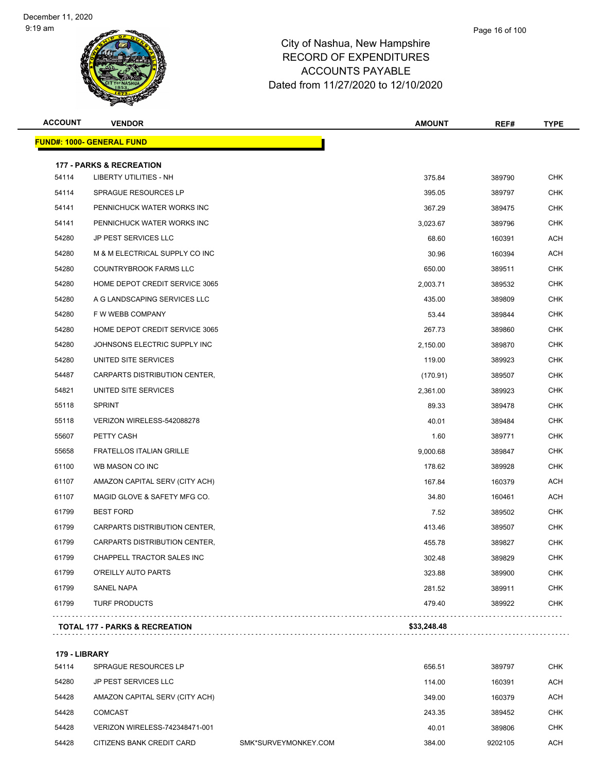| <b>ACCOUNT</b> | <b>VENDOR</b>                       | <b>AMOUNT</b> | REF#   | <b>TYPE</b> |
|----------------|-------------------------------------|---------------|--------|-------------|
|                | <u> FUND#: 1000- GENERAL FUND</u>   |               |        |             |
|                | <b>177 - PARKS &amp; RECREATION</b> |               |        |             |
| 54114          | <b>LIBERTY UTILITIES - NH</b>       | 375.84        | 389790 | <b>CHK</b>  |
| 54114          | SPRAGUE RESOURCES LP                | 395.05        | 389797 | <b>CHK</b>  |
| 54141          | PENNICHUCK WATER WORKS INC          | 367.29        | 389475 | <b>CHK</b>  |
| 54141          | PENNICHUCK WATER WORKS INC          | 3,023.67      | 389796 | <b>CHK</b>  |
| 54280          | JP PEST SERVICES LLC                | 68.60         | 160391 | <b>ACH</b>  |
| 54280          | M & M ELECTRICAL SUPPLY CO INC      | 30.96         | 160394 | <b>ACH</b>  |
| 54280          | COUNTRYBROOK FARMS LLC              | 650.00        | 389511 | <b>CHK</b>  |
| 54280          | HOME DEPOT CREDIT SERVICE 3065      | 2,003.71      | 389532 | <b>CHK</b>  |
| 54280          | A G LANDSCAPING SERVICES LLC        | 435.00        | 389809 | <b>CHK</b>  |
| 54280          | F W WEBB COMPANY                    | 53.44         | 389844 | CHK         |
| 54280          | HOME DEPOT CREDIT SERVICE 3065      | 267.73        | 389860 | <b>CHK</b>  |
| 54280          | JOHNSONS ELECTRIC SUPPLY INC        | 2,150.00      | 389870 | <b>CHK</b>  |
| 54280          | UNITED SITE SERVICES                | 119.00        | 389923 | <b>CHK</b>  |
| 54487          | CARPARTS DISTRIBUTION CENTER,       | (170.91)      | 389507 | <b>CHK</b>  |
| 54821          | UNITED SITE SERVICES                | 2,361.00      | 389923 | <b>CHK</b>  |
| 55118          | <b>SPRINT</b>                       | 89.33         | 389478 | <b>CHK</b>  |
| 55118          | VERIZON WIRELESS-542088278          | 40.01         | 389484 | <b>CHK</b>  |
| 55607          | PETTY CASH                          | 1.60          | 389771 | <b>CHK</b>  |
| 55658          | <b>FRATELLOS ITALIAN GRILLE</b>     | 9,000.68      | 389847 | CHK         |
| 61100          | WB MASON CO INC                     | 178.62        | 389928 | CHK         |
| 61107          | AMAZON CAPITAL SERV (CITY ACH)      | 167.84        | 160379 | <b>ACH</b>  |
| 61107          | MAGID GLOVE & SAFETY MFG CO.        | 34.80         | 160461 | <b>ACH</b>  |
| 61799          | <b>BEST FORD</b>                    | 7.52          | 389502 | <b>CHK</b>  |
| 61799          | CARPARTS DISTRIBUTION CENTER,       | 413.46        | 389507 | CHK         |
| 61799          | CARPARTS DISTRIBUTION CENTER,       | 455.78        | 389827 | CHK         |
| 61799          | CHAPPELL TRACTOR SALES INC          | 302.48        | 389829 | <b>CHK</b>  |
| 61799          | O'REILLY AUTO PARTS                 | 323.88        | 389900 | <b>CHK</b>  |
| 61799          | SANEL NAPA                          | 281.52        | 389911 | <b>CHK</b>  |
| 61799          | <b>TURF PRODUCTS</b>                | 479.40        | 389922 | <b>CHK</b>  |
|                | TOTAL 177 - PARKS & RECREATION      | \$33,248.48   |        |             |
|                |                                     |               |        |             |

**179 - LIBRARY**

| 54114 | SPRAGUE RESOURCES LP           |                      | 656.51 | 389797  | CHK.       |
|-------|--------------------------------|----------------------|--------|---------|------------|
| 54280 | JP PEST SERVICES LLC           |                      | 114.00 | 160391  | ACH        |
| 54428 | AMAZON CAPITAL SERV (CITY ACH) |                      | 349.00 | 160379  | ACH        |
| 54428 | COMCAST                        |                      | 243.35 | 389452  | <b>CHK</b> |
| 54428 | VERIZON WIRELESS-742348471-001 |                      | 40.01  | 389806  | CHK        |
| 54428 | CITIZENS BANK CREDIT CARD      | SMK*SURVEYMONKEY.COM | 384.00 | 9202105 | ACH        |
|       |                                |                      |        |         |            |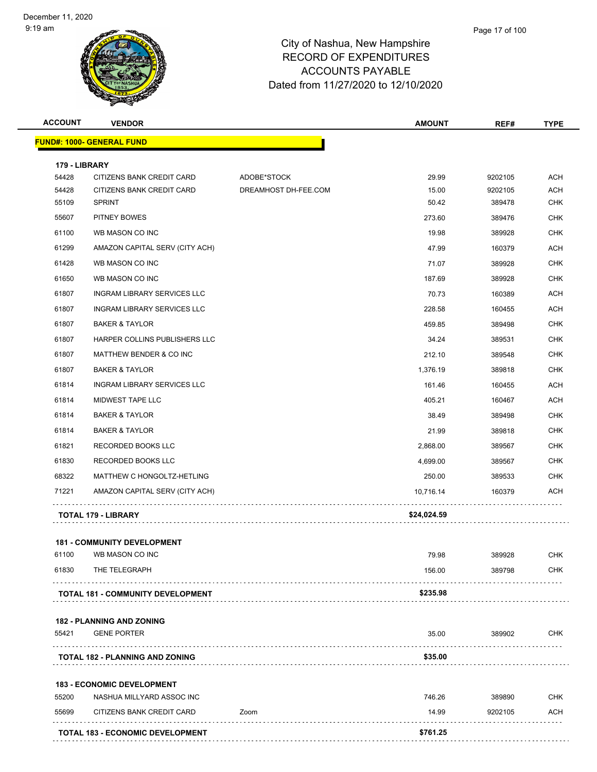| <b>ACCOUNT</b> | <b>VENDOR</b>                            |                      | <b>AMOUNT</b> | REF#    | <b>TYPE</b> |
|----------------|------------------------------------------|----------------------|---------------|---------|-------------|
|                | <b>FUND#: 1000- GENERAL FUND</b>         |                      |               |         |             |
| 179 - LIBRARY  |                                          |                      |               |         |             |
| 54428          | CITIZENS BANK CREDIT CARD                | ADOBE*STOCK          | 29.99         | 9202105 | <b>ACH</b>  |
| 54428          | CITIZENS BANK CREDIT CARD                | DREAMHOST DH-FEE.COM | 15.00         | 9202105 | <b>ACH</b>  |
| 55109          | <b>SPRINT</b>                            |                      | 50.42         | 389478  | <b>CHK</b>  |
| 55607          | PITNEY BOWES                             |                      | 273.60        | 389476  | <b>CHK</b>  |
| 61100          | WB MASON CO INC                          |                      | 19.98         | 389928  | <b>CHK</b>  |
| 61299          | AMAZON CAPITAL SERV (CITY ACH)           |                      | 47.99         | 160379  | <b>ACH</b>  |
| 61428          | WB MASON CO INC                          |                      | 71.07         | 389928  | <b>CHK</b>  |
| 61650          | WB MASON CO INC                          |                      | 187.69        | 389928  | <b>CHK</b>  |
| 61807          | INGRAM LIBRARY SERVICES LLC              |                      | 70.73         | 160389  | <b>ACH</b>  |
| 61807          | INGRAM LIBRARY SERVICES LLC              |                      | 228.58        | 160455  | <b>ACH</b>  |
| 61807          | <b>BAKER &amp; TAYLOR</b>                |                      | 459.85        | 389498  | <b>CHK</b>  |
| 61807          | HARPER COLLINS PUBLISHERS LLC            |                      | 34.24         | 389531  | <b>CHK</b>  |
| 61807          | MATTHEW BENDER & CO INC                  |                      | 212.10        | 389548  | <b>CHK</b>  |
| 61807          | <b>BAKER &amp; TAYLOR</b>                |                      | 1,376.19      | 389818  | <b>CHK</b>  |
| 61814          | INGRAM LIBRARY SERVICES LLC              |                      | 161.46        | 160455  | ACH         |
| 61814          | MIDWEST TAPE LLC                         |                      | 405.21        | 160467  | <b>ACH</b>  |
| 61814          | <b>BAKER &amp; TAYLOR</b>                |                      | 38.49         | 389498  | <b>CHK</b>  |
| 61814          | <b>BAKER &amp; TAYLOR</b>                |                      | 21.99         | 389818  | <b>CHK</b>  |
| 61821          | RECORDED BOOKS LLC                       |                      | 2,868.00      | 389567  | <b>CHK</b>  |
| 61830          | RECORDED BOOKS LLC                       |                      | 4,699.00      | 389567  | <b>CHK</b>  |
| 68322          | MATTHEW C HONGOLTZ-HETLING               |                      | 250.00        | 389533  | <b>CHK</b>  |
| 71221          | AMAZON CAPITAL SERV (CITY ACH)           |                      | 10,716.14     | 160379  | ACH         |
|                | TOTAL 179 - LIBRARY                      |                      | \$24,024.59   |         |             |
|                | <b>181 - COMMUNITY DEVELOPMENT</b>       |                      |               |         |             |
| 61100          | WB MASON CO INC                          |                      | 79.98         | 389928  | <b>CHK</b>  |
| 61830          | THE TELEGRAPH                            |                      | 156.00        | 389798  | CHK         |
|                | <b>TOTAL 181 - COMMUNITY DEVELOPMENT</b> |                      | \$235.98      |         |             |
|                | <b>182 - PLANNING AND ZONING</b>         |                      |               |         |             |
| 55421          | <b>GENE PORTER</b>                       |                      | 35.00         | 389902  | <b>CHK</b>  |
|                | TOTAL 182 - PLANNING AND ZONING          |                      | \$35.00       |         |             |
|                | <b>183 - ECONOMIC DEVELOPMENT</b>        |                      |               |         |             |
| 55200          | NASHUA MILLYARD ASSOC INC                |                      | 746.26        | 389890  | <b>CHK</b>  |
| 55699          | CITIZENS BANK CREDIT CARD                | Zoom                 | 14.99         | 9202105 | ACH         |
|                | TOTAL 183 - ECONOMIC DEVELOPMENT         |                      | \$761.25      |         |             |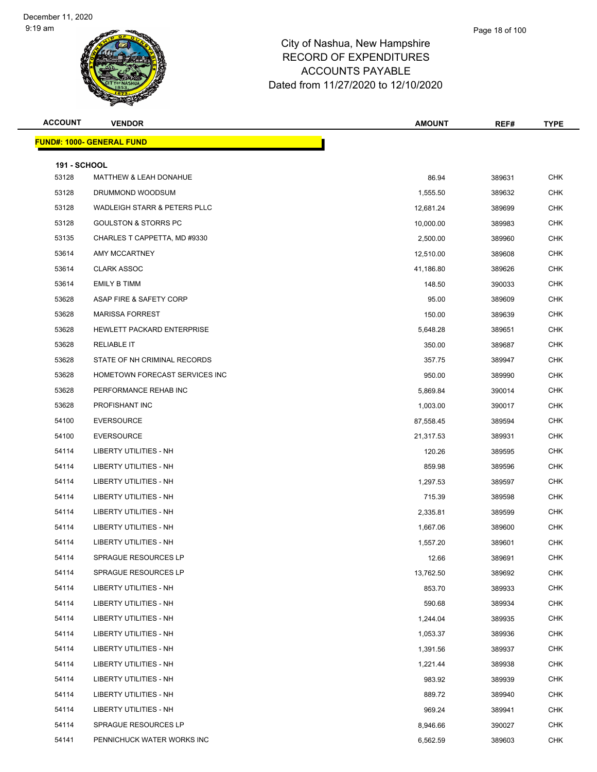#### Page 18 of 100

| <b>ACCOUNT</b>      | <b>VENDOR</b>                     | <b>AMOUNT</b> | REF#   | <b>TYPE</b> |
|---------------------|-----------------------------------|---------------|--------|-------------|
|                     | <b>FUND#: 1000- GENERAL FUND</b>  |               |        |             |
| <b>191 - SCHOOL</b> |                                   |               |        |             |
| 53128               | <b>MATTHEW &amp; LEAH DONAHUE</b> | 86.94         | 389631 | <b>CHK</b>  |
| 53128               | DRUMMOND WOODSUM                  | 1,555.50      | 389632 | <b>CHK</b>  |
| 53128               | WADLEIGH STARR & PETERS PLLC      | 12,681.24     | 389699 | <b>CHK</b>  |
| 53128               | <b>GOULSTON &amp; STORRS PC</b>   | 10,000.00     | 389983 | <b>CHK</b>  |
| 53135               | CHARLES T CAPPETTA, MD #9330      | 2,500.00      | 389960 | <b>CHK</b>  |
| 53614               | AMY MCCARTNEY                     | 12,510.00     | 389608 | <b>CHK</b>  |
| 53614               | <b>CLARK ASSOC</b>                | 41,186.80     | 389626 | <b>CHK</b>  |
| 53614               | <b>EMILY B TIMM</b>               | 148.50        | 390033 | <b>CHK</b>  |
| 53628               | ASAP FIRE & SAFETY CORP           | 95.00         | 389609 | <b>CHK</b>  |
| 53628               | <b>MARISSA FORREST</b>            | 150.00        | 389639 | <b>CHK</b>  |
| 53628               | HEWLETT PACKARD ENTERPRISE        | 5,648.28      | 389651 | <b>CHK</b>  |
| 53628               | <b>RELIABLE IT</b>                | 350.00        | 389687 | <b>CHK</b>  |
| 53628               | STATE OF NH CRIMINAL RECORDS      | 357.75        | 389947 | <b>CHK</b>  |
| 53628               | HOMETOWN FORECAST SERVICES INC    | 950.00        | 389990 | <b>CHK</b>  |
| 53628               | PERFORMANCE REHAB INC             | 5,869.84      | 390014 | <b>CHK</b>  |
| 53628               | PROFISHANT INC                    | 1,003.00      | 390017 | <b>CHK</b>  |
| 54100               | <b>EVERSOURCE</b>                 | 87,558.45     | 389594 | <b>CHK</b>  |
| 54100               | <b>EVERSOURCE</b>                 | 21,317.53     | 389931 | <b>CHK</b>  |
| 54114               | LIBERTY UTILITIES - NH            | 120.26        | 389595 | <b>CHK</b>  |
| 54114               | LIBERTY UTILITIES - NH            | 859.98        | 389596 | <b>CHK</b>  |
| 54114               | LIBERTY UTILITIES - NH            | 1,297.53      | 389597 | <b>CHK</b>  |
| 54114               | LIBERTY UTILITIES - NH            | 715.39        | 389598 | <b>CHK</b>  |
| 54114               | LIBERTY UTILITIES - NH            | 2,335.81      | 389599 | <b>CHK</b>  |
| 54114               | LIBERTY UTILITIES - NH            | 1,667.06      | 389600 | <b>CHK</b>  |
| 54114               | <b>LIBERTY UTILITIES - NH</b>     | 1,557.20      | 389601 | <b>CHK</b>  |
| 54114               | SPRAGUE RESOURCES LP              | 12.66         | 389691 | <b>CHK</b>  |
| 54114               | SPRAGUE RESOURCES LP              | 13,762.50     | 389692 | <b>CHK</b>  |
| 54114               | <b>LIBERTY UTILITIES - NH</b>     | 853.70        | 389933 | <b>CHK</b>  |
| 54114               | LIBERTY UTILITIES - NH            | 590.68        | 389934 | <b>CHK</b>  |
| 54114               | LIBERTY UTILITIES - NH            | 1,244.04      | 389935 | <b>CHK</b>  |
| 54114               | LIBERTY UTILITIES - NH            | 1,053.37      | 389936 | <b>CHK</b>  |
| 54114               | LIBERTY UTILITIES - NH            | 1,391.56      | 389937 | <b>CHK</b>  |
| 54114               | LIBERTY UTILITIES - NH            | 1,221.44      | 389938 | <b>CHK</b>  |
| 54114               | LIBERTY UTILITIES - NH            | 983.92        | 389939 | <b>CHK</b>  |
| 54114               | LIBERTY UTILITIES - NH            | 889.72        | 389940 | <b>CHK</b>  |
| 54114               | LIBERTY UTILITIES - NH            | 969.24        | 389941 | <b>CHK</b>  |
| 54114               | SPRAGUE RESOURCES LP              | 8,946.66      | 390027 | <b>CHK</b>  |
| 54141               | PENNICHUCK WATER WORKS INC        | 6,562.59      | 389603 | <b>CHK</b>  |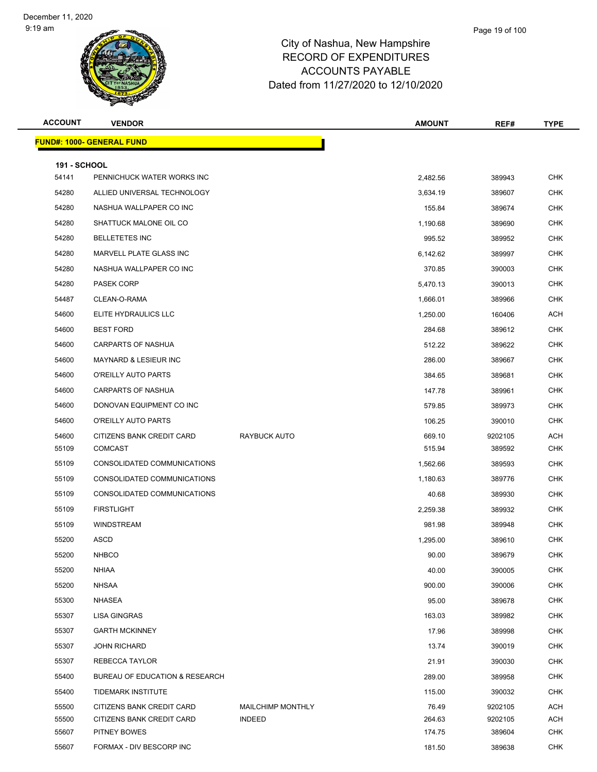| <b>ACCOUNT</b>               | <b>VENDOR</b>                                          |                                           | <b>AMOUNT</b>    | REF#               | <b>TYPE</b>              |
|------------------------------|--------------------------------------------------------|-------------------------------------------|------------------|--------------------|--------------------------|
|                              | <u> FUND#: 1000- GENERAL FUND</u>                      |                                           |                  |                    |                          |
|                              |                                                        |                                           |                  |                    |                          |
| <b>191 - SCHOOL</b><br>54141 | PENNICHUCK WATER WORKS INC                             |                                           | 2,482.56         | 389943             | <b>CHK</b>               |
| 54280                        | ALLIED UNIVERSAL TECHNOLOGY                            |                                           | 3,634.19         | 389607             | <b>CHK</b>               |
| 54280                        | NASHUA WALLPAPER CO INC                                |                                           | 155.84           | 389674             | <b>CHK</b>               |
| 54280                        | SHATTUCK MALONE OIL CO                                 |                                           | 1,190.68         | 389690             | <b>CHK</b>               |
| 54280                        | <b>BELLETETES INC</b>                                  |                                           | 995.52           | 389952             | <b>CHK</b>               |
| 54280                        | MARVELL PLATE GLASS INC                                |                                           | 6,142.62         | 389997             | <b>CHK</b>               |
| 54280                        | NASHUA WALLPAPER CO INC                                |                                           | 370.85           | 390003             | <b>CHK</b>               |
| 54280                        | PASEK CORP                                             |                                           | 5,470.13         | 390013             | <b>CHK</b>               |
| 54487                        | CLEAN-O-RAMA                                           |                                           | 1,666.01         | 389966             | <b>CHK</b>               |
| 54600                        | ELITE HYDRAULICS LLC                                   |                                           | 1,250.00         | 160406             | <b>ACH</b>               |
| 54600                        | <b>BEST FORD</b>                                       |                                           | 284.68           | 389612             | <b>CHK</b>               |
| 54600                        | <b>CARPARTS OF NASHUA</b>                              |                                           | 512.22           | 389622             | <b>CHK</b>               |
| 54600                        | MAYNARD & LESIEUR INC                                  |                                           | 286.00           | 389667             | <b>CHK</b>               |
| 54600                        | O'REILLY AUTO PARTS                                    |                                           | 384.65           | 389681             | <b>CHK</b>               |
| 54600                        | <b>CARPARTS OF NASHUA</b>                              |                                           | 147.78           | 389961             | <b>CHK</b>               |
| 54600                        | DONOVAN EQUIPMENT CO INC                               |                                           | 579.85           | 389973             | <b>CHK</b>               |
| 54600                        | O'REILLY AUTO PARTS                                    |                                           | 106.25           | 390010             | <b>CHK</b>               |
| 54600                        | CITIZENS BANK CREDIT CARD                              | RAYBUCK AUTO                              | 669.10           | 9202105            | <b>ACH</b>               |
| 55109                        | <b>COMCAST</b>                                         |                                           | 515.94           | 389592             | <b>CHK</b>               |
| 55109                        | CONSOLIDATED COMMUNICATIONS                            |                                           | 1,562.66         | 389593             | <b>CHK</b>               |
| 55109                        | CONSOLIDATED COMMUNICATIONS                            |                                           | 1,180.63         | 389776             | <b>CHK</b>               |
| 55109                        | CONSOLIDATED COMMUNICATIONS                            |                                           | 40.68            | 389930             | <b>CHK</b>               |
| 55109                        | <b>FIRSTLIGHT</b>                                      |                                           | 2,259.38         | 389932             | <b>CHK</b>               |
| 55109                        | <b>WINDSTREAM</b>                                      |                                           | 981.98           | 389948             | <b>CHK</b>               |
| 55200                        | ASCD                                                   |                                           | 1,295.00         | 389610             | <b>CHK</b>               |
| 55200                        | <b>NHBCO</b>                                           |                                           | 90.00            | 389679             | <b>CHK</b>               |
| 55200                        | <b>NHIAA</b>                                           |                                           | 40.00            | 390005             | <b>CHK</b>               |
| 55200                        | <b>NHSAA</b>                                           |                                           | 900.00           | 390006             | <b>CHK</b>               |
| 55300                        | <b>NHASEA</b>                                          |                                           | 95.00            | 389678             | <b>CHK</b>               |
| 55307                        | <b>LISA GINGRAS</b>                                    |                                           | 163.03           | 389982             | <b>CHK</b>               |
| 55307                        | <b>GARTH MCKINNEY</b>                                  |                                           | 17.96            | 389998             | <b>CHK</b>               |
| 55307                        | <b>JOHN RICHARD</b>                                    |                                           | 13.74            | 390019             | <b>CHK</b>               |
| 55307                        | REBECCA TAYLOR                                         |                                           | 21.91            | 390030             | <b>CHK</b>               |
| 55400                        | BUREAU OF EDUCATION & RESEARCH                         |                                           | 289.00           | 389958             | <b>CHK</b>               |
| 55400                        | TIDEMARK INSTITUTE                                     |                                           | 115.00           | 390032             | <b>CHK</b>               |
| 55500<br>55500               | CITIZENS BANK CREDIT CARD<br>CITIZENS BANK CREDIT CARD | <b>MAILCHIMP MONTHLY</b><br><b>INDEED</b> | 76.49            | 9202105<br>9202105 | <b>ACH</b><br><b>ACH</b> |
| 55607                        | PITNEY BOWES                                           |                                           | 264.63<br>174.75 | 389604             | <b>CHK</b>               |
| 55607                        | FORMAX - DIV BESCORP INC                               |                                           | 181.50           | 389638             | <b>CHK</b>               |
|                              |                                                        |                                           |                  |                    |                          |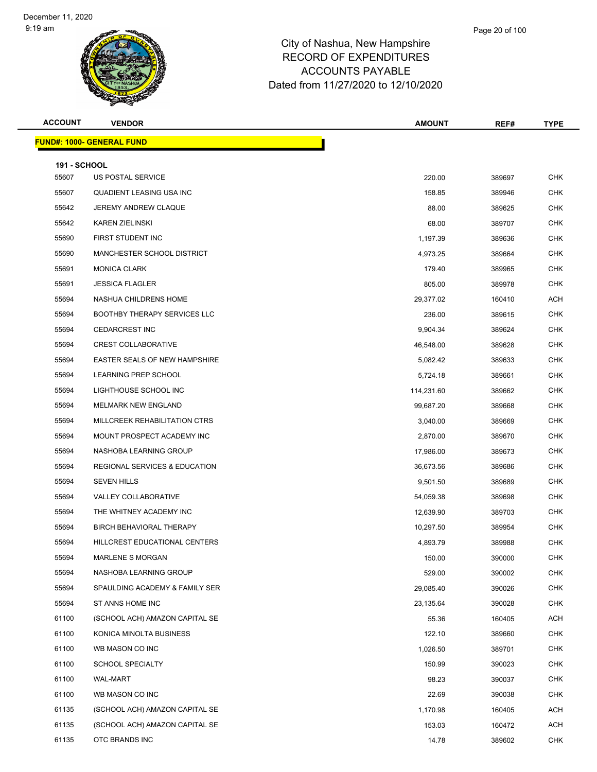| <b>ACCOUNT</b>      | <b>VENDOR</b>                            | <b>AMOUNT</b> | REF#   | <b>TYPE</b> |
|---------------------|------------------------------------------|---------------|--------|-------------|
|                     | <u> FUND#: 1000- GENERAL FUND</u>        |               |        |             |
| <b>191 - SCHOOL</b> |                                          |               |        |             |
| 55607               | US POSTAL SERVICE                        | 220.00        | 389697 | <b>CHK</b>  |
| 55607               | QUADIENT LEASING USA INC                 | 158.85        | 389946 | <b>CHK</b>  |
| 55642               | JEREMY ANDREW CLAQUE                     | 88.00         | 389625 | <b>CHK</b>  |
| 55642               | <b>KAREN ZIELINSKI</b>                   | 68.00         | 389707 | CHK         |
| 55690               | FIRST STUDENT INC                        | 1,197.39      | 389636 | <b>CHK</b>  |
| 55690               | MANCHESTER SCHOOL DISTRICT               | 4,973.25      | 389664 | CHK         |
| 55691               | <b>MONICA CLARK</b>                      | 179.40        | 389965 | <b>CHK</b>  |
| 55691               | <b>JESSICA FLAGLER</b>                   | 805.00        | 389978 | <b>CHK</b>  |
| 55694               | NASHUA CHILDRENS HOME                    | 29,377.02     | 160410 | ACH         |
| 55694               | <b>BOOTHBY THERAPY SERVICES LLC</b>      | 236.00        | 389615 | <b>CHK</b>  |
| 55694               | <b>CEDARCREST INC</b>                    | 9,904.34      | 389624 | CHK         |
| 55694               | <b>CREST COLLABORATIVE</b>               | 46,548.00     | 389628 | <b>CHK</b>  |
| 55694               | EASTER SEALS OF NEW HAMPSHIRE            | 5,082.42      | 389633 | <b>CHK</b>  |
| 55694               | LEARNING PREP SCHOOL                     | 5,724.18      | 389661 | <b>CHK</b>  |
| 55694               | LIGHTHOUSE SCHOOL INC                    | 114,231.60    | 389662 | <b>CHK</b>  |
| 55694               | MELMARK NEW ENGLAND                      | 99,687.20     | 389668 | CHK         |
| 55694               | MILLCREEK REHABILITATION CTRS            | 3,040.00      | 389669 | <b>CHK</b>  |
| 55694               | MOUNT PROSPECT ACADEMY INC               | 2,870.00      | 389670 | <b>CHK</b>  |
| 55694               | NASHOBA LEARNING GROUP                   | 17,986.00     | 389673 | <b>CHK</b>  |
| 55694               | <b>REGIONAL SERVICES &amp; EDUCATION</b> | 36,673.56     | 389686 | <b>CHK</b>  |
| 55694               | <b>SEVEN HILLS</b>                       | 9,501.50      | 389689 | CHK         |
| 55694               | <b>VALLEY COLLABORATIVE</b>              | 54,059.38     | 389698 | <b>CHK</b>  |
| 55694               | THE WHITNEY ACADEMY INC                  | 12,639.90     | 389703 | <b>CHK</b>  |
| 55694               | <b>BIRCH BEHAVIORAL THERAPY</b>          | 10,297.50     | 389954 | CHK         |
| 55694               | HILLCREST EDUCATIONAL CENTERS            | 4,893.79      | 389988 | <b>CHK</b>  |
| 55694               | MARLENE S MORGAN                         | 150.00        | 390000 | <b>CHK</b>  |
| 55694               | NASHOBA LEARNING GROUP                   | 529.00        | 390002 | <b>CHK</b>  |
| 55694               | SPAULDING ACADEMY & FAMILY SER           | 29,085.40     | 390026 | <b>CHK</b>  |
| 55694               | ST ANNS HOME INC                         | 23,135.64     | 390028 | <b>CHK</b>  |
| 61100               | (SCHOOL ACH) AMAZON CAPITAL SE           | 55.36         | 160405 | ACH         |
| 61100               | KONICA MINOLTA BUSINESS                  | 122.10        | 389660 | <b>CHK</b>  |
| 61100               | WB MASON CO INC                          | 1,026.50      | 389701 | <b>CHK</b>  |
| 61100               | <b>SCHOOL SPECIALTY</b>                  | 150.99        | 390023 | <b>CHK</b>  |
| 61100               | WAL-MART                                 | 98.23         | 390037 | <b>CHK</b>  |
| 61100               | WB MASON CO INC                          | 22.69         | 390038 | <b>CHK</b>  |
| 61135               | (SCHOOL ACH) AMAZON CAPITAL SE           | 1,170.98      | 160405 | <b>ACH</b>  |
| 61135               | (SCHOOL ACH) AMAZON CAPITAL SE           | 153.03        | 160472 | ACH         |
| 61135               | OTC BRANDS INC                           | 14.78         | 389602 | <b>CHK</b>  |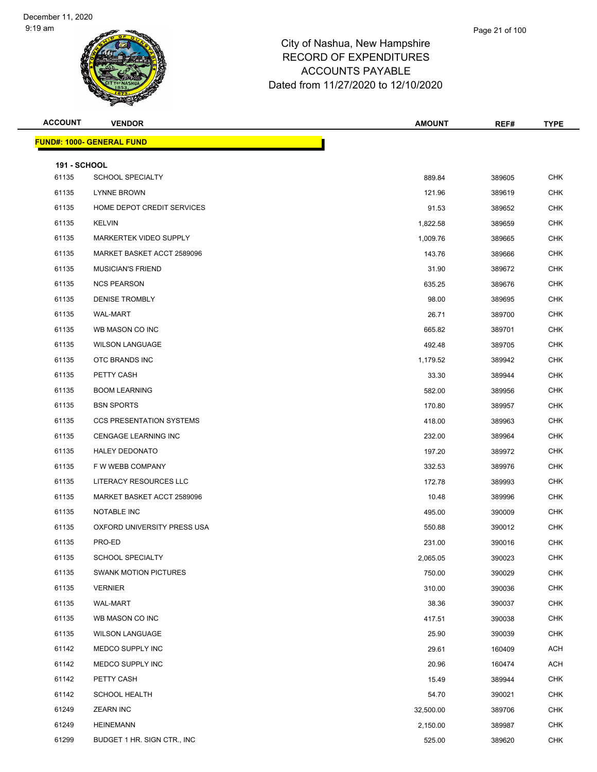| <b>ACCOUNT</b>               | <b>VENDOR</b>                     | <b>AMOUNT</b> | REF#   | <b>TYPE</b> |
|------------------------------|-----------------------------------|---------------|--------|-------------|
|                              | <u> FUND#: 1000- GENERAL FUND</u> |               |        |             |
|                              |                                   |               |        |             |
| <b>191 - SCHOOL</b><br>61135 | <b>SCHOOL SPECIALTY</b>           | 889.84        | 389605 | <b>CHK</b>  |
| 61135                        | LYNNE BROWN                       | 121.96        | 389619 | <b>CHK</b>  |
| 61135                        | HOME DEPOT CREDIT SERVICES        | 91.53         | 389652 | <b>CHK</b>  |
| 61135                        | <b>KELVIN</b>                     | 1,822.58      | 389659 | <b>CHK</b>  |
| 61135                        | MARKERTEK VIDEO SUPPLY            | 1,009.76      | 389665 | <b>CHK</b>  |
| 61135                        | MARKET BASKET ACCT 2589096        | 143.76        | 389666 | <b>CHK</b>  |
| 61135                        | <b>MUSICIAN'S FRIEND</b>          | 31.90         | 389672 | <b>CHK</b>  |
| 61135                        | <b>NCS PEARSON</b>                | 635.25        | 389676 | <b>CHK</b>  |
| 61135                        | <b>DENISE TROMBLY</b>             | 98.00         | 389695 | <b>CHK</b>  |
| 61135                        | <b>WAL-MART</b>                   | 26.71         | 389700 | <b>CHK</b>  |
| 61135                        | WB MASON CO INC                   | 665.82        | 389701 | <b>CHK</b>  |
| 61135                        | <b>WILSON LANGUAGE</b>            | 492.48        | 389705 | <b>CHK</b>  |
| 61135                        | OTC BRANDS INC                    | 1,179.52      | 389942 | <b>CHK</b>  |
| 61135                        | PETTY CASH                        | 33.30         | 389944 | <b>CHK</b>  |
| 61135                        | <b>BOOM LEARNING</b>              | 582.00        | 389956 | <b>CHK</b>  |
| 61135                        | <b>BSN SPORTS</b>                 | 170.80        | 389957 | <b>CHK</b>  |
| 61135                        | <b>CCS PRESENTATION SYSTEMS</b>   | 418.00        | 389963 | <b>CHK</b>  |
| 61135                        | CENGAGE LEARNING INC              | 232.00        | 389964 | <b>CHK</b>  |
| 61135                        | <b>HALEY DEDONATO</b>             | 197.20        | 389972 | <b>CHK</b>  |
| 61135                        | F W WEBB COMPANY                  | 332.53        | 389976 | <b>CHK</b>  |
| 61135                        | LITERACY RESOURCES LLC            | 172.78        | 389993 | <b>CHK</b>  |
| 61135                        | MARKET BASKET ACCT 2589096        | 10.48         | 389996 | <b>CHK</b>  |
| 61135                        | NOTABLE INC                       | 495.00        | 390009 | <b>CHK</b>  |
| 61135                        | OXFORD UNIVERSITY PRESS USA       | 550.88        | 390012 | <b>CHK</b>  |
| 61135                        | PRO-ED                            | 231.00        | 390016 | <b>CHK</b>  |
| 61135                        | <b>SCHOOL SPECIALTY</b>           | 2,065.05      | 390023 | <b>CHK</b>  |
| 61135                        | <b>SWANK MOTION PICTURES</b>      | 750.00        | 390029 | <b>CHK</b>  |
| 61135                        | <b>VERNIER</b>                    | 310.00        | 390036 | <b>CHK</b>  |
| 61135                        | WAL-MART                          | 38.36         | 390037 | <b>CHK</b>  |
| 61135                        | WB MASON CO INC                   | 417.51        | 390038 | <b>CHK</b>  |
| 61135                        | <b>WILSON LANGUAGE</b>            | 25.90         | 390039 | <b>CHK</b>  |
| 61142                        | MEDCO SUPPLY INC                  | 29.61         | 160409 | <b>ACH</b>  |
| 61142                        | MEDCO SUPPLY INC                  | 20.96         | 160474 | <b>ACH</b>  |
| 61142                        | PETTY CASH                        | 15.49         | 389944 | <b>CHK</b>  |
| 61142                        | <b>SCHOOL HEALTH</b>              | 54.70         | 390021 | <b>CHK</b>  |
| 61249                        | <b>ZEARN INC</b>                  | 32,500.00     | 389706 | <b>CHK</b>  |
| 61249                        | <b>HEINEMANN</b>                  | 2,150.00      | 389987 | <b>CHK</b>  |
| 61299                        | BUDGET 1 HR. SIGN CTR., INC.      | 525.00        | 389620 | <b>CHK</b>  |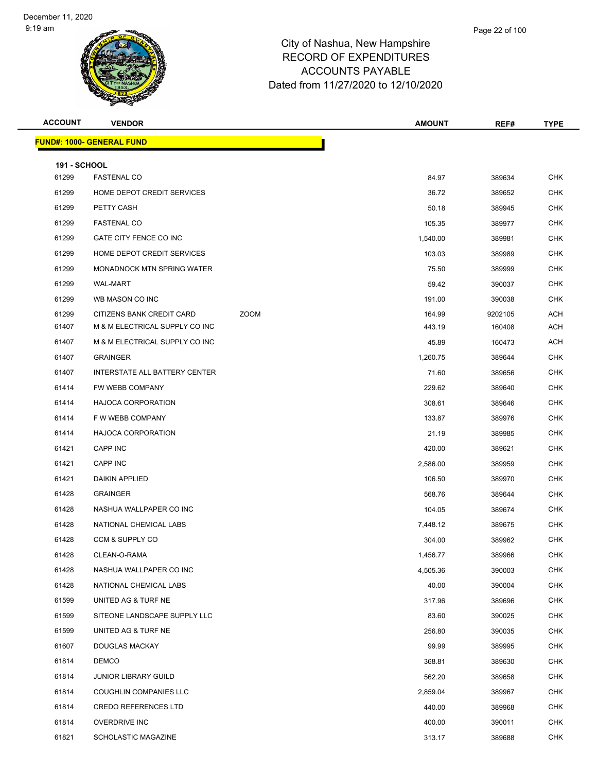| <b>ACCOUNT</b>               | <b>VENDOR</b>                     |             | <b>AMOUNT</b> | REF#    | <b>TYPE</b> |
|------------------------------|-----------------------------------|-------------|---------------|---------|-------------|
|                              | <u> FUND#: 1000- GENERAL FUND</u> |             |               |         |             |
|                              |                                   |             |               |         |             |
| <b>191 - SCHOOL</b><br>61299 | <b>FASTENAL CO</b>                |             | 84.97         | 389634  | <b>CHK</b>  |
| 61299                        | HOME DEPOT CREDIT SERVICES        |             | 36.72         | 389652  | <b>CHK</b>  |
| 61299                        | PETTY CASH                        |             | 50.18         | 389945  | CHK         |
| 61299                        | <b>FASTENAL CO</b>                |             | 105.35        | 389977  | <b>CHK</b>  |
| 61299                        | GATE CITY FENCE CO INC            |             | 1,540.00      | 389981  | <b>CHK</b>  |
| 61299                        | HOME DEPOT CREDIT SERVICES        |             | 103.03        | 389989  | <b>CHK</b>  |
| 61299                        | <b>MONADNOCK MTN SPRING WATER</b> |             | 75.50         | 389999  | <b>CHK</b>  |
| 61299                        | <b>WAL-MART</b>                   |             | 59.42         | 390037  | <b>CHK</b>  |
| 61299                        | WB MASON CO INC                   |             | 191.00        | 390038  | <b>CHK</b>  |
| 61299                        | CITIZENS BANK CREDIT CARD         | <b>ZOOM</b> | 164.99        | 9202105 | <b>ACH</b>  |
| 61407                        | M & M ELECTRICAL SUPPLY CO INC    |             | 443.19        | 160408  | ACH         |
| 61407                        | M & M ELECTRICAL SUPPLY CO INC    |             | 45.89         | 160473  | <b>ACH</b>  |
| 61407                        | <b>GRAINGER</b>                   |             | 1,260.75      | 389644  | <b>CHK</b>  |
| 61407                        | INTERSTATE ALL BATTERY CENTER     |             | 71.60         | 389656  | <b>CHK</b>  |
| 61414                        | FW WEBB COMPANY                   |             | 229.62        | 389640  | <b>CHK</b>  |
| 61414                        | <b>HAJOCA CORPORATION</b>         |             | 308.61        | 389646  | <b>CHK</b>  |
| 61414                        | F W WEBB COMPANY                  |             | 133.87        | 389976  | <b>CHK</b>  |
| 61414                        | <b>HAJOCA CORPORATION</b>         |             | 21.19         | 389985  | <b>CHK</b>  |
| 61421                        | <b>CAPP INC</b>                   |             | 420.00        | 389621  | <b>CHK</b>  |
| 61421                        | CAPP INC                          |             | 2,586.00      | 389959  | CHK         |
| 61421                        | <b>DAIKIN APPLIED</b>             |             | 106.50        | 389970  | <b>CHK</b>  |
| 61428                        | <b>GRAINGER</b>                   |             | 568.76        | 389644  | <b>CHK</b>  |
| 61428                        | NASHUA WALLPAPER CO INC           |             | 104.05        | 389674  | <b>CHK</b>  |
| 61428                        | NATIONAL CHEMICAL LABS            |             | 7,448.12      | 389675  | <b>CHK</b>  |
| 61428                        | CCM & SUPPLY CO                   |             | 304.00        | 389962  | <b>CHK</b>  |
| 61428                        | CLEAN-O-RAMA                      |             | 1,456.77      | 389966  | <b>CHK</b>  |
| 61428                        | NASHUA WALLPAPER CO INC           |             | 4,505.36      | 390003  | <b>CHK</b>  |
| 61428                        | NATIONAL CHEMICAL LABS            |             | 40.00         | 390004  | <b>CHK</b>  |
| 61599                        | UNITED AG & TURF NE               |             | 317.96        | 389696  | <b>CHK</b>  |
| 61599                        | SITEONE LANDSCAPE SUPPLY LLC      |             | 83.60         | 390025  | <b>CHK</b>  |
| 61599                        | UNITED AG & TURF NE               |             | 256.80        | 390035  | <b>CHK</b>  |
| 61607                        | DOUGLAS MACKAY                    |             | 99.99         | 389995  | <b>CHK</b>  |
| 61814                        | <b>DEMCO</b>                      |             | 368.81        | 389630  | <b>CHK</b>  |
| 61814                        | <b>JUNIOR LIBRARY GUILD</b>       |             | 562.20        | 389658  | <b>CHK</b>  |
| 61814                        | COUGHLIN COMPANIES LLC            |             | 2,859.04      | 389967  | <b>CHK</b>  |
| 61814                        | <b>CREDO REFERENCES LTD</b>       |             | 440.00        | 389968  | <b>CHK</b>  |
| 61814                        | <b>OVERDRIVE INC</b>              |             | 400.00        | 390011  | <b>CHK</b>  |
| 61821                        | <b>SCHOLASTIC MAGAZINE</b>        |             | 313.17        | 389688  | <b>CHK</b>  |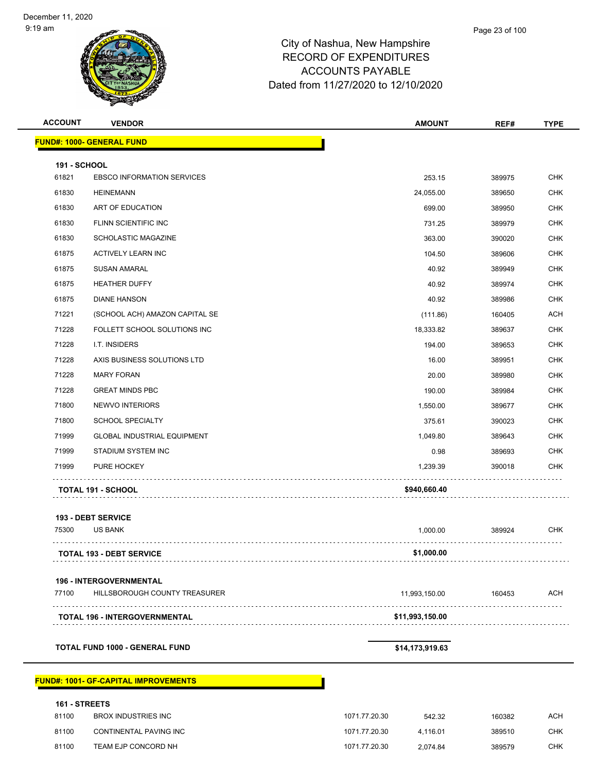| <b>ACCOUNT</b>      | <b>VENDOR</b>                               |               | <b>AMOUNT</b>   | REF#   | <b>TYPE</b> |
|---------------------|---------------------------------------------|---------------|-----------------|--------|-------------|
|                     | <b>FUND#: 1000- GENERAL FUND</b>            |               |                 |        |             |
| <b>191 - SCHOOL</b> |                                             |               |                 |        |             |
| 61821               | <b>EBSCO INFORMATION SERVICES</b>           |               | 253.15          | 389975 | <b>CHK</b>  |
| 61830               | <b>HEINEMANN</b>                            |               | 24,055.00       | 389650 | <b>CHK</b>  |
| 61830               | ART OF EDUCATION                            |               | 699.00          | 389950 | <b>CHK</b>  |
| 61830               | FLINN SCIENTIFIC INC                        |               | 731.25          | 389979 | <b>CHK</b>  |
| 61830               | <b>SCHOLASTIC MAGAZINE</b>                  |               | 363.00          | 390020 | <b>CHK</b>  |
| 61875               | <b>ACTIVELY LEARN INC</b>                   |               | 104.50          | 389606 | <b>CHK</b>  |
| 61875               | <b>SUSAN AMARAL</b>                         |               | 40.92           | 389949 | <b>CHK</b>  |
| 61875               | <b>HEATHER DUFFY</b>                        |               | 40.92           | 389974 | <b>CHK</b>  |
| 61875               | <b>DIANE HANSON</b>                         |               | 40.92           | 389986 | <b>CHK</b>  |
| 71221               | (SCHOOL ACH) AMAZON CAPITAL SE              |               | (111.86)        | 160405 | ACH         |
| 71228               | FOLLETT SCHOOL SOLUTIONS INC                |               | 18,333.82       | 389637 | <b>CHK</b>  |
| 71228               | I.T. INSIDERS                               |               | 194.00          | 389653 | <b>CHK</b>  |
| 71228               | AXIS BUSINESS SOLUTIONS LTD                 |               | 16.00           | 389951 | <b>CHK</b>  |
| 71228               | <b>MARY FORAN</b>                           |               | 20.00           | 389980 | <b>CHK</b>  |
| 71228               | <b>GREAT MINDS PBC</b>                      |               | 190.00          | 389984 | <b>CHK</b>  |
| 71800               | NEWVO INTERIORS                             |               | 1,550.00        | 389677 | <b>CHK</b>  |
| 71800               | <b>SCHOOL SPECIALTY</b>                     |               | 375.61          | 390023 | <b>CHK</b>  |
| 71999               | <b>GLOBAL INDUSTRIAL EQUIPMENT</b>          |               | 1,049.80        | 389643 | CHK         |
| 71999               | STADIUM SYSTEM INC                          |               | 0.98            | 389693 | <b>CHK</b>  |
| 71999               | PURE HOCKEY                                 |               | 1,239.39        | 390018 | <b>CHK</b>  |
|                     |                                             |               | \$940,660.40    |        |             |
|                     | TOTAL 191 - SCHOOL                          |               |                 |        |             |
|                     | 193 - DEBT SERVICE                          |               |                 |        |             |
| 75300               | US BANK                                     |               | 1,000.00        | 389924 | <b>CHK</b>  |
|                     | <b>TOTAL 193 - DEBT SERVICE</b>             |               | \$1,000.00      |        |             |
|                     |                                             |               |                 |        |             |
|                     | <b>196 - INTERGOVERNMENTAL</b>              |               |                 |        |             |
| 77100               | HILLSBOROUGH COUNTY TREASURER               |               | 11,993,150.00   | 160453 | <b>ACH</b>  |
|                     | <b>TOTAL 196 - INTERGOVERNMENTAL</b>        |               | \$11,993,150.00 |        |             |
|                     |                                             |               |                 |        |             |
|                     | <b>TOTAL FUND 1000 - GENERAL FUND</b>       |               | \$14,173,919.63 |        |             |
|                     |                                             |               |                 |        |             |
|                     | <b>FUND#: 1001- GF-CAPITAL IMPROVEMENTS</b> |               |                 |        |             |
| 161 - STREETS       |                                             |               |                 |        |             |
| 81100               | <b>BROX INDUSTRIES INC</b>                  | 1071.77.20.30 | 542.32          | 160382 | <b>ACH</b>  |
| 81100               | CONTINENTAL PAVING INC                      | 1071.77.20.30 | 4,116.01        | 389510 | <b>CHK</b>  |

81100 TEAM EJP CONCORD NH 1071.77.20.30 2,074.84 389579 CHK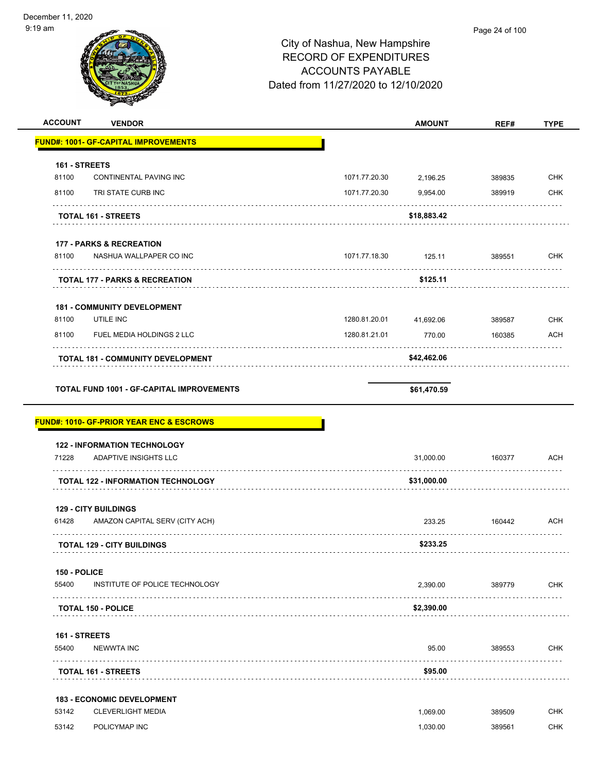| $9:19$ am      |                                                     | City of Nashua, New Hampshire<br><b>RECORD OF EXPENDITURES</b><br><b>ACCOUNTS PAYABLE</b><br>Dated from 11/27/2020 to 12/10/2020 |               | Page 24 of 100 |             |
|----------------|-----------------------------------------------------|----------------------------------------------------------------------------------------------------------------------------------|---------------|----------------|-------------|
| <b>ACCOUNT</b> | <b>VENDOR</b>                                       |                                                                                                                                  | <b>AMOUNT</b> | REF#           | <b>TYPE</b> |
|                | <b>FUND#: 1001- GF-CAPITAL IMPROVEMENTS</b>         |                                                                                                                                  |               |                |             |
| 161 - STREETS  |                                                     |                                                                                                                                  |               |                |             |
| 81100          | CONTINENTAL PAVING INC                              | 1071.77.20.30                                                                                                                    | 2,196.25      | 389835         | <b>CHK</b>  |
| 81100          | TRI STATE CURB INC                                  | 1071.77.20.30                                                                                                                    | 9,954.00      | 389919         | <b>CHK</b>  |
|                | <b>TOTAL 161 - STREETS</b>                          |                                                                                                                                  | \$18,883.42   |                |             |
|                | <b>177 - PARKS &amp; RECREATION</b>                 |                                                                                                                                  |               |                |             |
| 81100          | NASHUA WALLPAPER CO INC                             | 1071.77.18.30                                                                                                                    | 125.11        | 389551         | <b>CHK</b>  |
|                | <b>TOTAL 177 - PARKS &amp; RECREATION</b>           |                                                                                                                                  | \$125.11      |                |             |
|                | <b>181 - COMMUNITY DEVELOPMENT</b>                  |                                                                                                                                  |               |                |             |
| 81100          | UTILE INC                                           | 1280.81.20.01                                                                                                                    | 41,692.06     | 389587         | <b>CHK</b>  |
| 81100          | FUEL MEDIA HOLDINGS 2 LLC                           | 1280.81.21.01                                                                                                                    | 770.00        | 160385         | ACH         |
|                | <b>TOTAL 181 - COMMUNITY DEVELOPMENT</b>            |                                                                                                                                  | \$42,462.06   |                |             |
|                | <b>FUND#: 1010- GF-PRIOR YEAR ENC &amp; ESCROWS</b> |                                                                                                                                  | \$61,470.59   |                |             |
|                | <b>122 - INFORMATION TECHNOLOGY</b>                 |                                                                                                                                  |               |                |             |
| 71228          | <b>ADAPTIVE INSIGHTS LLC</b>                        |                                                                                                                                  | 31,000.00     | 160377         | <b>ACH</b>  |
|                | TOTAL 122 - INFORMATION TECHNOLOGY                  |                                                                                                                                  | \$31,000.00   |                |             |
|                | <b>129 - CITY BUILDINGS</b>                         |                                                                                                                                  |               |                |             |
| 61428          | AMAZON CAPITAL SERV (CITY ACH)                      |                                                                                                                                  | 233.25        | 160442<br>.    | ACH         |
|                | <b>TOTAL 129 - CITY BUILDINGS</b>                   |                                                                                                                                  | \$233.25      |                |             |
| 150 - POLICE   |                                                     |                                                                                                                                  |               |                |             |
| 55400          | INSTITUTE OF POLICE TECHNOLOGY                      |                                                                                                                                  | 2,390.00      | 389779         | <b>CHK</b>  |
|                | <b>TOTAL 150 - POLICE</b>                           |                                                                                                                                  | \$2,390.00    |                |             |
| 161 - STREETS  |                                                     |                                                                                                                                  |               |                |             |
| 55400          | <b>NEWWTA INC</b><br>.                              |                                                                                                                                  | 95.00         | 389553         | <b>CHK</b>  |
|                | <b>TOTAL 161 - STREETS</b>                          |                                                                                                                                  | \$95.00       |                |             |
|                | <b>183 - ECONOMIC DEVELOPMENT</b>                   |                                                                                                                                  |               |                |             |
| 53142          | <b>CLEVERLIGHT MEDIA</b>                            |                                                                                                                                  | 1,069.00      | 389509         | <b>CHK</b>  |
| 53142          | POLICYMAP INC                                       |                                                                                                                                  | 1,030.00      | 389561         | <b>CHK</b>  |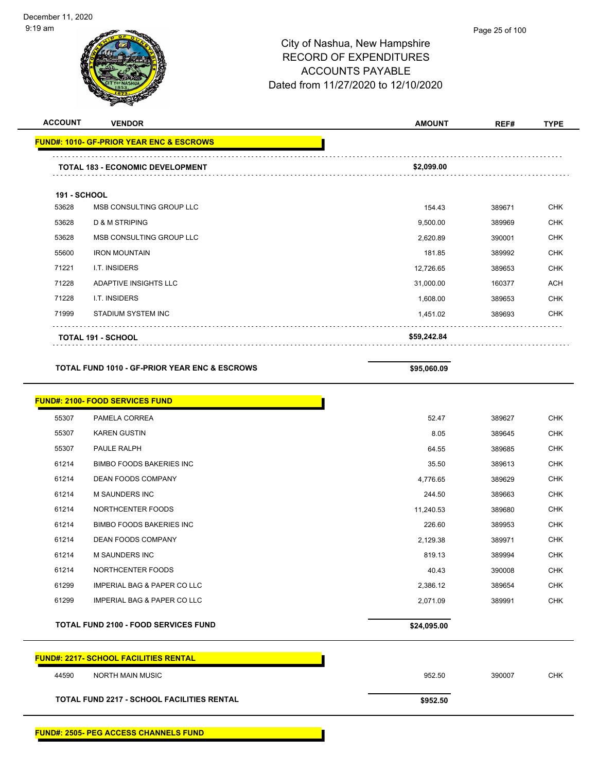| <b>ACCOUNT</b>      | <b>VENDOR</b>                                            | <b>AMOUNT</b> | REF#   | <b>TYPE</b> |
|---------------------|----------------------------------------------------------|---------------|--------|-------------|
|                     | <u> FUND#: 1010- GF-PRIOR YEAR ENC &amp; ESCROWS</u>     |               |        |             |
|                     | TOTAL 183 - ECONOMIC DEVELOPMENT                         | \$2,099.00    |        |             |
| <b>191 - SCHOOL</b> |                                                          |               |        |             |
| 53628               | MSB CONSULTING GROUP LLC                                 | 154.43        | 389671 | <b>CHK</b>  |
| 53628               | <b>D &amp; M STRIPING</b>                                | 9,500.00      | 389969 | <b>CHK</b>  |
| 53628               | MSB CONSULTING GROUP LLC                                 | 2,620.89      | 390001 | <b>CHK</b>  |
| 55600               | <b>IRON MOUNTAIN</b>                                     | 181.85        | 389992 | <b>CHK</b>  |
| 71221               | I.T. INSIDERS                                            | 12,726.65     | 389653 | <b>CHK</b>  |
| 71228               | ADAPTIVE INSIGHTS LLC                                    | 31,000.00     | 160377 | <b>ACH</b>  |
| 71228               | I.T. INSIDERS                                            | 1,608.00      | 389653 | <b>CHK</b>  |
| 71999               | <b>STADIUM SYSTEM INC</b>                                | 1,451.02      | 389693 | <b>CHK</b>  |
|                     | <b>TOTAL 191 - SCHOOL</b>                                | \$59,242.84   |        |             |
|                     | <b>TOTAL FUND 1010 - GF-PRIOR YEAR ENC &amp; ESCROWS</b> | \$95,060.09   |        |             |
|                     | <b>FUND#: 2100- FOOD SERVICES FUND</b>                   |               |        |             |
| 55307               | PAMELA CORREA                                            | 52.47         | 389627 | <b>CHK</b>  |
| 55307               | <b>KAREN GUSTIN</b>                                      | 8.05          | 389645 | <b>CHK</b>  |
| 55307               | PAULE RALPH                                              | 64.55         | 389685 | <b>CHK</b>  |
| 61214               | <b>BIMBO FOODS BAKERIES INC</b>                          | 35.50         | 389613 | <b>CHK</b>  |
| 61214               | DEAN FOODS COMPANY                                       | 4,776.65      | 389629 | <b>CHK</b>  |
| 61214               | M SAUNDERS INC                                           | 244.50        | 389663 | <b>CHK</b>  |
| 61214               | NORTHCENTER FOODS                                        | 11,240.53     | 389680 | <b>CHK</b>  |
| 61214               | <b>BIMBO FOODS BAKERIES INC</b>                          | 226.60        | 389953 | <b>CHK</b>  |
| 61214               | DEAN FOODS COMPANY                                       | 2,129.38      | 389971 | <b>CHK</b>  |
| 61214               | M SAUNDERS INC                                           | 819.13        | 389994 | CHK         |
| 61214               | NORTHCENTER FOODS                                        | 40.43         | 390008 | CHK         |
| 61299               | <b>IMPERIAL BAG &amp; PAPER CO LLC</b>                   | 2,386.12      | 389654 | <b>CHK</b>  |
| 61299               | <b>IMPERIAL BAG &amp; PAPER CO LLC</b>                   | 2,071.09      | 389991 | <b>CHK</b>  |
|                     | <b>TOTAL FUND 2100 - FOOD SERVICES FUND</b>              | \$24,095.00   |        |             |
|                     | <b>FUND#: 2217- SCHOOL FACILITIES RENTAL</b>             |               |        |             |
| 44590               | NORTH MAIN MUSIC                                         | 952.50        | 390007 | CHK         |
|                     | <b>TOTAL FUND 2217 - SCHOOL FACILITIES RENTAL</b>        | \$952.50      |        |             |
|                     | <b>FUND#: 2505- PEG ACCESS CHANNELS FUND</b>             |               |        |             |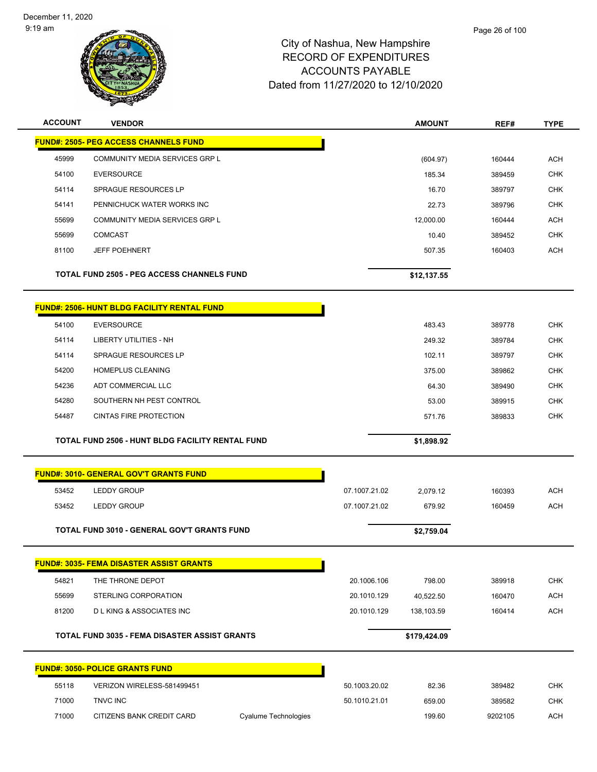

| <b>ACCOUNT</b> | <b>VENDOR</b>                                           |               | <b>AMOUNT</b> | REF#   | <b>TYPE</b> |
|----------------|---------------------------------------------------------|---------------|---------------|--------|-------------|
|                | <b>FUND#: 2505- PEG ACCESS CHANNELS FUND</b>            |               |               |        |             |
| 45999          | COMMUNITY MEDIA SERVICES GRP L                          |               | (604.97)      | 160444 | <b>ACH</b>  |
| 54100          | <b>EVERSOURCE</b>                                       |               | 185.34        | 389459 | <b>CHK</b>  |
| 54114          | <b>SPRAGUE RESOURCES LP</b>                             |               | 16.70         | 389797 | <b>CHK</b>  |
| 54141          | PENNICHUCK WATER WORKS INC                              |               | 22.73         | 389796 | <b>CHK</b>  |
| 55699          | COMMUNITY MEDIA SERVICES GRP L                          |               | 12,000.00     | 160444 | <b>ACH</b>  |
| 55699          | <b>COMCAST</b>                                          |               | 10.40         | 389452 | <b>CHK</b>  |
| 81100          | <b>JEFF POEHNERT</b>                                    |               | 507.35        | 160403 | <b>ACH</b>  |
|                | TOTAL FUND 2505 - PEG ACCESS CHANNELS FUND              |               | \$12,137.55   |        |             |
|                | <b>FUND#: 2506- HUNT BLDG FACILITY RENTAL FUND</b>      |               |               |        |             |
| 54100          | <b>EVERSOURCE</b>                                       |               | 483.43        | 389778 | <b>CHK</b>  |
| 54114          | <b>LIBERTY UTILITIES - NH</b>                           |               | 249.32        | 389784 | <b>CHK</b>  |
| 54114          | SPRAGUE RESOURCES LP                                    |               | 102.11        | 389797 | <b>CHK</b>  |
| 54200          | <b>HOMEPLUS CLEANING</b>                                |               | 375.00        | 389862 | <b>CHK</b>  |
| 54236          | ADT COMMERCIAL LLC                                      |               | 64.30         | 389490 | <b>CHK</b>  |
| 54280          | SOUTHERN NH PEST CONTROL                                |               | 53.00         | 389915 | <b>CHK</b>  |
| 54487          | <b>CINTAS FIRE PROTECTION</b>                           |               | 571.76        | 389833 | <b>CHK</b>  |
|                |                                                         |               |               |        |             |
|                | <b>TOTAL FUND 2506 - HUNT BLDG FACILITY RENTAL FUND</b> |               | \$1,898.92    |        |             |
|                | <b>FUND#: 3010- GENERAL GOV'T GRANTS FUND</b>           |               |               |        |             |
| 53452          | <b>LEDDY GROUP</b>                                      | 07.1007.21.02 | 2,079.12      | 160393 | <b>ACH</b>  |
| 53452          | <b>LEDDY GROUP</b>                                      | 07.1007.21.02 | 679.92        | 160459 | <b>ACH</b>  |
|                | TOTAL FUND 3010 - GENERAL GOV'T GRANTS FUND             |               | \$2,759.04    |        |             |
|                | <b>FUND#: 3035- FEMA DISASTER ASSIST GRANTS</b>         |               |               |        |             |
| 54821          | THE THRONE DEPOT                                        | 20.1006.106   | 798.00        | 389918 | <b>CHK</b>  |
| 55699          | STERLING CORPORATION                                    | 20.1010.129   | 40,522.50     | 160470 | <b>ACH</b>  |
| 81200          | <b>DLKING &amp; ASSOCIATES INC</b>                      | 20.1010.129   | 138,103.59    | 160414 | <b>ACH</b>  |
|                | TOTAL FUND 3035 - FEMA DISASTER ASSIST GRANTS           |               | \$179,424.09  |        |             |
|                | <b>FUND#: 3050- POLICE GRANTS FUND</b>                  |               |               |        |             |
| 55118          | VERIZON WIRELESS-581499451                              | 50.1003.20.02 | 82.36         | 389482 | <b>CHK</b>  |
| 71000          | TNVC INC                                                | 50.1010.21.01 | 659.00        | 389582 | CHK         |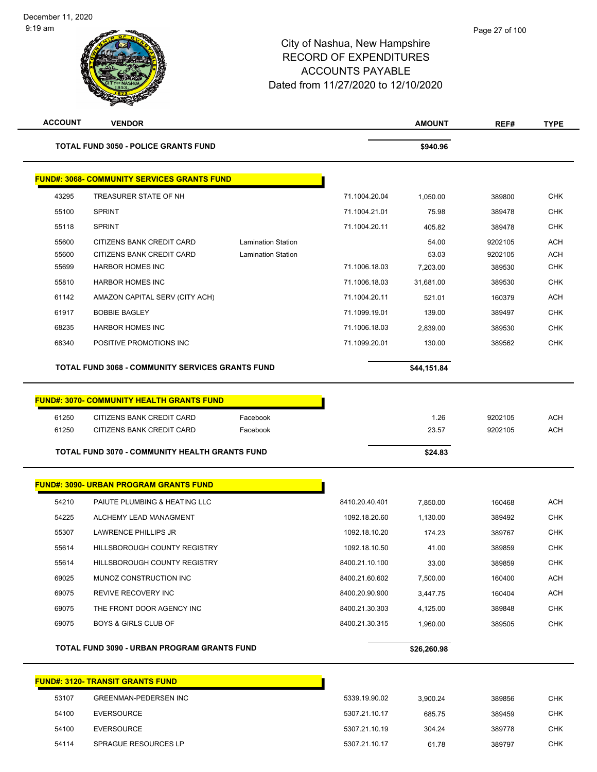| <b>ACCOUNT</b> | <b>VENDOR</b>                                          |                           |                | <b>AMOUNT</b> | REF#               | <b>TYPE</b>              |
|----------------|--------------------------------------------------------|---------------------------|----------------|---------------|--------------------|--------------------------|
|                | <b>TOTAL FUND 3050 - POLICE GRANTS FUND</b>            |                           |                | \$940.96      |                    |                          |
|                | <b>FUND#: 3068- COMMUNITY SERVICES GRANTS FUND</b>     |                           |                |               |                    |                          |
| 43295          | TREASURER STATE OF NH                                  |                           | 71.1004.20.04  | 1,050.00      | 389800             | <b>CHK</b>               |
| 55100          | <b>SPRINT</b>                                          |                           | 71.1004.21.01  | 75.98         | 389478             | <b>CHK</b>               |
| 55118          | <b>SPRINT</b>                                          |                           | 71.1004.20.11  | 405.82        | 389478             | <b>CHK</b>               |
| 55600          | CITIZENS BANK CREDIT CARD                              | <b>Lamination Station</b> |                | 54.00         | 9202105            | <b>ACH</b>               |
| 55600          | CITIZENS BANK CREDIT CARD                              | <b>Lamination Station</b> |                | 53.03         | 9202105            | <b>ACH</b>               |
| 55699          | <b>HARBOR HOMES INC</b>                                |                           | 71.1006.18.03  | 7,203.00      | 389530             | <b>CHK</b>               |
| 55810          | <b>HARBOR HOMES INC</b>                                |                           | 71.1006.18.03  | 31,681.00     | 389530             | <b>CHK</b>               |
| 61142          | AMAZON CAPITAL SERV (CITY ACH)                         |                           | 71.1004.20.11  | 521.01        | 160379             | ACH                      |
| 61917          | <b>BOBBIE BAGLEY</b>                                   |                           | 71.1099.19.01  | 139.00        | 389497             | <b>CHK</b>               |
| 68235          | <b>HARBOR HOMES INC</b>                                |                           | 71.1006.18.03  | 2,839.00      | 389530             | <b>CHK</b>               |
| 68340          | POSITIVE PROMOTIONS INC                                |                           | 71.1099.20.01  | 130.00        | 389562             | <b>CHK</b>               |
|                | TOTAL FUND 3068 - COMMUNITY SERVICES GRANTS FUND       |                           |                | \$44,151.84   |                    |                          |
|                |                                                        |                           |                |               |                    |                          |
|                | <b>FUND#: 3070- COMMUNITY HEALTH GRANTS FUND</b>       |                           |                |               |                    |                          |
| 61250<br>61250 | CITIZENS BANK CREDIT CARD<br>CITIZENS BANK CREDIT CARD | Facebook<br>Facebook      |                | 1.26<br>23.57 | 9202105<br>9202105 | <b>ACH</b><br><b>ACH</b> |
|                |                                                        |                           |                |               |                    |                          |
|                | <b>TOTAL FUND 3070 - COMMUNITY HEALTH GRANTS FUND</b>  |                           |                | \$24.83       |                    |                          |
|                | <b>FUND#: 3090- URBAN PROGRAM GRANTS FUND</b>          |                           |                |               |                    |                          |
| 54210          | PAIUTE PLUMBING & HEATING LLC                          |                           | 8410.20.40.401 | 7,850.00      | 160468             | <b>ACH</b>               |
| 54225          | ALCHEMY LEAD MANAGMENT                                 |                           | 1092.18.20.60  | 1,130.00      | 389492             | <b>CHK</b>               |
| 55307          | LAWRENCE PHILLIPS JR                                   |                           | 1092.18.10.20  | 174.23        | 389767             | <b>CHK</b>               |
| 55614          | HILLSBOROUGH COUNTY REGISTRY                           |                           | 1092.18.10.50  | 41.00         | 389859             | <b>CHK</b>               |
| 55614          | HILLSBOROUGH COUNTY REGISTRY                           |                           | 8400.21.10.100 | 33.00         | 389859             | <b>CHK</b>               |
| 69025          | MUNOZ CONSTRUCTION INC                                 |                           | 8400.21.60.602 | 7,500.00      | 160400             | <b>ACH</b>               |
| 69075          | REVIVE RECOVERY INC                                    |                           | 8400.20.90.900 | 3,447.75      | 160404             | <b>ACH</b>               |
| 69075          | THE FRONT DOOR AGENCY INC                              |                           | 8400.21.30.303 | 4,125.00      | 389848             | <b>CHK</b>               |
| 69075          | <b>BOYS &amp; GIRLS CLUB OF</b>                        |                           | 8400.21.30.315 | 1,960.00      | 389505             | <b>CHK</b>               |
|                |                                                        |                           |                |               |                    |                          |
|                | <b>TOTAL FUND 3090 - URBAN PROGRAM GRANTS FUND</b>     |                           |                | \$26,260.98   |                    |                          |
|                | <b>FUND#: 3120- TRANSIT GRANTS FUND</b>                |                           |                |               |                    |                          |
| 53107          | <b>GREENMAN-PEDERSEN INC</b>                           |                           | 5339.19.90.02  | 3,900.24      | 389856             | <b>CHK</b>               |
| 54100          | <b>EVERSOURCE</b>                                      |                           | 5307.21.10.17  | 685.75        | 389459             | <b>CHK</b>               |
| 54100          | <b>EVERSOURCE</b>                                      |                           | 5307.21.10.19  | 304.24        | 389778             | CHK                      |
| 54114          | SPRAGUE RESOURCES LP                                   |                           | 5307.21.10.17  | 61.78         | 389797             | <b>CHK</b>               |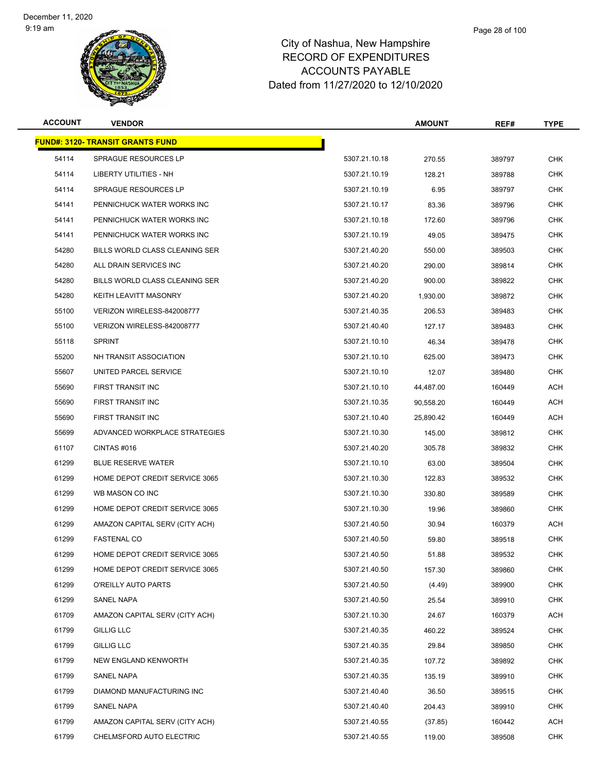

#### Page 28 of 100

| <b>ACCOUNT</b> | <b>VENDOR</b>                           |               | <b>AMOUNT</b> | REF#   | <b>TYPE</b> |
|----------------|-----------------------------------------|---------------|---------------|--------|-------------|
|                | <b>FUND#: 3120- TRANSIT GRANTS FUND</b> |               |               |        |             |
| 54114          | <b>SPRAGUE RESOURCES LP</b>             | 5307.21.10.18 | 270.55        | 389797 | <b>CHK</b>  |
| 54114          | LIBERTY UTILITIES - NH                  | 5307.21.10.19 | 128.21        | 389788 | <b>CHK</b>  |
| 54114          | <b>SPRAGUE RESOURCES LP</b>             | 5307.21.10.19 | 6.95          | 389797 | <b>CHK</b>  |
| 54141          | PENNICHUCK WATER WORKS INC              | 5307.21.10.17 | 83.36         | 389796 | <b>CHK</b>  |
| 54141          | PENNICHUCK WATER WORKS INC              | 5307.21.10.18 | 172.60        | 389796 | <b>CHK</b>  |
| 54141          | PENNICHUCK WATER WORKS INC              | 5307.21.10.19 | 49.05         | 389475 | <b>CHK</b>  |
| 54280          | BILLS WORLD CLASS CLEANING SER          | 5307.21.40.20 | 550.00        | 389503 | <b>CHK</b>  |
| 54280          | ALL DRAIN SERVICES INC                  | 5307.21.40.20 | 290.00        | 389814 | <b>CHK</b>  |
| 54280          | BILLS WORLD CLASS CLEANING SER          | 5307.21.40.20 | 900.00        | 389822 | CHK         |
| 54280          | <b>KEITH LEAVITT MASONRY</b>            | 5307.21.40.20 | 1,930.00      | 389872 | <b>CHK</b>  |
| 55100          | VERIZON WIRELESS-842008777              | 5307.21.40.35 | 206.53        | 389483 | <b>CHK</b>  |
| 55100          | VERIZON WIRELESS-842008777              | 5307.21.40.40 | 127.17        | 389483 | <b>CHK</b>  |
| 55118          | SPRINT                                  | 5307.21.10.10 | 46.34         | 389478 | CHK         |
| 55200          | NH TRANSIT ASSOCIATION                  | 5307.21.10.10 | 625.00        | 389473 | <b>CHK</b>  |
| 55607          | UNITED PARCEL SERVICE                   | 5307.21.10.10 | 12.07         | 389480 | <b>CHK</b>  |
| 55690          | <b>FIRST TRANSIT INC</b>                | 5307.21.10.10 | 44,487.00     | 160449 | ACH         |
| 55690          | FIRST TRANSIT INC                       | 5307.21.10.35 | 90,558.20     | 160449 | <b>ACH</b>  |
| 55690          | FIRST TRANSIT INC                       | 5307.21.10.40 | 25,890.42     | 160449 | ACH         |
| 55699          | ADVANCED WORKPLACE STRATEGIES           | 5307.21.10.30 | 145.00        | 389812 | CHK         |
| 61107          | CINTAS#016                              | 5307.21.40.20 | 305.78        | 389832 | <b>CHK</b>  |
| 61299          | <b>BLUE RESERVE WATER</b>               | 5307.21.10.10 | 63.00         | 389504 | CHK         |
| 61299          | HOME DEPOT CREDIT SERVICE 3065          | 5307.21.10.30 | 122.83        | 389532 | <b>CHK</b>  |
| 61299          | WB MASON CO INC                         | 5307.21.10.30 | 330.80        | 389589 | CHK         |
| 61299          | HOME DEPOT CREDIT SERVICE 3065          | 5307.21.10.30 | 19.96         | 389860 | CHK         |
| 61299          | AMAZON CAPITAL SERV (CITY ACH)          | 5307.21.40.50 | 30.94         | 160379 | ACH         |
| 61299          | <b>FASTENAL CO</b>                      | 5307.21.40.50 | 59.80         | 389518 | <b>CHK</b>  |
| 61299          | HOME DEPOT CREDIT SERVICE 3065          | 5307.21.40.50 | 51.88         | 389532 | <b>CHK</b>  |
| 61299          | HOME DEPOT CREDIT SERVICE 3065          | 5307.21.40.50 | 157.30        | 389860 | <b>CHK</b>  |
| 61299          | O'REILLY AUTO PARTS                     | 5307.21.40.50 | (4.49)        | 389900 | <b>CHK</b>  |
| 61299          | SANEL NAPA                              | 5307.21.40.50 | 25.54         | 389910 | <b>CHK</b>  |
| 61709          | AMAZON CAPITAL SERV (CITY ACH)          | 5307.21.10.30 | 24.67         | 160379 | ACH         |
| 61799          | <b>GILLIG LLC</b>                       | 5307.21.40.35 | 460.22        | 389524 | <b>CHK</b>  |
| 61799          | <b>GILLIG LLC</b>                       | 5307.21.40.35 | 29.84         | 389850 | <b>CHK</b>  |
| 61799          | NEW ENGLAND KENWORTH                    | 5307.21.40.35 | 107.72        | 389892 | <b>CHK</b>  |
| 61799          | SANEL NAPA                              | 5307.21.40.35 | 135.19        | 389910 | <b>CHK</b>  |
| 61799          | DIAMOND MANUFACTURING INC               | 5307.21.40.40 | 36.50         | 389515 | <b>CHK</b>  |
| 61799          | SANEL NAPA                              | 5307.21.40.40 | 204.43        | 389910 | <b>CHK</b>  |
| 61799          | AMAZON CAPITAL SERV (CITY ACH)          | 5307.21.40.55 | (37.85)       | 160442 | ACH         |
| 61799          | CHELMSFORD AUTO ELECTRIC                | 5307.21.40.55 | 119.00        | 389508 | <b>CHK</b>  |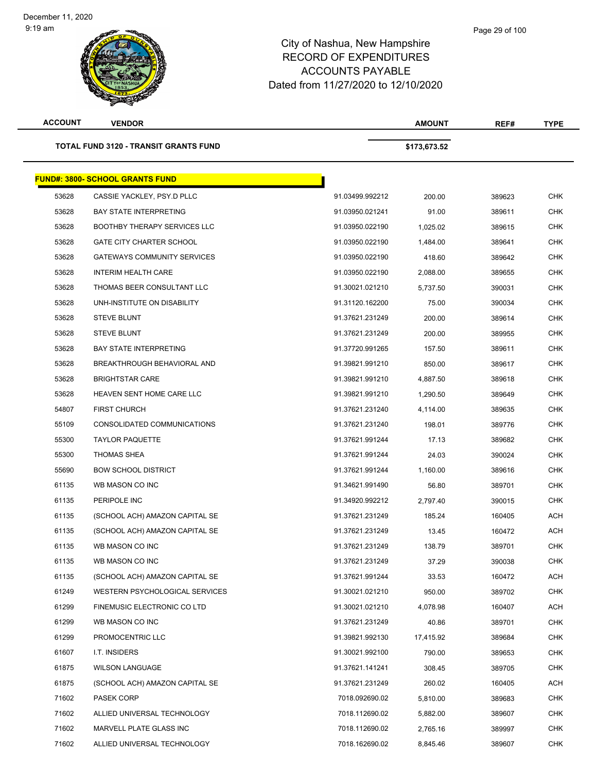**TOTAL FUND 3120 - TRANSIT GRAN** 

| ACCOUNT<br><b>VENDOR</b>                     | <b>AMOUNT</b> | REF# | <b>TYPE</b> |
|----------------------------------------------|---------------|------|-------------|
| <b>TOTAL FUND 3120 - TRANSIT GRANTS FUND</b> | \$173,673.52  |      |             |
|                                              |               |      |             |

|       | <u> FUND#: 3800- SCHOOL GRANTS FUND</u> |                 |           |        |            |
|-------|-----------------------------------------|-----------------|-----------|--------|------------|
| 53628 | CASSIE YACKLEY, PSY.D PLLC              | 91.03499.992212 | 200.00    | 389623 | <b>CHK</b> |
| 53628 | <b>BAY STATE INTERPRETING</b>           | 91.03950.021241 | 91.00     | 389611 | CHK        |
| 53628 | <b>BOOTHBY THERAPY SERVICES LLC</b>     | 91.03950.022190 | 1,025.02  | 389615 | <b>CHK</b> |
| 53628 | <b>GATE CITY CHARTER SCHOOL</b>         | 91.03950.022190 | 1,484.00  | 389641 | <b>CHK</b> |
| 53628 | <b>GATEWAYS COMMUNITY SERVICES</b>      | 91.03950.022190 | 418.60    | 389642 | CHK        |
| 53628 | <b>INTERIM HEALTH CARE</b>              | 91.03950.022190 | 2,088.00  | 389655 | <b>CHK</b> |
| 53628 | THOMAS BEER CONSULTANT LLC              | 91.30021.021210 | 5,737.50  | 390031 | <b>CHK</b> |
| 53628 | UNH-INSTITUTE ON DISABILITY             | 91.31120.162200 | 75.00     | 390034 | <b>CHK</b> |
| 53628 | <b>STEVE BLUNT</b>                      | 91.37621.231249 | 200.00    | 389614 | CHK        |
| 53628 | <b>STEVE BLUNT</b>                      | 91.37621.231249 | 200.00    | 389955 | CHK        |
| 53628 | <b>BAY STATE INTERPRETING</b>           | 91.37720.991265 | 157.50    | 389611 | <b>CHK</b> |
| 53628 | BREAKTHROUGH BEHAVIORAL AND             | 91.39821.991210 | 850.00    | 389617 | CHK        |
| 53628 | <b>BRIGHTSTAR CARE</b>                  | 91.39821.991210 | 4,887.50  | 389618 | <b>CHK</b> |
| 53628 | HEAVEN SENT HOME CARE LLC               | 91.39821.991210 | 1,290.50  | 389649 | <b>CHK</b> |
| 54807 | <b>FIRST CHURCH</b>                     | 91.37621.231240 | 4,114.00  | 389635 | <b>CHK</b> |
| 55109 | CONSOLIDATED COMMUNICATIONS             | 91.37621.231240 | 198.01    | 389776 | CHK        |
| 55300 | <b>TAYLOR PAQUETTE</b>                  | 91.37621.991244 | 17.13     | 389682 | CHK        |
| 55300 | THOMAS SHEA                             | 91.37621.991244 | 24.03     | 390024 | <b>CHK</b> |
| 55690 | <b>BOW SCHOOL DISTRICT</b>              | 91.37621.991244 | 1,160.00  | 389616 | CHK        |
| 61135 | WB MASON CO INC                         | 91.34621.991490 | 56.80     | 389701 | CHK        |
| 61135 | PERIPOLE INC                            | 91.34920.992212 | 2,797.40  | 390015 | <b>CHK</b> |
| 61135 | (SCHOOL ACH) AMAZON CAPITAL SE          | 91.37621.231249 | 185.24    | 160405 | ACH        |
| 61135 | (SCHOOL ACH) AMAZON CAPITAL SE          | 91.37621.231249 | 13.45     | 160472 | ACH        |
| 61135 | WB MASON CO INC                         | 91.37621.231249 | 138.79    | 389701 | <b>CHK</b> |
| 61135 | WB MASON CO INC                         | 91.37621.231249 | 37.29     | 390038 | CHK        |
| 61135 | (SCHOOL ACH) AMAZON CAPITAL SE          | 91.37621.991244 | 33.53     | 160472 | ACH        |
| 61249 | WESTERN PSYCHOLOGICAL SERVICES          | 91.30021.021210 | 950.00    | 389702 | <b>CHK</b> |
| 61299 | FINEMUSIC ELECTRONIC CO LTD             | 91.30021.021210 | 4,078.98  | 160407 | ACH        |
| 61299 | WB MASON CO INC                         | 91.37621.231249 | 40.86     | 389701 | <b>CHK</b> |
| 61299 | PROMOCENTRIC LLC                        | 91.39821.992130 | 17,415.92 | 389684 | <b>CHK</b> |
| 61607 | I.T. INSIDERS                           | 91.30021.992100 | 790.00    | 389653 | <b>CHK</b> |
| 61875 | <b>WILSON LANGUAGE</b>                  | 91.37621.141241 | 308.45    | 389705 | <b>CHK</b> |
| 61875 | (SCHOOL ACH) AMAZON CAPITAL SE          | 91.37621.231249 | 260.02    | 160405 | ACH        |
| 71602 | PASEK CORP                              | 7018.092690.02  | 5,810.00  | 389683 | <b>CHK</b> |
| 71602 | ALLIED UNIVERSAL TECHNOLOGY             | 7018.112690.02  | 5,882.00  | 389607 | <b>CHK</b> |
| 71602 | MARVELL PLATE GLASS INC                 | 7018.112690.02  | 2,765.16  | 389997 | <b>CHK</b> |
| 71602 | ALLIED UNIVERSAL TECHNOLOGY             | 7018.162690.02  | 8,845.46  | 389607 | <b>CHK</b> |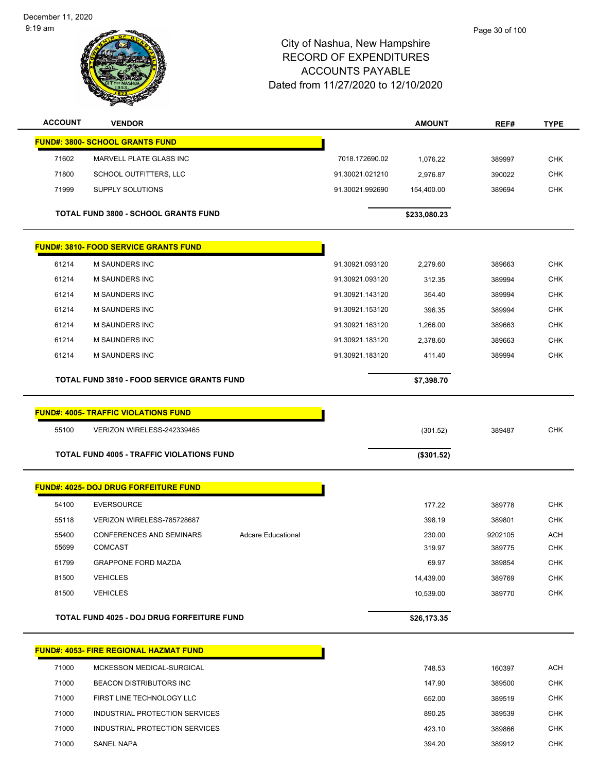| <b>ACCOUNT</b> | <b>VENDOR</b>                                     |                           |                 | <b>AMOUNT</b> | REF#    | <b>TYPE</b> |
|----------------|---------------------------------------------------|---------------------------|-----------------|---------------|---------|-------------|
|                | <b>FUND#: 3800- SCHOOL GRANTS FUND</b>            |                           |                 |               |         |             |
| 71602          | MARVELL PLATE GLASS INC                           |                           | 7018.172690.02  | 1,076.22      | 389997  | <b>CHK</b>  |
| 71800          | SCHOOL OUTFITTERS, LLC                            |                           | 91.30021.021210 | 2,976.87      | 390022  | <b>CHK</b>  |
| 71999          | SUPPLY SOLUTIONS                                  |                           | 91.30021.992690 | 154,400.00    | 389694  | <b>CHK</b>  |
|                | <b>TOTAL FUND 3800 - SCHOOL GRANTS FUND</b>       |                           |                 | \$233,080.23  |         |             |
|                | <b>FUND#: 3810- FOOD SERVICE GRANTS FUND</b>      |                           |                 |               |         |             |
| 61214          | <b>M SAUNDERS INC</b>                             |                           | 91.30921.093120 | 2,279.60      | 389663  | <b>CHK</b>  |
| 61214          | <b>M SAUNDERS INC</b>                             |                           | 91.30921.093120 | 312.35        | 389994  | <b>CHK</b>  |
| 61214          | M SAUNDERS INC                                    |                           | 91.30921.143120 | 354.40        | 389994  | <b>CHK</b>  |
| 61214          | <b>M SAUNDERS INC</b>                             |                           | 91.30921.153120 | 396.35        | 389994  | <b>CHK</b>  |
| 61214          | <b>M SAUNDERS INC</b>                             |                           | 91.30921.163120 | 1,266.00      | 389663  | <b>CHK</b>  |
| 61214          | M SAUNDERS INC                                    |                           | 91.30921.183120 | 2,378.60      | 389663  | <b>CHK</b>  |
| 61214          | <b>M SAUNDERS INC</b>                             |                           | 91.30921.183120 | 411.40        | 389994  | <b>CHK</b>  |
|                | <b>TOTAL FUND 3810 - FOOD SERVICE GRANTS FUND</b> |                           |                 | \$7,398.70    |         |             |
|                | <b>FUND#: 4005- TRAFFIC VIOLATIONS FUND</b>       |                           |                 |               |         |             |
| 55100          | VERIZON WIRELESS-242339465                        |                           |                 | (301.52)      | 389487  | <b>CHK</b>  |
|                | <b>TOTAL FUND 4005 - TRAFFIC VIOLATIONS FUND</b>  |                           |                 | (\$301.52)    |         |             |
|                |                                                   |                           |                 |               |         |             |
|                | <b>FUND#: 4025- DOJ DRUG FORFEITURE FUND</b>      |                           |                 |               |         |             |
| 54100          | <b>EVERSOURCE</b>                                 |                           |                 | 177.22        | 389778  | <b>CHK</b>  |
| 55118          | VERIZON WIRELESS-785728687                        |                           |                 | 398.19        | 389801  | <b>CHK</b>  |
| 55400          | <b>CONFERENCES AND SEMINARS</b>                   | <b>Adcare Educational</b> |                 | 230.00        | 9202105 | ACH         |
| 55699          | <b>COMCAST</b>                                    |                           |                 | 319.97        | 389775  | <b>CHK</b>  |
| 61799          | <b>GRAPPONE FORD MAZDA</b>                        |                           |                 | 69.97         | 389854  | <b>CHK</b>  |
| 81500          | <b>VEHICLES</b>                                   |                           |                 | 14,439.00     | 389769  | <b>CHK</b>  |
| 81500          | <b>VEHICLES</b>                                   |                           |                 | 10,539.00     | 389770  | <b>CHK</b>  |
|                | TOTAL FUND 4025 - DOJ DRUG FORFEITURE FUND        |                           |                 | \$26,173.35   |         |             |
|                | <b>FUND#: 4053- FIRE REGIONAL HAZMAT FUND</b>     |                           |                 |               |         |             |
| 71000          | MCKESSON MEDICAL-SURGICAL                         |                           |                 | 748.53        | 160397  | <b>ACH</b>  |
| 71000          | <b>BEACON DISTRIBUTORS INC</b>                    |                           |                 | 147.90        | 389500  | <b>CHK</b>  |
| 71000          | FIRST LINE TECHNOLOGY LLC                         |                           |                 | 652.00        | 389519  | <b>CHK</b>  |
| 71000          | INDUSTRIAL PROTECTION SERVICES                    |                           |                 | 890.25        | 389539  | <b>CHK</b>  |
|                |                                                   |                           |                 |               |         |             |
| 71000          | INDUSTRIAL PROTECTION SERVICES                    |                           |                 | 423.10        | 389866  | <b>CHK</b>  |
| 71000          | SANEL NAPA                                        |                           |                 | 394.20        | 389912  | <b>CHK</b>  |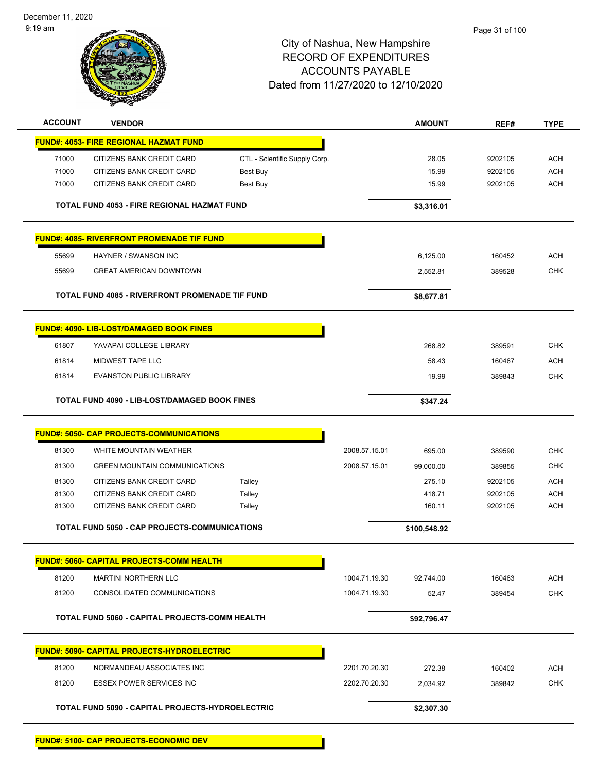December 11, 2020 9:19 am



#### City of Nashua, New Hampshire RECORD OF EXPENDITURES ACCOUNTS PAYABLE Dated from 11/27/2020 to 12/10/2020

Page 31 of 100

| <b>ACCOUNT</b> | <b>VENDOR</b>                                          |                               |               | <b>AMOUNT</b> | REF#    | <b>TYPE</b> |
|----------------|--------------------------------------------------------|-------------------------------|---------------|---------------|---------|-------------|
|                | <b>FUND#: 4053- FIRE REGIONAL HAZMAT FUND</b>          |                               |               |               |         |             |
| 71000          | CITIZENS BANK CREDIT CARD                              | CTL - Scientific Supply Corp. |               | 28.05         | 9202105 | <b>ACH</b>  |
| 71000          | CITIZENS BANK CREDIT CARD                              | Best Buy                      |               | 15.99         | 9202105 | <b>ACH</b>  |
| 71000          | CITIZENS BANK CREDIT CARD                              | Best Buy                      |               | 15.99         | 9202105 | <b>ACH</b>  |
|                | <b>TOTAL FUND 4053 - FIRE REGIONAL HAZMAT FUND</b>     |                               |               | \$3,316.01    |         |             |
|                | <b>FUND#: 4085- RIVERFRONT PROMENADE TIF FUND</b>      |                               |               |               |         |             |
| 55699          | HAYNER / SWANSON INC                                   |                               |               | 6,125.00      | 160452  | <b>ACH</b>  |
| 55699          | <b>GREAT AMERICAN DOWNTOWN</b>                         |                               |               | 2,552.81      | 389528  | <b>CHK</b>  |
|                | <b>TOTAL FUND 4085 - RIVERFRONT PROMENADE TIF FUND</b> |                               |               | \$8,677.81    |         |             |
|                | <b>FUND#: 4090- LIB-LOST/DAMAGED BOOK FINES</b>        |                               |               |               |         |             |
| 61807          | YAVAPAI COLLEGE LIBRARY                                |                               |               | 268.82        | 389591  | <b>CHK</b>  |
| 61814          | MIDWEST TAPE LLC                                       |                               |               | 58.43         | 160467  | <b>ACH</b>  |
| 61814          | <b>EVANSTON PUBLIC LIBRARY</b>                         |                               |               | 19.99         | 389843  | <b>CHK</b>  |
|                | <b>TOTAL FUND 4090 - LIB-LOST/DAMAGED BOOK FINES</b>   |                               |               | \$347.24      |         |             |
|                | <b>FUND#: 5050- CAP PROJECTS-COMMUNICATIONS</b>        |                               |               |               |         |             |
| 81300          | WHITE MOUNTAIN WEATHER                                 |                               | 2008.57.15.01 | 695.00        | 389590  | <b>CHK</b>  |
| 81300          | <b>GREEN MOUNTAIN COMMUNICATIONS</b>                   |                               | 2008.57.15.01 | 99,000.00     | 389855  | <b>CHK</b>  |
| 81300          | CITIZENS BANK CREDIT CARD                              | Talley                        |               | 275.10        | 9202105 | <b>ACH</b>  |
| 81300          | CITIZENS BANK CREDIT CARD                              | Talley                        |               | 418.71        | 9202105 | <b>ACH</b>  |
| 81300          | CITIZENS BANK CREDIT CARD                              | Talley                        |               | 160.11        | 9202105 | <b>ACH</b>  |
|                | <b>TOTAL FUND 5050 - CAP PROJECTS-COMMUNICATIONS</b>   |                               |               | \$100,548.92  |         |             |
|                | <u> FUND#: 5060- CAPITAL PROJECTS-COMM HEALTH</u>      |                               |               |               |         |             |
| 81200          | <b>MARTINI NORTHERN LLC</b>                            |                               | 1004.71.19.30 | 92,744.00     | 160463  | <b>ACH</b>  |
| 81200          | CONSOLIDATED COMMUNICATIONS                            |                               | 1004.71.19.30 | 52.47         | 389454  | <b>CHK</b>  |
|                | TOTAL FUND 5060 - CAPITAL PROJECTS-COMM HEALTH         |                               |               | \$92,796.47   |         |             |
|                | <b>FUND#: 5090- CAPITAL PROJECTS-HYDROELECTRIC</b>     |                               |               |               |         |             |
| 81200          | NORMANDEAU ASSOCIATES INC                              |                               | 2201.70.20.30 | 272.38        | 160402  | <b>ACH</b>  |
| 81200          | <b>ESSEX POWER SERVICES INC</b>                        |                               | 2202.70.20.30 | 2,034.92      | 389842  | <b>CHK</b>  |
|                | TOTAL FUND 5090 - CAPITAL PROJECTS-HYDROELECTRIC       |                               |               | \$2,307.30    |         |             |
|                |                                                        |                               |               |               |         |             |

**FUND#: 5100- CAP PROJECTS-ECONOMIC DEV**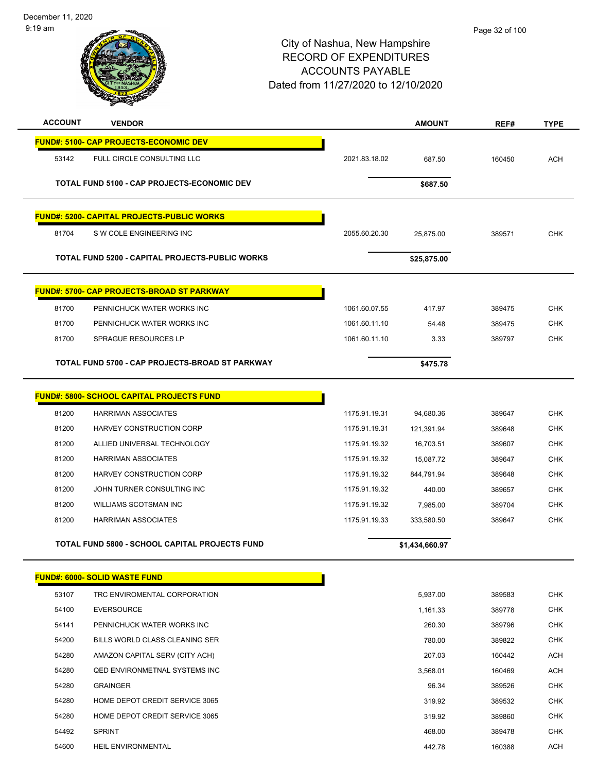| <b>ACCOUNT</b> | <b>VENDOR</b>                                         |               | <b>AMOUNT</b>  | REF#   | <b>TYPE</b> |
|----------------|-------------------------------------------------------|---------------|----------------|--------|-------------|
|                | <b>FUND#: 5100- CAP PROJECTS-ECONOMIC DEV</b>         |               |                |        |             |
| 53142          | FULL CIRCLE CONSULTING LLC                            | 2021.83.18.02 | 687.50         | 160450 | <b>ACH</b>  |
|                | TOTAL FUND 5100 - CAP PROJECTS-ECONOMIC DEV           |               | \$687.50       |        |             |
|                | <b>FUND#: 5200- CAPITAL PROJECTS-PUBLIC WORKS</b>     |               |                |        |             |
| 81704          | S W COLE ENGINEERING INC                              | 2055.60.20.30 | 25,875.00      | 389571 | <b>CHK</b>  |
|                | TOTAL FUND 5200 - CAPITAL PROJECTS-PUBLIC WORKS       |               | \$25,875.00    |        |             |
|                | <b>FUND#: 5700- CAP PROJECTS-BROAD ST PARKWAY</b>     |               |                |        |             |
| 81700          | PENNICHUCK WATER WORKS INC                            | 1061.60.07.55 | 417.97         | 389475 | <b>CHK</b>  |
| 81700          | PENNICHUCK WATER WORKS INC                            | 1061.60.11.10 | 54.48          | 389475 | <b>CHK</b>  |
| 81700          | SPRAGUE RESOURCES LP                                  | 1061.60.11.10 | 3.33           | 389797 | <b>CHK</b>  |
|                | TOTAL FUND 5700 - CAP PROJECTS-BROAD ST PARKWAY       |               | \$475.78       |        |             |
|                | <u> FUND#: 5800- SCHOOL CAPITAL PROJECTS FUND</u>     |               |                |        |             |
| 81200          | <b>HARRIMAN ASSOCIATES</b>                            | 1175.91.19.31 | 94,680.36      | 389647 | <b>CHK</b>  |
| 81200          | HARVEY CONSTRUCTION CORP                              | 1175.91.19.31 | 121,391.94     | 389648 | <b>CHK</b>  |
| 81200          | ALLIED UNIVERSAL TECHNOLOGY                           | 1175.91.19.32 | 16,703.51      | 389607 | <b>CHK</b>  |
| 81200          | <b>HARRIMAN ASSOCIATES</b>                            | 1175.91.19.32 | 15,087.72      | 389647 | <b>CHK</b>  |
| 81200          | HARVEY CONSTRUCTION CORP                              | 1175.91.19.32 | 844,791.94     | 389648 | <b>CHK</b>  |
| 81200          | JOHN TURNER CONSULTING INC                            | 1175.91.19.32 | 440.00         | 389657 | <b>CHK</b>  |
| 81200          | <b>WILLIAMS SCOTSMAN INC</b>                          | 1175.91.19.32 | 7,985.00       | 389704 | <b>CHK</b>  |
| 81200          | <b>HARRIMAN ASSOCIATES</b>                            | 1175.91.19.33 | 333,580.50     | 389647 | <b>CHK</b>  |
|                | <b>TOTAL FUND 5800 - SCHOOL CAPITAL PROJECTS FUND</b> |               | \$1,434,660.97 |        |             |
|                | <b>FUND#: 6000- SOLID WASTE FUND</b>                  |               |                |        |             |
| 53107          | TRC ENVIROMENTAL CORPORATION                          |               | 5,937.00       | 389583 | <b>CHK</b>  |
| 54100          | <b>EVERSOURCE</b>                                     |               | 1,161.33       | 389778 | <b>CHK</b>  |
| 54141          | PENNICHUCK WATER WORKS INC                            |               | 260.30         | 389796 | <b>CHK</b>  |
| 54200          | BILLS WORLD CLASS CLEANING SER                        |               | 780.00         | 389822 | <b>CHK</b>  |
| 54280          | AMAZON CAPITAL SERV (CITY ACH)                        |               | 207.03         | 160442 | ACH         |
| 54280          | <b>QED ENVIRONMETNAL SYSTEMS INC</b>                  |               | 3,568.01       | 160469 | <b>ACH</b>  |
| 54280          | <b>GRAINGER</b>                                       |               | 96.34          | 389526 | <b>CHK</b>  |
| 54280          | HOME DEPOT CREDIT SERVICE 3065                        |               | 319.92         | 389532 | <b>CHK</b>  |
| 54280          | HOME DEPOT CREDIT SERVICE 3065                        |               | 319.92         | 389860 | <b>CHK</b>  |
| 54492          | <b>SPRINT</b>                                         |               | 468.00         | 389478 | <b>CHK</b>  |
| 54600          | HEIL ENVIRONMENTAL                                    |               | 442.78         | 160388 | ACH         |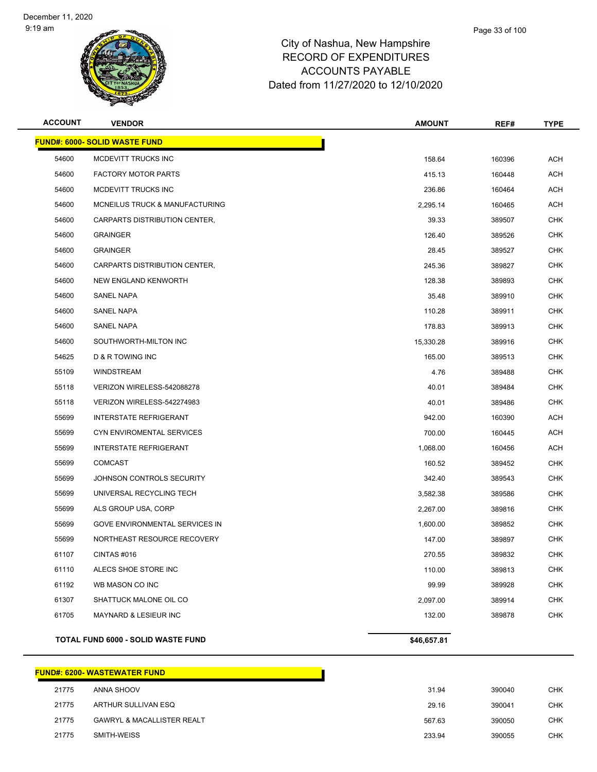

| <b>ACCOUNT</b> | <b>VENDOR</b>                         | <b>AMOUNT</b> | REF#   | <b>TYPE</b> |
|----------------|---------------------------------------|---------------|--------|-------------|
|                | <b>FUND#: 6000- SOLID WASTE FUND</b>  |               |        |             |
| 54600          | MCDEVITT TRUCKS INC                   | 158.64        | 160396 | ACH         |
| 54600          | <b>FACTORY MOTOR PARTS</b>            | 415.13        | 160448 | <b>ACH</b>  |
| 54600          | MCDEVITT TRUCKS INC                   | 236.86        | 160464 | ACH         |
| 54600          | MCNEILUS TRUCK & MANUFACTURING        | 2,295.14      | 160465 | <b>ACH</b>  |
| 54600          | CARPARTS DISTRIBUTION CENTER,         | 39.33         | 389507 | <b>CHK</b>  |
| 54600          | <b>GRAINGER</b>                       | 126.40        | 389526 | <b>CHK</b>  |
| 54600          | <b>GRAINGER</b>                       | 28.45         | 389527 | <b>CHK</b>  |
| 54600          | CARPARTS DISTRIBUTION CENTER,         | 245.36        | 389827 | <b>CHK</b>  |
| 54600          | NEW ENGLAND KENWORTH                  | 128.38        | 389893 | <b>CHK</b>  |
| 54600          | <b>SANEL NAPA</b>                     | 35.48         | 389910 | <b>CHK</b>  |
| 54600          | SANEL NAPA                            | 110.28        | 389911 | <b>CHK</b>  |
| 54600          | <b>SANEL NAPA</b>                     | 178.83        | 389913 | <b>CHK</b>  |
| 54600          | SOUTHWORTH-MILTON INC                 | 15,330.28     | 389916 | <b>CHK</b>  |
| 54625          | D & R TOWING INC                      | 165.00        | 389513 | <b>CHK</b>  |
| 55109          | <b>WINDSTREAM</b>                     | 4.76          | 389488 | <b>CHK</b>  |
| 55118          | VERIZON WIRELESS-542088278            | 40.01         | 389484 | <b>CHK</b>  |
| 55118          | VERIZON WIRELESS-542274983            | 40.01         | 389486 | <b>CHK</b>  |
| 55699          | <b>INTERSTATE REFRIGERANT</b>         | 942.00        | 160390 | ACH         |
| 55699          | CYN ENVIROMENTAL SERVICES             | 700.00        | 160445 | <b>ACH</b>  |
| 55699          | <b>INTERSTATE REFRIGERANT</b>         | 1,068.00      | 160456 | ACH         |
| 55699          | <b>COMCAST</b>                        | 160.52        | 389452 | <b>CHK</b>  |
| 55699          | JOHNSON CONTROLS SECURITY             | 342.40        | 389543 | <b>CHK</b>  |
| 55699          | UNIVERSAL RECYCLING TECH              | 3,582.38      | 389586 | <b>CHK</b>  |
| 55699          | ALS GROUP USA, CORP                   | 2,267.00      | 389816 | <b>CHK</b>  |
| 55699          | <b>GOVE ENVIRONMENTAL SERVICES IN</b> | 1,600.00      | 389852 | <b>CHK</b>  |
| 55699          | NORTHEAST RESOURCE RECOVERY           | 147.00        | 389897 | CHK         |
| 61107          | CINTAS #016                           | 270.55        | 389832 | <b>CHK</b>  |
| 61110          | ALECS SHOE STORE INC                  | 110.00        | 389813 | <b>CHK</b>  |
| 61192          | WB MASON CO INC                       | 99.99         | 389928 | <b>CHK</b>  |
| 61307          | SHATTUCK MALONE OIL CO                | 2,097.00      | 389914 | <b>CHK</b>  |
| 61705          | MAYNARD & LESIEUR INC                 | 132.00        | 389878 | <b>CHK</b>  |
|                | TOTAL FUND 6000 - SOLID WASTE FUND    | \$46,657.81   |        |             |

## **FUND#: 6200- WASTEWATER FUND** ANNA SHOOV 31.94 390040 CHK ARTHUR SULLIVAN ESQ 29.16 390041 CHK 21775 GAWRYL & MACALLISTER REALT AND REALT SERVICES AND RESERVE THE STATE STATES OF STATES AND REALT STATES OF STATES AND RESERVE THE STATES OF STATES AND REALT AND REALT AND REALT AND REALT AND REALT AND REALT AND REALT A SMITH-WEISS 233.94 390055 CHK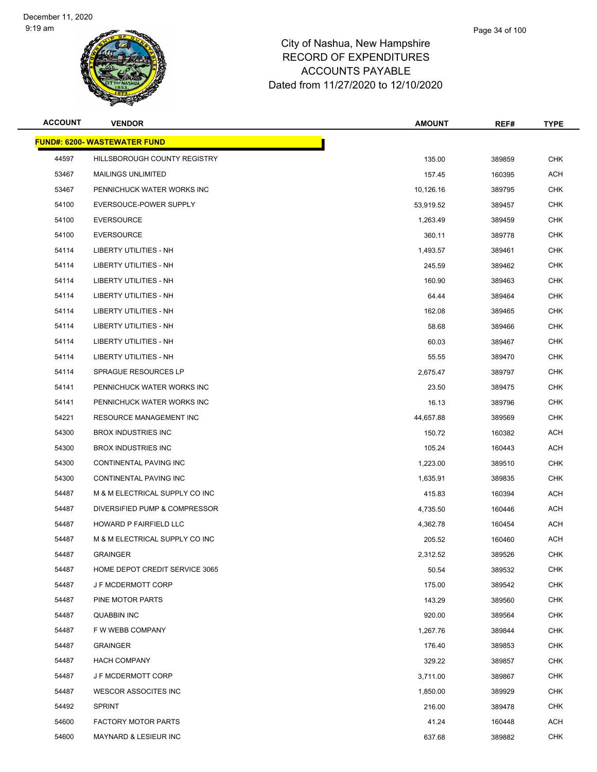**FUND#: 6200- WASTEWATER FUND**



| ACCOUNT | <b>VENDOR</b>                       | <b>AMOUNT</b> | REF#   | TYPE       |
|---------|-------------------------------------|---------------|--------|------------|
|         | <u> IND#: 6200- WASTEWATER FUND</u> |               |        |            |
| 44597   | HILLSBOROUGH COUNTY REGISTRY        | 135.00        | 389859 | <b>CHK</b> |
| 53467   | <b>MAILINGS UNLIMITED</b>           | 157.45        | 160395 | <b>ACH</b> |
| 53467   | PENNICHUCK WATER WORKS INC          | 10,126.16     | 389795 | <b>CHK</b> |
| 54100   | EVERSOUCE-POWER SUPPLY              | 53,919.52     | 389457 | CHK        |
| 54100   | <b>EVERSOURCE</b>                   | 1,263.49      | 389459 | <b>CHK</b> |
| 54100   | <b>EVERSOURCE</b>                   | 360.11        | 389778 | CHK        |
| 54114   | LIBERTY UTILITIES - NH              | 1,493.57      | 389461 | <b>CHK</b> |
| 54114   | LIBERTY UTILITIES - NH              | 245.59        | 389462 | <b>CHK</b> |
| 54114   | LIBERTY UTILITIES - NH              | 160.90        | 389463 | CHK        |
| 54114   | LIBERTY UTILITIES - NH              | 64.44         | 389464 | <b>CHK</b> |
| 54114   | <b>LIBERTY UTILITIES - NH</b>       | 162.08        | 389465 | CHK        |
| 54114   | LIBERTY UTILITIES - NH              | 58.68         | 389466 | <b>CHK</b> |
| 54114   | <b>LIBERTY UTILITIES - NH</b>       | 60.03         | 389467 | <b>CHK</b> |
| 54114   | LIBERTY UTILITIES - NH              | 55.55         | 389470 | CHK        |
| 54114   | SPRAGUE RESOURCES LP                | 2,675.47      | 389797 | CHK        |
| 54141   | PENNICHUCK WATER WORKS INC          | 23.50         | 389475 | CHK        |
| 54141   | PENNICHUCK WATER WORKS INC          | 16.13         | 389796 | <b>CHK</b> |
| 54221   | RESOURCE MANAGEMENT INC             | 44,657.88     | 389569 | <b>CHK</b> |
| 54300   | <b>BROX INDUSTRIES INC</b>          | 150.72        | 160382 | ACH        |
| 54300   | <b>BROX INDUSTRIES INC</b>          | 105.24        | 160443 | ACH        |
| 54300   | CONTINENTAL PAVING INC              | 1,223.00      | 389510 | CHK        |
| 54300   | CONTINENTAL PAVING INC              | 1,635.91      | 389835 | <b>CHK</b> |
| 54487   | M & M ELECTRICAL SUPPLY CO INC      | 415.83        | 160394 | ACH        |
| 54487   | DIVERSIFIED PUMP & COMPRESSOR       | 4,735.50      | 160446 | ACH        |
| 54487   | HOWARD P FAIRFIELD LLC              | 4,362.78      | 160454 | ACH        |
| 54487   | M & M ELECTRICAL SUPPLY CO INC      | 205.52        | 160460 | ACH        |
| 54487   | <b>GRAINGER</b>                     | 2,312.52      | 389526 | <b>CHK</b> |
| 54487   | HOME DEPOT CREDIT SERVICE 3065      | 50.54         | 389532 | <b>CHK</b> |
| 54487   | J F MCDERMOTT CORP                  | 175.00        | 389542 | <b>CHK</b> |
| 54487   | PINE MOTOR PARTS                    | 143.29        | 389560 | <b>CHK</b> |
| 54487   | QUABBIN INC                         | 920.00        | 389564 | CHK        |
| 54487   | F W WEBB COMPANY                    | 1,267.76      | 389844 | <b>CHK</b> |
| 54487   | <b>GRAINGER</b>                     | 176.40        | 389853 | CHK        |
| 54487   | <b>HACH COMPANY</b>                 | 329.22        | 389857 | CHK        |
| 54487   | J F MCDERMOTT CORP                  | 3,711.00      | 389867 | CHK        |
| 54487   | WESCOR ASSOCITES INC                | 1,850.00      | 389929 | CHK        |
| 54492   | <b>SPRINT</b>                       | 216.00        | 389478 | <b>CHK</b> |
| 54600   | <b>FACTORY MOTOR PARTS</b>          | 41.24         | 160448 | ACH        |
| 54600   | MAYNARD & LESIEUR INC               | 637.68        | 389882 | <b>CHK</b> |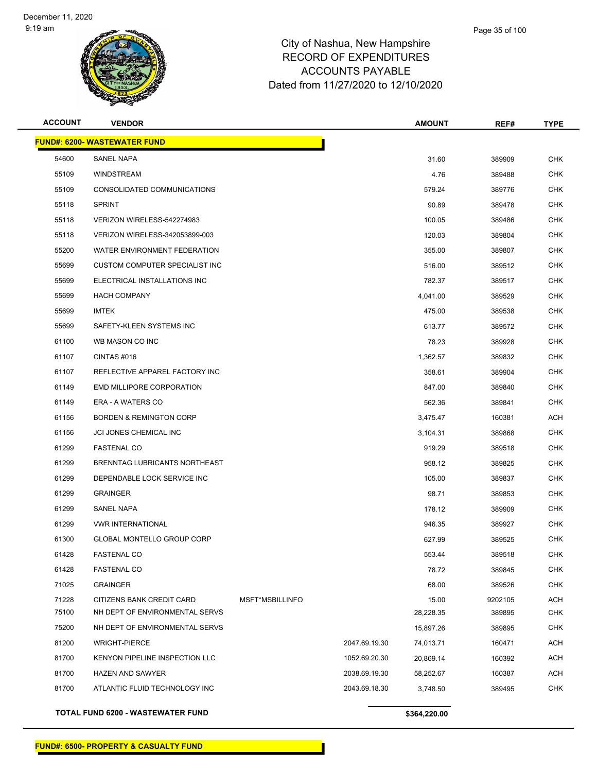

| <b>ACCOUNT</b>                      | <b>VENDOR</b>                         |                 |               | <b>AMOUNT</b> | REF#    | <b>TYPE</b> |  |
|-------------------------------------|---------------------------------------|-----------------|---------------|---------------|---------|-------------|--|
| <b>FUND#: 6200- WASTEWATER FUND</b> |                                       |                 |               |               |         |             |  |
| 54600                               | <b>SANEL NAPA</b>                     |                 |               | 31.60         | 389909  | <b>CHK</b>  |  |
| 55109                               | <b>WINDSTREAM</b>                     |                 |               | 4.76          | 389488  | <b>CHK</b>  |  |
| 55109                               | CONSOLIDATED COMMUNICATIONS           |                 |               | 579.24        | 389776  | <b>CHK</b>  |  |
| 55118                               | <b>SPRINT</b>                         |                 |               | 90.89         | 389478  | <b>CHK</b>  |  |
| 55118                               | VERIZON WIRELESS-542274983            |                 |               | 100.05        | 389486  | <b>CHK</b>  |  |
| 55118                               | VERIZON WIRELESS-342053899-003        |                 |               | 120.03        | 389804  | <b>CHK</b>  |  |
| 55200                               | WATER ENVIRONMENT FEDERATION          |                 |               | 355.00        | 389807  | <b>CHK</b>  |  |
| 55699                               | CUSTOM COMPUTER SPECIALIST INC        |                 |               | 516.00        | 389512  | CHK         |  |
| 55699                               | ELECTRICAL INSTALLATIONS INC          |                 |               | 782.37        | 389517  | <b>CHK</b>  |  |
| 55699                               | <b>HACH COMPANY</b>                   |                 |               | 4,041.00      | 389529  | CHK         |  |
| 55699                               | <b>IMTEK</b>                          |                 |               | 475.00        | 389538  | <b>CHK</b>  |  |
| 55699                               | SAFETY-KLEEN SYSTEMS INC              |                 |               | 613.77        | 389572  | <b>CHK</b>  |  |
| 61100                               | WB MASON CO INC                       |                 |               | 78.23         | 389928  | CHK         |  |
| 61107                               | CINTAS#016                            |                 |               | 1,362.57      | 389832  | <b>CHK</b>  |  |
| 61107                               | REFLECTIVE APPAREL FACTORY INC        |                 |               | 358.61        | 389904  | <b>CHK</b>  |  |
| 61149                               | EMD MILLIPORE CORPORATION             |                 |               | 847.00        | 389840  | <b>CHK</b>  |  |
| 61149                               | ERA - A WATERS CO                     |                 |               | 562.36        | 389841  | <b>CHK</b>  |  |
| 61156                               | <b>BORDEN &amp; REMINGTON CORP</b>    |                 |               | 3,475.47      | 160381  | ACH         |  |
| 61156                               | <b>JCI JONES CHEMICAL INC</b>         |                 |               | 3,104.31      | 389868  | <b>CHK</b>  |  |
| 61299                               | <b>FASTENAL CO</b>                    |                 |               | 919.29        | 389518  | <b>CHK</b>  |  |
| 61299                               | BRENNTAG LUBRICANTS NORTHEAST         |                 |               | 958.12        | 389825  | <b>CHK</b>  |  |
| 61299                               | DEPENDABLE LOCK SERVICE INC           |                 |               | 105.00        | 389837  | CHK         |  |
| 61299                               | <b>GRAINGER</b>                       |                 |               | 98.71         | 389853  | <b>CHK</b>  |  |
| 61299                               | <b>SANEL NAPA</b>                     |                 |               | 178.12        | 389909  | <b>CHK</b>  |  |
| 61299                               | <b>VWR INTERNATIONAL</b>              |                 |               | 946.35        | 389927  | <b>CHK</b>  |  |
| 61300                               | <b>GLOBAL MONTELLO GROUP CORP</b>     |                 |               | 627.99        | 389525  | <b>CHK</b>  |  |
| 61428                               | <b>FASTENAL CO</b>                    |                 |               | 553.44        | 389518  | CHK         |  |
| 61428                               | <b>FASTENAL CO</b>                    |                 |               | 78.72         | 389845  | <b>CHK</b>  |  |
| 71025                               | <b>GRAINGER</b>                       |                 |               | 68.00         | 389526  | <b>CHK</b>  |  |
| 71228                               | CITIZENS BANK CREDIT CARD             | MSFT*MSBILLINFO |               | 15.00         | 9202105 | <b>ACH</b>  |  |
| 75100                               | NH DEPT OF ENVIRONMENTAL SERVS        |                 |               | 28,228.35     | 389895  | <b>CHK</b>  |  |
| 75200                               | NH DEPT OF ENVIRONMENTAL SERVS        |                 |               | 15,897.26     | 389895  | CHK         |  |
| 81200                               | <b>WRIGHT-PIERCE</b>                  |                 | 2047.69.19.30 | 74,013.71     | 160471  | <b>ACH</b>  |  |
| 81700                               | <b>KENYON PIPELINE INSPECTION LLC</b> |                 | 1052.69.20.30 | 20,869.14     | 160392  | <b>ACH</b>  |  |
| 81700                               | HAZEN AND SAWYER                      |                 | 2038.69.19.30 | 58,252.67     | 160387  | ACH         |  |
| 81700                               | ATLANTIC FLUID TECHNOLOGY INC         |                 | 2043.69.18.30 | 3,748.50      | 389495  | <b>CHK</b>  |  |
|                                     | TOTAL FUND 6200 - WASTEWATER FUND     |                 |               | \$364,220.00  |         |             |  |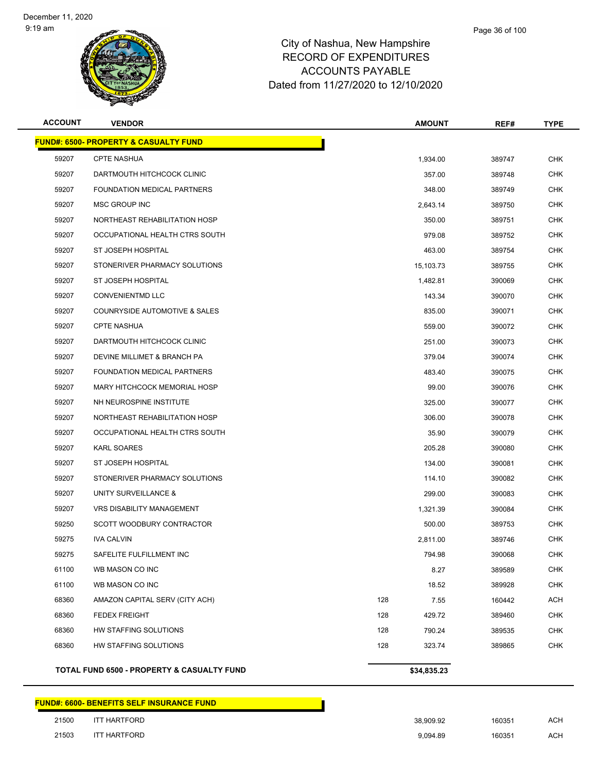

| <b>ACCOUNT</b>                                   | <b>VENDOR</b>                              |     | <b>AMOUNT</b> | REF#   | TYPE       |  |
|--------------------------------------------------|--------------------------------------------|-----|---------------|--------|------------|--|
| <b>FUND#: 6500- PROPERTY &amp; CASUALTY FUND</b> |                                            |     |               |        |            |  |
| 59207                                            | <b>CPTE NASHUA</b>                         |     | 1,934.00      | 389747 | <b>CHK</b> |  |
| 59207                                            | DARTMOUTH HITCHCOCK CLINIC                 |     | 357.00        | 389748 | <b>CHK</b> |  |
| 59207                                            | <b>FOUNDATION MEDICAL PARTNERS</b>         |     | 348.00        | 389749 | CHK        |  |
| 59207                                            | MSC GROUP INC                              |     | 2,643.14      | 389750 | <b>CHK</b> |  |
| 59207                                            | NORTHEAST REHABILITATION HOSP              |     | 350.00        | 389751 | <b>CHK</b> |  |
| 59207                                            | OCCUPATIONAL HEALTH CTRS SOUTH             |     | 979.08        | 389752 | CHK        |  |
| 59207                                            | ST JOSEPH HOSPITAL                         |     | 463.00        | 389754 | <b>CHK</b> |  |
| 59207                                            | STONERIVER PHARMACY SOLUTIONS              |     | 15,103.73     | 389755 | <b>CHK</b> |  |
| 59207                                            | ST JOSEPH HOSPITAL                         |     | 1,482.81      | 390069 | <b>CHK</b> |  |
| 59207                                            | <b>CONVENIENTMD LLC</b>                    |     | 143.34        | 390070 | <b>CHK</b> |  |
| 59207                                            | COUNRYSIDE AUTOMOTIVE & SALES              |     | 835.00        | 390071 | CHK        |  |
| 59207                                            | <b>CPTE NASHUA</b>                         |     | 559.00        | 390072 | <b>CHK</b> |  |
| 59207                                            | DARTMOUTH HITCHCOCK CLINIC                 |     | 251.00        | 390073 | CHK        |  |
| 59207                                            | DEVINE MILLIMET & BRANCH PA                |     | 379.04        | 390074 | <b>CHK</b> |  |
| 59207                                            | <b>FOUNDATION MEDICAL PARTNERS</b>         |     | 483.40        | 390075 | <b>CHK</b> |  |
| 59207                                            | MARY HITCHCOCK MEMORIAL HOSP               |     | 99.00         | 390076 | CHK        |  |
| 59207                                            | NH NEUROSPINE INSTITUTE                    |     | 325.00        | 390077 | <b>CHK</b> |  |
| 59207                                            | NORTHEAST REHABILITATION HOSP              |     | 306.00        | 390078 | CHK        |  |
| 59207                                            | OCCUPATIONAL HEALTH CTRS SOUTH             |     | 35.90         | 390079 | <b>CHK</b> |  |
| 59207                                            | <b>KARL SOARES</b>                         |     | 205.28        | 390080 | <b>CHK</b> |  |
| 59207                                            | ST JOSEPH HOSPITAL                         |     | 134.00        | 390081 | CHK        |  |
| 59207                                            | STONERIVER PHARMACY SOLUTIONS              |     | 114.10        | 390082 | <b>CHK</b> |  |
| 59207                                            | UNITY SURVEILLANCE &                       |     | 299.00        | 390083 | CHK        |  |
| 59207                                            | <b>VRS DISABILITY MANAGEMENT</b>           |     | 1,321.39      | 390084 | <b>CHK</b> |  |
| 59250                                            | SCOTT WOODBURY CONTRACTOR                  |     | 500.00        | 389753 | CHK        |  |
| 59275                                            | <b>IVA CALVIN</b>                          |     | 2,811.00      | 389746 | CHK        |  |
| 59275                                            | SAFELITE FULFILLMENT INC                   |     | 794.98        | 390068 | <b>CHK</b> |  |
| 61100                                            | WB MASON CO INC                            |     | 8.27          | 389589 | <b>CHK</b> |  |
| 61100                                            | WB MASON CO INC                            |     | 18.52         | 389928 | <b>CHK</b> |  |
| 68360                                            | AMAZON CAPITAL SERV (CITY ACH)             | 128 | 7.55          | 160442 | <b>ACH</b> |  |
| 68360                                            | <b>FEDEX FREIGHT</b>                       | 128 | 429.72        | 389460 | <b>CHK</b> |  |
| 68360                                            | HW STAFFING SOLUTIONS                      | 128 | 790.24        | 389535 | <b>CHK</b> |  |
| 68360                                            | HW STAFFING SOLUTIONS                      | 128 | 323.74        | 389865 | <b>CHK</b> |  |
|                                                  | TOTAL FUND 6500 - PROPERTY & CASUALTY FUND |     | \$34,835.23   |        |            |  |

#### **FUND#: 6600- BENEFITS SELF INSURANCE FUND**

| 21500 | <b>ITT HARTFORD</b> |
|-------|---------------------|
| 21503 | <b>ITT HARTFORD</b> |

| 21500 | <b>ITT HARTFORD</b> | 38.909.92 | 160351 | <b>ACH</b> |
|-------|---------------------|-----------|--------|------------|
| 21503 | <b>ITT HARTFORD</b> | 9.094.89  | 160351 | <b>ACH</b> |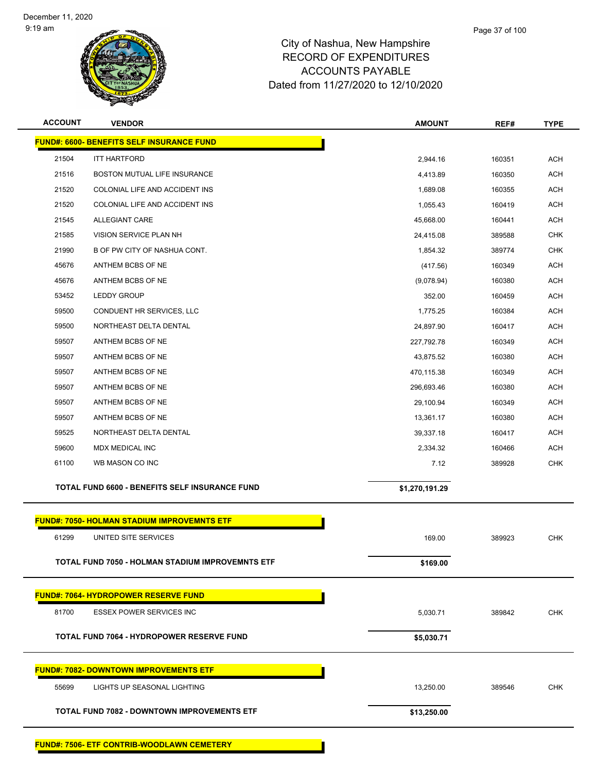

| <b>ACCOUNT</b> | <b>VENDOR</b>                                           | <b>AMOUNT</b>  | REF#   | <b>TYPE</b> |  |  |  |  |  |
|----------------|---------------------------------------------------------|----------------|--------|-------------|--|--|--|--|--|
|                | <b>FUND#: 6600- BENEFITS SELF INSURANCE FUND</b>        |                |        |             |  |  |  |  |  |
| 21504          | <b>ITT HARTFORD</b>                                     | 2,944.16       | 160351 | <b>ACH</b>  |  |  |  |  |  |
| 21516          | BOSTON MUTUAL LIFE INSURANCE                            | 4,413.89       | 160350 | <b>ACH</b>  |  |  |  |  |  |
| 21520          | COLONIAL LIFE AND ACCIDENT INS                          | 1,689.08       | 160355 | <b>ACH</b>  |  |  |  |  |  |
| 21520          | COLONIAL LIFE AND ACCIDENT INS                          | 1,055.43       | 160419 | <b>ACH</b>  |  |  |  |  |  |
| 21545          | <b>ALLEGIANT CARE</b>                                   | 45,668.00      | 160441 | <b>ACH</b>  |  |  |  |  |  |
| 21585          | VISION SERVICE PLAN NH                                  | 24,415.08      | 389588 | <b>CHK</b>  |  |  |  |  |  |
| 21990          | B OF PW CITY OF NASHUA CONT.                            | 1,854.32       | 389774 | <b>CHK</b>  |  |  |  |  |  |
| 45676          | ANTHEM BCBS OF NE                                       | (417.56)       | 160349 | <b>ACH</b>  |  |  |  |  |  |
| 45676          | ANTHEM BCBS OF NE                                       | (9,078.94)     | 160380 | <b>ACH</b>  |  |  |  |  |  |
| 53452          | LEDDY GROUP                                             | 352.00         | 160459 | <b>ACH</b>  |  |  |  |  |  |
| 59500          | CONDUENT HR SERVICES, LLC                               | 1,775.25       | 160384 | <b>ACH</b>  |  |  |  |  |  |
| 59500          | NORTHEAST DELTA DENTAL                                  | 24,897.90      | 160417 | <b>ACH</b>  |  |  |  |  |  |
| 59507          | ANTHEM BCBS OF NE                                       | 227,792.78     | 160349 | <b>ACH</b>  |  |  |  |  |  |
| 59507          | ANTHEM BCBS OF NE                                       | 43,875.52      | 160380 | <b>ACH</b>  |  |  |  |  |  |
| 59507          | ANTHEM BCBS OF NE                                       | 470,115.38     | 160349 | <b>ACH</b>  |  |  |  |  |  |
| 59507          | ANTHEM BCBS OF NE                                       | 296,693.46     | 160380 | <b>ACH</b>  |  |  |  |  |  |
| 59507          | ANTHEM BCBS OF NE                                       | 29,100.94      | 160349 | <b>ACH</b>  |  |  |  |  |  |
| 59507          | ANTHEM BCBS OF NE                                       | 13,361.17      | 160380 | <b>ACH</b>  |  |  |  |  |  |
| 59525          | NORTHEAST DELTA DENTAL                                  | 39,337.18      | 160417 | <b>ACH</b>  |  |  |  |  |  |
| 59600          | MDX MEDICAL INC                                         | 2,334.32       | 160466 | <b>ACH</b>  |  |  |  |  |  |
| 61100          | WB MASON CO INC                                         | 7.12           | 389928 | <b>CHK</b>  |  |  |  |  |  |
|                | TOTAL FUND 6600 - BENEFITS SELF INSURANCE FUND          | \$1,270,191.29 |        |             |  |  |  |  |  |
|                | <b>FUND#: 7050- HOLMAN STADIUM IMPROVEMNTS ETF</b>      |                |        |             |  |  |  |  |  |
| 61299          | UNITED SITE SERVICES                                    | 169.00         | 389923 | <b>CHK</b>  |  |  |  |  |  |
|                |                                                         |                |        |             |  |  |  |  |  |
|                | <b>TOTAL FUND 7050 - HOLMAN STADIUM IMPROVEMNTS ETF</b> | \$169.00       |        |             |  |  |  |  |  |
|                | <b>FUND#: 7064- HYDROPOWER RESERVE FUND</b>             |                |        |             |  |  |  |  |  |
| 81700          | <b>ESSEX POWER SERVICES INC</b>                         | 5,030.71       | 389842 | <b>CHK</b>  |  |  |  |  |  |
|                | <b>TOTAL FUND 7064 - HYDROPOWER RESERVE FUND</b>        | \$5,030.71     |        |             |  |  |  |  |  |
|                | <b>FUND#: 7082- DOWNTOWN IMPROVEMENTS ETF</b>           |                |        |             |  |  |  |  |  |
| 55699          | LIGHTS UP SEASONAL LIGHTING                             | 13,250.00      | 389546 | <b>CHK</b>  |  |  |  |  |  |
|                |                                                         |                |        |             |  |  |  |  |  |
|                | <b>TOTAL FUND 7082 - DOWNTOWN IMPROVEMENTS ETF</b>      | \$13,250.00    |        |             |  |  |  |  |  |
|                |                                                         |                |        |             |  |  |  |  |  |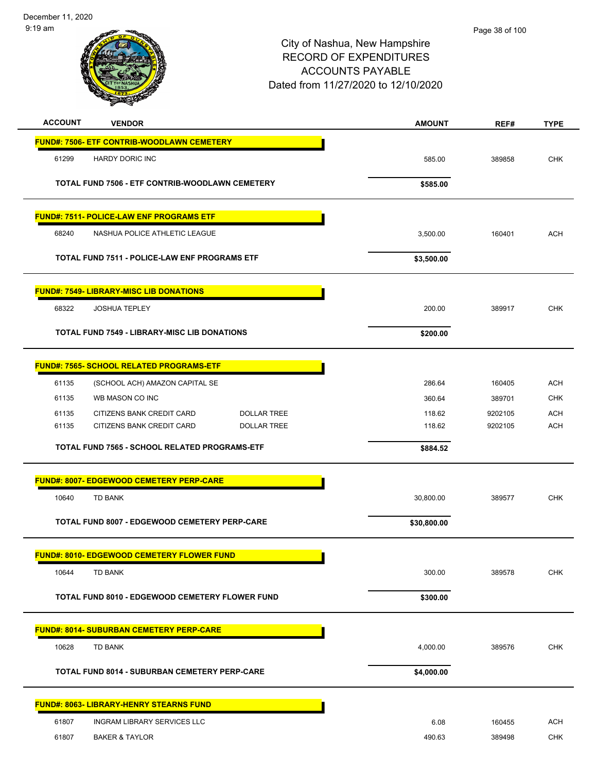-

| m fil<br>в<br>٢ī<br><b>YOF NA</b><br>1853<br>B <sub>2</sub><br>Ŧ |  |
|------------------------------------------------------------------|--|
|                                                                  |  |

| <b>ACCOUNT</b> | <b>VENDOR</b>                                        | <b>AMOUNT</b> | REF#    | <b>TYPE</b> |
|----------------|------------------------------------------------------|---------------|---------|-------------|
|                | FUND#: 7506- ETF CONTRIB-WOODLAWN CEMETERY           |               |         |             |
| 61299          | <b>HARDY DORIC INC</b>                               | 585.00        | 389858  | <b>CHK</b>  |
|                |                                                      |               |         |             |
|                | TOTAL FUND 7506 - ETF CONTRIB-WOODLAWN CEMETERY      | \$585.00      |         |             |
|                | <b>FUND#: 7511- POLICE-LAW ENF PROGRAMS ETF</b>      |               |         |             |
| 68240          | NASHUA POLICE ATHLETIC LEAGUE                        | 3,500.00      | 160401  | <b>ACH</b>  |
|                | <b>TOTAL FUND 7511 - POLICE-LAW ENF PROGRAMS ETF</b> | \$3,500.00    |         |             |
|                |                                                      |               |         |             |
|                | <b>FUND#: 7549- LIBRARY-MISC LIB DONATIONS</b>       |               |         |             |
| 68322          | <b>JOSHUA TEPLEY</b>                                 | 200.00        | 389917  | CHK         |
|                | <b>TOTAL FUND 7549 - LIBRARY-MISC LIB DONATIONS</b>  | \$200.00      |         |             |
|                |                                                      |               |         |             |
|                | <b>FUND#: 7565- SCHOOL RELATED PROGRAMS-ETF</b>      |               |         |             |
| 61135          | (SCHOOL ACH) AMAZON CAPITAL SE                       | 286.64        | 160405  | <b>ACH</b>  |
| 61135          | WB MASON CO INC                                      | 360.64        | 389701  | <b>CHK</b>  |
| 61135          | CITIZENS BANK CREDIT CARD<br><b>DOLLAR TREE</b>      | 118.62        | 9202105 | <b>ACH</b>  |
| 61135          | CITIZENS BANK CREDIT CARD<br><b>DOLLAR TREE</b>      | 118.62        | 9202105 | <b>ACH</b>  |
|                | TOTAL FUND 7565 - SCHOOL RELATED PROGRAMS-ETF        | \$884.52      |         |             |
|                | FUND#: 8007- EDGEWOOD CEMETERY PERP-CARE             |               |         |             |
| 10640          | <b>TD BANK</b>                                       | 30,800.00     | 389577  | <b>CHK</b>  |
|                | TOTAL FUND 8007 - EDGEWOOD CEMETERY PERP-CARE        | \$30,800.00   |         |             |
|                |                                                      |               |         |             |
|                | <b>FUND#: 8010- EDGEWOOD CEMETERY FLOWER FUND</b>    |               |         |             |
| 10644          | <b>TD BANK</b>                                       | 300.00        | 389578  | <b>CHK</b>  |
|                | TOTAL FUND 8010 - EDGEWOOD CEMETERY FLOWER FUND      | \$300.00      |         |             |
|                |                                                      |               |         |             |
|                | <b>FUND#: 8014- SUBURBAN CEMETERY PERP-CARE</b>      |               |         |             |
| 10628          | TD BANK                                              | 4,000.00      | 389576  | CHK         |
|                | <b>TOTAL FUND 8014 - SUBURBAN CEMETERY PERP-CARE</b> | \$4,000.00    |         |             |
|                | <b>FUND#: 8063- LIBRARY-HENRY STEARNS FUND</b>       |               |         |             |
| 61807          | <b>INGRAM LIBRARY SERVICES LLC</b>                   | 6.08          | 160455  | <b>ACH</b>  |
| 61807          | <b>BAKER &amp; TAYLOR</b>                            | 490.63        | 389498  | <b>CHK</b>  |
|                |                                                      |               |         |             |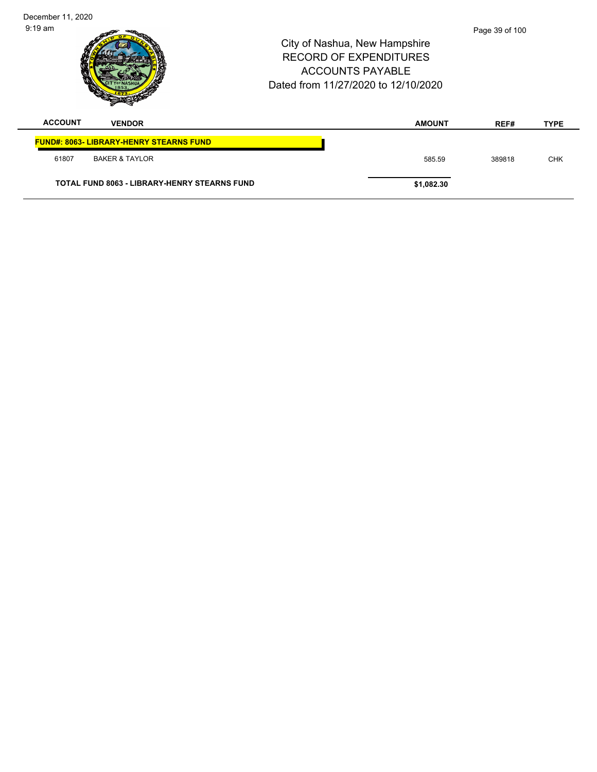| December 11, 2020 |                                                     |                                                                                                                                  |                |             |
|-------------------|-----------------------------------------------------|----------------------------------------------------------------------------------------------------------------------------------|----------------|-------------|
| $9:19$ am         |                                                     | City of Nashua, New Hampshire<br><b>RECORD OF EXPENDITURES</b><br><b>ACCOUNTS PAYABLE</b><br>Dated from 11/27/2020 to 12/10/2020 | Page 39 of 100 |             |
| <b>ACCOUNT</b>    | <b>VENDOR</b>                                       | <b>AMOUNT</b>                                                                                                                    | REF#           | <b>TYPE</b> |
|                   | <b>FUND#: 8063- LIBRARY-HENRY STEARNS FUND</b>      |                                                                                                                                  |                |             |
| 61807             | <b>BAKER &amp; TAYLOR</b>                           | 585.59                                                                                                                           | 389818         | <b>CHK</b>  |
|                   | <b>TOTAL FUND 8063 - LIBRARY-HENRY STEARNS FUND</b> | \$1,082.30                                                                                                                       |                |             |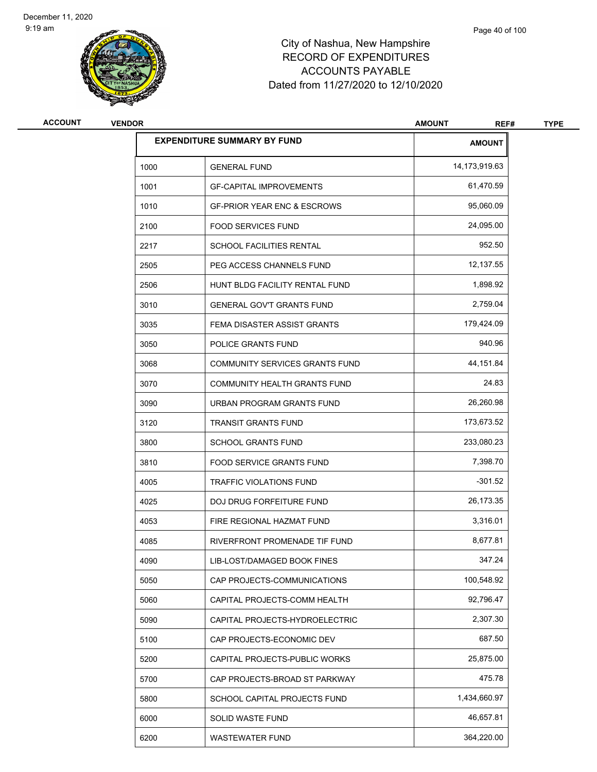

| <b>ACCOUNT</b> | <b>VENDOR</b> |                                        | <b>AMOUNT</b><br>REF# | <b>TYPE</b> |
|----------------|---------------|----------------------------------------|-----------------------|-------------|
|                |               | <b>EXPENDITURE SUMMARY BY FUND</b>     | <b>AMOUNT</b>         |             |
|                | 1000          | <b>GENERAL FUND</b>                    | 14,173,919.63         |             |
|                | 1001          | <b>GF-CAPITAL IMPROVEMENTS</b>         | 61,470.59             |             |
|                | 1010          | <b>GF-PRIOR YEAR ENC &amp; ESCROWS</b> | 95,060.09             |             |
|                | 2100          | <b>FOOD SERVICES FUND</b>              | 24,095.00             |             |
|                | 2217          | SCHOOL FACILITIES RENTAL               | 952.50                |             |
|                | 2505          | PEG ACCESS CHANNELS FUND               | 12,137.55             |             |
|                | 2506          | HUNT BLDG FACILITY RENTAL FUND         | 1,898.92              |             |
|                | 3010          | <b>GENERAL GOV'T GRANTS FUND</b>       | 2,759.04              |             |
|                | 3035          | FEMA DISASTER ASSIST GRANTS            | 179,424.09            |             |
|                | 3050          | POLICE GRANTS FUND                     | 940.96                |             |
|                | 3068          | <b>COMMUNITY SERVICES GRANTS FUND</b>  | 44,151.84             |             |
|                | 3070          | COMMUNITY HEALTH GRANTS FUND           | 24.83                 |             |
|                | 3090          | URBAN PROGRAM GRANTS FUND              | 26,260.98             |             |
|                | 3120          | <b>TRANSIT GRANTS FUND</b>             | 173,673.52            |             |
|                | 3800          | <b>SCHOOL GRANTS FUND</b>              | 233,080.23            |             |
|                | 3810          | FOOD SERVICE GRANTS FUND               | 7,398.70              |             |
|                | 4005          | TRAFFIC VIOLATIONS FUND                | $-301.52$             |             |
|                | 4025          | DOJ DRUG FORFEITURE FUND               | 26,173.35             |             |
|                | 4053          | FIRE REGIONAL HAZMAT FUND              | 3,316.01              |             |
|                | 4085          | RIVERFRONT PROMENADE TIF FUND          | 8,677.81              |             |
|                | 4090          | LIB-LOST/DAMAGED BOOK FINES            | 347.24                |             |
|                | 5050          | CAP PROJECTS-COMMUNICATIONS            | 100,548.92            |             |
|                | 5060          | CAPITAL PROJECTS-COMM HEALTH           | 92,796.47             |             |
|                | 5090          | CAPITAL PROJECTS-HYDROELECTRIC         | 2,307.30              |             |
|                | 5100          | CAP PROJECTS-ECONOMIC DEV              | 687.50                |             |
|                | 5200          | CAPITAL PROJECTS-PUBLIC WORKS          | 25,875.00             |             |
|                | 5700          | CAP PROJECTS-BROAD ST PARKWAY          | 475.78                |             |
|                | 5800          | SCHOOL CAPITAL PROJECTS FUND           | 1,434,660.97          |             |
|                | 6000          | SOLID WASTE FUND                       | 46,657.81             |             |
|                | 6200          | <b>WASTEWATER FUND</b>                 | 364,220.00            |             |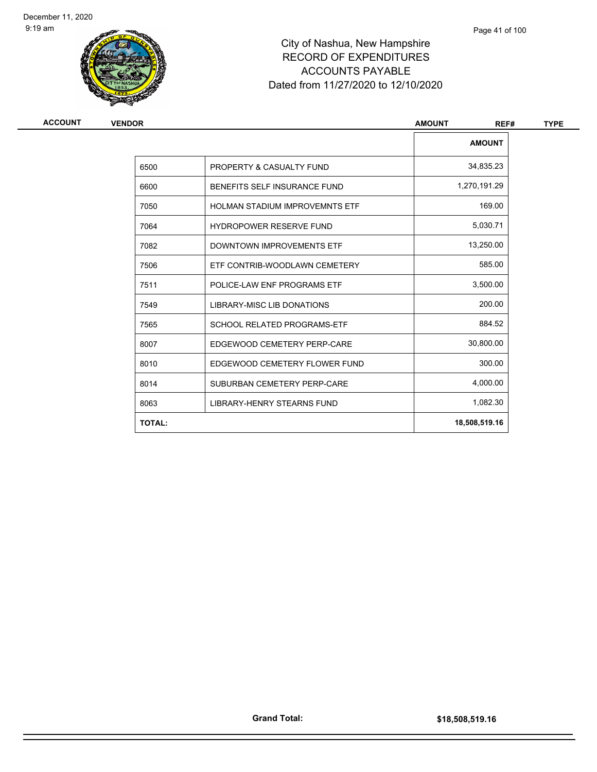

| <b>ACCOUNT</b> | <b>VENDOR</b> |                                       | <b>AMOUNT</b><br>REF# | <b>TYPE</b> |
|----------------|---------------|---------------------------------------|-----------------------|-------------|
|                |               |                                       | <b>AMOUNT</b>         |             |
|                | 6500          | PROPERTY & CASUALTY FUND              | 34,835.23             |             |
|                | 6600          | BENEFITS SELF INSURANCE FUND          | 1,270,191.29          |             |
|                | 7050          | <b>HOLMAN STADIUM IMPROVEMNTS ETF</b> | 169.00                |             |
|                | 7064          | <b>HYDROPOWER RESERVE FUND</b>        | 5,030.71              |             |
|                | 7082          | DOWNTOWN IMPROVEMENTS ETF             | 13,250.00             |             |
|                | 7506          | ETF CONTRIB-WOODLAWN CEMETERY         | 585.00                |             |
|                | 7511          | POLICE-LAW ENF PROGRAMS ETF           | 3,500.00              |             |
|                | 7549          | LIBRARY-MISC LIB DONATIONS            | 200.00                |             |
|                | 7565          | <b>SCHOOL RELATED PROGRAMS-ETF</b>    | 884.52                |             |
|                | 8007          | EDGEWOOD CEMETERY PERP-CARE           | 30,800.00             |             |
|                | 8010          | EDGEWOOD CEMETERY FLOWER FUND         | 300.00                |             |
|                | 8014          | SUBURBAN CEMETERY PERP-CARE           | 4,000.00              |             |
|                | 8063          | LIBRARY-HENRY STEARNS FUND            | 1,082.30              |             |
|                | <b>TOTAL:</b> |                                       | 18,508,519.16         |             |
|                |               |                                       |                       |             |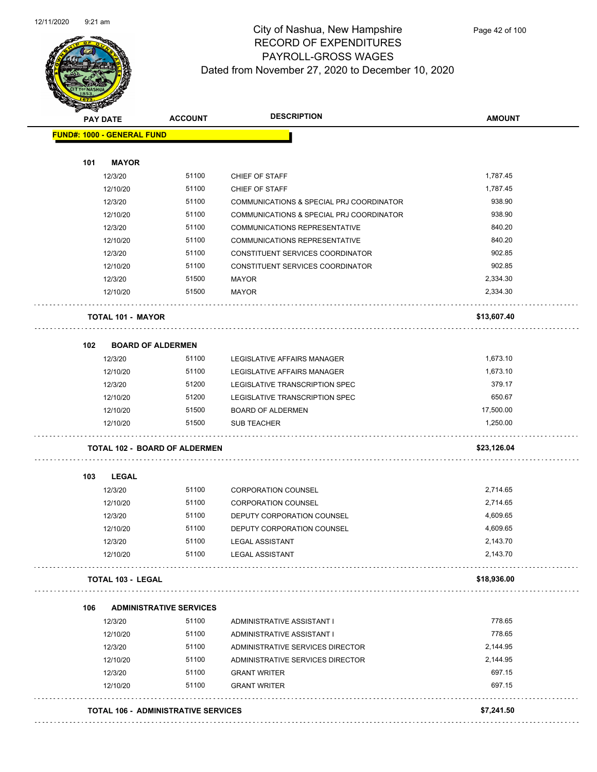

|     | <b>PAY DATE</b>                      | <b>ACCOUNT</b>                 | <b>DESCRIPTION</b>                       | <b>AMOUNT</b> |
|-----|--------------------------------------|--------------------------------|------------------------------------------|---------------|
|     | <b>FUND#: 1000 - GENERAL FUND</b>    |                                |                                          |               |
| 101 | <b>MAYOR</b>                         |                                |                                          |               |
|     | 12/3/20                              | 51100                          | CHIEF OF STAFF                           | 1,787.45      |
|     | 12/10/20                             | 51100                          | CHIEF OF STAFF                           | 1,787.45      |
|     | 12/3/20                              | 51100                          | COMMUNICATIONS & SPECIAL PRJ COORDINATOR | 938.90        |
|     | 12/10/20                             | 51100                          | COMMUNICATIONS & SPECIAL PRJ COORDINATOR | 938.90        |
|     | 12/3/20                              | 51100                          | <b>COMMUNICATIONS REPRESENTATIVE</b>     | 840.20        |
|     | 12/10/20                             | 51100                          | <b>COMMUNICATIONS REPRESENTATIVE</b>     | 840.20        |
|     | 12/3/20                              | 51100                          | CONSTITUENT SERVICES COORDINATOR         | 902.85        |
|     | 12/10/20                             | 51100                          | CONSTITUENT SERVICES COORDINATOR         | 902.85        |
|     | 12/3/20                              | 51500                          | <b>MAYOR</b>                             | 2,334.30      |
|     | 12/10/20                             | 51500                          | <b>MAYOR</b>                             | 2,334.30      |
|     | <b>TOTAL 101 - MAYOR</b>             |                                |                                          | \$13,607.40   |
| 102 | <b>BOARD OF ALDERMEN</b>             |                                |                                          |               |
|     | 12/3/20                              | 51100                          | LEGISLATIVE AFFAIRS MANAGER              | 1,673.10      |
|     | 12/10/20                             | 51100                          | LEGISLATIVE AFFAIRS MANAGER              | 1,673.10      |
|     | 12/3/20                              | 51200                          | LEGISLATIVE TRANSCRIPTION SPEC           | 379.17        |
|     | 12/10/20                             | 51200                          | LEGISLATIVE TRANSCRIPTION SPEC           | 650.67        |
|     | 12/10/20                             | 51500                          | <b>BOARD OF ALDERMEN</b>                 | 17,500.00     |
|     | 12/10/20                             | 51500                          | <b>SUB TEACHER</b>                       | 1,250.00      |
|     | <b>TOTAL 102 - BOARD OF ALDERMEN</b> |                                |                                          | \$23,126.04   |
| 103 | <b>LEGAL</b>                         |                                |                                          |               |
|     | 12/3/20                              | 51100                          | <b>CORPORATION COUNSEL</b>               | 2,714.65      |
|     | 12/10/20                             | 51100                          | <b>CORPORATION COUNSEL</b>               | 2,714.65      |
|     | 12/3/20                              | 51100                          | DEPUTY CORPORATION COUNSEL               | 4,609.65      |
|     | 12/10/20                             | 51100                          | DEPUTY CORPORATION COUNSEL               | 4,609.65      |
|     | 12/3/20                              | 51100                          | LEGAL ASSISTANT                          | 2,143.70      |
|     | 12/10/20                             | 51100                          | <b>LEGAL ASSISTANT</b>                   | 2,143.70      |
|     | <b>TOTAL 103 - LEGAL</b>             |                                |                                          | \$18,936.00   |
| 106 |                                      | <b>ADMINISTRATIVE SERVICES</b> |                                          |               |
|     | 12/3/20                              | 51100                          | ADMINISTRATIVE ASSISTANT I               | 778.65        |
|     | 12/10/20                             | 51100                          | ADMINISTRATIVE ASSISTANT I               | 778.65        |
|     | 12/3/20                              | 51100                          | ADMINISTRATIVE SERVICES DIRECTOR         | 2,144.95      |
|     | 12/10/20                             | 51100                          | ADMINISTRATIVE SERVICES DIRECTOR         | 2,144.95      |
|     | 12/3/20                              | 51100                          | <b>GRANT WRITER</b>                      | 697.15        |
|     | 12/10/20                             | 51100                          | <b>GRANT WRITER</b>                      | 697.15        |
|     |                                      |                                |                                          |               |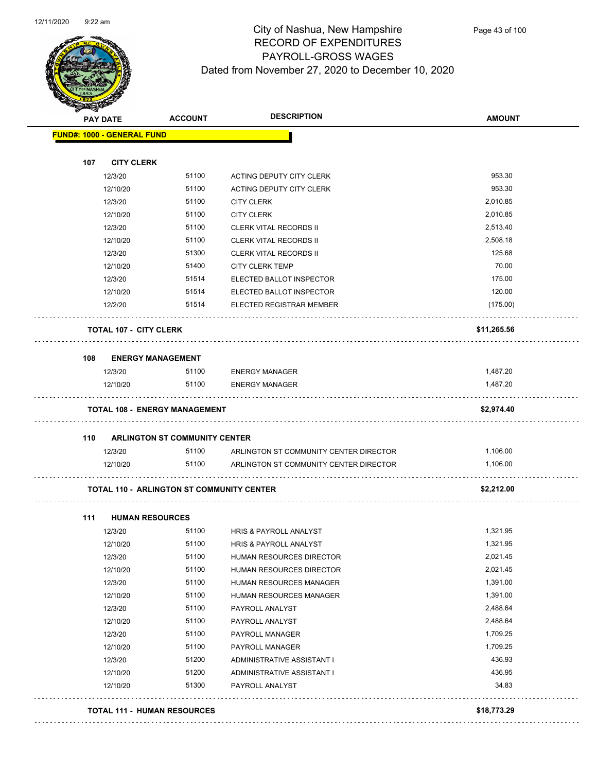

| $\mathscr{D} \curvearrowright$ | <b>PAY DATE</b>                           | <b>ACCOUNT</b>                       | <b>DESCRIPTION</b>                     | <b>AMOUNT</b> |
|--------------------------------|-------------------------------------------|--------------------------------------|----------------------------------------|---------------|
|                                | <b>FUND#: 1000 - GENERAL FUND</b>         |                                      |                                        |               |
| 107                            | <b>CITY CLERK</b>                         |                                      |                                        |               |
|                                | 12/3/20                                   | 51100                                | ACTING DEPUTY CITY CLERK               | 953.30        |
|                                | 12/10/20                                  | 51100                                | ACTING DEPUTY CITY CLERK               | 953.30        |
|                                | 12/3/20                                   | 51100                                | <b>CITY CLERK</b>                      | 2,010.85      |
|                                | 12/10/20                                  | 51100                                | <b>CITY CLERK</b>                      | 2,010.85      |
|                                | 12/3/20                                   | 51100                                | <b>CLERK VITAL RECORDS II</b>          | 2,513.40      |
|                                | 12/10/20                                  | 51100                                | <b>CLERK VITAL RECORDS II</b>          | 2,508.18      |
|                                | 12/3/20                                   | 51300                                | <b>CLERK VITAL RECORDS II</b>          | 125.68        |
|                                | 12/10/20                                  | 51400                                | <b>CITY CLERK TEMP</b>                 | 70.00         |
|                                | 12/3/20                                   | 51514                                | ELECTED BALLOT INSPECTOR               | 175.00        |
|                                | 12/10/20                                  | 51514                                | ELECTED BALLOT INSPECTOR               | 120.00        |
|                                | 12/2/20                                   | 51514                                | ELECTED REGISTRAR MEMBER               | (175.00)      |
|                                | <b>TOTAL 107 - CITY CLERK</b>             |                                      |                                        | \$11,265.56   |
| 108                            | <b>ENERGY MANAGEMENT</b>                  |                                      |                                        |               |
|                                | 12/3/20                                   | 51100                                | <b>ENERGY MANAGER</b>                  | 1,487.20      |
|                                | 12/10/20                                  | 51100                                | <b>ENERGY MANAGER</b>                  | 1,487.20      |
|                                | <b>TOTAL 108 - ENERGY MANAGEMENT</b>      |                                      |                                        | \$2,974.40    |
| 110                            |                                           | <b>ARLINGTON ST COMMUNITY CENTER</b> |                                        |               |
|                                | 12/3/20                                   | 51100                                | ARLINGTON ST COMMUNITY CENTER DIRECTOR | 1,106.00      |
|                                | 12/10/20                                  | 51100                                | ARLINGTON ST COMMUNITY CENTER DIRECTOR | 1,106.00      |
|                                | TOTAL 110 - ARLINGTON ST COMMUNITY CENTER |                                      |                                        | \$2,212.00    |
| 111                            | <b>HUMAN RESOURCES</b>                    |                                      |                                        |               |
|                                | 12/3/20                                   | 51100                                | <b>HRIS &amp; PAYROLL ANALYST</b>      | 1,321.95      |
|                                | 12/10/20                                  | 51100                                | HRIS & PAYROLL ANALYST                 | 1,321.95      |
|                                | 12/3/20                                   | 51100                                | HUMAN RESOURCES DIRECTOR               | 2,021.45      |
|                                | 12/10/20                                  | 51100                                | HUMAN RESOURCES DIRECTOR               | 2,021.45      |
|                                | 12/3/20                                   | 51100                                | HUMAN RESOURCES MANAGER                | 1,391.00      |
|                                | 12/10/20                                  | 51100                                | HUMAN RESOURCES MANAGER                | 1,391.00      |
|                                | 12/3/20                                   | 51100                                | PAYROLL ANALYST                        | 2,488.64      |
|                                | 12/10/20                                  | 51100                                | PAYROLL ANALYST                        | 2,488.64      |
|                                | 12/3/20                                   | 51100                                | PAYROLL MANAGER                        | 1,709.25      |
|                                | 12/10/20                                  | 51100                                | PAYROLL MANAGER                        | 1,709.25      |
|                                | 12/3/20                                   | 51200                                | ADMINISTRATIVE ASSISTANT I             | 436.93        |
|                                |                                           |                                      |                                        |               |

12/10/20 51300 PAYROLL ANALYST 34.83

**TOTAL 111 - HUMAN RESOURCES \$18,773.29**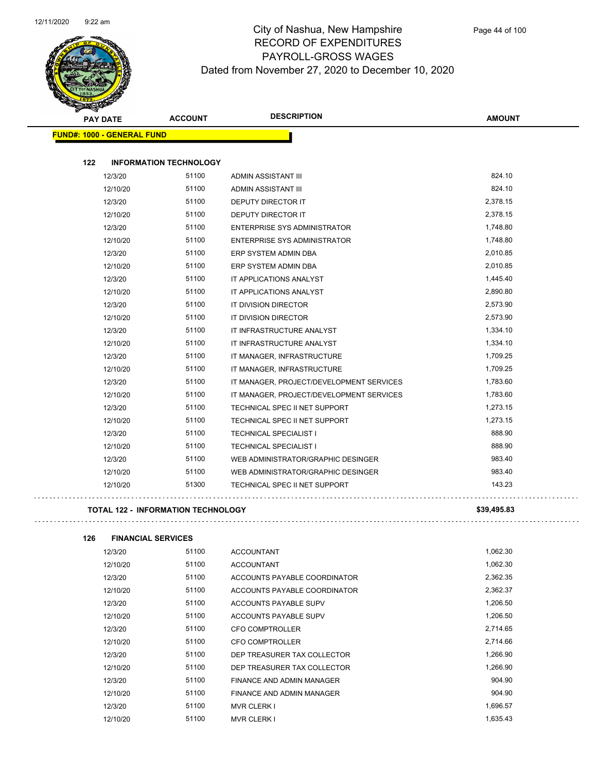

|                                   | <b>PAY DATE</b> | <b>ACCOUNT</b>                | <b>DESCRIPTION</b>                       | <b>AMOUNT</b> |
|-----------------------------------|-----------------|-------------------------------|------------------------------------------|---------------|
| <b>FUND#: 1000 - GENERAL FUND</b> |                 |                               |                                          |               |
|                                   |                 |                               |                                          |               |
| 122                               |                 | <b>INFORMATION TECHNOLOGY</b> |                                          |               |
|                                   | 12/3/20         | 51100                         | ADMIN ASSISTANT III                      | 824.10        |
|                                   | 12/10/20        | 51100                         | ADMIN ASSISTANT III                      | 824.10        |
|                                   | 12/3/20         | 51100                         | DEPUTY DIRECTOR IT                       | 2,378.15      |
|                                   | 12/10/20        | 51100                         | <b>DEPUTY DIRECTOR IT</b>                | 2,378.15      |
|                                   | 12/3/20         | 51100                         | <b>ENTERPRISE SYS ADMINISTRATOR</b>      | 1,748.80      |
|                                   | 12/10/20        | 51100                         | <b>ENTERPRISE SYS ADMINISTRATOR</b>      | 1,748.80      |
|                                   | 12/3/20         | 51100                         | ERP SYSTEM ADMIN DBA                     | 2,010.85      |
|                                   | 12/10/20        | 51100                         | ERP SYSTEM ADMIN DBA                     | 2,010.85      |
|                                   | 12/3/20         | 51100                         | IT APPLICATIONS ANALYST                  | 1,445.40      |
|                                   | 12/10/20        | 51100                         | IT APPLICATIONS ANALYST                  | 2,890.80      |
|                                   | 12/3/20         | 51100                         | IT DIVISION DIRECTOR                     | 2,573.90      |
|                                   | 12/10/20        | 51100                         | IT DIVISION DIRECTOR                     | 2,573.90      |
|                                   | 12/3/20         | 51100                         | IT INFRASTRUCTURE ANALYST                | 1,334.10      |
|                                   | 12/10/20        | 51100                         | IT INFRASTRUCTURE ANALYST                | 1,334.10      |
|                                   | 12/3/20         | 51100                         | IT MANAGER, INFRASTRUCTURE               | 1,709.25      |
|                                   | 12/10/20        | 51100                         | IT MANAGER. INFRASTRUCTURE               | 1,709.25      |
|                                   | 12/3/20         | 51100                         | IT MANAGER, PROJECT/DEVELOPMENT SERVICES | 1,783.60      |
|                                   | 12/10/20        | 51100                         | IT MANAGER, PROJECT/DEVELOPMENT SERVICES | 1,783.60      |
|                                   | 12/3/20         | 51100                         | TECHNICAL SPEC II NET SUPPORT            | 1,273.15      |
|                                   | 12/10/20        | 51100                         | TECHNICAL SPEC II NET SUPPORT            | 1,273.15      |
|                                   | 12/3/20         | 51100                         | <b>TECHNICAL SPECIALIST I</b>            | 888.90        |
|                                   | 12/10/20        | 51100                         | <b>TECHNICAL SPECIALIST I</b>            | 888.90        |
|                                   | 12/3/20         | 51100                         | WEB ADMINISTRATOR/GRAPHIC DESINGER       | 983.40        |
|                                   | 12/10/20        | 51100                         | WEB ADMINISTRATOR/GRAPHIC DESINGER       | 983.40        |
|                                   | 12/10/20        | 51300                         | TECHNICAL SPEC II NET SUPPORT            | 143.23        |
|                                   |                 |                               |                                          |               |

#### **TOTAL 122 - INFORMATION TECHNOLOGY \$39,495.83**

**126 FINANCIAL SERVICES** 12/3/20 51100 ACCOUNTANT 1,062.30

| 12/10/20 | 51100 | <b>ACCOUNTANT</b>            | 1,062.30 |
|----------|-------|------------------------------|----------|
| 12/3/20  | 51100 | ACCOUNTS PAYABLE COORDINATOR | 2,362.35 |
| 12/10/20 | 51100 | ACCOUNTS PAYABLE COORDINATOR | 2,362.37 |
| 12/3/20  | 51100 | ACCOUNTS PAYABLE SUPV        | 1.206.50 |
| 12/10/20 | 51100 | ACCOUNTS PAYABLE SUPV        | 1,206.50 |
| 12/3/20  | 51100 | CFO COMPTROLLER              | 2,714.65 |
| 12/10/20 | 51100 | CFO COMPTROLLER              | 2,714.66 |
| 12/3/20  | 51100 | DEP TREASURER TAX COLLECTOR  | 1,266.90 |
| 12/10/20 | 51100 | DEP TREASURER TAX COLLECTOR  | 1.266.90 |
| 12/3/20  | 51100 | FINANCE AND ADMIN MANAGER    | 904.90   |
| 12/10/20 | 51100 | FINANCE AND ADMIN MANAGER    | 904.90   |
| 12/3/20  | 51100 | <b>MVR CLERK I</b>           | 1,696.57 |
| 12/10/20 | 51100 | <b>MVR CLERK I</b>           | 1.635.43 |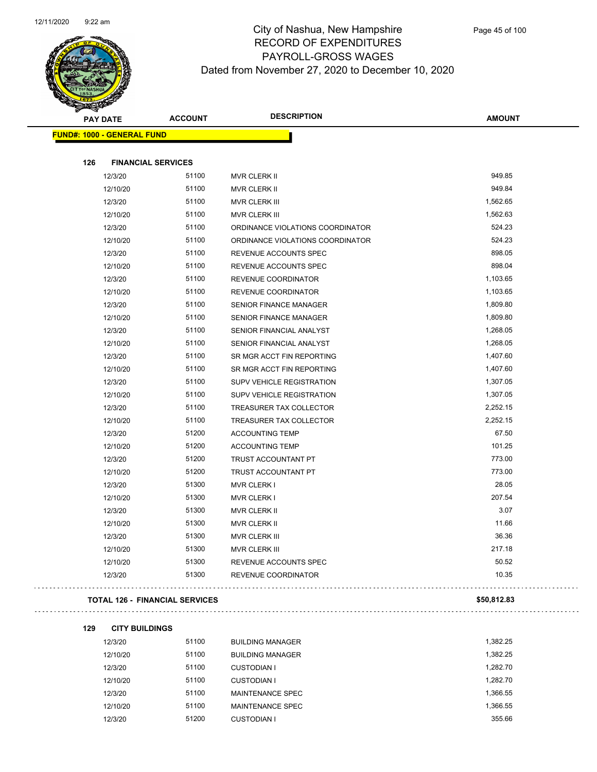

| <b>PAY DATE</b>                       | <b>ACCOUNT</b> | <b>DESCRIPTION</b>               | <b>AMOUNT</b> |
|---------------------------------------|----------------|----------------------------------|---------------|
| <b>FUND#: 1000 - GENERAL FUND</b>     |                |                                  |               |
|                                       |                |                                  |               |
| 126<br><b>FINANCIAL SERVICES</b>      |                |                                  |               |
| 12/3/20                               | 51100          | MVR CLERK II                     | 949.85        |
| 12/10/20                              | 51100          | MVR CLERK II                     | 949.84        |
| 12/3/20                               | 51100          | <b>MVR CLERK III</b>             | 1,562.65      |
| 12/10/20                              | 51100          | <b>MVR CLERK III</b>             | 1,562.63      |
| 12/3/20                               | 51100          | ORDINANCE VIOLATIONS COORDINATOR | 524.23        |
| 12/10/20                              | 51100          | ORDINANCE VIOLATIONS COORDINATOR | 524.23        |
| 12/3/20                               | 51100          | REVENUE ACCOUNTS SPEC            | 898.05        |
| 12/10/20                              | 51100          | REVENUE ACCOUNTS SPEC            | 898.04        |
| 12/3/20                               | 51100          | REVENUE COORDINATOR              | 1,103.65      |
| 12/10/20                              | 51100          | REVENUE COORDINATOR              | 1,103.65      |
| 12/3/20                               | 51100          | SENIOR FINANCE MANAGER           | 1,809.80      |
| 12/10/20                              | 51100          | SENIOR FINANCE MANAGER           | 1,809.80      |
| 12/3/20                               | 51100          | SENIOR FINANCIAL ANALYST         | 1,268.05      |
| 12/10/20                              | 51100          | SENIOR FINANCIAL ANALYST         | 1,268.05      |
| 12/3/20                               | 51100          | SR MGR ACCT FIN REPORTING        | 1,407.60      |
| 12/10/20                              | 51100          | SR MGR ACCT FIN REPORTING        | 1,407.60      |
| 12/3/20                               | 51100          | SUPV VEHICLE REGISTRATION        | 1,307.05      |
| 12/10/20                              | 51100          | SUPV VEHICLE REGISTRATION        | 1,307.05      |
| 12/3/20                               | 51100          | TREASURER TAX COLLECTOR          | 2,252.15      |
| 12/10/20                              | 51100          | TREASURER TAX COLLECTOR          | 2,252.15      |
| 12/3/20                               | 51200          | <b>ACCOUNTING TEMP</b>           | 67.50         |
| 12/10/20                              | 51200          | <b>ACCOUNTING TEMP</b>           | 101.25        |
| 12/3/20                               | 51200          | <b>TRUST ACCOUNTANT PT</b>       | 773.00        |
| 12/10/20                              | 51200          | TRUST ACCOUNTANT PT              | 773.00        |
| 12/3/20                               | 51300          | <b>MVR CLERK I</b>               | 28.05         |
| 12/10/20                              | 51300          | <b>MVR CLERK I</b>               | 207.54        |
| 12/3/20                               | 51300          | MVR CLERK II                     | 3.07          |
| 12/10/20                              | 51300          | MVR CLERK II                     | 11.66         |
| 12/3/20                               | 51300          | <b>MVR CLERK III</b>             | 36.36         |
| 12/10/20                              | 51300          | <b>MVR CLERK III</b>             | 217.18        |
| 12/10/20                              | 51300          | REVENUE ACCOUNTS SPEC            | 50.52         |
| 12/3/20                               | 51300          | REVENUE COORDINATOR              | 10.35         |
| <b>TOTAL 126 - FINANCIAL SERVICES</b> |                |                                  | \$50,812.83   |

#### 

| 129 | <b>CITY BUILDINGS</b> |  |
|-----|-----------------------|--|
|     |                       |  |

 $\bar{1}$  ,  $\bar{1}$ 

| 12/3/20  | 51100 | <b>BUILDING MANAGER</b> | 1.382.25 |
|----------|-------|-------------------------|----------|
| 12/10/20 | 51100 | <b>BUILDING MANAGER</b> | 1.382.25 |
| 12/3/20  | 51100 | <b>CUSTODIAN I</b>      | 1.282.70 |
| 12/10/20 | 51100 | <b>CUSTODIAN I</b>      | 1.282.70 |
| 12/3/20  | 51100 | MAINTENANCE SPEC        | 1,366.55 |
| 12/10/20 | 51100 | MAINTENANCE SPEC        | 1,366.55 |
| 12/3/20  | 51200 | <b>CUSTODIAN I</b>      | 355.66   |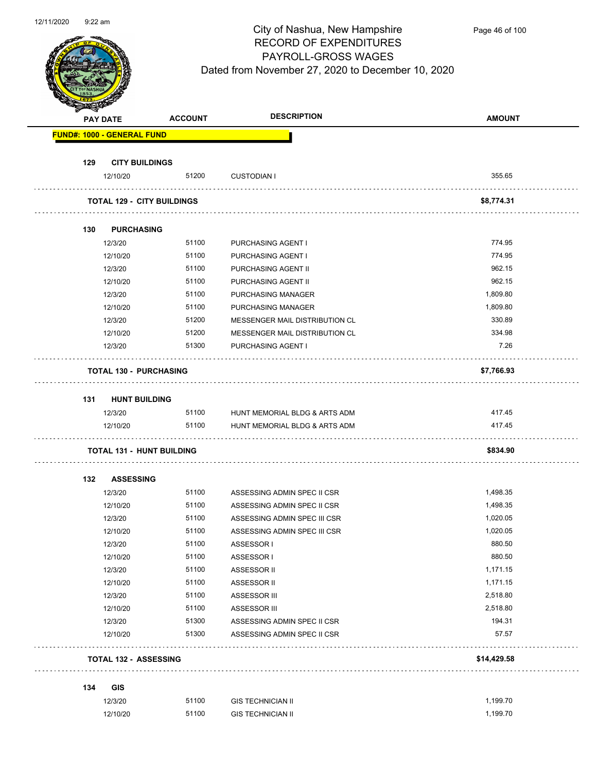

|     | <b>PAY DATE</b>  | <b>ACCOUNT</b>                    | <b>DESCRIPTION</b>                  | <b>AMOUNT</b> |
|-----|------------------|-----------------------------------|-------------------------------------|---------------|
|     |                  | <b>FUND#: 1000 - GENERAL FUND</b> |                                     |               |
| 129 |                  | <b>CITY BUILDINGS</b>             |                                     |               |
|     | 12/10/20         | 51200                             | <b>CUSTODIAN I</b>                  | 355.65        |
|     |                  | <b>TOTAL 129 - CITY BUILDINGS</b> |                                     | \$8,774.31    |
| 130 |                  | <b>PURCHASING</b>                 |                                     |               |
|     | 12/3/20          | 51100                             | PURCHASING AGENT I                  | 774.95        |
|     | 12/10/20         | 51100                             | PURCHASING AGENT I                  | 774.95        |
|     | 12/3/20          | 51100                             | PURCHASING AGENT II                 | 962.15        |
|     | 12/10/20         | 51100                             | PURCHASING AGENT II                 | 962.15        |
|     | 12/3/20          | 51100                             | PURCHASING MANAGER                  | 1,809.80      |
|     | 12/10/20         | 51100                             | PURCHASING MANAGER                  | 1,809.80      |
|     | 12/3/20          | 51200                             | MESSENGER MAIL DISTRIBUTION CL      | 330.89        |
|     | 12/10/20         | 51200                             | MESSENGER MAIL DISTRIBUTION CL      | 334.98        |
|     | 12/3/20          | 51300                             | PURCHASING AGENT I                  | 7.26          |
|     |                  | <b>TOTAL 130 - PURCHASING</b>     |                                     | \$7,766.93    |
| 131 |                  | <b>HUNT BUILDING</b>              |                                     |               |
|     | 12/3/20          |                                   | 51100 HUNT MEMORIAL BLDG & ARTS ADM | 417.45        |
|     | 12/10/20         | 51100                             | HUNT MEMORIAL BLDG & ARTS ADM       | 417.45        |
|     |                  | <b>TOTAL 131 - HUNT BUILDING</b>  |                                     | \$834.90      |
| 132 | <b>ASSESSING</b> |                                   |                                     |               |
|     | 12/3/20          | 51100                             | ASSESSING ADMIN SPEC II CSR         | 1,498.35      |
|     | 12/10/20         | 51100                             | ASSESSING ADMIN SPEC II CSR         | 1,498.35      |
|     | 12/3/20          | 51100                             | ASSESSING ADMIN SPEC III CSR        | 1,020.05      |
|     | 12/10/20         | 51100                             | ASSESSING ADMIN SPEC III CSR        | 1,020.05      |
|     | 12/3/20          | 51100                             | ASSESSOR I                          | 880.50        |
|     | 12/10/20         | 51100                             | ASSESSOR I                          | 880.50        |
|     | 12/3/20          | 51100                             | ASSESSOR II                         | 1,171.15      |
|     | 12/10/20         | 51100                             | ASSESSOR II                         | 1,171.15      |
|     | 12/3/20          | 51100                             | ASSESSOR III                        | 2,518.80      |
|     | 12/10/20         | 51100                             | ASSESSOR III                        | 2,518.80      |
|     | 12/3/20          | 51300                             | ASSESSING ADMIN SPEC II CSR         | 194.31        |
|     | 12/10/20         | 51300                             | ASSESSING ADMIN SPEC II CSR         | 57.57         |
|     |                  | <b>TOTAL 132 - ASSESSING</b>      |                                     | \$14,429.58   |
| 134 | <b>GIS</b>       |                                   |                                     |               |
|     | 12/3/20          | 51100                             | <b>GIS TECHNICIAN II</b>            | 1,199.70      |
|     | 12/10/20         | 51100                             | <b>GIS TECHNICIAN II</b>            | 1,199.70      |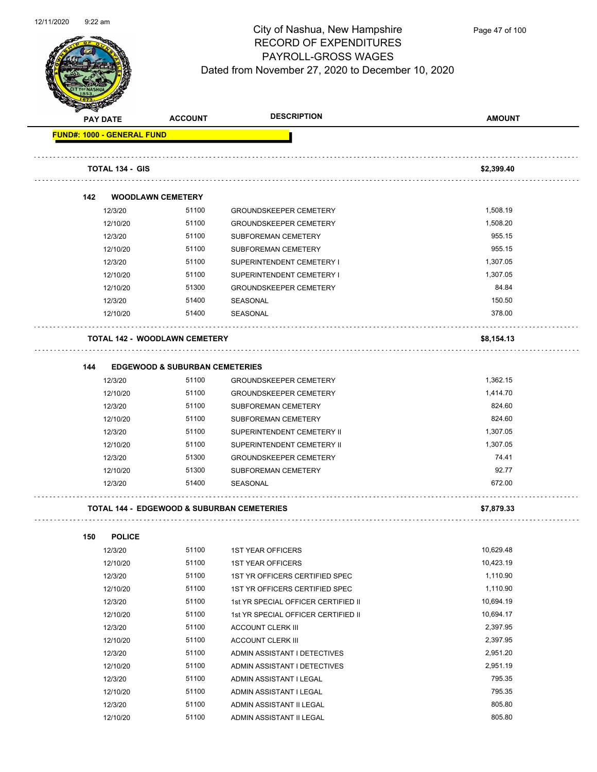

| <b>REAL PROPERTY</b>              |                                                       |                                     |               |
|-----------------------------------|-------------------------------------------------------|-------------------------------------|---------------|
| <b>PAY DATE</b>                   | <b>ACCOUNT</b>                                        | <b>DESCRIPTION</b>                  | <b>AMOUNT</b> |
| <b>FUND#: 1000 - GENERAL FUND</b> |                                                       |                                     |               |
| <b>TOTAL 134 - GIS</b>            |                                                       |                                     | \$2,399.40    |
|                                   |                                                       |                                     |               |
| 142                               | <b>WOODLAWN CEMETERY</b>                              |                                     |               |
| 12/3/20                           | 51100                                                 | <b>GROUNDSKEEPER CEMETERY</b>       | 1,508.19      |
| 12/10/20                          | 51100                                                 | <b>GROUNDSKEEPER CEMETERY</b>       | 1,508.20      |
| 12/3/20                           | 51100                                                 | SUBFOREMAN CEMETERY                 | 955.15        |
| 12/10/20                          | 51100                                                 | SUBFOREMAN CEMETERY                 | 955.15        |
| 12/3/20                           | 51100                                                 | SUPERINTENDENT CEMETERY I           | 1,307.05      |
| 12/10/20                          | 51100                                                 | SUPERINTENDENT CEMETERY I           | 1,307.05      |
| 12/10/20                          | 51300                                                 | <b>GROUNDSKEEPER CEMETERY</b>       | 84.84         |
| 12/3/20                           | 51400                                                 | SEASONAL                            | 150.50        |
| 12/10/20                          | 51400                                                 | SEASONAL                            | 378.00        |
|                                   | <b>TOTAL 142 - WOODLAWN CEMETERY</b>                  |                                     | \$8,154.13    |
| 144                               | <b>EDGEWOOD &amp; SUBURBAN CEMETERIES</b>             |                                     |               |
| 12/3/20                           | 51100                                                 | <b>GROUNDSKEEPER CEMETERY</b>       | 1,362.15      |
| 12/10/20                          | 51100                                                 | <b>GROUNDSKEEPER CEMETERY</b>       | 1,414.70      |
| 12/3/20                           | 51100                                                 | SUBFOREMAN CEMETERY                 | 824.60        |
| 12/10/20                          | 51100                                                 | SUBFOREMAN CEMETERY                 | 824.60        |
| 12/3/20                           | 51100                                                 | SUPERINTENDENT CEMETERY II          | 1,307.05      |
| 12/10/20                          | 51100                                                 | SUPERINTENDENT CEMETERY II          | 1,307.05      |
| 12/3/20                           | 51300                                                 | <b>GROUNDSKEEPER CEMETERY</b>       | 74.41         |
| 12/10/20                          | 51300                                                 | SUBFOREMAN CEMETERY                 | 92.77         |
| 12/3/20                           | 51400                                                 | <b>SEASONAL</b>                     | 672.00        |
|                                   | <b>TOTAL 144 - EDGEWOOD &amp; SUBURBAN CEMETERIES</b> |                                     | \$7,879.33    |
| 150                               | <b>POLICE</b>                                         |                                     |               |
| 12/3/20                           | 51100                                                 | <b>1ST YEAR OFFICERS</b>            | 10,629.48     |
| 12/10/20                          | 51100                                                 | <b>1ST YEAR OFFICERS</b>            | 10,423.19     |
| 12/3/20                           | 51100                                                 | 1ST YR OFFICERS CERTIFIED SPEC      | 1,110.90      |
| 12/10/20                          | 51100                                                 | 1ST YR OFFICERS CERTIFIED SPEC      | 1,110.90      |
| 12/3/20                           | 51100                                                 | 1st YR SPECIAL OFFICER CERTIFIED II | 10,694.19     |
| 12/10/20                          | 51100                                                 | 1st YR SPECIAL OFFICER CERTIFIED II | 10,694.17     |
| 12/3/20                           | 51100                                                 | <b>ACCOUNT CLERK III</b>            | 2,397.95      |
| 12/10/20                          | 51100                                                 | <b>ACCOUNT CLERK III</b>            | 2,397.95      |
| 12/3/20                           | 51100                                                 | ADMIN ASSISTANT I DETECTIVES        | 2,951.20      |
| 12/10/20                          | 51100                                                 | ADMIN ASSISTANT I DETECTIVES        | 2,951.19      |
| 12/3/20                           | 51100                                                 | ADMIN ASSISTANT I LEGAL             | 795.35        |
| 12/10/20                          | 51100                                                 | ADMIN ASSISTANT I LEGAL             | 795.35        |
| 12/3/20                           | 51100                                                 | ADMIN ASSISTANT II LEGAL            | 805.80        |
| 12/10/20                          | 51100                                                 | ADMIN ASSISTANT II LEGAL            | 805.80        |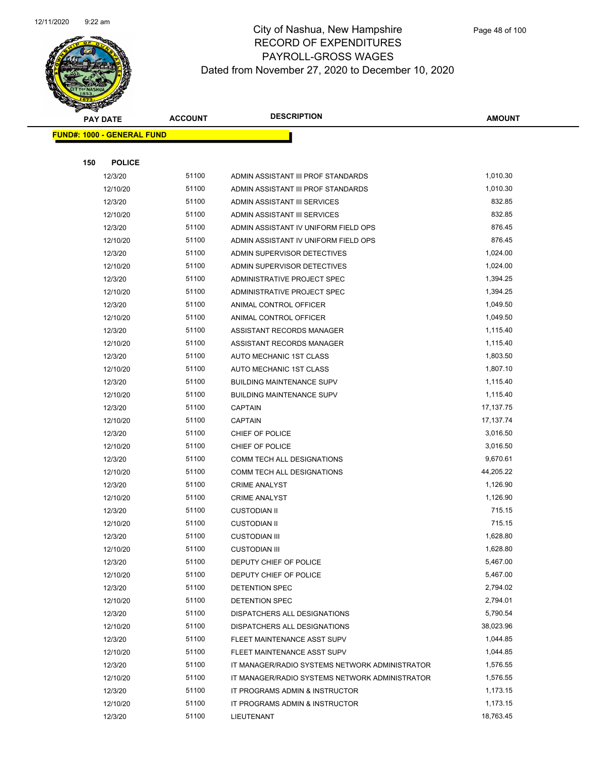

|     | <b>PAY DATE</b>                    | <b>ACCOUNT</b> | <b>DESCRIPTION</b>                                       | AMOUNT                |  |
|-----|------------------------------------|----------------|----------------------------------------------------------|-----------------------|--|
|     | <u> FUND#: 1000 - GENERAL FUND</u> |                |                                                          |                       |  |
|     |                                    |                |                                                          |                       |  |
| 150 | <b>POLICE</b>                      |                |                                                          |                       |  |
|     | 12/3/20                            | 51100          | ADMIN ASSISTANT III PROF STANDARDS                       | 1,010.30              |  |
|     | 12/10/20                           | 51100          | ADMIN ASSISTANT III PROF STANDARDS                       | 1,010.30              |  |
|     | 12/3/20                            | 51100          | ADMIN ASSISTANT III SERVICES                             | 832.85                |  |
|     | 12/10/20                           | 51100          | ADMIN ASSISTANT III SERVICES                             | 832.85                |  |
|     | 12/3/20                            | 51100          | ADMIN ASSISTANT IV UNIFORM FIELD OPS                     | 876.45                |  |
|     | 12/10/20                           | 51100          | ADMIN ASSISTANT IV UNIFORM FIELD OPS                     | 876.45                |  |
|     | 12/3/20                            | 51100          | ADMIN SUPERVISOR DETECTIVES                              | 1,024.00              |  |
|     | 12/10/20                           | 51100          | ADMIN SUPERVISOR DETECTIVES                              | 1,024.00              |  |
|     | 12/3/20                            | 51100          | ADMINISTRATIVE PROJECT SPEC                              | 1,394.25              |  |
|     | 12/10/20                           | 51100          | ADMINISTRATIVE PROJECT SPEC                              | 1,394.25              |  |
|     | 12/3/20                            | 51100          | ANIMAL CONTROL OFFICER                                   | 1,049.50              |  |
|     | 12/10/20                           | 51100          | ANIMAL CONTROL OFFICER                                   | 1,049.50              |  |
|     | 12/3/20                            | 51100          | ASSISTANT RECORDS MANAGER                                | 1,115.40              |  |
|     | 12/10/20                           | 51100          | ASSISTANT RECORDS MANAGER                                | 1,115.40              |  |
|     | 12/3/20                            | 51100          | AUTO MECHANIC 1ST CLASS                                  | 1,803.50              |  |
|     | 12/10/20                           | 51100          | AUTO MECHANIC 1ST CLASS                                  | 1,807.10              |  |
|     | 12/3/20                            | 51100          | <b>BUILDING MAINTENANCE SUPV</b>                         | 1,115.40              |  |
|     | 12/10/20                           | 51100          | <b>BUILDING MAINTENANCE SUPV</b>                         | 1,115.40              |  |
|     | 12/3/20                            | 51100          | <b>CAPTAIN</b>                                           | 17,137.75             |  |
|     | 12/10/20                           | 51100          | <b>CAPTAIN</b>                                           | 17, 137. 74           |  |
|     | 12/3/20                            | 51100          | CHIEF OF POLICE                                          | 3,016.50<br>3,016.50  |  |
|     | 12/10/20                           | 51100          | CHIEF OF POLICE                                          |                       |  |
|     | 12/3/20<br>12/10/20                | 51100<br>51100 | COMM TECH ALL DESIGNATIONS<br>COMM TECH ALL DESIGNATIONS | 9,670.61<br>44,205.22 |  |
|     | 12/3/20                            | 51100          | <b>CRIME ANALYST</b>                                     | 1,126.90              |  |
|     | 12/10/20                           | 51100          | <b>CRIME ANALYST</b>                                     | 1,126.90              |  |
|     | 12/3/20                            | 51100          | <b>CUSTODIAN II</b>                                      | 715.15                |  |
|     | 12/10/20                           | 51100          | <b>CUSTODIAN II</b>                                      | 715.15                |  |
|     | 12/3/20                            | 51100          | <b>CUSTODIAN III</b>                                     | 1,628.80              |  |
|     | 12/10/20                           | 51100          | <b>CUSTODIAN III</b>                                     | 1,628.80              |  |
|     | 12/3/20                            | 51100          | DEPUTY CHIEF OF POLICE                                   | 5,467.00              |  |
|     | 12/10/20                           | 51100          | DEPUTY CHIEF OF POLICE                                   | 5,467.00              |  |
|     | 12/3/20                            | 51100          | DETENTION SPEC                                           | 2,794.02              |  |
|     | 12/10/20                           | 51100          | DETENTION SPEC                                           | 2,794.01              |  |
|     | 12/3/20                            | 51100          | DISPATCHERS ALL DESIGNATIONS                             | 5,790.54              |  |
|     | 12/10/20                           | 51100          | DISPATCHERS ALL DESIGNATIONS                             | 38,023.96             |  |
|     | 12/3/20                            | 51100          | FLEET MAINTENANCE ASST SUPV                              | 1,044.85              |  |
|     | 12/10/20                           | 51100          | FLEET MAINTENANCE ASST SUPV                              | 1,044.85              |  |
|     | 12/3/20                            | 51100          | IT MANAGER/RADIO SYSTEMS NETWORK ADMINISTRATOR           | 1,576.55              |  |
|     | 12/10/20                           | 51100          | IT MANAGER/RADIO SYSTEMS NETWORK ADMINISTRATOR           | 1,576.55              |  |
|     | 12/3/20                            | 51100          | IT PROGRAMS ADMIN & INSTRUCTOR                           | 1,173.15              |  |
|     | 12/10/20                           | 51100          | IT PROGRAMS ADMIN & INSTRUCTOR                           | 1,173.15              |  |
|     | 12/3/20                            | 51100          | LIEUTENANT                                               | 18,763.45             |  |
|     |                                    |                |                                                          |                       |  |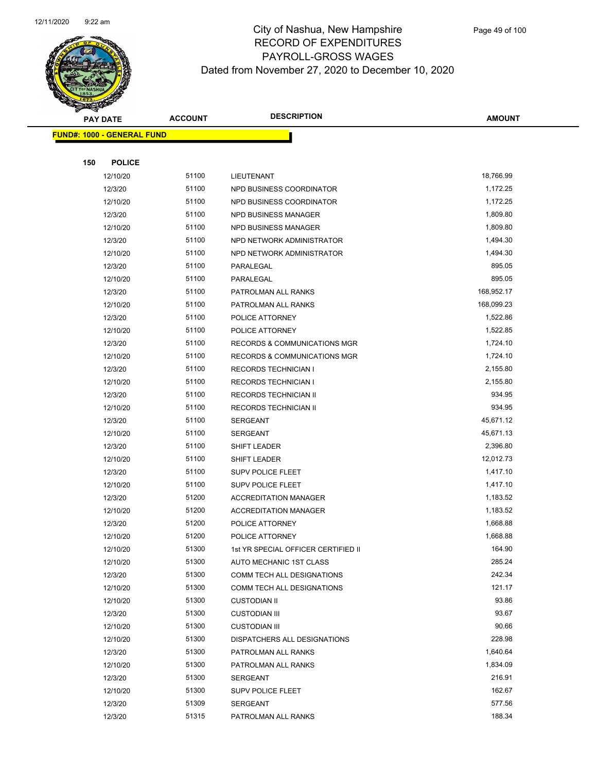

|     | <b>PAY DATE</b>                    | <b>ACCOUNT</b> | <b>DESCRIPTION</b>                      | <b>AMOUNT</b> |
|-----|------------------------------------|----------------|-----------------------------------------|---------------|
|     | <u> FUND#: 1000 - GENERAL FUND</u> |                |                                         |               |
|     |                                    |                |                                         |               |
| 150 | <b>POLICE</b>                      |                |                                         |               |
|     | 12/10/20                           | 51100          | LIEUTENANT                              | 18,766.99     |
|     | 12/3/20                            | 51100          | NPD BUSINESS COORDINATOR                | 1,172.25      |
|     | 12/10/20                           | 51100          | NPD BUSINESS COORDINATOR                | 1,172.25      |
|     | 12/3/20                            | 51100          | NPD BUSINESS MANAGER                    | 1,809.80      |
|     | 12/10/20                           | 51100          | NPD BUSINESS MANAGER                    | 1,809.80      |
|     | 12/3/20                            | 51100          | NPD NETWORK ADMINISTRATOR               | 1,494.30      |
|     | 12/10/20                           | 51100          | NPD NETWORK ADMINISTRATOR               | 1,494.30      |
|     | 12/3/20                            | 51100          | PARALEGAL                               | 895.05        |
|     | 12/10/20                           | 51100          | PARALEGAL                               | 895.05        |
|     | 12/3/20                            | 51100          | PATROLMAN ALL RANKS                     | 168,952.17    |
|     | 12/10/20                           | 51100          | PATROLMAN ALL RANKS                     | 168,099.23    |
|     | 12/3/20                            | 51100          | POLICE ATTORNEY                         | 1,522.86      |
|     | 12/10/20                           | 51100          | POLICE ATTORNEY                         | 1,522.85      |
|     | 12/3/20                            | 51100          | <b>RECORDS &amp; COMMUNICATIONS MGR</b> | 1,724.10      |
|     | 12/10/20                           | 51100          | RECORDS & COMMUNICATIONS MGR            | 1,724.10      |
|     | 12/3/20                            | 51100          | <b>RECORDS TECHNICIAN I</b>             | 2,155.80      |
|     | 12/10/20                           | 51100          | <b>RECORDS TECHNICIAN I</b>             | 2,155.80      |
|     | 12/3/20                            | 51100          | RECORDS TECHNICIAN II                   | 934.95        |
|     | 12/10/20                           | 51100          | RECORDS TECHNICIAN II                   | 934.95        |
|     | 12/3/20                            | 51100          | <b>SERGEANT</b>                         | 45,671.12     |
|     | 12/10/20                           | 51100          | <b>SERGEANT</b>                         | 45,671.13     |
|     | 12/3/20                            | 51100          | SHIFT LEADER                            | 2,396.80      |
|     | 12/10/20                           | 51100          | SHIFT LEADER                            | 12,012.73     |
|     | 12/3/20                            | 51100          | <b>SUPV POLICE FLEET</b>                | 1,417.10      |
|     | 12/10/20                           | 51100          | <b>SUPV POLICE FLEET</b>                | 1,417.10      |
|     | 12/3/20                            | 51200          | <b>ACCREDITATION MANAGER</b>            | 1,183.52      |
|     | 12/10/20                           | 51200          | <b>ACCREDITATION MANAGER</b>            | 1,183.52      |
|     | 12/3/20                            | 51200          | POLICE ATTORNEY                         | 1,668.88      |
|     | 12/10/20                           | 51200          | POLICE ATTORNEY                         | 1,668.88      |
|     | 12/10/20                           | 51300          | 1st YR SPECIAL OFFICER CERTIFIED II     | 164.90        |
|     | 12/10/20                           | 51300          | AUTO MECHANIC 1ST CLASS                 | 285.24        |
|     | 12/3/20                            | 51300          | COMM TECH ALL DESIGNATIONS              | 242.34        |
|     | 12/10/20                           | 51300          | COMM TECH ALL DESIGNATIONS              | 121.17        |
|     | 12/10/20                           | 51300          | <b>CUSTODIAN II</b>                     | 93.86         |
|     | 12/3/20                            | 51300          | <b>CUSTODIAN III</b>                    | 93.67         |
|     | 12/10/20                           | 51300          | <b>CUSTODIAN III</b>                    | 90.66         |
|     | 12/10/20                           | 51300          | DISPATCHERS ALL DESIGNATIONS            | 228.98        |
|     | 12/3/20                            | 51300          | PATROLMAN ALL RANKS                     | 1,640.64      |
|     | 12/10/20                           | 51300          | PATROLMAN ALL RANKS                     | 1,834.09      |
|     | 12/3/20                            | 51300          | SERGEANT                                | 216.91        |
|     | 12/10/20                           | 51300          | <b>SUPV POLICE FLEET</b>                | 162.67        |
|     | 12/3/20                            | 51309          | SERGEANT                                | 577.56        |
|     | 12/3/20                            | 51315          | PATROLMAN ALL RANKS                     | 188.34        |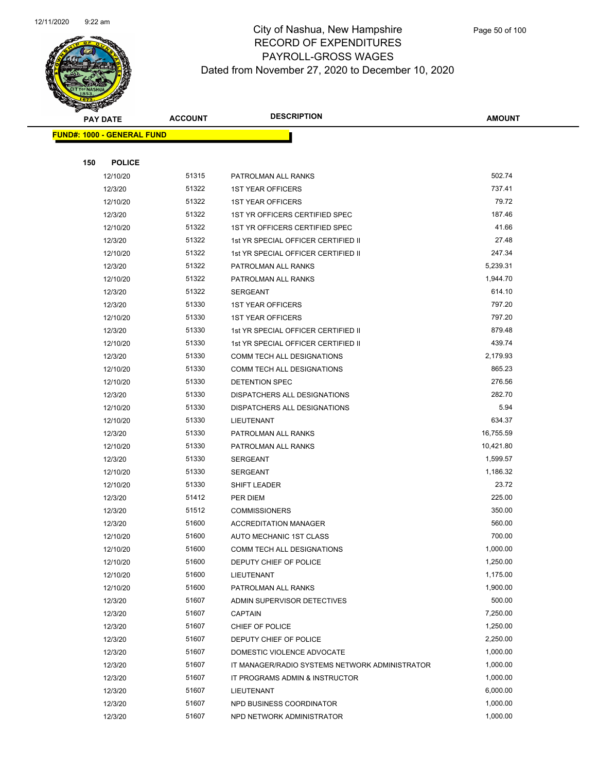

|     | <b>PAY DATE</b>                    | <b>ACCOUNT</b> | <b>DESCRIPTION</b>                             | <b>AMOUNT</b> |
|-----|------------------------------------|----------------|------------------------------------------------|---------------|
|     | <u> FUND#: 1000 - GENERAL FUND</u> |                |                                                |               |
|     |                                    |                |                                                |               |
| 150 | <b>POLICE</b>                      |                |                                                |               |
|     | 12/10/20                           | 51315          | PATROLMAN ALL RANKS                            | 502.74        |
|     | 12/3/20                            | 51322          | <b>1ST YEAR OFFICERS</b>                       | 737.41        |
|     | 12/10/20                           | 51322          | <b>1ST YEAR OFFICERS</b>                       | 79.72         |
|     | 12/3/20                            | 51322          | 1ST YR OFFICERS CERTIFIED SPEC                 | 187.46        |
|     | 12/10/20                           | 51322          | 1ST YR OFFICERS CERTIFIED SPEC                 | 41.66         |
|     | 12/3/20                            | 51322          | 1st YR SPECIAL OFFICER CERTIFIED II            | 27.48         |
|     | 12/10/20                           | 51322          | 1st YR SPECIAL OFFICER CERTIFIED II            | 247.34        |
|     | 12/3/20                            | 51322          | PATROLMAN ALL RANKS                            | 5,239.31      |
|     | 12/10/20                           | 51322          | PATROLMAN ALL RANKS                            | 1,944.70      |
|     | 12/3/20                            | 51322          | <b>SERGEANT</b>                                | 614.10        |
|     | 12/3/20                            | 51330          | <b>1ST YEAR OFFICERS</b>                       | 797.20        |
|     | 12/10/20                           | 51330          | <b>1ST YEAR OFFICERS</b>                       | 797.20        |
|     | 12/3/20                            | 51330          | 1st YR SPECIAL OFFICER CERTIFIED II            | 879.48        |
|     | 12/10/20                           | 51330          | 1st YR SPECIAL OFFICER CERTIFIED II            | 439.74        |
|     | 12/3/20                            | 51330          | COMM TECH ALL DESIGNATIONS                     | 2,179.93      |
|     | 12/10/20                           | 51330          | <b>COMM TECH ALL DESIGNATIONS</b>              | 865.23        |
|     | 12/10/20                           | 51330          | DETENTION SPEC                                 | 276.56        |
|     | 12/3/20                            | 51330          | DISPATCHERS ALL DESIGNATIONS                   | 282.70        |
|     | 12/10/20                           | 51330          | DISPATCHERS ALL DESIGNATIONS                   | 5.94          |
|     | 12/10/20                           | 51330          | LIEUTENANT                                     | 634.37        |
|     | 12/3/20                            | 51330          | PATROLMAN ALL RANKS                            | 16,755.59     |
|     | 12/10/20                           | 51330          | PATROLMAN ALL RANKS                            | 10,421.80     |
|     | 12/3/20                            | 51330          | <b>SERGEANT</b>                                | 1,599.57      |
|     | 12/10/20                           | 51330          | SERGEANT                                       | 1,186.32      |
|     | 12/10/20                           | 51330          | <b>SHIFT LEADER</b>                            | 23.72         |
|     | 12/3/20                            | 51412          | PER DIEM                                       | 225.00        |
|     | 12/3/20                            | 51512          | <b>COMMISSIONERS</b>                           | 350.00        |
|     | 12/3/20                            | 51600          | <b>ACCREDITATION MANAGER</b>                   | 560.00        |
|     | 12/10/20                           | 51600          | AUTO MECHANIC 1ST CLASS                        | 700.00        |
|     | 12/10/20                           | 51600          | COMM TECH ALL DESIGNATIONS                     | 1,000.00      |
|     | 12/10/20                           | 51600          | DEPUTY CHIEF OF POLICE                         | 1,250.00      |
|     | 12/10/20                           | 51600          | LIEUTENANT                                     | 1,175.00      |
|     | 12/10/20                           | 51600          | PATROLMAN ALL RANKS                            | 1,900.00      |
|     | 12/3/20                            | 51607          | ADMIN SUPERVISOR DETECTIVES                    | 500.00        |
|     | 12/3/20                            | 51607          | <b>CAPTAIN</b>                                 | 7,250.00      |
|     | 12/3/20                            | 51607          | CHIEF OF POLICE                                | 1,250.00      |
|     | 12/3/20                            | 51607          | DEPUTY CHIEF OF POLICE                         | 2,250.00      |
|     | 12/3/20                            | 51607          | DOMESTIC VIOLENCE ADVOCATE                     | 1,000.00      |
|     | 12/3/20                            | 51607          | IT MANAGER/RADIO SYSTEMS NETWORK ADMINISTRATOR | 1,000.00      |
|     | 12/3/20                            | 51607          | IT PROGRAMS ADMIN & INSTRUCTOR                 | 1,000.00      |
|     | 12/3/20                            | 51607          | LIEUTENANT                                     | 6,000.00      |
|     | 12/3/20                            | 51607          | NPD BUSINESS COORDINATOR                       | 1,000.00      |
|     | 12/3/20                            | 51607          | NPD NETWORK ADMINISTRATOR                      | 1,000.00      |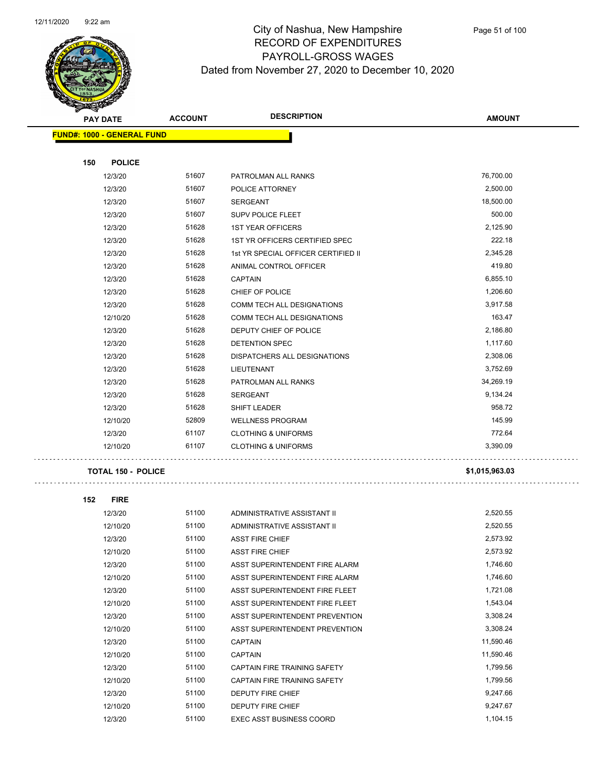

|     | <b>PAY DATE</b>                   | <b>ACCOUNT</b> | <b>DESCRIPTION</b>                  | <b>AMOUNT</b> |
|-----|-----------------------------------|----------------|-------------------------------------|---------------|
|     | <b>FUND#: 1000 - GENERAL FUND</b> |                |                                     |               |
|     |                                   |                |                                     |               |
| 150 | <b>POLICE</b>                     |                |                                     |               |
|     | 12/3/20                           | 51607          | PATROLMAN ALL RANKS                 | 76,700.00     |
|     | 12/3/20                           | 51607          | POLICE ATTORNEY                     | 2,500.00      |
|     | 12/3/20                           | 51607          | <b>SERGEANT</b>                     | 18,500.00     |
|     | 12/3/20                           | 51607          | SUPV POLICE FLEET                   | 500.00        |
|     | 12/3/20                           | 51628          | <b>1ST YEAR OFFICERS</b>            | 2,125.90      |
|     | 12/3/20                           | 51628          | 1ST YR OFFICERS CERTIFIED SPEC      | 222.18        |
|     | 12/3/20                           | 51628          | 1st YR SPECIAL OFFICER CERTIFIED II | 2,345.28      |
|     | 12/3/20                           | 51628          | ANIMAL CONTROL OFFICER              | 419.80        |
|     | 12/3/20                           | 51628          | <b>CAPTAIN</b>                      | 6,855.10      |
|     | 12/3/20                           | 51628          | CHIEF OF POLICE                     | 1,206.60      |
|     | 12/3/20                           | 51628          | <b>COMM TECH ALL DESIGNATIONS</b>   | 3,917.58      |
|     | 12/10/20                          | 51628          | <b>COMM TECH ALL DESIGNATIONS</b>   | 163.47        |
|     | 12/3/20                           | 51628          | DEPUTY CHIEF OF POLICE              | 2,186.80      |
|     | 12/3/20                           | 51628          | <b>DETENTION SPEC</b>               | 1,117.60      |
|     | 12/3/20                           | 51628          | DISPATCHERS ALL DESIGNATIONS        | 2,308.06      |
|     | 12/3/20                           | 51628          | LIEUTENANT                          | 3,752.69      |
|     | 12/3/20                           | 51628          | PATROLMAN ALL RANKS                 | 34,269.19     |
|     | 12/3/20                           | 51628          | <b>SERGEANT</b>                     | 9,134.24      |
|     | 12/3/20                           | 51628          | SHIFT LEADER                        | 958.72        |
|     | 12/10/20                          | 52809          | <b>WELLNESS PROGRAM</b>             | 145.99        |
|     | 12/3/20                           | 61107          | <b>CLOTHING &amp; UNIFORMS</b>      | 772.64        |
|     | 12/10/20                          | 61107          | <b>CLOTHING &amp; UNIFORMS</b>      | 3,390.09      |
|     |                                   |                |                                     |               |

#### **TOTAL 150 - POLICE \$1,015,963.03**

 $\sim 100$ 

| 152 | <b>FIRE</b> |       |                                     |           |
|-----|-------------|-------|-------------------------------------|-----------|
|     | 12/3/20     | 51100 | ADMINISTRATIVE ASSISTANT II         | 2,520.55  |
|     | 12/10/20    | 51100 | ADMINISTRATIVE ASSISTANT II         | 2,520.55  |
|     | 12/3/20     | 51100 | <b>ASST FIRE CHIEF</b>              | 2,573.92  |
|     | 12/10/20    | 51100 | <b>ASST FIRE CHIEF</b>              | 2,573.92  |
|     | 12/3/20     | 51100 | ASST SUPERINTENDENT FIRE ALARM      | 1,746.60  |
|     | 12/10/20    | 51100 | ASST SUPERINTENDENT FIRE ALARM      | 1,746.60  |
|     | 12/3/20     | 51100 | ASST SUPERINTENDENT FIRE FLEET      | 1,721.08  |
|     | 12/10/20    | 51100 | ASST SUPERINTENDENT FIRE FLEET      | 1,543.04  |
|     | 12/3/20     | 51100 | ASST SUPERINTENDENT PREVENTION      | 3,308.24  |
|     | 12/10/20    | 51100 | ASST SUPERINTENDENT PREVENTION      | 3,308.24  |
|     | 12/3/20     | 51100 | <b>CAPTAIN</b>                      | 11,590.46 |
|     | 12/10/20    | 51100 | <b>CAPTAIN</b>                      | 11,590.46 |
|     | 12/3/20     | 51100 | CAPTAIN FIRE TRAINING SAFFTY        | 1,799.56  |
|     | 12/10/20    | 51100 | <b>CAPTAIN FIRE TRAINING SAFETY</b> | 1,799.56  |
|     | 12/3/20     | 51100 | <b>DEPUTY FIRE CHIEF</b>            | 9,247.66  |
|     | 12/10/20    | 51100 | <b>DEPUTY FIRE CHIEF</b>            | 9,247.67  |
|     | 12/3/20     | 51100 | <b>EXEC ASST BUSINESS COORD</b>     | 1,104.15  |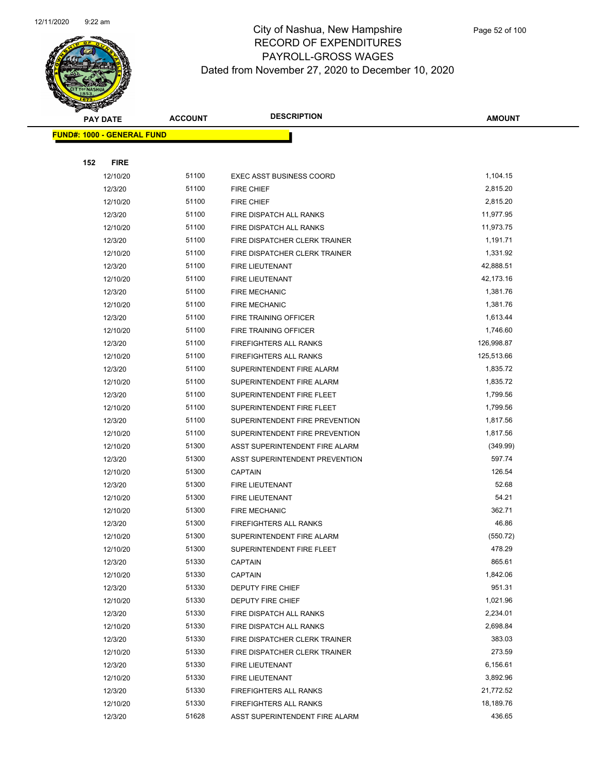

|     | <b>PAY DATE</b>                    | <b>ACCOUNT</b> | <b>DESCRIPTION</b>                                             | <b>AMOUNT</b>         |
|-----|------------------------------------|----------------|----------------------------------------------------------------|-----------------------|
|     | <u> FUND#: 1000 - GENERAL FUND</u> |                |                                                                |                       |
|     |                                    |                |                                                                |                       |
| 152 | <b>FIRE</b>                        |                |                                                                |                       |
|     | 12/10/20                           | 51100          | <b>EXEC ASST BUSINESS COORD</b>                                | 1,104.15              |
|     | 12/3/20                            | 51100          | <b>FIRE CHIEF</b>                                              | 2,815.20              |
|     | 12/10/20                           | 51100          | <b>FIRE CHIEF</b>                                              | 2,815.20              |
|     | 12/3/20                            | 51100          | FIRE DISPATCH ALL RANKS                                        | 11,977.95             |
|     | 12/10/20                           | 51100          | FIRE DISPATCH ALL RANKS                                        | 11,973.75             |
|     | 12/3/20                            | 51100          | FIRE DISPATCHER CLERK TRAINER                                  | 1,191.71              |
|     | 12/10/20                           | 51100          | FIRE DISPATCHER CLERK TRAINER                                  | 1,331.92              |
|     | 12/3/20                            | 51100          | FIRE LIEUTENANT                                                | 42,888.51             |
|     | 12/10/20                           | 51100          | FIRE LIEUTENANT                                                | 42,173.16             |
|     | 12/3/20                            | 51100          | <b>FIRE MECHANIC</b>                                           | 1,381.76              |
|     | 12/10/20                           | 51100          | <b>FIRE MECHANIC</b>                                           | 1,381.76              |
|     | 12/3/20                            | 51100          | FIRE TRAINING OFFICER                                          | 1,613.44              |
|     | 12/10/20                           | 51100          | FIRE TRAINING OFFICER                                          | 1,746.60              |
|     | 12/3/20                            | 51100          | <b>FIREFIGHTERS ALL RANKS</b>                                  | 126,998.87            |
|     | 12/10/20                           | 51100          | <b>FIREFIGHTERS ALL RANKS</b>                                  | 125,513.66            |
|     | 12/3/20                            | 51100          | SUPERINTENDENT FIRE ALARM                                      | 1,835.72              |
|     | 12/10/20                           | 51100          | SUPERINTENDENT FIRE ALARM                                      | 1,835.72              |
|     | 12/3/20                            | 51100          | SUPERINTENDENT FIRE FLEET                                      | 1,799.56              |
|     | 12/10/20                           | 51100          | SUPERINTENDENT FIRE FLEET                                      | 1,799.56              |
|     | 12/3/20                            | 51100          | SUPERINTENDENT FIRE PREVENTION                                 | 1,817.56              |
|     | 12/10/20                           | 51100          | SUPERINTENDENT FIRE PREVENTION                                 | 1,817.56              |
|     | 12/10/20                           | 51300          | ASST SUPERINTENDENT FIRE ALARM                                 | (349.99)              |
|     | 12/3/20                            | 51300          | ASST SUPERINTENDENT PREVENTION                                 | 597.74                |
|     | 12/10/20                           | 51300          | <b>CAPTAIN</b>                                                 | 126.54                |
|     | 12/3/20                            | 51300          | FIRE LIEUTENANT                                                | 52.68                 |
|     | 12/10/20                           | 51300          | FIRE LIEUTENANT                                                | 54.21                 |
|     | 12/10/20                           | 51300          | <b>FIRE MECHANIC</b>                                           | 362.71                |
|     | 12/3/20                            | 51300          | <b>FIREFIGHTERS ALL RANKS</b>                                  | 46.86                 |
|     | 12/10/20                           | 51300          | SUPERINTENDENT FIRE ALARM                                      | (550.72)              |
|     | 12/10/20                           | 51300          | SUPERINTENDENT FIRE FLEET                                      | 478.29                |
|     | 12/3/20                            | 51330          | <b>CAPTAIN</b>                                                 | 865.61                |
|     | 12/10/20                           | 51330          | <b>CAPTAIN</b>                                                 | 1,842.06              |
|     | 12/3/20                            | 51330          | DEPUTY FIRE CHIEF                                              | 951.31                |
|     | 12/10/20                           | 51330          | DEPUTY FIRE CHIEF                                              | 1,021.96              |
|     | 12/3/20                            | 51330          | FIRE DISPATCH ALL RANKS                                        | 2,234.01              |
|     | 12/10/20                           | 51330          | FIRE DISPATCH ALL RANKS                                        | 2,698.84              |
|     | 12/3/20<br>12/10/20                | 51330          | FIRE DISPATCHER CLERK TRAINER<br>FIRE DISPATCHER CLERK TRAINER | 383.03                |
|     |                                    | 51330          |                                                                | 273.59                |
|     | 12/3/20                            | 51330          | FIRE LIEUTENANT                                                | 6,156.61              |
|     | 12/10/20                           | 51330<br>51330 | FIRE LIEUTENANT                                                | 3,892.96<br>21,772.52 |
|     | 12/3/20                            | 51330          | <b>FIREFIGHTERS ALL RANKS</b>                                  | 18,189.76             |
|     | 12/10/20                           |                | <b>FIREFIGHTERS ALL RANKS</b>                                  | 436.65                |
|     | 12/3/20                            | 51628          | ASST SUPERINTENDENT FIRE ALARM                                 |                       |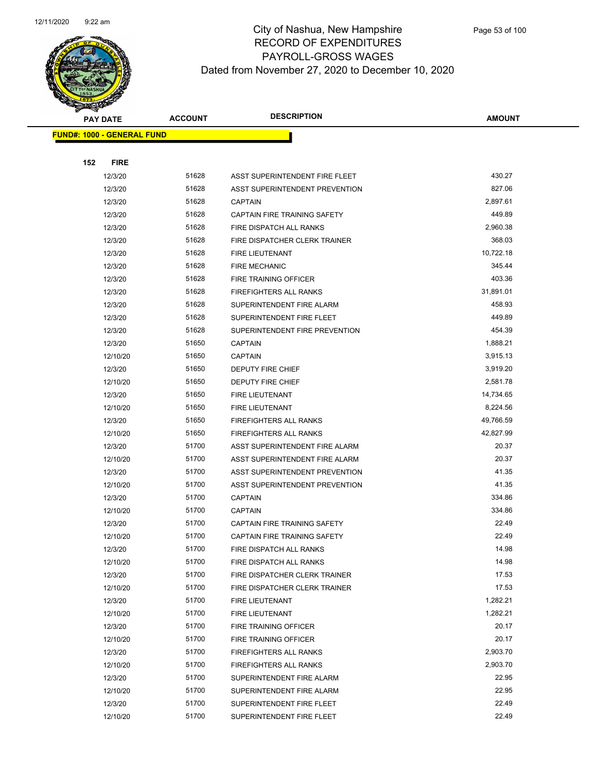

|     | <b>PAY DATE</b>                    | <b>ACCOUNT</b> | <b>DESCRIPTION</b>                                     | <b>AMOUNT</b>        |
|-----|------------------------------------|----------------|--------------------------------------------------------|----------------------|
|     | <u> FUND#: 1000 - GENERAL FUND</u> |                |                                                        |                      |
|     |                                    |                |                                                        |                      |
| 152 | <b>FIRE</b>                        |                |                                                        |                      |
|     | 12/3/20                            | 51628          | ASST SUPERINTENDENT FIRE FLEET                         | 430.27               |
|     | 12/3/20                            | 51628          | ASST SUPERINTENDENT PREVENTION                         | 827.06               |
|     | 12/3/20                            | 51628          | <b>CAPTAIN</b>                                         | 2,897.61             |
|     | 12/3/20                            | 51628          | CAPTAIN FIRE TRAINING SAFETY                           | 449.89               |
|     | 12/3/20                            | 51628          | FIRE DISPATCH ALL RANKS                                | 2,960.38             |
|     | 12/3/20                            | 51628          | FIRE DISPATCHER CLERK TRAINER                          | 368.03               |
|     | 12/3/20                            | 51628          | FIRE LIEUTENANT                                        | 10,722.18            |
|     | 12/3/20                            | 51628          | <b>FIRE MECHANIC</b>                                   | 345.44               |
|     | 12/3/20                            | 51628          | FIRE TRAINING OFFICER                                  | 403.36               |
|     | 12/3/20                            | 51628          | <b>FIREFIGHTERS ALL RANKS</b>                          | 31,891.01            |
|     | 12/3/20                            | 51628          | SUPERINTENDENT FIRE ALARM                              | 458.93               |
|     | 12/3/20                            | 51628          | SUPERINTENDENT FIRE FLEET                              | 449.89               |
|     | 12/3/20                            | 51628          | SUPERINTENDENT FIRE PREVENTION                         | 454.39               |
|     | 12/3/20                            | 51650          | <b>CAPTAIN</b>                                         | 1,888.21             |
|     | 12/10/20                           | 51650          | <b>CAPTAIN</b>                                         | 3,915.13             |
|     | 12/3/20                            | 51650          | <b>DEPUTY FIRE CHIEF</b>                               | 3,919.20             |
|     | 12/10/20                           | 51650          | DEPUTY FIRE CHIEF                                      | 2,581.78             |
|     | 12/3/20                            | 51650          | FIRE LIEUTENANT                                        | 14,734.65            |
|     | 12/10/20                           | 51650          | FIRE LIEUTENANT                                        | 8,224.56             |
|     | 12/3/20                            | 51650          | <b>FIREFIGHTERS ALL RANKS</b>                          | 49,766.59            |
|     | 12/10/20                           | 51650          | <b>FIREFIGHTERS ALL RANKS</b>                          | 42,827.99            |
|     | 12/3/20                            | 51700          | ASST SUPERINTENDENT FIRE ALARM                         | 20.37                |
|     | 12/10/20                           | 51700          | ASST SUPERINTENDENT FIRE ALARM                         | 20.37                |
|     | 12/3/20                            | 51700          | ASST SUPERINTENDENT PREVENTION                         | 41.35                |
|     | 12/10/20                           | 51700          | ASST SUPERINTENDENT PREVENTION                         | 41.35                |
|     | 12/3/20                            | 51700          | <b>CAPTAIN</b>                                         | 334.86               |
|     | 12/10/20                           | 51700          | <b>CAPTAIN</b>                                         | 334.86               |
|     | 12/3/20                            | 51700          | CAPTAIN FIRE TRAINING SAFETY                           | 22.49                |
|     | 12/10/20                           | 51700          | CAPTAIN FIRE TRAINING SAFETY                           | 22.49                |
|     | 12/3/20                            | 51700          | FIRE DISPATCH ALL RANKS                                | 14.98                |
|     | 12/10/20                           | 51700          | FIRE DISPATCH ALL RANKS                                | 14.98                |
|     | 12/3/20                            | 51700          | FIRE DISPATCHER CLERK TRAINER                          | 17.53                |
|     | 12/10/20                           | 51700          | FIRE DISPATCHER CLERK TRAINER                          | 17.53                |
|     | 12/3/20                            | 51700          | FIRE LIEUTENANT                                        | 1,282.21<br>1,282.21 |
|     | 12/10/20                           | 51700<br>51700 | FIRE LIEUTENANT                                        | 20.17                |
|     | 12/3/20<br>12/10/20                | 51700          | FIRE TRAINING OFFICER                                  | 20.17                |
|     | 12/3/20                            | 51700          | FIRE TRAINING OFFICER<br><b>FIREFIGHTERS ALL RANKS</b> | 2,903.70             |
|     | 12/10/20                           | 51700          | <b>FIREFIGHTERS ALL RANKS</b>                          | 2,903.70             |
|     | 12/3/20                            | 51700          | SUPERINTENDENT FIRE ALARM                              | 22.95                |
|     | 12/10/20                           | 51700          | SUPERINTENDENT FIRE ALARM                              | 22.95                |
|     | 12/3/20                            | 51700          | SUPERINTENDENT FIRE FLEET                              | 22.49                |
|     | 12/10/20                           | 51700          | SUPERINTENDENT FIRE FLEET                              | 22.49                |
|     |                                    |                |                                                        |                      |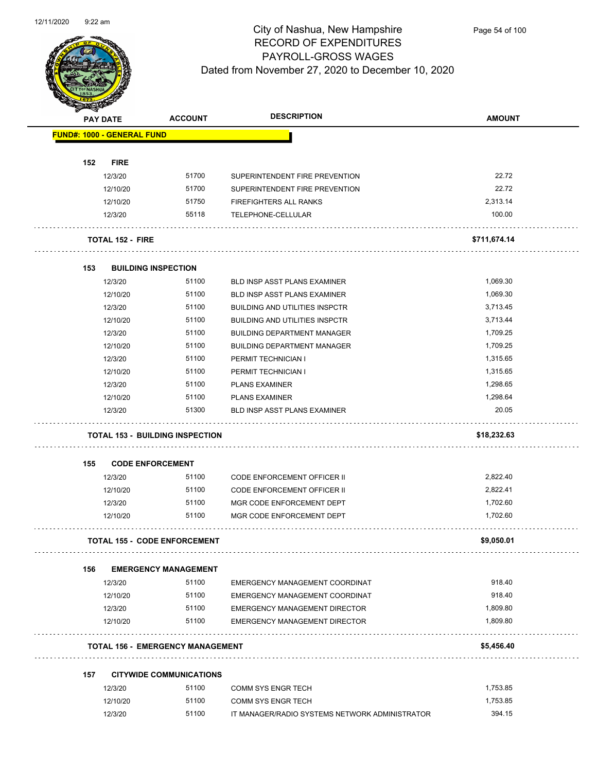

| <b>Support Contracts</b>          |                                         | <b>DESCRIPTION</b>                         |               |
|-----------------------------------|-----------------------------------------|--------------------------------------------|---------------|
| <b>PAY DATE</b>                   | <b>ACCOUNT</b>                          |                                            | <b>AMOUNT</b> |
| <b>FUND#: 1000 - GENERAL FUND</b> |                                         |                                            |               |
|                                   |                                         |                                            |               |
| 152<br><b>FIRE</b>                |                                         |                                            |               |
| 12/3/20                           | 51700                                   | SUPERINTENDENT FIRE PREVENTION             | 22.72         |
| 12/10/20                          | 51700                                   | SUPERINTENDENT FIRE PREVENTION             | 22.72         |
| 12/10/20                          | 51750                                   | FIREFIGHTERS ALL RANKS                     | 2,313.14      |
| 12/3/20                           | 55118                                   | TELEPHONE-CELLULAR                         | 100.00        |
| <b>TOTAL 152 - FIRE</b>           |                                         |                                            | \$711,674.14  |
| 153                               | <b>BUILDING INSPECTION</b>              |                                            |               |
| 12/3/20                           | 51100                                   | BLD INSP ASST PLANS EXAMINER               | 1,069.30      |
| 12/10/20                          | 51100                                   | <b>BLD INSP ASST PLANS EXAMINER</b>        | 1,069.30      |
| 12/3/20                           | 51100                                   | <b>BUILDING AND UTILITIES INSPCTR</b>      | 3,713.45      |
| 12/10/20                          | 51100                                   | <b>BUILDING AND UTILITIES INSPCTR</b>      | 3,713.44      |
| 12/3/20                           | 51100                                   | <b>BUILDING DEPARTMENT MANAGER</b>         | 1,709.25      |
| 12/10/20                          | 51100                                   | <b>BUILDING DEPARTMENT MANAGER</b>         | 1,709.25      |
|                                   | 51100                                   |                                            | 1,315.65      |
| 12/3/20<br>12/10/20               | 51100                                   | PERMIT TECHNICIAN I<br>PERMIT TECHNICIAN I | 1,315.65      |
|                                   | 51100                                   | <b>PLANS EXAMINER</b>                      | 1,298.65      |
| 12/3/20                           |                                         |                                            |               |
| 12/10/20                          | 51100                                   | <b>PLANS EXAMINER</b>                      | 1,298.64      |
| 12/3/20                           | 51300                                   | <b>BLD INSP ASST PLANS EXAMINER</b>        | 20.05         |
|                                   | <b>TOTAL 153 - BUILDING INSPECTION</b>  |                                            | \$18,232.63   |
| 155                               | <b>CODE ENFORCEMENT</b>                 |                                            |               |
| 12/3/20                           | 51100                                   | <b>CODE ENFORCEMENT OFFICER II</b>         | 2,822.40      |
| 12/10/20                          | 51100                                   | <b>CODE ENFORCEMENT OFFICER II</b>         | 2,822.41      |
| 12/3/20                           | 51100                                   | MGR CODE ENFORCEMENT DEPT                  | 1,702.60      |
| 12/10/20                          | 51100                                   | MGR CODE ENFORCEMENT DEPT                  | 1,702.60      |
|                                   | <b>TOTAL 155 - CODE ENFORCEMENT</b>     |                                            | \$9,050.01    |
| 156                               | <b>EMERGENCY MANAGEMENT</b>             |                                            |               |
| 12/3/20                           | 51100                                   | EMERGENCY MANAGEMENT COORDINAT             | 918.40        |
| 12/10/20                          | 51100                                   | EMERGENCY MANAGEMENT COORDINAT             | 918.40        |
| 12/3/20                           | 51100                                   | <b>EMERGENCY MANAGEMENT DIRECTOR</b>       | 1,809.80      |
| 12/10/20                          | 51100                                   | <b>EMERGENCY MANAGEMENT DIRECTOR</b>       | 1,809.80      |
|                                   |                                         |                                            |               |
|                                   | <b>TOTAL 156 - EMERGENCY MANAGEMENT</b> |                                            | \$5,456.40    |
| 157                               | <b>CITYWIDE COMMUNICATIONS</b>          |                                            |               |
| 12/3/20                           |                                         |                                            |               |
|                                   | 51100                                   | <b>COMM SYS ENGR TECH</b>                  | 1,753.85      |
| 12/10/20                          | 51100                                   | <b>COMM SYS ENGR TECH</b>                  | 1,753.85      |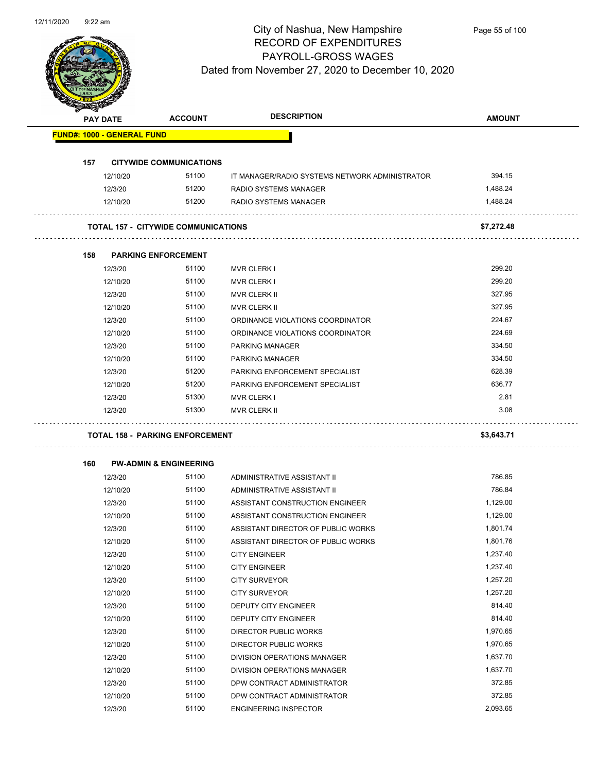

| PAY DATE                          |          | <b>ACCOUNT</b>                             | <b>DESCRIPTION</b>                             | <b>AMOUNT</b> |
|-----------------------------------|----------|--------------------------------------------|------------------------------------------------|---------------|
| <b>FUND#: 1000 - GENERAL FUND</b> |          |                                            |                                                |               |
| 157                               |          | <b>CITYWIDE COMMUNICATIONS</b>             |                                                |               |
|                                   | 12/10/20 | 51100                                      | IT MANAGER/RADIO SYSTEMS NETWORK ADMINISTRATOR | 394.15        |
|                                   | 12/3/20  | 51200                                      | RADIO SYSTEMS MANAGER                          | 1,488.24      |
|                                   | 12/10/20 | 51200                                      | RADIO SYSTEMS MANAGER                          | 1,488.24      |
|                                   |          |                                            |                                                |               |
|                                   |          | <b>TOTAL 157 - CITYWIDE COMMUNICATIONS</b> |                                                | \$7,272.48    |
| 158                               |          | <b>PARKING ENFORCEMENT</b>                 |                                                |               |
|                                   | 12/3/20  | 51100                                      | <b>MVR CLERK I</b>                             | 299.20        |
|                                   | 12/10/20 | 51100                                      | <b>MVR CLERK I</b>                             | 299.20        |
|                                   | 12/3/20  | 51100                                      | <b>MVR CLERK II</b>                            | 327.95        |
|                                   | 12/10/20 | 51100                                      | MVR CLERK II                                   | 327.95        |
|                                   | 12/3/20  | 51100                                      | ORDINANCE VIOLATIONS COORDINATOR               | 224.67        |
|                                   | 12/10/20 | 51100                                      | ORDINANCE VIOLATIONS COORDINATOR               | 224.69        |
|                                   | 12/3/20  | 51100                                      | PARKING MANAGER                                | 334.50        |
|                                   | 12/10/20 | 51100                                      | PARKING MANAGER                                | 334.50        |
|                                   | 12/3/20  | 51200                                      | PARKING ENFORCEMENT SPECIALIST                 | 628.39        |
|                                   | 12/10/20 | 51200                                      | PARKING ENFORCEMENT SPECIALIST                 | 636.77        |
|                                   | 12/3/20  | 51300                                      | <b>MVR CLERK I</b>                             | 2.81          |
|                                   | 12/3/20  | 51300                                      | MVR CLERK II                                   | 3.08          |
|                                   |          | <b>TOTAL 158 - PARKING ENFORCEMENT</b>     |                                                | \$3,643.71    |
|                                   |          |                                            |                                                |               |
| 160                               |          | <b>PW-ADMIN &amp; ENGINEERING</b>          |                                                |               |
|                                   | 12/3/20  | 51100                                      | ADMINISTRATIVE ASSISTANT II                    | 786.85        |
|                                   | 12/10/20 | 51100                                      | ADMINISTRATIVE ASSISTANT II                    | 786.84        |
|                                   | 12/3/20  | 51100                                      | ASSISTANT CONSTRUCTION ENGINEER                | 1,129.00      |
|                                   | 12/10/20 | 51100                                      | ASSISTANT CONSTRUCTION ENGINEER                | 1,129.00      |
|                                   | 12/3/20  | 51100                                      | ASSISTANT DIRECTOR OF PUBLIC WORKS             | 1,801.74      |
|                                   | 12/10/20 | 51100                                      | ASSISTANT DIRECTOR OF PUBLIC WORKS             | 1,801.76      |
|                                   | 12/3/20  | 51100                                      | <b>CITY ENGINEER</b>                           | 1,237.40      |
|                                   | 12/10/20 | 51100                                      | <b>CITY ENGINEER</b>                           | 1,237.40      |
|                                   | 12/3/20  | 51100                                      | <b>CITY SURVEYOR</b>                           | 1,257.20      |
|                                   | 12/10/20 | 51100                                      | <b>CITY SURVEYOR</b>                           | 1,257.20      |
|                                   | 12/3/20  | 51100                                      | DEPUTY CITY ENGINEER                           | 814.40        |
|                                   | 12/10/20 | 51100                                      | DEPUTY CITY ENGINEER                           | 814.40        |
|                                   | 12/3/20  | 51100                                      | DIRECTOR PUBLIC WORKS                          | 1,970.65      |
|                                   | 12/10/20 | 51100                                      | DIRECTOR PUBLIC WORKS                          | 1,970.65      |
|                                   | 12/3/20  | 51100                                      | DIVISION OPERATIONS MANAGER                    | 1,637.70      |
|                                   | 12/10/20 | 51100                                      | DIVISION OPERATIONS MANAGER                    | 1,637.70      |
|                                   | 12/3/20  | 51100                                      | DPW CONTRACT ADMINISTRATOR                     | 372.85        |
|                                   | 12/10/20 | 51100                                      | DPW CONTRACT ADMINISTRATOR                     | 372.85        |
|                                   | 12/3/20  | 51100                                      | <b>ENGINEERING INSPECTOR</b>                   | 2,093.65      |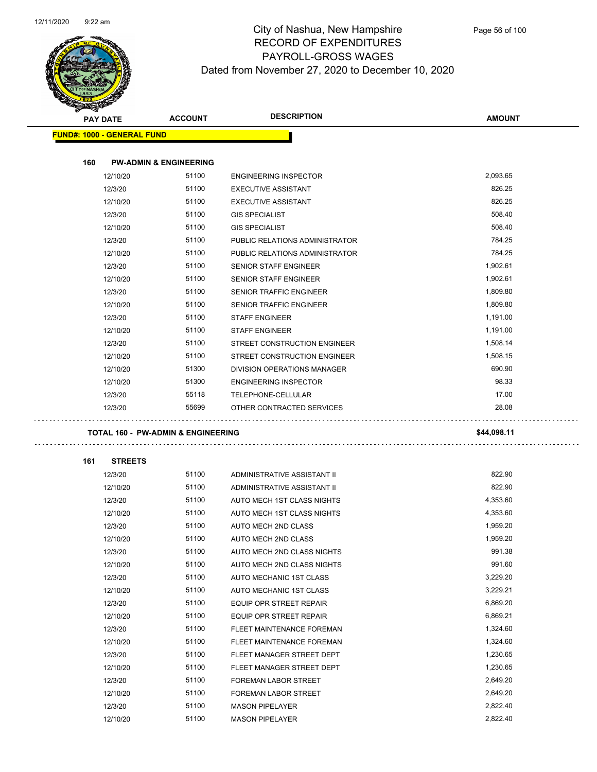

| S<br>$\checkmark$<br><b>PAY DATE</b> | <b>ACCOUNT</b>                                | <b>DESCRIPTION</b>             | <b>AMOUNT</b> |
|--------------------------------------|-----------------------------------------------|--------------------------------|---------------|
| <b>FUND#: 1000 - GENERAL FUND</b>    |                                               |                                |               |
|                                      |                                               |                                |               |
| 160                                  | <b>PW-ADMIN &amp; ENGINEERING</b>             |                                |               |
| 12/10/20                             | 51100                                         | <b>ENGINEERING INSPECTOR</b>   | 2,093.65      |
| 12/3/20                              | 51100                                         | <b>EXECUTIVE ASSISTANT</b>     | 826.25        |
| 12/10/20                             | 51100                                         | <b>EXECUTIVE ASSISTANT</b>     | 826.25        |
| 12/3/20                              | 51100                                         | <b>GIS SPECIALIST</b>          | 508.40        |
| 12/10/20                             | 51100                                         | <b>GIS SPECIALIST</b>          | 508.40        |
| 12/3/20                              | 51100                                         | PUBLIC RELATIONS ADMINISTRATOR | 784.25        |
| 12/10/20                             | 51100                                         | PUBLIC RELATIONS ADMINISTRATOR | 784.25        |
| 12/3/20                              | 51100                                         | SENIOR STAFF ENGINEER          | 1,902.61      |
| 12/10/20                             | 51100                                         | <b>SENIOR STAFF ENGINEER</b>   | 1,902.61      |
| 12/3/20                              | 51100                                         | <b>SENIOR TRAFFIC ENGINEER</b> | 1,809.80      |
| 12/10/20                             | 51100                                         | SENIOR TRAFFIC ENGINEER        | 1,809.80      |
| 12/3/20                              | 51100                                         | <b>STAFF ENGINEER</b>          | 1,191.00      |
| 12/10/20                             | 51100                                         | <b>STAFF ENGINEER</b>          | 1,191.00      |
| 12/3/20                              | 51100                                         | STREET CONSTRUCTION ENGINEER   | 1,508.14      |
| 12/10/20                             | 51100                                         | STREET CONSTRUCTION ENGINEER   | 1,508.15      |
| 12/10/20                             | 51300                                         | DIVISION OPERATIONS MANAGER    | 690.90        |
| 12/10/20                             | 51300                                         | <b>ENGINEERING INSPECTOR</b>   | 98.33         |
| 12/3/20                              | 55118                                         | TELEPHONE-CELLULAR             | 17.00         |
| 12/3/20                              | 55699                                         | OTHER CONTRACTED SERVICES      | 28.08         |
|                                      | <b>TOTAL 160 - PW-ADMIN &amp; ENGINEERING</b> |                                | \$44,098.11   |
| 161                                  | <b>STREETS</b>                                |                                |               |
| 12/3/20                              | 51100                                         | ADMINISTRATIVE ASSISTANT II    | 822.90        |
| 12/10/20                             | 51100                                         | ADMINISTRATIVE ASSISTANT II    | 822.90        |
| 12/3/20                              | 51100                                         | AUTO MECH 1ST CLASS NIGHTS     | 4,353.60      |
| 12/10/20                             | 51100                                         | AUTO MECH 1ST CLASS NIGHTS     | 4,353.60      |
| 12/3/20                              | 51100                                         | <b>AUTO MECH 2ND CLASS</b>     | 1,959.20      |
|                                      |                                               |                                |               |
| 12/10/20                             | 51100                                         | AUTO MECH 2ND CLASS            | 1,959.20      |
| 12/3/20                              | 51100                                         | AUTO MECH 2ND CLASS NIGHTS     | 991.38        |
| 12/10/20                             | 51100                                         | AUTO MECH 2ND CLASS NIGHTS     | 991.60        |
| 12/3/20                              | 51100                                         | AUTO MECHANIC 1ST CLASS        | 3,229.20      |
| 12/10/20                             | 51100                                         | AUTO MECHANIC 1ST CLASS        | 3,229.21      |
| 12/3/20                              | 51100                                         | EQUIP OPR STREET REPAIR        | 6,869.20      |
| 12/10/20                             | 51100                                         | EQUIP OPR STREET REPAIR        | 6,869.21      |
| 12/3/20                              | 51100                                         | FLEET MAINTENANCE FOREMAN      | 1,324.60      |
| 12/10/20                             | 51100                                         | FLEET MAINTENANCE FOREMAN      | 1,324.60      |
| 12/3/20                              | 51100                                         | FLEET MANAGER STREET DEPT      | 1,230.65      |
| 12/10/20                             | 51100                                         | FLEET MANAGER STREET DEPT      | 1,230.65      |
| 12/3/20                              | 51100                                         | FOREMAN LABOR STREET           | 2,649.20      |
| 12/10/20                             | 51100                                         | FOREMAN LABOR STREET           | 2,649.20      |
| 12/3/20                              | 51100                                         | <b>MASON PIPELAYER</b>         | 2,822.40      |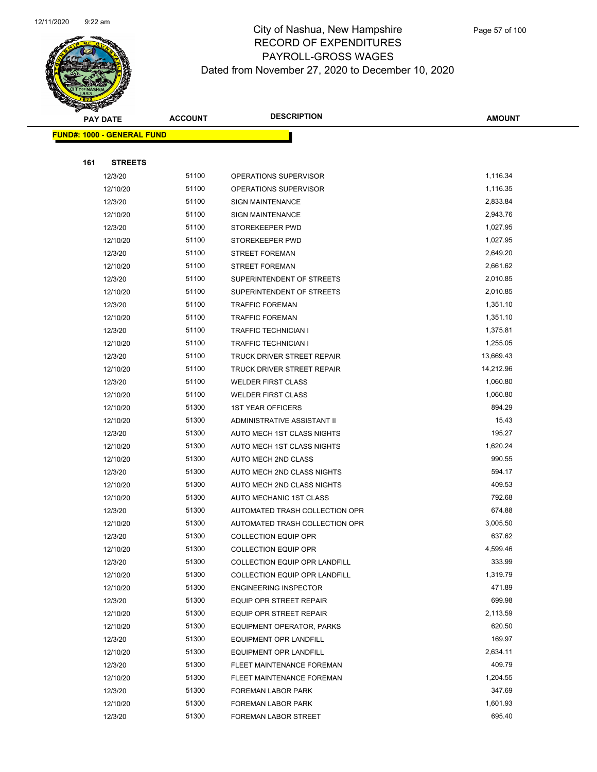

|     | <b>PAY DATE</b>                   | <b>ACCOUNT</b> | <b>DESCRIPTION</b>             | <b>AMOUNT</b> |
|-----|-----------------------------------|----------------|--------------------------------|---------------|
|     | <b>FUND#: 1000 - GENERAL FUND</b> |                |                                |               |
|     |                                   |                |                                |               |
| 161 | <b>STREETS</b>                    |                |                                |               |
|     | 12/3/20                           | 51100          | OPERATIONS SUPERVISOR          | 1,116.34      |
|     | 12/10/20                          | 51100          | OPERATIONS SUPERVISOR          | 1,116.35      |
|     | 12/3/20                           | 51100          | <b>SIGN MAINTENANCE</b>        | 2,833.84      |
|     | 12/10/20                          | 51100          | <b>SIGN MAINTENANCE</b>        | 2,943.76      |
|     | 12/3/20                           | 51100          | STOREKEEPER PWD                | 1,027.95      |
|     | 12/10/20                          | 51100          | STOREKEEPER PWD                | 1,027.95      |
|     | 12/3/20                           | 51100          | <b>STREET FOREMAN</b>          | 2,649.20      |
|     | 12/10/20                          | 51100          | <b>STREET FOREMAN</b>          | 2,661.62      |
|     | 12/3/20                           | 51100          | SUPERINTENDENT OF STREETS      | 2,010.85      |
|     | 12/10/20                          | 51100          | SUPERINTENDENT OF STREETS      | 2,010.85      |
|     | 12/3/20                           | 51100          | <b>TRAFFIC FOREMAN</b>         | 1,351.10      |
|     | 12/10/20                          | 51100          | <b>TRAFFIC FOREMAN</b>         | 1,351.10      |
|     | 12/3/20                           | 51100          | <b>TRAFFIC TECHNICIAN I</b>    | 1,375.81      |
|     | 12/10/20                          | 51100          | TRAFFIC TECHNICIAN I           | 1,255.05      |
|     | 12/3/20                           | 51100          | TRUCK DRIVER STREET REPAIR     | 13,669.43     |
|     | 12/10/20                          | 51100          | TRUCK DRIVER STREET REPAIR     | 14,212.96     |
|     | 12/3/20                           | 51100          | <b>WELDER FIRST CLASS</b>      | 1,060.80      |
|     | 12/10/20                          | 51100          | <b>WELDER FIRST CLASS</b>      | 1,060.80      |
|     | 12/10/20                          | 51300          | <b>1ST YEAR OFFICERS</b>       | 894.29        |
|     | 12/10/20                          | 51300          | ADMINISTRATIVE ASSISTANT II    | 15.43         |
|     | 12/3/20                           | 51300          | AUTO MECH 1ST CLASS NIGHTS     | 195.27        |
|     | 12/10/20                          | 51300          | AUTO MECH 1ST CLASS NIGHTS     | 1,620.24      |
|     | 12/10/20                          | 51300          | AUTO MECH 2ND CLASS            | 990.55        |
|     | 12/3/20                           | 51300          | AUTO MECH 2ND CLASS NIGHTS     | 594.17        |
|     | 12/10/20                          | 51300          | AUTO MECH 2ND CLASS NIGHTS     | 409.53        |
|     | 12/10/20                          | 51300          | AUTO MECHANIC 1ST CLASS        | 792.68        |
|     | 12/3/20                           | 51300          | AUTOMATED TRASH COLLECTION OPR | 674.88        |
|     | 12/10/20                          | 51300          | AUTOMATED TRASH COLLECTION OPR | 3,005.50      |
|     | 12/3/20                           | 51300          | <b>COLLECTION EQUIP OPR</b>    | 637.62        |
|     | 12/10/20                          | 51300          | COLLECTION EQUIP OPR           | 4,599.46      |
|     | 12/3/20                           | 51300          | COLLECTION EQUIP OPR LANDFILL  | 333.99        |
|     | 12/10/20                          | 51300          | COLLECTION EQUIP OPR LANDFILL  | 1,319.79      |
|     | 12/10/20                          | 51300          | <b>ENGINEERING INSPECTOR</b>   | 471.89        |
|     | 12/3/20                           | 51300          | <b>EQUIP OPR STREET REPAIR</b> | 699.98        |
|     | 12/10/20                          | 51300          | EQUIP OPR STREET REPAIR        | 2,113.59      |
|     | 12/10/20                          | 51300          | EQUIPMENT OPERATOR, PARKS      | 620.50        |
|     | 12/3/20                           | 51300          | <b>EQUIPMENT OPR LANDFILL</b>  | 169.97        |
|     | 12/10/20                          | 51300          | <b>EQUIPMENT OPR LANDFILL</b>  | 2,634.11      |
|     | 12/3/20                           | 51300          | FLEET MAINTENANCE FOREMAN      | 409.79        |
|     | 12/10/20                          | 51300          | FLEET MAINTENANCE FOREMAN      | 1,204.55      |
|     | 12/3/20                           | 51300          | FOREMAN LABOR PARK             | 347.69        |
|     | 12/10/20                          | 51300          | FOREMAN LABOR PARK             | 1,601.93      |
|     | 12/3/20                           | 51300          | FOREMAN LABOR STREET           | 695.40        |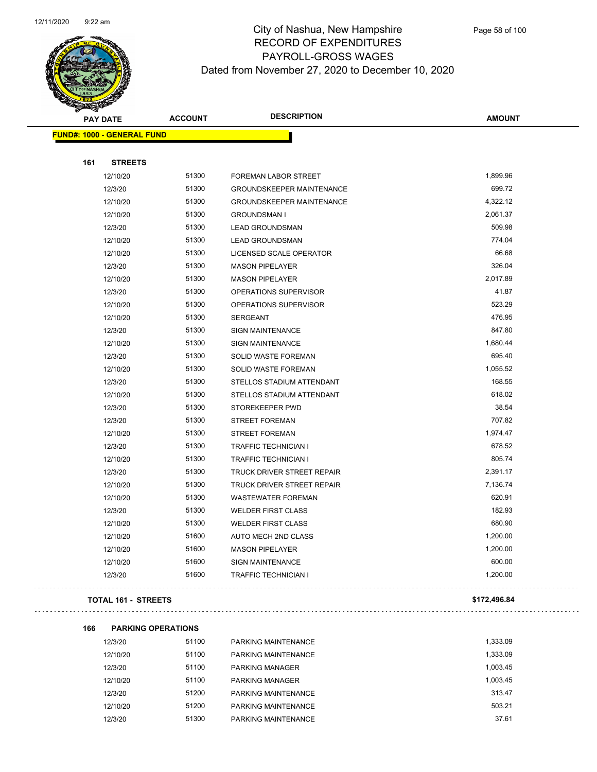

| <b>PAY DATE</b>                   | <b>ACCOUNT</b> | <b>DESCRIPTION</b>               | <b>AMOUNT</b> |
|-----------------------------------|----------------|----------------------------------|---------------|
| <b>FUND#: 1000 - GENERAL FUND</b> |                |                                  |               |
| 161<br><b>STREETS</b>             |                |                                  |               |
| 12/10/20                          | 51300          | FOREMAN LABOR STREET             | 1,899.96      |
| 12/3/20                           | 51300          | <b>GROUNDSKEEPER MAINTENANCE</b> | 699.72        |
| 12/10/20                          | 51300          | <b>GROUNDSKEEPER MAINTENANCE</b> | 4,322.12      |
| 12/10/20                          | 51300          | <b>GROUNDSMAN I</b>              | 2,061.37      |
| 12/3/20                           | 51300          | <b>LEAD GROUNDSMAN</b>           | 509.98        |
| 12/10/20                          | 51300          | <b>LEAD GROUNDSMAN</b>           | 774.04        |
| 12/10/20                          | 51300          | LICENSED SCALE OPERATOR          | 66.68         |
| 12/3/20                           | 51300          | <b>MASON PIPELAYER</b>           | 326.04        |
| 12/10/20                          | 51300          | <b>MASON PIPELAYER</b>           | 2,017.89      |
| 12/3/20                           | 51300          | OPERATIONS SUPERVISOR            | 41.87         |
| 12/10/20                          | 51300          | OPERATIONS SUPERVISOR            | 523.29        |
| 12/10/20                          | 51300          | <b>SERGEANT</b>                  | 476.95        |
| 12/3/20                           | 51300          | SIGN MAINTENANCE                 | 847.80        |
| 12/10/20                          | 51300          | <b>SIGN MAINTENANCE</b>          | 1,680.44      |
| 12/3/20                           | 51300          | SOLID WASTE FOREMAN              | 695.40        |
| 12/10/20                          | 51300          | SOLID WASTE FOREMAN              | 1,055.52      |
| 12/3/20                           | 51300          | STELLOS STADIUM ATTENDANT        | 168.55        |
| 12/10/20                          | 51300          | STELLOS STADIUM ATTENDANT        | 618.02        |
| 12/3/20                           | 51300          | STOREKEEPER PWD                  | 38.54         |
| 12/3/20                           | 51300          | <b>STREET FOREMAN</b>            | 707.82        |
| 12/10/20                          | 51300          | <b>STREET FOREMAN</b>            | 1,974.47      |
| 12/3/20                           | 51300          | <b>TRAFFIC TECHNICIAN I</b>      | 678.52        |
| 12/10/20                          | 51300          | <b>TRAFFIC TECHNICIAN I</b>      | 805.74        |
| 12/3/20                           | 51300          | TRUCK DRIVER STREET REPAIR       | 2,391.17      |
| 12/10/20                          | 51300          | TRUCK DRIVER STREET REPAIR       | 7,136.74      |
| 12/10/20                          | 51300          | <b>WASTEWATER FOREMAN</b>        | 620.91        |
| 12/3/20                           | 51300          | <b>WELDER FIRST CLASS</b>        | 182.93        |
| 12/10/20                          | 51300          | <b>WELDER FIRST CLASS</b>        | 680.90        |
| 12/10/20                          | 51600          | AUTO MECH 2ND CLASS              | 1,200.00      |
| 12/10/20                          | 51600          | <b>MASON PIPELAYER</b>           | 1,200.00      |
| 12/10/20                          | 51600          | <b>SIGN MAINTENANCE</b>          | 600.00        |
| 12/3/20                           | 51600          | <b>TRAFFIC TECHNICIAN I</b>      | 1,200.00      |

#### **TOTAL 161 - STREETS \$172,496.84**

**166 PARKING OPERATIONS**

12/3/20 51100 PARKING MAINTENANCE 1,333.09 51100 12/10/20 51100 PARKING MAINTENANCE 1,333.09 12/3/20 51100 PARKING MANAGER 1,003.45 12/10/20 51100 PARKING MANAGER 1,003.45 12/3/20 51200 PARKING MAINTENANCE 313.47 12/10/20 51200 PARKING MAINTENANCE 503.21 12/3/20 51300 PARKING MAINTENANCE 37.61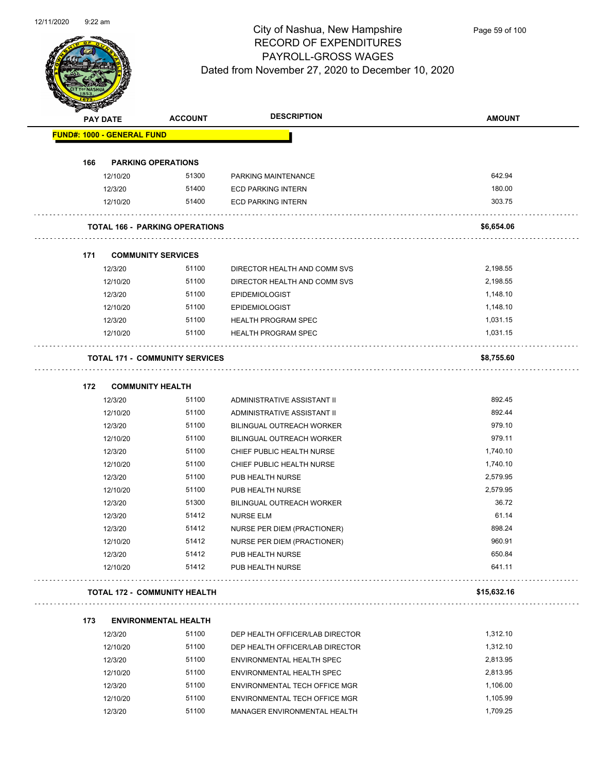

|     | <b>PAY DATE</b>                   | <b>ACCOUNT</b>                        | <b>DESCRIPTION</b>               | <b>AMOUNT</b> |
|-----|-----------------------------------|---------------------------------------|----------------------------------|---------------|
|     | <b>FUND#: 1000 - GENERAL FUND</b> |                                       |                                  |               |
| 166 |                                   | <b>PARKING OPERATIONS</b>             |                                  |               |
|     | 12/10/20                          | 51300                                 | PARKING MAINTENANCE              | 642.94        |
|     | 12/3/20                           | 51400                                 | <b>ECD PARKING INTERN</b>        | 180.00        |
|     | 12/10/20                          | 51400                                 | <b>ECD PARKING INTERN</b>        | 303.75        |
|     |                                   | <b>TOTAL 166 - PARKING OPERATIONS</b> |                                  | \$6,654.06    |
| 171 |                                   | <b>COMMUNITY SERVICES</b>             |                                  |               |
|     | 12/3/20                           | 51100                                 | DIRECTOR HEALTH AND COMM SVS     | 2,198.55      |
|     | 12/10/20                          | 51100                                 | DIRECTOR HEALTH AND COMM SVS     | 2,198.55      |
|     | 12/3/20                           | 51100                                 | <b>EPIDEMIOLOGIST</b>            | 1,148.10      |
|     | 12/10/20                          | 51100                                 | <b>EPIDEMIOLOGIST</b>            | 1,148.10      |
|     | 12/3/20                           | 51100                                 | <b>HEALTH PROGRAM SPEC</b>       | 1,031.15      |
|     | 12/10/20                          | 51100                                 | HEALTH PROGRAM SPEC              | 1,031.15      |
|     |                                   | <b>TOTAL 171 - COMMUNITY SERVICES</b> |                                  | \$8,755.60    |
| 172 |                                   | <b>COMMUNITY HEALTH</b>               |                                  |               |
|     | 12/3/20                           | 51100                                 | ADMINISTRATIVE ASSISTANT II      | 892.45        |
|     | 12/10/20                          | 51100                                 | ADMINISTRATIVE ASSISTANT II      | 892.44        |
|     | 12/3/20                           | 51100                                 | <b>BILINGUAL OUTREACH WORKER</b> | 979.10        |
|     | 12/10/20                          | 51100                                 | BILINGUAL OUTREACH WORKER        | 979.11        |
|     | 12/3/20                           | 51100                                 | CHIEF PUBLIC HEALTH NURSE        | 1,740.10      |
|     | 12/10/20                          | 51100                                 | CHIEF PUBLIC HEALTH NURSE        | 1,740.10      |
|     | 12/3/20                           | 51100                                 | PUB HEALTH NURSE                 | 2,579.95      |
|     | 12/10/20                          | 51100                                 | PUB HEALTH NURSE                 | 2,579.95      |
|     | 12/3/20                           | 51300                                 | <b>BILINGUAL OUTREACH WORKER</b> | 36.72         |
|     | 12/3/20                           | 51412                                 | <b>NURSE ELM</b>                 | 61.14         |
|     | 12/3/20                           | 51412                                 | NURSE PER DIEM (PRACTIONER)      | 898.24        |
|     | 12/10/20                          | 51412                                 | NURSE PER DIEM (PRACTIONER)      | 960.91        |
|     | 12/3/20                           | 51412                                 | PUB HEALTH NURSE                 | 650.84        |
|     | 12/10/20                          | 51412                                 | PUB HEALTH NURSE                 | 641.11        |
|     |                                   | TOTAL 172 - COMMUNITY HEALTH          |                                  | \$15,632.16   |
| 173 |                                   | <b>ENVIRONMENTAL HEALTH</b>           |                                  |               |
|     | 12/3/20                           | 51100                                 | DEP HEALTH OFFICER/LAB DIRECTOR  | 1,312.10      |
|     |                                   |                                       |                                  |               |

| 12/3/20  | 51100 | DEP HEALTH OFFICER/LAB DIRECTOR | 1.312.10 |
|----------|-------|---------------------------------|----------|
| 12/10/20 | 51100 | DEP HEALTH OFFICER/LAB DIRECTOR | 1.312.10 |
| 12/3/20  | 51100 | ENVIRONMENTAL HEALTH SPEC       | 2.813.95 |
| 12/10/20 | 51100 | ENVIRONMENTAL HEALTH SPEC       | 2.813.95 |
| 12/3/20  | 51100 | ENVIRONMENTAL TECH OFFICE MGR   | 1.106.00 |
| 12/10/20 | 51100 | ENVIRONMENTAL TECH OFFICE MGR   | 1.105.99 |
| 12/3/20  | 51100 | MANAGER ENVIRONMENTAL HEALTH    | 1.709.25 |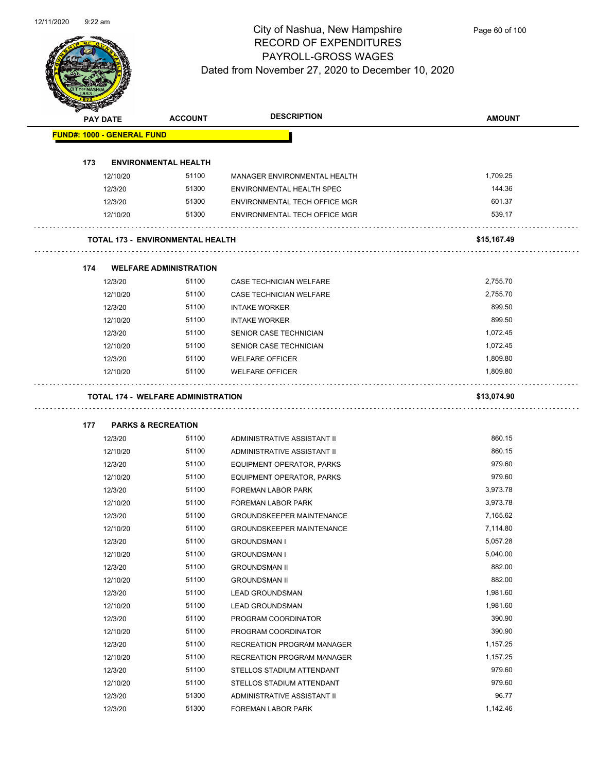

| <b>RESERVED</b> |                                   |                                         |                                  |               |
|-----------------|-----------------------------------|-----------------------------------------|----------------------------------|---------------|
|                 | <b>PAY DATE</b>                   | <b>ACCOUNT</b>                          | <b>DESCRIPTION</b>               | <b>AMOUNT</b> |
|                 | <b>FUND#: 1000 - GENERAL FUND</b> |                                         |                                  |               |
|                 |                                   |                                         |                                  |               |
| 173             |                                   | <b>ENVIRONMENTAL HEALTH</b>             |                                  |               |
|                 | 12/10/20                          | 51100                                   | MANAGER ENVIRONMENTAL HEALTH     | 1,709.25      |
|                 | 12/3/20                           | 51300                                   | ENVIRONMENTAL HEALTH SPEC        | 144.36        |
|                 | 12/3/20                           | 51300                                   | ENVIRONMENTAL TECH OFFICE MGR    | 601.37        |
|                 | 12/10/20                          | 51300                                   | ENVIRONMENTAL TECH OFFICE MGR    | 539.17        |
|                 |                                   | <b>TOTAL 173 - ENVIRONMENTAL HEALTH</b> |                                  | \$15,167.49   |
| 174             |                                   | <b>WELFARE ADMINISTRATION</b>           |                                  |               |
|                 | 12/3/20                           | 51100                                   | CASE TECHNICIAN WELFARE          | 2,755.70      |
|                 | 12/10/20                          | 51100                                   | CASE TECHNICIAN WELFARE          | 2,755.70      |
|                 | 12/3/20                           | 51100                                   | <b>INTAKE WORKER</b>             | 899.50        |
|                 | 12/10/20                          | 51100                                   | <b>INTAKE WORKER</b>             | 899.50        |
|                 | 12/3/20                           | 51100                                   | SENIOR CASE TECHNICIAN           | 1,072.45      |
|                 | 12/10/20                          | 51100                                   | SENIOR CASE TECHNICIAN           | 1,072.45      |
|                 | 12/3/20                           | 51100                                   | <b>WELFARE OFFICER</b>           | 1,809.80      |
|                 | 12/10/20                          | 51100                                   | <b>WELFARE OFFICER</b>           | 1,809.80      |
| 177             |                                   | <b>PARKS &amp; RECREATION</b>           |                                  |               |
|                 | 12/3/20                           | 51100                                   | ADMINISTRATIVE ASSISTANT II      | 860.15        |
|                 | 12/10/20                          | 51100                                   | ADMINISTRATIVE ASSISTANT II      | 860.15        |
|                 | 12/3/20                           | 51100                                   | EQUIPMENT OPERATOR, PARKS        | 979.60        |
|                 | 12/10/20                          | 51100                                   | EQUIPMENT OPERATOR, PARKS        | 979.60        |
|                 | 12/3/20                           | 51100                                   | FOREMAN LABOR PARK               | 3,973.78      |
|                 | 12/10/20                          | 51100                                   | <b>FOREMAN LABOR PARK</b>        | 3,973.78      |
|                 | 12/3/20                           | 51100                                   | <b>GROUNDSKEEPER MAINTENANCE</b> | 7,165.62      |
|                 | 12/10/20                          | 51100                                   | <b>GROUNDSKEEPER MAINTENANCE</b> | 7,114.80      |
|                 | 12/3/20                           | 51100                                   | GROUNDSMAN I                     | 5,057.28      |
|                 | 12/10/20                          | 51100                                   | <b>GROUNDSMAN I</b>              | 5,040.00      |
|                 | 12/3/20                           | 51100                                   | <b>GROUNDSMAN II</b>             | 882.00        |
|                 | 12/10/20                          | 51100                                   | <b>GROUNDSMAN II</b>             | 882.00        |
|                 | 12/3/20                           | 51100                                   | <b>LEAD GROUNDSMAN</b>           | 1,981.60      |
|                 | 12/10/20                          | 51100                                   | <b>LEAD GROUNDSMAN</b>           | 1,981.60      |
|                 | 12/3/20                           | 51100                                   | PROGRAM COORDINATOR              | 390.90        |
|                 | 12/10/20                          | 51100                                   | PROGRAM COORDINATOR              | 390.90        |
|                 | 12/3/20                           | 51100                                   | RECREATION PROGRAM MANAGER       | 1,157.25      |
|                 | 12/10/20                          | 51100                                   | RECREATION PROGRAM MANAGER       | 1,157.25      |
|                 | 12/3/20                           | 51100                                   | STELLOS STADIUM ATTENDANT        | 979.60        |
|                 | 12/10/20                          | 51100                                   | STELLOS STADIUM ATTENDANT        | 979.60        |
|                 | 12/3/20                           | 51300                                   | ADMINISTRATIVE ASSISTANT II      | 96.77         |
|                 | 12/3/20                           | 51300                                   | FOREMAN LABOR PARK               | 1,142.46      |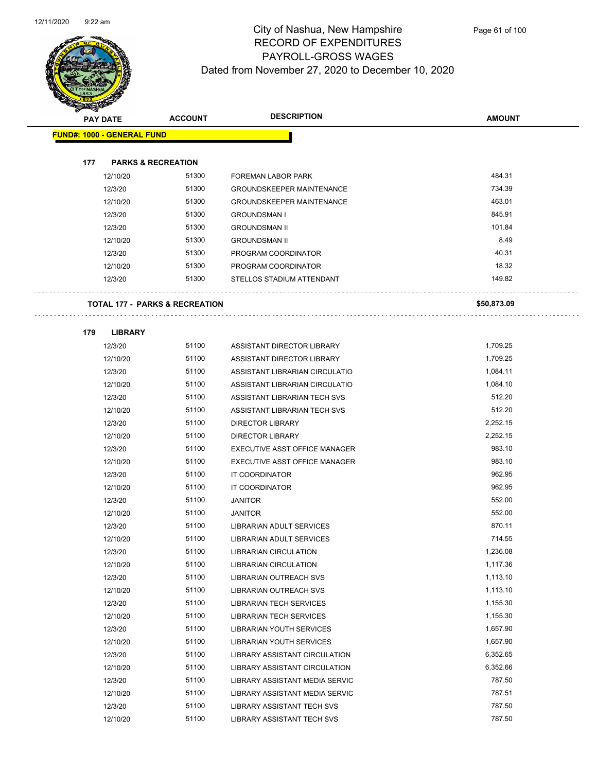$\ldots$ 

 $\ldots$ 



### City of Nashua, New Hampshire RECORD OF EXPENDITURES PAYROLL-GROSS WAGES Dated from November 27, 2020 to December 10, 2020

| $\sim$ |                                   | <b>ACCOUNT</b>                            | <b>DESCRIPTION</b>               | <b>AMOUNT</b> |
|--------|-----------------------------------|-------------------------------------------|----------------------------------|---------------|
|        | <b>PAY DATE</b>                   |                                           |                                  |               |
|        | <b>FUND#: 1000 - GENERAL FUND</b> |                                           |                                  |               |
|        |                                   |                                           |                                  |               |
| 177    | <b>PARKS &amp; RECREATION</b>     |                                           |                                  |               |
|        | 12/10/20                          | 51300                                     | FOREMAN LABOR PARK               | 484.31        |
|        | 12/3/20                           | 51300                                     | <b>GROUNDSKEEPER MAINTENANCE</b> | 734.39        |
|        | 12/10/20                          | 51300                                     | <b>GROUNDSKEEPER MAINTENANCE</b> | 463.01        |
|        | 12/3/20                           | 51300                                     | <b>GROUNDSMAN I</b>              | 845.91        |
|        | 12/3/20                           | 51300                                     | <b>GROUNDSMAN II</b>             | 101.84        |
|        | 12/10/20                          | 51300                                     | <b>GROUNDSMAN II</b>             | 8.49          |
|        | 12/3/20                           | 51300                                     | PROGRAM COORDINATOR              | 40.31         |
|        | 12/10/20                          | 51300                                     | PROGRAM COORDINATOR              | 18.32         |
|        | 12/3/20                           | 51300                                     | STELLOS STADIUM ATTENDANT        | 149.82        |
|        |                                   | <b>TOTAL 177 - PARKS &amp; RECREATION</b> |                                  | \$50,873.09   |
| 179    | <b>LIBRARY</b>                    |                                           |                                  |               |
|        | 12/3/20                           | 51100                                     | ASSISTANT DIRECTOR LIBRARY       | 1,709.25      |
|        | 12/10/20                          | 51100                                     | ASSISTANT DIRECTOR LIBRARY       | 1,709.25      |
|        | 12/3/20                           | 51100                                     | ASSISTANT LIBRARIAN CIRCULATIO   | 1,084.11      |
|        | 12/10/20                          | 51100                                     | ASSISTANT LIBRARIAN CIRCULATIO   | 1,084.10      |
|        | 12/3/20                           | 51100                                     | ASSISTANT LIBRARIAN TECH SVS     | 512.20        |
|        | 12/10/20                          | 51100                                     | ASSISTANT LIBRARIAN TECH SVS     | 512.20        |
|        | 12/3/20                           | 51100                                     | <b>DIRECTOR LIBRARY</b>          | 2,252.15      |
|        | 12/10/20                          | 51100                                     | <b>DIRECTOR LIBRARY</b>          | 2,252.15      |
|        | 12/3/20                           | 51100                                     | EXECUTIVE ASST OFFICE MANAGER    | 983.10        |
|        | 12/10/20                          | 51100                                     | EXECUTIVE ASST OFFICE MANAGER    | 983.10        |
|        | 12/3/20                           | 51100                                     | IT COORDINATOR                   | 962.95        |
|        | 12/10/20                          | 51100                                     | IT COORDINATOR                   | 962.95        |
|        | 12/3/20                           | 51100                                     | <b>JANITOR</b>                   | 552.00        |
|        | 12/10/20                          | 51100                                     | <b>JANITOR</b>                   | 552.00        |
|        | 12/3/20                           | 51100                                     | LIBRARIAN ADULT SERVICES         | 870.11        |
|        | 12/10/20                          | 51100                                     | LIBRARIAN ADULT SERVICES         | 714.55        |
|        | 12/3/20                           | 51100                                     | <b>LIBRARIAN CIRCULATION</b>     | 1,236.08      |
|        | 12/10/20                          | 51100                                     | <b>LIBRARIAN CIRCULATION</b>     | 1,117.36      |
|        | 12/3/20                           | 51100                                     | <b>LIBRARIAN OUTREACH SVS</b>    | 1,113.10      |
|        | 12/10/20                          | 51100                                     | <b>LIBRARIAN OUTREACH SVS</b>    | 1,113.10      |
|        | 12/3/20                           | 51100                                     | <b>LIBRARIAN TECH SERVICES</b>   | 1,155.30      |
|        | 12/10/20                          | 51100                                     | <b>LIBRARIAN TECH SERVICES</b>   | 1,155.30      |
|        | 12/3/20                           | 51100                                     | <b>LIBRARIAN YOUTH SERVICES</b>  | 1,657.90      |
|        | 12/10/20                          | 51100                                     | <b>LIBRARIAN YOUTH SERVICES</b>  | 1,657.90      |
|        | 12/3/20                           | 51100                                     | LIBRARY ASSISTANT CIRCULATION    | 6,352.65      |
|        | 12/10/20                          | 51100                                     | LIBRARY ASSISTANT CIRCULATION    | 6,352.66      |
|        | 12/3/20                           | 51100                                     | LIBRARY ASSISTANT MEDIA SERVIC   | 787.50        |
|        | 12/10/20                          | 51100                                     | LIBRARY ASSISTANT MEDIA SERVIC   | 787.51        |
|        | 12/3/20                           | 51100                                     | LIBRARY ASSISTANT TECH SVS       | 787.50        |

12/10/20 51100 LIBRARY ASSISTANT TECH SVS 787.50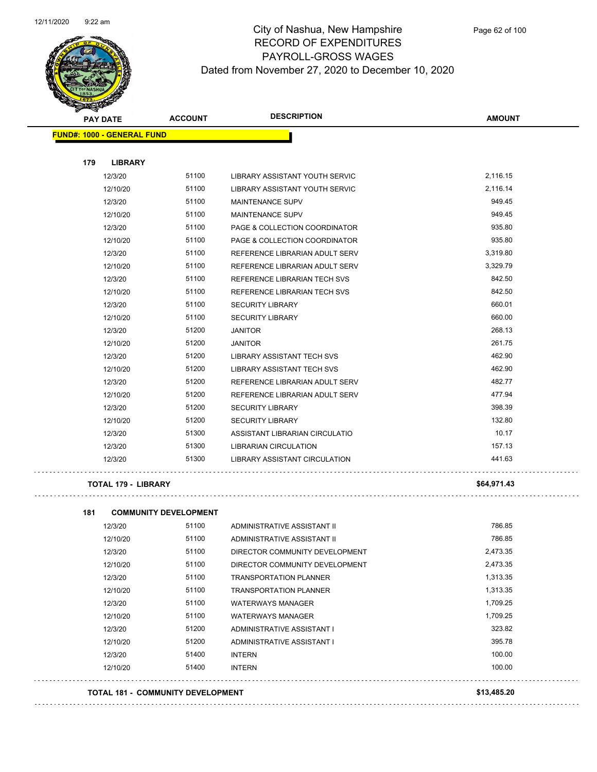

| <b>PAY DATE</b>                   | <b>ACCOUNT</b> | <b>DESCRIPTION</b>                    | <b>AMOUNT</b> |
|-----------------------------------|----------------|---------------------------------------|---------------|
| <b>FUND#: 1000 - GENERAL FUND</b> |                |                                       |               |
| 179<br><b>LIBRARY</b>             |                |                                       |               |
| 12/3/20                           | 51100          | LIBRARY ASSISTANT YOUTH SERVIC        | 2,116.15      |
| 12/10/20                          | 51100          | <b>LIBRARY ASSISTANT YOUTH SERVIC</b> | 2.116.14      |
| 12/3/20                           | 51100          | <b>MAINTENANCE SUPV</b>               | 949.45        |
| 12/10/20                          | 51100          | <b>MAINTENANCE SUPV</b>               | 949.45        |
| 12/3/20                           | 51100          | PAGE & COLLECTION COORDINATOR         | 935.80        |
| 12/10/20                          | 51100          | PAGE & COLLECTION COORDINATOR         | 935.80        |
| 12/3/20                           | 51100          | REFERENCE LIBRARIAN ADULT SERV        | 3,319.80      |
| 12/10/20                          | 51100          | REFERENCE LIBRARIAN ADULT SERV        | 3,329.79      |
| 12/3/20                           | 51100          | REFERENCE LIBRARIAN TECH SVS          | 842.50        |
| 12/10/20                          | 51100          | REFERENCE LIBRARIAN TECH SVS          | 842.50        |
| 12/3/20                           | 51100          | <b>SECURITY LIBRARY</b>               | 660.01        |
| 12/10/20                          | 51100          | <b>SECURITY LIBRARY</b>               | 660.00        |
| 12/3/20                           | 51200          | <b>JANITOR</b>                        | 268.13        |
| 12/10/20                          | 51200          | <b>JANITOR</b>                        | 261.75        |
| 12/3/20                           | 51200          | <b>LIBRARY ASSISTANT TECH SVS</b>     | 462.90        |
| 12/10/20                          | 51200          | <b>LIBRARY ASSISTANT TECH SVS</b>     | 462.90        |
| 12/3/20                           | 51200          | REFERENCE LIBRARIAN ADULT SERV        | 482.77        |
| 12/10/20                          | 51200          | REFERENCE LIBRARIAN ADULT SERV        | 477.94        |
| 12/3/20                           | 51200          | <b>SECURITY LIBRARY</b>               | 398.39        |
| 12/10/20                          | 51200          | <b>SECURITY LIBRARY</b>               | 132.80        |
| 12/3/20                           | 51300          | ASSISTANT LIBRARIAN CIRCULATIO        | 10.17         |
| 12/3/20                           | 51300          | LIBRARIAN CIRCULATION                 | 157.13        |
| 12/3/20                           | 51300          | LIBRARY ASSISTANT CIRCULATION         | 441.63        |

#### **TOTAL 179 - LIBRARY \$64,971.43**

| 181 |          | <b>COMMUNITY DEVELOPMENT</b>             |                                |             |
|-----|----------|------------------------------------------|--------------------------------|-------------|
|     | 12/3/20  | 51100                                    | ADMINISTRATIVE ASSISTANT II    | 786.85      |
|     | 12/10/20 | 51100                                    | ADMINISTRATIVE ASSISTANT II    | 786.85      |
|     | 12/3/20  | 51100                                    | DIRECTOR COMMUNITY DEVELOPMENT | 2,473.35    |
|     | 12/10/20 | 51100                                    | DIRECTOR COMMUNITY DEVELOPMENT | 2,473.35    |
|     | 12/3/20  | 51100                                    | <b>TRANSPORTATION PLANNER</b>  | 1,313.35    |
|     | 12/10/20 | 51100                                    | <b>TRANSPORTATION PLANNER</b>  | 1,313.35    |
|     | 12/3/20  | 51100                                    | <b>WATERWAYS MANAGER</b>       | 1,709.25    |
|     | 12/10/20 | 51100                                    | <b>WATERWAYS MANAGER</b>       | 1,709.25    |
|     | 12/3/20  | 51200                                    | ADMINISTRATIVE ASSISTANT I     | 323.82      |
|     | 12/10/20 | 51200                                    | ADMINISTRATIVE ASSISTANT I     | 395.78      |
|     | 12/3/20  | 51400                                    | <b>INTERN</b>                  | 100.00      |
|     | 12/10/20 | 51400                                    | <b>INTERN</b>                  | 100.00      |
|     |          | <b>TOTAL 181 - COMMUNITY DEVELOPMENT</b> |                                | \$13,485.20 |
|     |          |                                          |                                |             |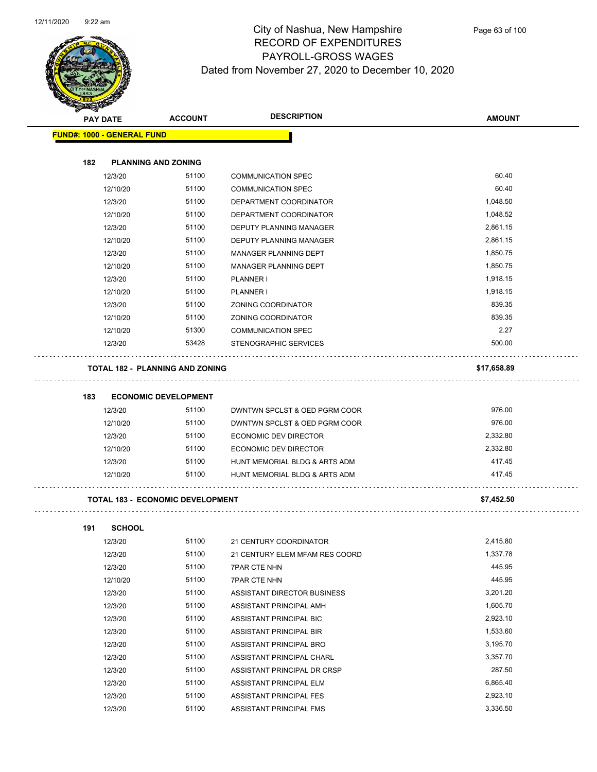$\sim$  .



#### City of Nashua, New Hampshire RECORD OF EXPENDITURES PAYROLL-GROSS WAGES Dated from November 27, 2020 to December 10, 2020

|     | <b>PAY DATE</b>                   | <b>ACCOUNT</b>                          | <b>DESCRIPTION</b>             | <b>AMOUNT</b> |
|-----|-----------------------------------|-----------------------------------------|--------------------------------|---------------|
|     | <b>FUND#: 1000 - GENERAL FUND</b> |                                         |                                |               |
| 182 |                                   | <b>PLANNING AND ZONING</b>              |                                |               |
|     | 12/3/20                           | 51100                                   | <b>COMMUNICATION SPEC</b>      | 60.40         |
|     | 12/10/20                          | 51100                                   | <b>COMMUNICATION SPEC</b>      | 60.40         |
|     | 12/3/20                           | 51100                                   | DEPARTMENT COORDINATOR         | 1,048.50      |
|     | 12/10/20                          | 51100                                   | DEPARTMENT COORDINATOR         | 1,048.52      |
|     | 12/3/20                           | 51100                                   | DEPUTY PLANNING MANAGER        | 2,861.15      |
|     | 12/10/20                          | 51100                                   | <b>DEPUTY PLANNING MANAGER</b> | 2,861.15      |
|     | 12/3/20                           | 51100                                   | MANAGER PLANNING DEPT          | 1,850.75      |
|     | 12/10/20                          | 51100                                   | MANAGER PLANNING DEPT          | 1,850.75      |
|     | 12/3/20                           | 51100                                   | PLANNER I                      | 1,918.15      |
|     | 12/10/20                          | 51100                                   | PLANNER I                      | 1,918.15      |
|     | 12/3/20                           | 51100                                   | ZONING COORDINATOR             | 839.35        |
|     | 12/10/20                          | 51100                                   | ZONING COORDINATOR             | 839.35        |
|     | 12/10/20                          | 51300                                   | <b>COMMUNICATION SPEC</b>      | 2.27          |
|     | 12/3/20                           | 53428                                   | STENOGRAPHIC SERVICES          | 500.00        |
|     |                                   | <b>TOTAL 182 - PLANNING AND ZONING</b>  |                                | \$17,658.89   |
|     |                                   |                                         |                                |               |
| 183 |                                   | <b>ECONOMIC DEVELOPMENT</b>             |                                |               |
|     | 12/3/20                           | 51100                                   | DWNTWN SPCLST & OED PGRM COOR  | 976.00        |
|     | 12/10/20                          | 51100                                   | DWNTWN SPCLST & OED PGRM COOR  | 976.00        |
|     | 12/3/20                           | 51100                                   | ECONOMIC DEV DIRECTOR          | 2,332.80      |
|     | 12/10/20                          | 51100                                   | ECONOMIC DEV DIRECTOR          | 2,332.80      |
|     | 12/3/20                           | 51100                                   | HUNT MEMORIAL BLDG & ARTS ADM  | 417.45        |
|     | 12/10/20                          | 51100                                   | HUNT MEMORIAL BLDG & ARTS ADM  | 417.45        |
|     |                                   | <b>TOTAL 183 - ECONOMIC DEVELOPMENT</b> |                                | \$7,452.50    |
|     |                                   |                                         |                                |               |
| 191 | <b>SCHOOL</b>                     |                                         |                                |               |
|     | 12/3/20                           | 51100                                   | 21 CENTURY COORDINATOR         | 2,415.80      |
|     | 12/3/20                           | 51100                                   | 21 CENTURY ELEM MFAM RES COORD | 1,337.78      |
|     | 12/3/20                           | 51100                                   | <b>7PAR CTE NHN</b>            | 445.95        |
|     | 12/10/20                          | 51100                                   | <b>7PAR CTE NHN</b>            | 445.95        |
|     | 12/3/20                           | 51100                                   | ASSISTANT DIRECTOR BUSINESS    | 3,201.20      |
|     | 12/3/20                           | 51100                                   | ASSISTANT PRINCIPAL AMH        | 1,605.70      |
|     | 12/3/20                           | 51100                                   | ASSISTANT PRINCIPAL BIC        | 2,923.10      |

12/3/20 51100 ASSISTANT PRINCIPAL CHARL 3,357.70 12/3/20 51100 ASSISTANT PRINCIPAL DR CRSP 287.50 12/3/20 51100 ASSISTANT PRINCIPAL ELM 6,865.40 12/3/20 51100 ASSISTANT PRINCIPAL FES 2,923.10 12/3/20 51100 ASSISTANT PRINCIPAL FMS 3,336.50

12/3/20 51100 ASSISTANT PRINCIPAL BIR<br>1,533.60 12/3/20 51100 ASSISTANT PRINCIPAL BRO 3,195.70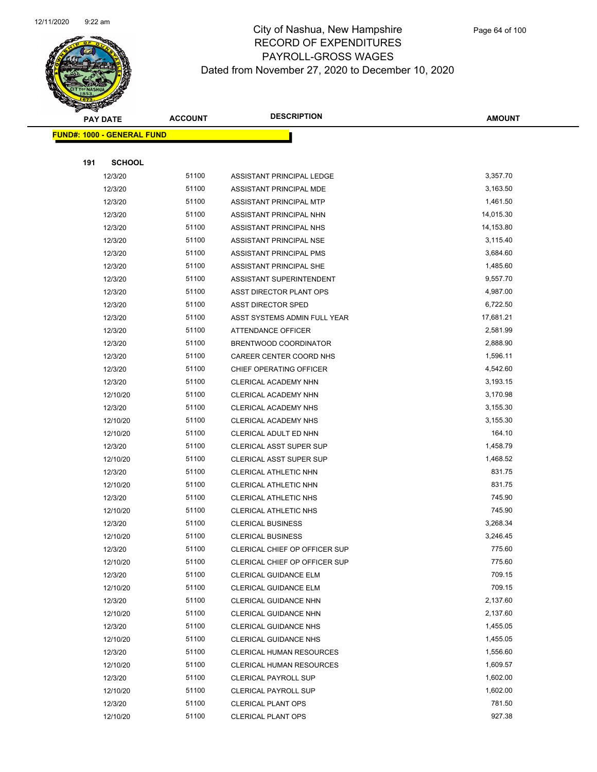

| <b>PAY DATE</b> |                                    | <b>DESCRIPTION</b><br><b>ACCOUNT</b> |                                 | <b>AMOUNT</b> |
|-----------------|------------------------------------|--------------------------------------|---------------------------------|---------------|
|                 | <u> FUND#: 1000 - GENERAL FUND</u> |                                      |                                 |               |
|                 |                                    |                                      |                                 |               |
| 191             | <b>SCHOOL</b>                      |                                      |                                 |               |
|                 | 12/3/20                            | 51100                                | ASSISTANT PRINCIPAL LEDGE       | 3,357.70      |
|                 | 12/3/20                            | 51100                                | ASSISTANT PRINCIPAL MDE         | 3,163.50      |
|                 | 12/3/20                            | 51100                                | ASSISTANT PRINCIPAL MTP         | 1,461.50      |
|                 | 12/3/20                            | 51100                                | ASSISTANT PRINCIPAL NHN         | 14,015.30     |
|                 | 12/3/20                            | 51100                                | ASSISTANT PRINCIPAL NHS         | 14,153.80     |
|                 | 12/3/20                            | 51100                                | ASSISTANT PRINCIPAL NSE         | 3,115.40      |
|                 | 12/3/20                            | 51100                                | ASSISTANT PRINCIPAL PMS         | 3,684.60      |
|                 | 12/3/20                            | 51100                                | ASSISTANT PRINCIPAL SHE         | 1,485.60      |
|                 | 12/3/20                            | 51100                                | ASSISTANT SUPERINTENDENT        | 9,557.70      |
|                 | 12/3/20                            | 51100                                | ASST DIRECTOR PLANT OPS         | 4,987.00      |
|                 | 12/3/20                            | 51100                                | <b>ASST DIRECTOR SPED</b>       | 6,722.50      |
|                 | 12/3/20                            | 51100                                | ASST SYSTEMS ADMIN FULL YEAR    | 17,681.21     |
|                 | 12/3/20                            | 51100                                | <b>ATTENDANCE OFFICER</b>       | 2,581.99      |
|                 | 12/3/20                            | 51100                                | BRENTWOOD COORDINATOR           | 2,888.90      |
|                 | 12/3/20                            | 51100                                | CAREER CENTER COORD NHS         | 1,596.11      |
|                 | 12/3/20                            | 51100                                | CHIEF OPERATING OFFICER         | 4,542.60      |
|                 | 12/3/20                            | 51100                                | CLERICAL ACADEMY NHN            | 3,193.15      |
|                 | 12/10/20                           | 51100                                | CLERICAL ACADEMY NHN            | 3,170.98      |
|                 | 12/3/20                            | 51100                                | CLERICAL ACADEMY NHS            | 3,155.30      |
|                 | 12/10/20                           | 51100                                | CLERICAL ACADEMY NHS            | 3,155.30      |
|                 | 12/10/20                           | 51100                                | CLERICAL ADULT ED NHN           | 164.10        |
|                 | 12/3/20                            | 51100                                | <b>CLERICAL ASST SUPER SUP</b>  | 1,458.79      |
|                 | 12/10/20                           | 51100                                | <b>CLERICAL ASST SUPER SUP</b>  | 1,468.52      |
|                 | 12/3/20                            | 51100                                | CLERICAL ATHLETIC NHN           | 831.75        |
|                 | 12/10/20                           | 51100                                | CLERICAL ATHLETIC NHN           | 831.75        |
|                 | 12/3/20                            | 51100                                | <b>CLERICAL ATHLETIC NHS</b>    | 745.90        |
|                 | 12/10/20                           | 51100                                | <b>CLERICAL ATHLETIC NHS</b>    | 745.90        |
|                 | 12/3/20                            | 51100                                | <b>CLERICAL BUSINESS</b>        | 3,268.34      |
|                 | 12/10/20                           | 51100                                | <b>CLERICAL BUSINESS</b>        | 3,246.45      |
|                 | 12/3/20                            | 51100                                | CLERICAL CHIEF OP OFFICER SUP   | 775.60        |
|                 | 12/10/20                           | 51100                                | CLERICAL CHIEF OP OFFICER SUP   | 775.60        |
|                 | 12/3/20                            | 51100                                | CLERICAL GUIDANCE ELM           | 709.15        |
|                 | 12/10/20                           | 51100                                | CLERICAL GUIDANCE ELM           | 709.15        |
|                 | 12/3/20                            | 51100                                | CLERICAL GUIDANCE NHN           | 2,137.60      |
|                 | 12/10/20                           | 51100                                | CLERICAL GUIDANCE NHN           | 2,137.60      |
|                 | 12/3/20                            | 51100                                | <b>CLERICAL GUIDANCE NHS</b>    | 1,455.05      |
|                 | 12/10/20                           | 51100                                | <b>CLERICAL GUIDANCE NHS</b>    | 1,455.05      |
|                 | 12/3/20                            | 51100                                | <b>CLERICAL HUMAN RESOURCES</b> | 1,556.60      |
|                 | 12/10/20                           | 51100                                | <b>CLERICAL HUMAN RESOURCES</b> | 1,609.57      |
|                 | 12/3/20                            | 51100                                | <b>CLERICAL PAYROLL SUP</b>     | 1,602.00      |
|                 | 12/10/20                           | 51100                                | <b>CLERICAL PAYROLL SUP</b>     | 1,602.00      |
|                 | 12/3/20                            | 51100                                | <b>CLERICAL PLANT OPS</b>       | 781.50        |
|                 | 12/10/20                           | 51100                                | CLERICAL PLANT OPS              | 927.38        |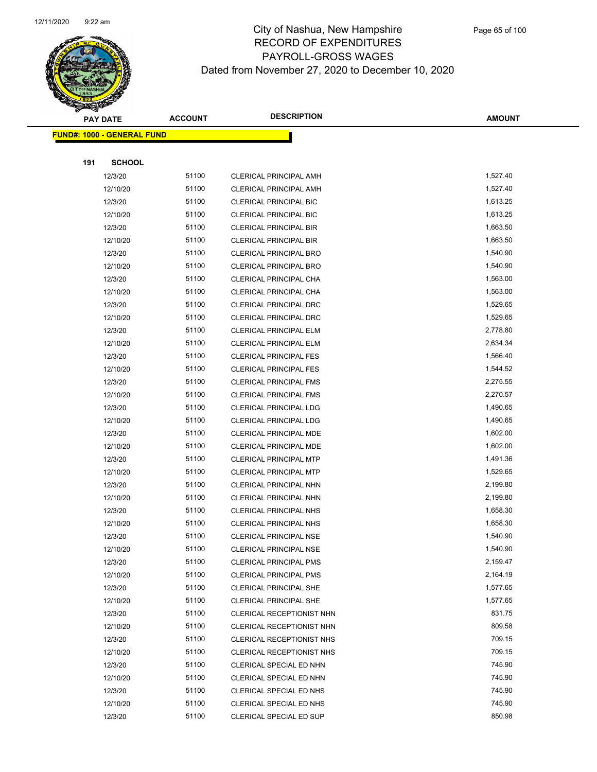

| <b>PAY DATE</b> |                                    | <b>ACCOUNT</b> | <b>DESCRIPTION</b>            | <b>AMOUNT</b> |
|-----------------|------------------------------------|----------------|-------------------------------|---------------|
|                 | <u> FUND#: 1000 - GENERAL FUND</u> |                |                               |               |
|                 |                                    |                |                               |               |
| 191             | <b>SCHOOL</b>                      |                |                               |               |
|                 | 12/3/20                            | 51100          | <b>CLERICAL PRINCIPAL AMH</b> | 1,527.40      |
|                 | 12/10/20                           | 51100          | <b>CLERICAL PRINCIPAL AMH</b> | 1,527.40      |
|                 | 12/3/20                            | 51100          | <b>CLERICAL PRINCIPAL BIC</b> | 1,613.25      |
|                 | 12/10/20                           | 51100          | <b>CLERICAL PRINCIPAL BIC</b> | 1,613.25      |
|                 | 12/3/20                            | 51100          | <b>CLERICAL PRINCIPAL BIR</b> | 1,663.50      |
|                 | 12/10/20                           | 51100          | CLERICAL PRINCIPAL BIR        | 1,663.50      |
|                 | 12/3/20                            | 51100          | <b>CLERICAL PRINCIPAL BRO</b> | 1,540.90      |
|                 | 12/10/20                           | 51100          | CLERICAL PRINCIPAL BRO        | 1,540.90      |
|                 | 12/3/20                            | 51100          | CLERICAL PRINCIPAL CHA        | 1,563.00      |
|                 | 12/10/20                           | 51100          | CLERICAL PRINCIPAL CHA        | 1,563.00      |
|                 | 12/3/20                            | 51100          | CLERICAL PRINCIPAL DRC        | 1,529.65      |
|                 | 12/10/20                           | 51100          | CLERICAL PRINCIPAL DRC        | 1,529.65      |
|                 | 12/3/20                            | 51100          | <b>CLERICAL PRINCIPAL ELM</b> | 2,778.80      |
|                 | 12/10/20                           | 51100          | <b>CLERICAL PRINCIPAL ELM</b> | 2,634.34      |
|                 | 12/3/20                            | 51100          | <b>CLERICAL PRINCIPAL FES</b> | 1,566.40      |
|                 | 12/10/20                           | 51100          | <b>CLERICAL PRINCIPAL FES</b> | 1,544.52      |
|                 | 12/3/20                            | 51100          | <b>CLERICAL PRINCIPAL FMS</b> | 2,275.55      |
|                 | 12/10/20                           | 51100          | <b>CLERICAL PRINCIPAL FMS</b> | 2,270.57      |
|                 | 12/3/20                            | 51100          | <b>CLERICAL PRINCIPAL LDG</b> | 1,490.65      |
|                 | 12/10/20                           | 51100          | <b>CLERICAL PRINCIPAL LDG</b> | 1,490.65      |
|                 | 12/3/20                            | 51100          | CLERICAL PRINCIPAL MDE        | 1,602.00      |
|                 | 12/10/20                           | 51100          | CLERICAL PRINCIPAL MDE        | 1,602.00      |
|                 | 12/3/20                            | 51100          | <b>CLERICAL PRINCIPAL MTP</b> | 1,491.36      |
|                 | 12/10/20                           | 51100          | <b>CLERICAL PRINCIPAL MTP</b> | 1,529.65      |
|                 | 12/3/20                            | 51100          | CLERICAL PRINCIPAL NHN        | 2,199.80      |
|                 | 12/10/20                           | 51100          | CLERICAL PRINCIPAL NHN        | 2,199.80      |
|                 | 12/3/20                            | 51100          | <b>CLERICAL PRINCIPAL NHS</b> | 1,658.30      |
|                 | 12/10/20                           | 51100          | CLERICAL PRINCIPAL NHS        | 1,658.30      |
|                 | 12/3/20                            | 51100          | <b>CLERICAL PRINCIPAL NSE</b> | 1,540.90      |
|                 | 12/10/20                           | 51100          | CLERICAL PRINCIPAL NSE        | 1,540.90      |
|                 | 12/3/20                            | 51100          | <b>CLERICAL PRINCIPAL PMS</b> | 2,159.47      |
|                 | 12/10/20                           | 51100          | <b>CLERICAL PRINCIPAL PMS</b> | 2,164.19      |
|                 | 12/3/20                            | 51100          | CLERICAL PRINCIPAL SHE        | 1,577.65      |
|                 | 12/10/20                           | 51100          | <b>CLERICAL PRINCIPAL SHE</b> | 1,577.65      |
|                 | 12/3/20                            | 51100          | CLERICAL RECEPTIONIST NHN     | 831.75        |
|                 | 12/10/20                           | 51100          | CLERICAL RECEPTIONIST NHN     | 809.58        |
|                 | 12/3/20                            | 51100          | CLERICAL RECEPTIONIST NHS     | 709.15        |
|                 | 12/10/20                           | 51100          | CLERICAL RECEPTIONIST NHS     | 709.15        |
|                 | 12/3/20                            | 51100          | CLERICAL SPECIAL ED NHN       | 745.90        |
|                 | 12/10/20                           | 51100          | CLERICAL SPECIAL ED NHN       | 745.90        |
|                 | 12/3/20                            | 51100          | CLERICAL SPECIAL ED NHS       | 745.90        |
|                 | 12/10/20                           | 51100          | CLERICAL SPECIAL ED NHS       | 745.90        |
|                 | 12/3/20                            | 51100          | CLERICAL SPECIAL ED SUP       | 850.98        |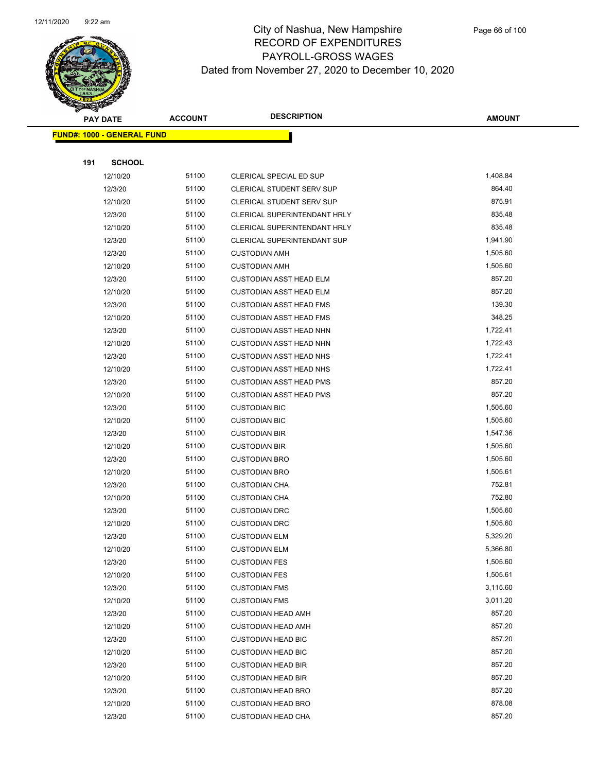

|     | <b>PAY DATE</b>                    | <b>ACCOUNT</b> | <b>DESCRIPTION</b>             | <b>AMOUNT</b> |
|-----|------------------------------------|----------------|--------------------------------|---------------|
|     | <u> FUND#: 1000 - GENERAL FUND</u> |                |                                |               |
|     |                                    |                |                                |               |
| 191 | <b>SCHOOL</b>                      |                |                                |               |
|     | 12/10/20                           | 51100          | CLERICAL SPECIAL ED SUP        | 1,408.84      |
|     | 12/3/20                            | 51100          | CLERICAL STUDENT SERV SUP      | 864.40        |
|     | 12/10/20                           | 51100          | CLERICAL STUDENT SERV SUP      | 875.91        |
|     | 12/3/20                            | 51100          | CLERICAL SUPERINTENDANT HRLY   | 835.48        |
|     | 12/10/20                           | 51100          | CLERICAL SUPERINTENDANT HRLY   | 835.48        |
|     | 12/3/20                            | 51100          | CLERICAL SUPERINTENDANT SUP    | 1,941.90      |
|     | 12/3/20                            | 51100          | <b>CUSTODIAN AMH</b>           | 1,505.60      |
|     | 12/10/20                           | 51100          | <b>CUSTODIAN AMH</b>           | 1,505.60      |
|     | 12/3/20                            | 51100          | <b>CUSTODIAN ASST HEAD ELM</b> | 857.20        |
|     | 12/10/20                           | 51100          | <b>CUSTODIAN ASST HEAD ELM</b> | 857.20        |
|     | 12/3/20                            | 51100          | <b>CUSTODIAN ASST HEAD FMS</b> | 139.30        |
|     | 12/10/20                           | 51100          | <b>CUSTODIAN ASST HEAD FMS</b> | 348.25        |
|     | 12/3/20                            | 51100          | <b>CUSTODIAN ASST HEAD NHN</b> | 1,722.41      |
|     | 12/10/20                           | 51100          | <b>CUSTODIAN ASST HEAD NHN</b> | 1,722.43      |
|     | 12/3/20                            | 51100          | <b>CUSTODIAN ASST HEAD NHS</b> | 1,722.41      |
|     | 12/10/20                           | 51100          | <b>CUSTODIAN ASST HEAD NHS</b> | 1,722.41      |
|     | 12/3/20                            | 51100          | <b>CUSTODIAN ASST HEAD PMS</b> | 857.20        |
|     | 12/10/20                           | 51100          | <b>CUSTODIAN ASST HEAD PMS</b> | 857.20        |
|     | 12/3/20                            | 51100          | <b>CUSTODIAN BIC</b>           | 1,505.60      |
|     | 12/10/20                           | 51100          | <b>CUSTODIAN BIC</b>           | 1,505.60      |
|     | 12/3/20                            | 51100          | <b>CUSTODIAN BIR</b>           | 1,547.36      |
|     | 12/10/20                           | 51100          | <b>CUSTODIAN BIR</b>           | 1,505.60      |
|     | 12/3/20                            | 51100          | <b>CUSTODIAN BRO</b>           | 1,505.60      |
|     | 12/10/20                           | 51100          | <b>CUSTODIAN BRO</b>           | 1,505.61      |
|     | 12/3/20                            | 51100          | <b>CUSTODIAN CHA</b>           | 752.81        |
|     | 12/10/20                           | 51100          | <b>CUSTODIAN CHA</b>           | 752.80        |
|     | 12/3/20                            | 51100          | <b>CUSTODIAN DRC</b>           | 1,505.60      |
|     | 12/10/20                           | 51100          | <b>CUSTODIAN DRC</b>           | 1,505.60      |
|     | 12/3/20                            | 51100          | <b>CUSTODIAN ELM</b>           | 5,329.20      |
|     | 12/10/20                           | 51100          | <b>CUSTODIAN ELM</b>           | 5,366.80      |
|     | 12/3/20                            | 51100          | <b>CUSTODIAN FES</b>           | 1,505.60      |
|     | 12/10/20                           | 51100          | <b>CUSTODIAN FES</b>           | 1,505.61      |
|     | 12/3/20                            | 51100          | <b>CUSTODIAN FMS</b>           | 3,115.60      |
|     | 12/10/20                           | 51100          | <b>CUSTODIAN FMS</b>           | 3,011.20      |
|     | 12/3/20                            | 51100          | <b>CUSTODIAN HEAD AMH</b>      | 857.20        |
|     | 12/10/20                           | 51100          | <b>CUSTODIAN HEAD AMH</b>      | 857.20        |
|     | 12/3/20                            | 51100          | <b>CUSTODIAN HEAD BIC</b>      | 857.20        |
|     | 12/10/20                           | 51100          | <b>CUSTODIAN HEAD BIC</b>      | 857.20        |
|     | 12/3/20                            | 51100          | <b>CUSTODIAN HEAD BIR</b>      | 857.20        |
|     | 12/10/20                           | 51100          | <b>CUSTODIAN HEAD BIR</b>      | 857.20        |
|     | 12/3/20                            | 51100          | <b>CUSTODIAN HEAD BRO</b>      | 857.20        |
|     | 12/10/20                           | 51100          | <b>CUSTODIAN HEAD BRO</b>      | 878.08        |
|     | 12/3/20                            | 51100          | <b>CUSTODIAN HEAD CHA</b>      | 857.20        |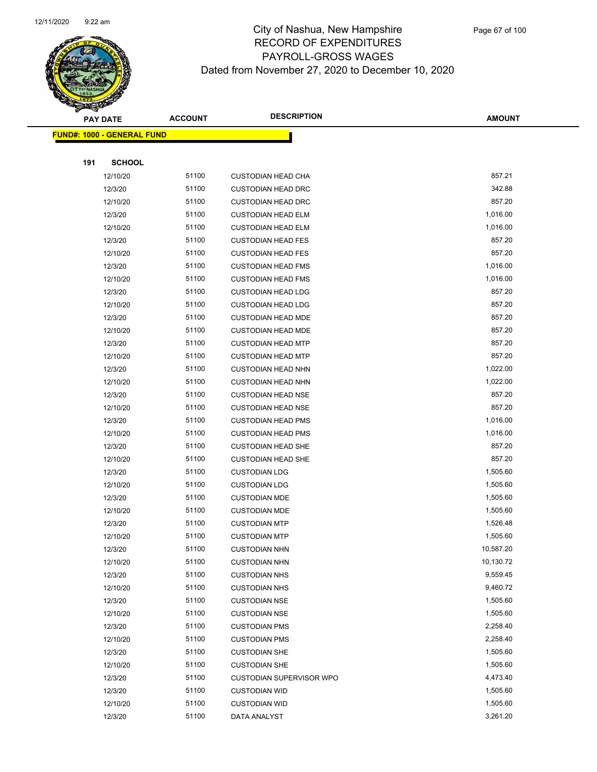

|     | <b>PAY DATE</b>                    | <b>ACCOUNT</b> | <b>DESCRIPTION</b>              | <b>AMOUNT</b> |
|-----|------------------------------------|----------------|---------------------------------|---------------|
|     | <u> FUND#: 1000 - GENERAL FUND</u> |                |                                 |               |
|     |                                    |                |                                 |               |
| 191 | <b>SCHOOL</b>                      |                |                                 |               |
|     | 12/10/20                           | 51100          | <b>CUSTODIAN HEAD CHA</b>       | 857.21        |
|     | 12/3/20                            | 51100          | <b>CUSTODIAN HEAD DRC</b>       | 342.88        |
|     | 12/10/20                           | 51100          | <b>CUSTODIAN HEAD DRC</b>       | 857.20        |
|     | 12/3/20                            | 51100          | <b>CUSTODIAN HEAD ELM</b>       | 1,016.00      |
|     | 12/10/20                           | 51100          | <b>CUSTODIAN HEAD ELM</b>       | 1,016.00      |
|     | 12/3/20                            | 51100          | <b>CUSTODIAN HEAD FES</b>       | 857.20        |
|     | 12/10/20                           | 51100          | <b>CUSTODIAN HEAD FES</b>       | 857.20        |
|     | 12/3/20                            | 51100          | <b>CUSTODIAN HEAD FMS</b>       | 1,016.00      |
|     | 12/10/20                           | 51100          | <b>CUSTODIAN HEAD FMS</b>       | 1,016.00      |
|     | 12/3/20                            | 51100          | <b>CUSTODIAN HEAD LDG</b>       | 857.20        |
|     | 12/10/20                           | 51100          | <b>CUSTODIAN HEAD LDG</b>       | 857.20        |
|     | 12/3/20                            | 51100          | <b>CUSTODIAN HEAD MDE</b>       | 857.20        |
|     | 12/10/20                           | 51100          | <b>CUSTODIAN HEAD MDE</b>       | 857.20        |
|     | 12/3/20                            | 51100          | <b>CUSTODIAN HEAD MTP</b>       | 857.20        |
|     | 12/10/20                           | 51100          | <b>CUSTODIAN HEAD MTP</b>       | 857.20        |
|     | 12/3/20                            | 51100          | <b>CUSTODIAN HEAD NHN</b>       | 1,022.00      |
|     | 12/10/20                           | 51100          | <b>CUSTODIAN HEAD NHN</b>       | 1,022.00      |
|     | 12/3/20                            | 51100          | <b>CUSTODIAN HEAD NSE</b>       | 857.20        |
|     | 12/10/20                           | 51100          | <b>CUSTODIAN HEAD NSE</b>       | 857.20        |
|     | 12/3/20                            | 51100          | <b>CUSTODIAN HEAD PMS</b>       | 1,016.00      |
|     | 12/10/20                           | 51100          | <b>CUSTODIAN HEAD PMS</b>       | 1,016.00      |
|     | 12/3/20                            | 51100          | <b>CUSTODIAN HEAD SHE</b>       | 857.20        |
|     | 12/10/20                           | 51100          | <b>CUSTODIAN HEAD SHE</b>       | 857.20        |
|     | 12/3/20                            | 51100          | <b>CUSTODIAN LDG</b>            | 1,505.60      |
|     | 12/10/20                           | 51100          | <b>CUSTODIAN LDG</b>            | 1,505.60      |
|     | 12/3/20                            | 51100          | <b>CUSTODIAN MDE</b>            | 1,505.60      |
|     | 12/10/20                           | 51100          | <b>CUSTODIAN MDE</b>            | 1,505.60      |
|     | 12/3/20                            | 51100          | <b>CUSTODIAN MTP</b>            | 1,526.48      |
|     | 12/10/20                           | 51100          | <b>CUSTODIAN MTP</b>            | 1,505.60      |
|     | 12/3/20                            | 51100          | <b>CUSTODIAN NHN</b>            | 10,587.20     |
|     | 12/10/20                           | 51100          | <b>CUSTODIAN NHN</b>            | 10,130.72     |
|     | 12/3/20                            | 51100          | <b>CUSTODIAN NHS</b>            | 9,559.45      |
|     | 12/10/20                           | 51100          | <b>CUSTODIAN NHS</b>            | 9,460.72      |
|     | 12/3/20                            | 51100          | <b>CUSTODIAN NSE</b>            | 1,505.60      |
|     | 12/10/20                           | 51100          | <b>CUSTODIAN NSE</b>            | 1,505.60      |
|     | 12/3/20                            | 51100          | <b>CUSTODIAN PMS</b>            | 2,258.40      |
|     | 12/10/20                           | 51100          | <b>CUSTODIAN PMS</b>            | 2,258.40      |
|     | 12/3/20                            | 51100          | <b>CUSTODIAN SHE</b>            | 1,505.60      |
|     | 12/10/20                           | 51100          | <b>CUSTODIAN SHE</b>            | 1,505.60      |
|     | 12/3/20                            | 51100          | <b>CUSTODIAN SUPERVISOR WPO</b> | 4,473.40      |
|     | 12/3/20                            | 51100          | <b>CUSTODIAN WID</b>            | 1,505.60      |
|     | 12/10/20                           | 51100          | <b>CUSTODIAN WID</b>            | 1,505.60      |
|     | 12/3/20                            | 51100          | DATA ANALYST                    | 3,261.20      |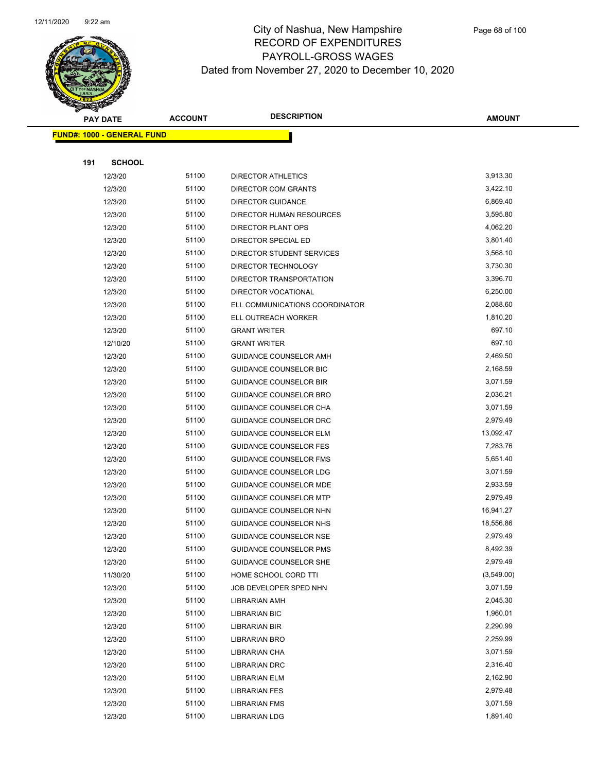

|     | <b>PAY DATE</b>                    | <b>ACCOUNT</b> | <b>DESCRIPTION</b>                           | AMOUNT               |
|-----|------------------------------------|----------------|----------------------------------------------|----------------------|
|     | <u> FUND#: 1000 - GENERAL FUND</u> |                |                                              |                      |
|     |                                    |                |                                              |                      |
| 191 | <b>SCHOOL</b>                      |                |                                              |                      |
|     | 12/3/20                            | 51100          | <b>DIRECTOR ATHLETICS</b>                    | 3,913.30             |
|     | 12/3/20                            | 51100          | <b>DIRECTOR COM GRANTS</b>                   | 3,422.10             |
|     | 12/3/20                            | 51100          | <b>DIRECTOR GUIDANCE</b>                     | 6,869.40             |
|     | 12/3/20                            | 51100          | DIRECTOR HUMAN RESOURCES                     | 3,595.80             |
|     | 12/3/20                            | 51100          | DIRECTOR PLANT OPS                           | 4,062.20             |
|     | 12/3/20                            | 51100          | DIRECTOR SPECIAL ED                          | 3,801.40             |
|     | 12/3/20                            | 51100          | <b>DIRECTOR STUDENT SERVICES</b>             | 3,568.10             |
|     | 12/3/20                            | 51100          | DIRECTOR TECHNOLOGY                          | 3,730.30             |
|     | 12/3/20                            | 51100          | DIRECTOR TRANSPORTATION                      | 3,396.70             |
|     | 12/3/20                            | 51100          | <b>DIRECTOR VOCATIONAL</b>                   | 6,250.00             |
|     | 12/3/20                            | 51100          | ELL COMMUNICATIONS COORDINATOR               | 2,088.60             |
|     | 12/3/20                            | 51100          | ELL OUTREACH WORKER                          | 1,810.20             |
|     | 12/3/20                            | 51100          | <b>GRANT WRITER</b>                          | 697.10               |
|     | 12/10/20                           | 51100          | <b>GRANT WRITER</b>                          | 697.10               |
|     | 12/3/20                            | 51100          | GUIDANCE COUNSELOR AMH                       | 2,469.50             |
|     | 12/3/20                            | 51100          | <b>GUIDANCE COUNSELOR BIC</b>                | 2,168.59             |
|     | 12/3/20                            | 51100          | <b>GUIDANCE COUNSELOR BIR</b>                | 3,071.59             |
|     | 12/3/20                            | 51100          | GUIDANCE COUNSELOR BRO                       | 2,036.21             |
|     | 12/3/20                            | 51100          | GUIDANCE COUNSELOR CHA                       | 3,071.59             |
|     | 12/3/20                            | 51100          | GUIDANCE COUNSELOR DRC                       | 2,979.49             |
|     | 12/3/20                            | 51100          | <b>GUIDANCE COUNSELOR ELM</b>                | 13,092.47            |
|     | 12/3/20                            | 51100          | <b>GUIDANCE COUNSELOR FES</b>                | 7,283.76             |
|     | 12/3/20                            | 51100          | <b>GUIDANCE COUNSELOR FMS</b>                | 5,651.40             |
|     | 12/3/20                            | 51100          | GUIDANCE COUNSELOR LDG                       | 3,071.59             |
|     | 12/3/20                            | 51100          | GUIDANCE COUNSELOR MDE                       | 2,933.59             |
|     | 12/3/20                            | 51100          | <b>GUIDANCE COUNSELOR MTP</b>                | 2,979.49             |
|     | 12/3/20                            | 51100          | GUIDANCE COUNSELOR NHN                       | 16,941.27            |
|     | 12/3/20                            | 51100          | GUIDANCE COUNSELOR NHS                       | 18,556.86            |
|     | 12/3/20                            | 51100          | GUIDANCE COUNSELOR NSE                       | 2,979.49             |
|     | 12/3/20                            | 51100          | GUIDANCE COUNSELOR PMS                       | 8,492.39             |
|     | 12/3/20                            | 51100          | GUIDANCE COUNSELOR SHE                       | 2,979.49             |
|     | 11/30/20                           | 51100          | HOME SCHOOL CORD TTI                         | (3,549.00)           |
|     | 12/3/20                            | 51100          | JOB DEVELOPER SPED NHN                       | 3,071.59             |
|     | 12/3/20                            | 51100<br>51100 | <b>LIBRARIAN AMH</b>                         | 2,045.30<br>1,960.01 |
|     | 12/3/20<br>12/3/20                 | 51100          | <b>LIBRARIAN BIC</b><br><b>LIBRARIAN BIR</b> | 2,290.99             |
|     | 12/3/20                            | 51100          | LIBRARIAN BRO                                | 2,259.99             |
|     | 12/3/20                            | 51100          | LIBRARIAN CHA                                | 3,071.59             |
|     | 12/3/20                            | 51100          | <b>LIBRARIAN DRC</b>                         | 2,316.40             |
|     | 12/3/20                            | 51100          | LIBRARIAN ELM                                | 2,162.90             |
|     | 12/3/20                            | 51100          | <b>LIBRARIAN FES</b>                         | 2,979.48             |
|     | 12/3/20                            | 51100          | <b>LIBRARIAN FMS</b>                         | 3,071.59             |
|     | 12/3/20                            | 51100          | <b>LIBRARIAN LDG</b>                         | 1,891.40             |
|     |                                    |                |                                              |                      |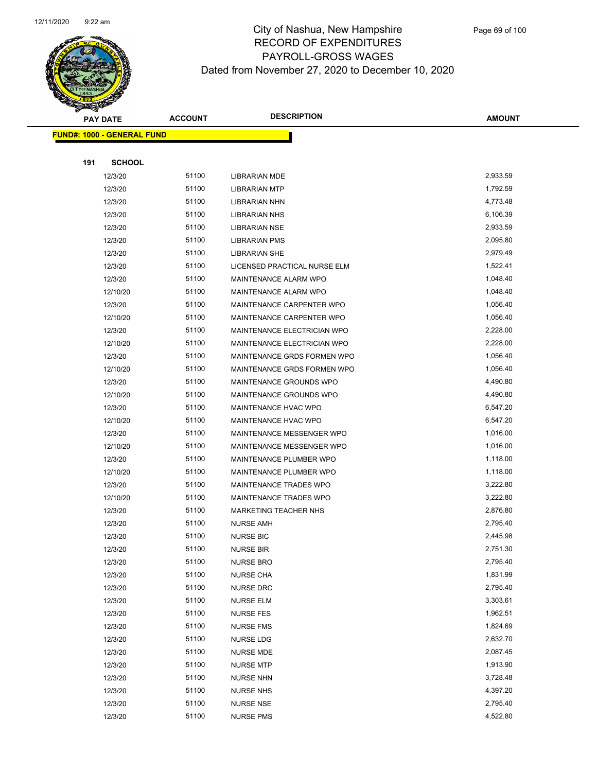

|     | <b>PAY DATE</b>                   | <b>ACCOUNT</b> | <b>DESCRIPTION</b>           | <b>AMOUNT</b> |
|-----|-----------------------------------|----------------|------------------------------|---------------|
|     | <b>FUND#: 1000 - GENERAL FUND</b> |                |                              |               |
|     |                                   |                |                              |               |
| 191 | <b>SCHOOL</b>                     |                |                              |               |
|     | 12/3/20                           | 51100          | <b>LIBRARIAN MDE</b>         | 2,933.59      |
|     | 12/3/20                           | 51100          | <b>LIBRARIAN MTP</b>         | 1,792.59      |
|     | 12/3/20                           | 51100          | <b>LIBRARIAN NHN</b>         | 4,773.48      |
|     | 12/3/20                           | 51100          | <b>LIBRARIAN NHS</b>         | 6,106.39      |
|     | 12/3/20                           | 51100          | <b>LIBRARIAN NSE</b>         | 2,933.59      |
|     | 12/3/20                           | 51100          | <b>LIBRARIAN PMS</b>         | 2,095.80      |
|     | 12/3/20                           | 51100          | <b>LIBRARIAN SHE</b>         | 2,979.49      |
|     | 12/3/20                           | 51100          | LICENSED PRACTICAL NURSE ELM | 1,522.41      |
|     | 12/3/20                           | 51100          | MAINTENANCE ALARM WPO        | 1,048.40      |
|     | 12/10/20                          | 51100          | MAINTENANCE ALARM WPO        | 1,048.40      |
|     | 12/3/20                           | 51100          | MAINTENANCE CARPENTER WPO    | 1,056.40      |
|     | 12/10/20                          | 51100          | MAINTENANCE CARPENTER WPO    | 1,056.40      |
|     | 12/3/20                           | 51100          | MAINTENANCE ELECTRICIAN WPO  | 2,228.00      |
|     | 12/10/20                          | 51100          | MAINTENANCE ELECTRICIAN WPO  | 2,228.00      |
|     | 12/3/20                           | 51100          | MAINTENANCE GRDS FORMEN WPO  | 1,056.40      |
|     | 12/10/20                          | 51100          | MAINTENANCE GRDS FORMEN WPO  | 1,056.40      |
|     | 12/3/20                           | 51100          | MAINTENANCE GROUNDS WPO      | 4,490.80      |
|     | 12/10/20                          | 51100          | MAINTENANCE GROUNDS WPO      | 4,490.80      |
|     | 12/3/20                           | 51100          | MAINTENANCE HVAC WPO         | 6,547.20      |
|     | 12/10/20                          | 51100          | MAINTENANCE HVAC WPO         | 6,547.20      |
|     | 12/3/20                           | 51100          | MAINTENANCE MESSENGER WPO    | 1,016.00      |
|     | 12/10/20                          | 51100          | MAINTENANCE MESSENGER WPO    | 1,016.00      |
|     | 12/3/20                           | 51100          | MAINTENANCE PLUMBER WPO      | 1,118.00      |
|     | 12/10/20                          | 51100          | MAINTENANCE PLUMBER WPO      | 1,118.00      |
|     | 12/3/20                           | 51100          | MAINTENANCE TRADES WPO       | 3,222.80      |
|     | 12/10/20                          | 51100          | MAINTENANCE TRADES WPO       | 3,222.80      |
|     | 12/3/20                           | 51100          | <b>MARKETING TEACHER NHS</b> | 2,876.80      |
|     | 12/3/20                           | 51100          | <b>NURSE AMH</b>             | 2,795.40      |
|     | 12/3/20                           | 51100          | <b>NURSE BIC</b>             | 2,445.98      |
|     | 12/3/20                           | 51100          | <b>NURSE BIR</b>             | 2,751.30      |
|     | 12/3/20                           | 51100          | <b>NURSE BRO</b>             | 2,795.40      |
|     | 12/3/20                           | 51100          | <b>NURSE CHA</b>             | 1,831.99      |
|     | 12/3/20                           | 51100          | <b>NURSE DRC</b>             | 2,795.40      |
|     | 12/3/20                           | 51100          | <b>NURSE ELM</b>             | 3,303.61      |
|     | 12/3/20                           | 51100          | <b>NURSE FES</b>             | 1,962.51      |
|     | 12/3/20                           | 51100          | <b>NURSE FMS</b>             | 1,824.69      |
|     | 12/3/20                           | 51100          | NURSE LDG                    | 2,632.70      |
|     | 12/3/20                           | 51100          | <b>NURSE MDE</b>             | 2,087.45      |
|     | 12/3/20                           | 51100          | <b>NURSE MTP</b>             | 1,913.90      |
|     | 12/3/20                           | 51100          | <b>NURSE NHN</b>             | 3,728.48      |
|     | 12/3/20                           | 51100          | <b>NURSE NHS</b>             | 4,397.20      |
|     | 12/3/20                           | 51100          | <b>NURSE NSE</b>             | 2,795.40      |
|     | 12/3/20                           | 51100          | <b>NURSE PMS</b>             | 4,522.80      |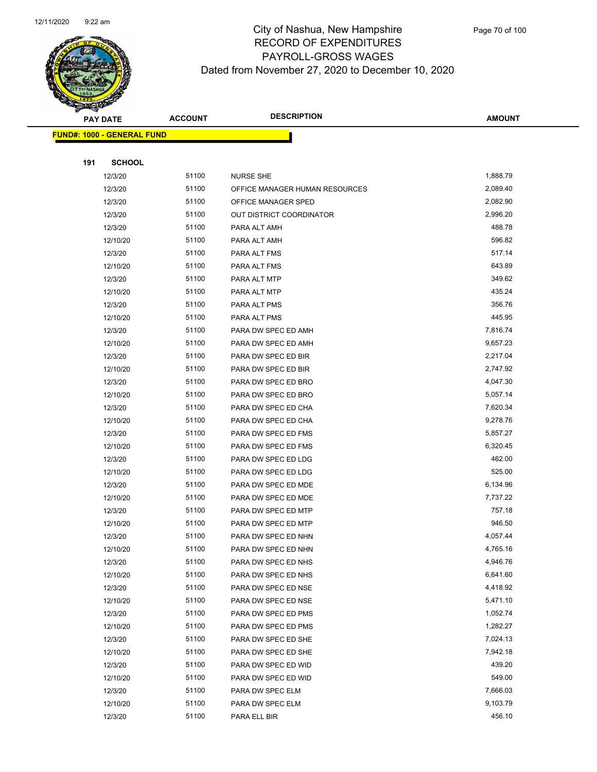

|     | <b>PAY DATE</b>                    | <b>ACCOUNT</b> | <b>DESCRIPTION</b>             | <b>AMOUNT</b> |
|-----|------------------------------------|----------------|--------------------------------|---------------|
|     | <u> FUND#: 1000 - GENERAL FUND</u> |                |                                |               |
|     |                                    |                |                                |               |
| 191 | <b>SCHOOL</b>                      |                |                                |               |
|     | 12/3/20                            | 51100          | <b>NURSE SHE</b>               | 1,888.79      |
|     | 12/3/20                            | 51100          | OFFICE MANAGER HUMAN RESOURCES | 2,089.40      |
|     | 12/3/20                            | 51100          | OFFICE MANAGER SPED            | 2,082.90      |
|     | 12/3/20                            | 51100          | OUT DISTRICT COORDINATOR       | 2,996.20      |
|     | 12/3/20                            | 51100          | PARA ALT AMH                   | 488.78        |
|     | 12/10/20                           | 51100          | PARA ALT AMH                   | 596.82        |
|     | 12/3/20                            | 51100          | PARA ALT FMS                   | 517.14        |
|     | 12/10/20                           | 51100          | PARA ALT FMS                   | 643.89        |
|     | 12/3/20                            | 51100          | PARA ALT MTP                   | 349.62        |
|     | 12/10/20                           | 51100          | PARA ALT MTP                   | 435.24        |
|     | 12/3/20                            | 51100          | PARA ALT PMS                   | 356.76        |
|     | 12/10/20                           | 51100          | PARA ALT PMS                   | 445.95        |
|     | 12/3/20                            | 51100          | PARA DW SPEC ED AMH            | 7,816.74      |
|     | 12/10/20                           | 51100          | PARA DW SPEC ED AMH            | 9,657.23      |
|     | 12/3/20                            | 51100          | PARA DW SPEC ED BIR            | 2,217.04      |
|     | 12/10/20                           | 51100          | PARA DW SPEC ED BIR            | 2,747.92      |
|     | 12/3/20                            | 51100          | PARA DW SPEC ED BRO            | 4,047.30      |
|     | 12/10/20                           | 51100          | PARA DW SPEC ED BRO            | 5,057.14      |
|     | 12/3/20                            | 51100          | PARA DW SPEC ED CHA            | 7,620.34      |
|     | 12/10/20                           | 51100          | PARA DW SPEC ED CHA            | 9,278.76      |
|     | 12/3/20                            | 51100          | PARA DW SPEC ED FMS            | 5,857.27      |
|     | 12/10/20                           | 51100          | PARA DW SPEC ED FMS            | 6,320.45      |
|     | 12/3/20                            | 51100          | PARA DW SPEC ED LDG            | 462.00        |
|     | 12/10/20                           | 51100          | PARA DW SPEC ED LDG            | 525.00        |
|     | 12/3/20                            | 51100          | PARA DW SPEC ED MDE            | 6,134.96      |
|     | 12/10/20                           | 51100          | PARA DW SPEC ED MDE            | 7,737.22      |
|     | 12/3/20                            | 51100          | PARA DW SPEC ED MTP            | 757.18        |
|     | 12/10/20                           | 51100          | PARA DW SPEC ED MTP            | 946.50        |
|     | 12/3/20                            | 51100          | PARA DW SPEC ED NHN            | 4,057.44      |
|     | 12/10/20                           | 51100          | PARA DW SPEC ED NHN            | 4,765.16      |
|     | 12/3/20                            | 51100          | PARA DW SPEC ED NHS            | 4,946.76      |
|     | 12/10/20                           | 51100          | PARA DW SPEC ED NHS            | 6,641.60      |
|     | 12/3/20                            | 51100          | PARA DW SPEC ED NSE            | 4,418.92      |
|     | 12/10/20                           | 51100          | PARA DW SPEC ED NSE            | 5,471.10      |
|     | 12/3/20                            | 51100          | PARA DW SPEC ED PMS            | 1,052.74      |
|     | 12/10/20                           | 51100          | PARA DW SPEC ED PMS            | 1,282.27      |
|     | 12/3/20                            | 51100          | PARA DW SPEC ED SHE            | 7,024.13      |
|     | 12/10/20                           | 51100          | PARA DW SPEC ED SHE            | 7,942.18      |
|     | 12/3/20                            | 51100          | PARA DW SPEC ED WID            | 439.20        |
|     | 12/10/20                           | 51100          | PARA DW SPEC ED WID            | 549.00        |
|     | 12/3/20                            | 51100          | PARA DW SPEC ELM               | 7,666.03      |
|     | 12/10/20                           | 51100          | PARA DW SPEC ELM               | 9,103.79      |
|     | 12/3/20                            | 51100          | PARA ELL BIR                   | 456.10        |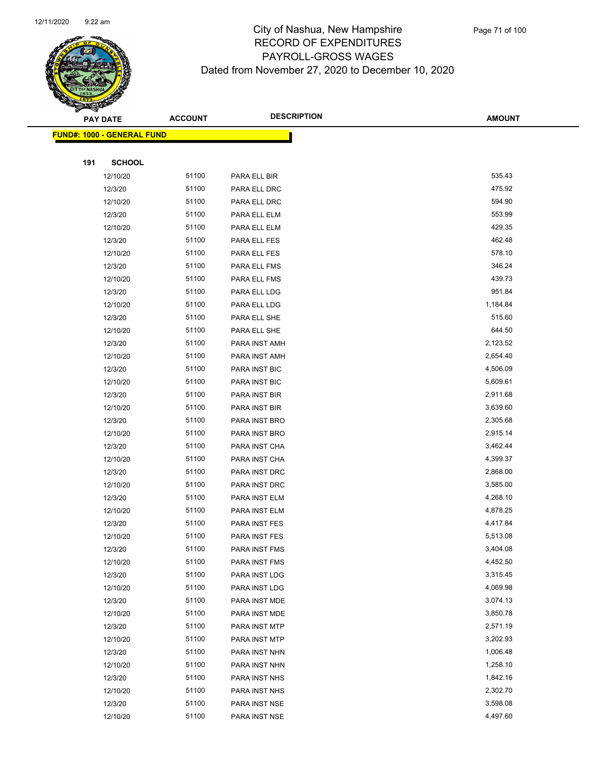

|     | <b>PAY DATE</b>            | <b>ACCOUNT</b> | <b>DESCRIPTION</b> | <b>AMOUNT</b> |
|-----|----------------------------|----------------|--------------------|---------------|
|     | FUND#: 1000 - GENERAL FUND |                |                    |               |
|     |                            |                |                    |               |
| 191 | <b>SCHOOL</b>              |                |                    |               |
|     | 12/10/20                   | 51100          | PARA ELL BIR       | 535.43        |
|     | 12/3/20                    | 51100          | PARA ELL DRC       | 475.92        |
|     | 12/10/20                   | 51100          | PARA ELL DRC       | 594.90        |
|     | 12/3/20                    | 51100          | PARA ELL ELM       | 553.99        |
|     | 12/10/20                   | 51100          | PARA ELL ELM       | 429.35        |
|     | 12/3/20                    | 51100          | PARA ELL FES       | 462.48        |
|     | 12/10/20                   | 51100          | PARA ELL FES       | 578.10        |
|     | 12/3/20                    | 51100          | PARA ELL FMS       | 346.24        |
|     | 12/10/20                   | 51100          | PARA ELL FMS       | 439.73        |
|     | 12/3/20                    | 51100          | PARA ELL LDG       | 951.84        |
|     | 12/10/20                   | 51100          | PARA ELL LDG       | 1,184.84      |
|     | 12/3/20                    | 51100          | PARA ELL SHE       | 515.60        |
|     | 12/10/20                   | 51100          | PARA ELL SHE       | 644.50        |
|     | 12/3/20                    | 51100          | PARA INST AMH      | 2,123.52      |
|     | 12/10/20                   | 51100          | PARA INST AMH      | 2,654.40      |
|     | 12/3/20                    | 51100          | PARA INST BIC      | 4,506.09      |
|     | 12/10/20                   | 51100          | PARA INST BIC      | 5,609.61      |
|     | 12/3/20                    | 51100          | PARA INST BIR      | 2,911.68      |
|     | 12/10/20                   | 51100          | PARA INST BIR      | 3,639.60      |
|     | 12/3/20                    | 51100          | PARA INST BRO      | 2,305.68      |
|     | 12/10/20                   | 51100          | PARA INST BRO      | 2,915.14      |
|     | 12/3/20                    | 51100          | PARA INST CHA      | 3,462.44      |
|     | 12/10/20                   | 51100          | PARA INST CHA      | 4,399.37      |
|     | 12/3/20                    | 51100          | PARA INST DRC      | 2,868.00      |
|     | 12/10/20                   | 51100          | PARA INST DRC      | 3,585.00      |
|     | 12/3/20                    | 51100          | PARA INST ELM      | 4,268.10      |
|     | 12/10/20                   | 51100          | PARA INST ELM      | 4,878.25      |
|     | 12/3/20                    | 51100          | PARA INST FES      | 4,417.84      |
|     | 12/10/20                   | 51100          | PARA INST FES      | 5,513.08      |
|     | 12/3/20                    | 51100          | PARA INST FMS      | 3,404.08      |
|     | 12/10/20                   | 51100          | PARA INST FMS      | 4,452.50      |
|     | 12/3/20                    | 51100          | PARA INST LDG      | 3,315.45      |
|     | 12/10/20                   | 51100          | PARA INST LDG      | 4,069.98      |
|     | 12/3/20                    | 51100          | PARA INST MDE      | 3,074.13      |
|     | 12/10/20                   | 51100          | PARA INST MDE      | 3,850.78      |
|     | 12/3/20                    | 51100          | PARA INST MTP      | 2,571.19      |
|     | 12/10/20                   | 51100          | PARA INST MTP      | 3,202.93      |
|     | 12/3/20                    | 51100          | PARA INST NHN      | 1,006.48      |
|     | 12/10/20                   | 51100          | PARA INST NHN      | 1,258.10      |
|     | 12/3/20                    | 51100          | PARA INST NHS      | 1,842.16      |
|     | 12/10/20                   | 51100          | PARA INST NHS      | 2,302.70      |
|     | 12/3/20                    | 51100          | PARA INST NSE      | 3,598.08      |
|     | 12/10/20                   | 51100          | PARA INST NSE      | 4,497.60      |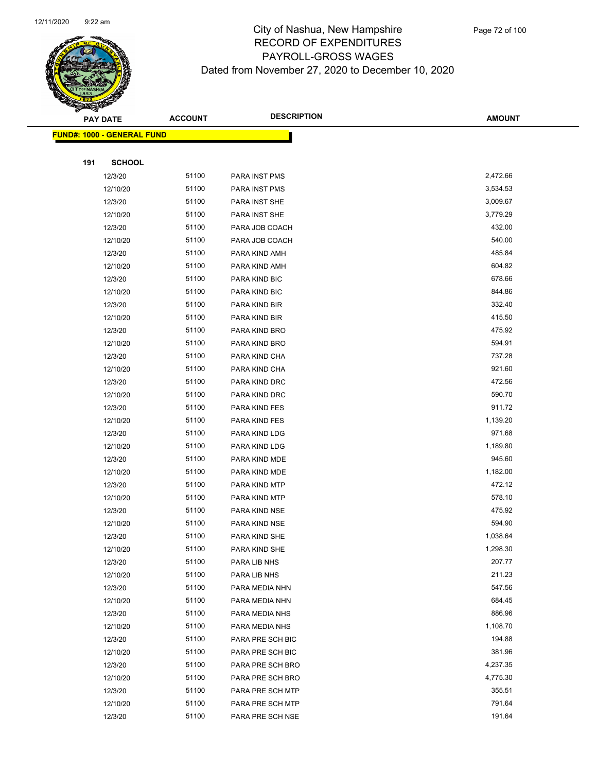

|     | <b>PAY DATE</b>                    | <b>ACCOUNT</b> | <b>DESCRIPTION</b> | <b>AMOUNT</b>    |
|-----|------------------------------------|----------------|--------------------|------------------|
|     | <u> FUND#: 1000 - GENERAL FUND</u> |                |                    |                  |
|     |                                    |                |                    |                  |
| 191 | <b>SCHOOL</b>                      |                |                    |                  |
|     | 12/3/20                            | 51100          | PARA INST PMS      | 2,472.66         |
|     | 12/10/20                           | 51100          | PARA INST PMS      | 3,534.53         |
|     | 12/3/20                            | 51100          | PARA INST SHE      | 3,009.67         |
|     | 12/10/20                           | 51100          | PARA INST SHE      | 3,779.29         |
|     | 12/3/20                            | 51100          | PARA JOB COACH     | 432.00           |
|     | 12/10/20                           | 51100          | PARA JOB COACH     | 540.00           |
|     | 12/3/20                            | 51100          | PARA KIND AMH      | 485.84           |
|     | 12/10/20                           | 51100          | PARA KIND AMH      | 604.82           |
|     | 12/3/20                            | 51100          | PARA KIND BIC      | 678.66           |
|     | 12/10/20                           | 51100          | PARA KIND BIC      | 844.86           |
|     | 12/3/20                            | 51100          | PARA KIND BIR      | 332.40           |
|     | 12/10/20                           | 51100          | PARA KIND BIR      | 415.50           |
|     | 12/3/20                            | 51100          | PARA KIND BRO      | 475.92           |
|     | 12/10/20                           | 51100          | PARA KIND BRO      | 594.91           |
|     | 12/3/20                            | 51100          | PARA KIND CHA      | 737.28           |
|     | 12/10/20                           | 51100          | PARA KIND CHA      | 921.60           |
|     | 12/3/20                            | 51100          | PARA KIND DRC      | 472.56           |
|     | 12/10/20                           | 51100          | PARA KIND DRC      | 590.70           |
|     | 12/3/20                            | 51100          | PARA KIND FES      | 911.72           |
|     | 12/10/20                           | 51100          | PARA KIND FES      | 1,139.20         |
|     | 12/3/20                            | 51100          | PARA KIND LDG      | 971.68           |
|     | 12/10/20                           | 51100          | PARA KIND LDG      | 1,189.80         |
|     | 12/3/20                            | 51100          | PARA KIND MDE      | 945.60           |
|     | 12/10/20                           | 51100          | PARA KIND MDE      | 1,182.00         |
|     | 12/3/20                            | 51100          | PARA KIND MTP      | 472.12           |
|     | 12/10/20                           | 51100          | PARA KIND MTP      | 578.10           |
|     | 12/3/20                            | 51100          | PARA KIND NSE      | 475.92           |
|     | 12/10/20                           | 51100          | PARA KIND NSE      | 594.90           |
|     | 12/3/20                            | 51100          | PARA KIND SHE      | 1,038.64         |
|     | 12/10/20                           | 51100          | PARA KIND SHE      | 1,298.30         |
|     | 12/3/20                            | 51100          | PARA LIB NHS       | 207.77           |
|     | 12/10/20                           | 51100          | PARA LIB NHS       | 211.23           |
|     | 12/3/20                            | 51100          | PARA MEDIA NHN     | 547.56           |
|     | 12/10/20                           | 51100          | PARA MEDIA NHN     | 684.45           |
|     | 12/3/20                            | 51100          | PARA MEDIA NHS     | 886.96           |
|     | 12/10/20                           | 51100          | PARA MEDIA NHS     | 1,108.70         |
|     | 12/3/20                            | 51100          | PARA PRE SCH BIC   | 194.88           |
|     | 12/10/20                           | 51100          | PARA PRE SCH BIC   | 381.96           |
|     | 12/3/20                            | 51100          | PARA PRE SCH BRO   | 4,237.35         |
|     | 12/10/20                           | 51100          | PARA PRE SCH BRO   | 4,775.30         |
|     | 12/3/20                            | 51100          | PARA PRE SCH MTP   | 355.51<br>791.64 |
|     | 12/10/20                           | 51100          | PARA PRE SCH MTP   |                  |
|     | 12/3/20                            | 51100          | PARA PRE SCH NSE   | 191.64           |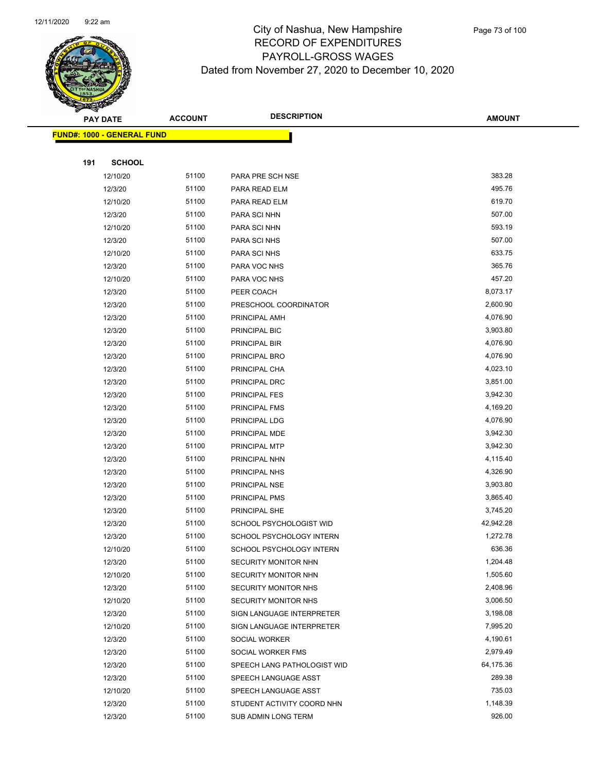

|     | <b>PAY DATE</b>                    | <b>ACCOUNT</b> | <b>DESCRIPTION</b>          | <b>AMOUNT</b> |  |
|-----|------------------------------------|----------------|-----------------------------|---------------|--|
|     | <u> FUND#: 1000 - GENERAL FUND</u> |                |                             |               |  |
|     |                                    |                |                             |               |  |
| 191 | <b>SCHOOL</b>                      |                |                             |               |  |
|     | 12/10/20                           | 51100          | PARA PRE SCH NSE            | 383.28        |  |
|     | 12/3/20                            | 51100          | PARA READ ELM               | 495.76        |  |
|     | 12/10/20                           | 51100          | PARA READ ELM               | 619.70        |  |
|     | 12/3/20                            | 51100          | PARA SCI NHN                | 507.00        |  |
|     | 12/10/20                           | 51100          | PARA SCI NHN                | 593.19        |  |
|     | 12/3/20                            | 51100          | PARA SCI NHS                | 507.00        |  |
|     | 12/10/20                           | 51100          | PARA SCI NHS                | 633.75        |  |
|     | 12/3/20                            | 51100          | PARA VOC NHS                | 365.76        |  |
|     | 12/10/20                           | 51100          | PARA VOC NHS                | 457.20        |  |
|     | 12/3/20                            | 51100          | PEER COACH                  | 8,073.17      |  |
|     | 12/3/20                            | 51100          | PRESCHOOL COORDINATOR       | 2,600.90      |  |
|     | 12/3/20                            | 51100          | PRINCIPAL AMH               | 4,076.90      |  |
|     | 12/3/20                            | 51100          | PRINCIPAL BIC               | 3,903.80      |  |
|     | 12/3/20                            | 51100          | PRINCIPAL BIR               | 4,076.90      |  |
|     | 12/3/20                            | 51100          | PRINCIPAL BRO               | 4,076.90      |  |
|     | 12/3/20                            | 51100          | PRINCIPAL CHA               | 4,023.10      |  |
|     | 12/3/20                            | 51100          | PRINCIPAL DRC               | 3,851.00      |  |
|     | 12/3/20                            | 51100          | PRINCIPAL FES               | 3,942.30      |  |
|     | 12/3/20                            | 51100          | PRINCIPAL FMS               | 4,169.20      |  |
|     | 12/3/20                            | 51100          | PRINCIPAL LDG               | 4,076.90      |  |
|     | 12/3/20                            | 51100          | PRINCIPAL MDE               | 3,942.30      |  |
|     | 12/3/20                            | 51100          | PRINCIPAL MTP               | 3,942.30      |  |
|     | 12/3/20                            | 51100          | PRINCIPAL NHN               | 4,115.40      |  |
|     | 12/3/20                            | 51100          | PRINCIPAL NHS               | 4,326.90      |  |
|     | 12/3/20                            | 51100          | PRINCIPAL NSE               | 3,903.80      |  |
|     | 12/3/20                            | 51100          | PRINCIPAL PMS               | 3,865.40      |  |
|     | 12/3/20                            | 51100          | PRINCIPAL SHE               | 3,745.20      |  |
|     | 12/3/20                            | 51100          | SCHOOL PSYCHOLOGIST WID     | 42,942.28     |  |
|     | 12/3/20                            | 51100          | SCHOOL PSYCHOLOGY INTERN    | 1,272.78      |  |
|     | 12/10/20                           | 51100          | SCHOOL PSYCHOLOGY INTERN    | 636.36        |  |
|     | 12/3/20                            | 51100          | SECURITY MONITOR NHN        | 1,204.48      |  |
|     | 12/10/20                           | 51100          | SECURITY MONITOR NHN        | 1,505.60      |  |
|     | 12/3/20                            | 51100          | <b>SECURITY MONITOR NHS</b> | 2,408.96      |  |
|     | 12/10/20                           | 51100          | SECURITY MONITOR NHS        | 3,006.50      |  |
|     | 12/3/20                            | 51100          | SIGN LANGUAGE INTERPRETER   | 3,198.08      |  |
|     | 12/10/20                           | 51100          | SIGN LANGUAGE INTERPRETER   | 7,995.20      |  |
|     | 12/3/20                            | 51100          | SOCIAL WORKER               | 4,190.61      |  |
|     | 12/3/20                            | 51100          | SOCIAL WORKER FMS           | 2,979.49      |  |
|     | 12/3/20                            | 51100          | SPEECH LANG PATHOLOGIST WID | 64,175.36     |  |
|     | 12/3/20                            | 51100          | SPEECH LANGUAGE ASST        | 289.38        |  |
|     | 12/10/20                           | 51100          | SPEECH LANGUAGE ASST        | 735.03        |  |
|     | 12/3/20                            | 51100          | STUDENT ACTIVITY COORD NHN  | 1,148.39      |  |
|     | 12/3/20                            | 51100          | SUB ADMIN LONG TERM         | 926.00        |  |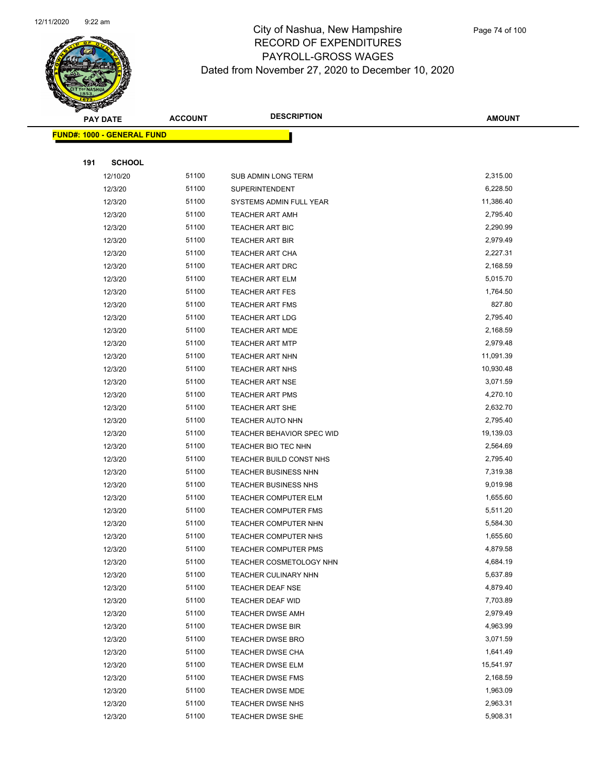

| <b>PAY DATE</b> |                                   | <b>ACCOUNT</b> | <b>DESCRIPTION</b>               | <b>AMOUNT</b> |
|-----------------|-----------------------------------|----------------|----------------------------------|---------------|
|                 | <b>FUND#: 1000 - GENERAL FUND</b> |                |                                  |               |
|                 |                                   |                |                                  |               |
| 191             | <b>SCHOOL</b>                     |                |                                  |               |
|                 | 12/10/20                          | 51100          | SUB ADMIN LONG TERM              | 2,315.00      |
|                 | 12/3/20                           | 51100          | <b>SUPERINTENDENT</b>            | 6,228.50      |
|                 | 12/3/20                           | 51100          | SYSTEMS ADMIN FULL YEAR          | 11,386.40     |
|                 | 12/3/20                           | 51100          | <b>TEACHER ART AMH</b>           | 2,795.40      |
|                 | 12/3/20                           | 51100          | <b>TEACHER ART BIC</b>           | 2,290.99      |
|                 | 12/3/20                           | 51100          | <b>TEACHER ART BIR</b>           | 2,979.49      |
|                 | 12/3/20                           | 51100          | <b>TEACHER ART CHA</b>           | 2,227.31      |
|                 | 12/3/20                           | 51100          | TEACHER ART DRC                  | 2,168.59      |
|                 | 12/3/20                           | 51100          | <b>TEACHER ART ELM</b>           | 5,015.70      |
|                 | 12/3/20                           | 51100          | <b>TEACHER ART FES</b>           | 1,764.50      |
|                 | 12/3/20                           | 51100          | <b>TEACHER ART FMS</b>           | 827.80        |
|                 | 12/3/20                           | 51100          | <b>TEACHER ART LDG</b>           | 2,795.40      |
|                 | 12/3/20                           | 51100          | <b>TEACHER ART MDE</b>           | 2,168.59      |
|                 | 12/3/20                           | 51100          | <b>TEACHER ART MTP</b>           | 2,979.48      |
|                 | 12/3/20                           | 51100          | TEACHER ART NHN                  | 11,091.39     |
|                 | 12/3/20                           | 51100          | <b>TEACHER ART NHS</b>           | 10,930.48     |
|                 | 12/3/20                           | 51100          | <b>TEACHER ART NSE</b>           | 3,071.59      |
|                 | 12/3/20                           | 51100          | TEACHER ART PMS                  | 4,270.10      |
|                 | 12/3/20                           | 51100          | <b>TEACHER ART SHE</b>           | 2,632.70      |
|                 | 12/3/20                           | 51100          | <b>TEACHER AUTO NHN</b>          | 2,795.40      |
|                 | 12/3/20                           | 51100          | <b>TEACHER BEHAVIOR SPEC WID</b> | 19,139.03     |
|                 | 12/3/20                           | 51100          | TEACHER BIO TEC NHN              | 2,564.69      |
|                 | 12/3/20                           | 51100          | TEACHER BUILD CONST NHS          | 2,795.40      |
|                 | 12/3/20                           | 51100          | <b>TEACHER BUSINESS NHN</b>      | 7,319.38      |
|                 | 12/3/20                           | 51100          | <b>TEACHER BUSINESS NHS</b>      | 9,019.98      |
|                 | 12/3/20                           | 51100          | <b>TEACHER COMPUTER ELM</b>      | 1,655.60      |
|                 | 12/3/20                           | 51100          | TEACHER COMPUTER FMS             | 5,511.20      |
|                 | 12/3/20                           | 51100          | TEACHER COMPUTER NHN             | 5,584.30      |
|                 | 12/3/20                           | 51100          | TEACHER COMPUTER NHS             | 1,655.60      |
|                 | 12/3/20                           | 51100          | TEACHER COMPUTER PMS             | 4,879.58      |
|                 | 12/3/20                           | 51100          | TEACHER COSMETOLOGY NHN          | 4,684.19      |
|                 | 12/3/20                           | 51100          | TEACHER CULINARY NHN             | 5,637.89      |
|                 | 12/3/20                           | 51100          | <b>TEACHER DEAF NSE</b>          | 4,879.40      |
|                 | 12/3/20                           | 51100          | TEACHER DEAF WID                 | 7,703.89      |
|                 | 12/3/20                           | 51100          | <b>TEACHER DWSE AMH</b>          | 2,979.49      |
|                 | 12/3/20                           | 51100          | <b>TEACHER DWSE BIR</b>          | 4,963.99      |
|                 | 12/3/20                           | 51100          | <b>TEACHER DWSE BRO</b>          | 3,071.59      |
|                 | 12/3/20                           | 51100          | <b>TEACHER DWSE CHA</b>          | 1,641.49      |
|                 | 12/3/20                           | 51100          | <b>TEACHER DWSE ELM</b>          | 15,541.97     |
|                 | 12/3/20                           | 51100          | <b>TEACHER DWSE FMS</b>          | 2,168.59      |
|                 | 12/3/20                           | 51100          | <b>TEACHER DWSE MDE</b>          | 1,963.09      |
|                 | 12/3/20                           | 51100          | TEACHER DWSE NHS                 | 2,963.31      |
|                 | 12/3/20                           | 51100          | <b>TEACHER DWSE SHE</b>          | 5,908.31      |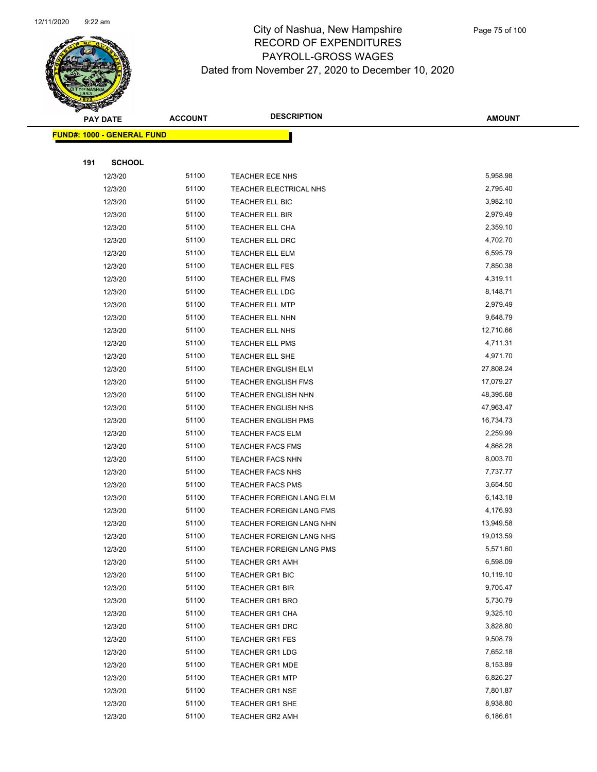

|     | <b>PAY DATE</b>                   | <b>ACCOUNT</b> | <b>DESCRIPTION</b>                               | <b>AMOUNT</b>        |
|-----|-----------------------------------|----------------|--------------------------------------------------|----------------------|
|     | <b>FUND#: 1000 - GENERAL FUND</b> |                |                                                  |                      |
|     |                                   |                |                                                  |                      |
| 191 | <b>SCHOOL</b>                     |                |                                                  |                      |
|     | 12/3/20                           | 51100          | <b>TEACHER ECE NHS</b>                           | 5,958.98             |
|     | 12/3/20                           | 51100          | TEACHER ELECTRICAL NHS                           | 2,795.40             |
|     | 12/3/20                           | 51100          | TEACHER ELL BIC                                  | 3,982.10             |
|     | 12/3/20                           | 51100          | TEACHER ELL BIR                                  | 2,979.49             |
|     | 12/3/20                           | 51100          | <b>TEACHER ELL CHA</b>                           | 2,359.10             |
|     | 12/3/20                           | 51100          | TEACHER ELL DRC                                  | 4,702.70             |
|     | 12/3/20                           | 51100          | TEACHER ELL ELM                                  | 6,595.79             |
|     | 12/3/20                           | 51100          | TEACHER ELL FES                                  | 7,850.38             |
|     | 12/3/20                           | 51100          | TEACHER ELL FMS                                  | 4,319.11             |
|     | 12/3/20                           | 51100          | <b>TEACHER ELL LDG</b>                           | 8,148.71             |
|     | 12/3/20                           | 51100          | <b>TEACHER ELL MTP</b>                           | 2,979.49             |
|     | 12/3/20                           | 51100          | TEACHER ELL NHN                                  | 9,648.79             |
|     | 12/3/20                           | 51100          | TEACHER ELL NHS                                  | 12,710.66            |
|     | 12/3/20                           | 51100          | <b>TEACHER ELL PMS</b>                           | 4,711.31             |
|     | 12/3/20                           | 51100          | TEACHER ELL SHE                                  | 4,971.70             |
|     | 12/3/20                           | 51100          | <b>TEACHER ENGLISH ELM</b>                       | 27,808.24            |
|     | 12/3/20                           | 51100          | <b>TEACHER ENGLISH FMS</b>                       | 17,079.27            |
|     | 12/3/20                           | 51100          | TEACHER ENGLISH NHN                              | 48,395.68            |
|     | 12/3/20                           | 51100          | <b>TEACHER ENGLISH NHS</b>                       | 47,963.47            |
|     | 12/3/20                           | 51100          | <b>TEACHER ENGLISH PMS</b>                       | 16,734.73            |
|     | 12/3/20                           | 51100          | <b>TEACHER FACS ELM</b>                          | 2,259.99             |
|     | 12/3/20                           | 51100          | <b>TEACHER FACS FMS</b>                          | 4,868.28             |
|     | 12/3/20                           | 51100          | <b>TEACHER FACS NHN</b>                          | 8,003.70             |
|     | 12/3/20                           | 51100          | <b>TEACHER FACS NHS</b>                          | 7,737.77             |
|     | 12/3/20                           | 51100          | <b>TEACHER FACS PMS</b>                          | 3,654.50             |
|     | 12/3/20                           | 51100          | TEACHER FOREIGN LANG ELM                         | 6,143.18             |
|     | 12/3/20                           | 51100          | TEACHER FOREIGN LANG FMS                         | 4,176.93             |
|     | 12/3/20                           | 51100          | TEACHER FOREIGN LANG NHN                         | 13,949.58            |
|     | 12/3/20                           | 51100          | TEACHER FOREIGN LANG NHS                         | 19,013.59            |
|     | 12/3/20                           | 51100          | TEACHER FOREIGN LANG PMS                         | 5,571.60             |
|     | 12/3/20                           | 51100          | <b>TEACHER GR1 AMH</b>                           | 6,598.09             |
|     | 12/3/20                           | 51100          | <b>TEACHER GR1 BIC</b>                           | 10,119.10            |
|     | 12/3/20                           | 51100          | <b>TEACHER GR1 BIR</b>                           | 9,705.47             |
|     | 12/3/20                           | 51100          | <b>TEACHER GR1 BRO</b>                           | 5,730.79<br>9,325.10 |
|     | 12/3/20                           | 51100<br>51100 | <b>TEACHER GR1 CHA</b><br><b>TEACHER GR1 DRC</b> | 3,828.80             |
|     | 12/3/20<br>12/3/20                | 51100          |                                                  | 9,508.79             |
|     |                                   |                | <b>TEACHER GR1 FES</b>                           | 7,652.18             |
|     | 12/3/20<br>12/3/20                | 51100<br>51100 | <b>TEACHER GR1 LDG</b><br><b>TEACHER GR1 MDE</b> | 8,153.89             |
|     | 12/3/20                           | 51100          | <b>TEACHER GR1 MTP</b>                           | 6,826.27             |
|     | 12/3/20                           | 51100          | <b>TEACHER GR1 NSE</b>                           | 7,801.87             |
|     | 12/3/20                           | 51100          | <b>TEACHER GR1 SHE</b>                           | 8,938.80             |
|     | 12/3/20                           | 51100          | <b>TEACHER GR2 AMH</b>                           | 6,186.61             |
|     |                                   |                |                                                  |                      |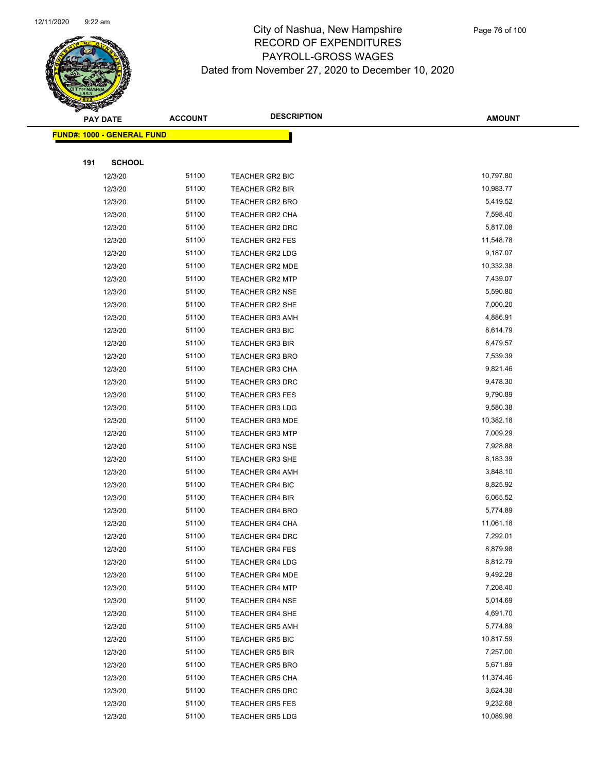

|     | <b>PAY DATE</b>                    | <b>ACCOUNT</b> | <b>DESCRIPTION</b>     | <b>AMOUNT</b> |
|-----|------------------------------------|----------------|------------------------|---------------|
|     | <u> FUND#: 1000 - GENERAL FUND</u> |                |                        |               |
|     |                                    |                |                        |               |
| 191 | <b>SCHOOL</b>                      |                |                        |               |
|     | 12/3/20                            | 51100          | TEACHER GR2 BIC        | 10,797.80     |
|     | 12/3/20                            | 51100          | <b>TEACHER GR2 BIR</b> | 10,983.77     |
|     | 12/3/20                            | 51100          | <b>TEACHER GR2 BRO</b> | 5,419.52      |
|     | 12/3/20                            | 51100          | TEACHER GR2 CHA        | 7,598.40      |
|     | 12/3/20                            | 51100          | <b>TEACHER GR2 DRC</b> | 5,817.08      |
|     | 12/3/20                            | 51100          | <b>TEACHER GR2 FES</b> | 11,548.78     |
|     | 12/3/20                            | 51100          | <b>TEACHER GR2 LDG</b> | 9,187.07      |
|     | 12/3/20                            | 51100          | <b>TEACHER GR2 MDE</b> | 10,332.38     |
|     | 12/3/20                            | 51100          | <b>TEACHER GR2 MTP</b> | 7,439.07      |
|     | 12/3/20                            | 51100          | <b>TEACHER GR2 NSE</b> | 5,590.80      |
|     | 12/3/20                            | 51100          | <b>TEACHER GR2 SHE</b> | 7,000.20      |
|     | 12/3/20                            | 51100          | <b>TEACHER GR3 AMH</b> | 4,886.91      |
|     | 12/3/20                            | 51100          | <b>TEACHER GR3 BIC</b> | 8,614.79      |
|     | 12/3/20                            | 51100          | <b>TEACHER GR3 BIR</b> | 8,479.57      |
|     | 12/3/20                            | 51100          | <b>TEACHER GR3 BRO</b> | 7,539.39      |
|     | 12/3/20                            | 51100          | <b>TEACHER GR3 CHA</b> | 9,821.46      |
|     | 12/3/20                            | 51100          | <b>TEACHER GR3 DRC</b> | 9,478.30      |
|     | 12/3/20                            | 51100          | <b>TEACHER GR3 FES</b> | 9,790.89      |
|     | 12/3/20                            | 51100          | <b>TEACHER GR3 LDG</b> | 9,580.38      |
|     | 12/3/20                            | 51100          | <b>TEACHER GR3 MDE</b> | 10,382.18     |
|     | 12/3/20                            | 51100          | <b>TEACHER GR3 MTP</b> | 7,009.29      |
|     | 12/3/20                            | 51100          | <b>TEACHER GR3 NSE</b> | 7,928.88      |
|     | 12/3/20                            | 51100          | <b>TEACHER GR3 SHE</b> | 8,183.39      |
|     | 12/3/20                            | 51100          | <b>TEACHER GR4 AMH</b> | 3,848.10      |
|     | 12/3/20                            | 51100          | <b>TEACHER GR4 BIC</b> | 8,825.92      |
|     | 12/3/20                            | 51100          | <b>TEACHER GR4 BIR</b> | 6,065.52      |
|     | 12/3/20                            | 51100          | <b>TEACHER GR4 BRO</b> | 5,774.89      |
|     | 12/3/20                            | 51100          | <b>TEACHER GR4 CHA</b> | 11,061.18     |
|     | 12/3/20                            | 51100          | <b>TEACHER GR4 DRC</b> | 7,292.01      |
|     | 12/3/20                            | 51100          | TEACHER GR4 FES        | 8,879.98      |
|     | 12/3/20                            | 51100          | <b>TEACHER GR4 LDG</b> | 8,812.79      |
|     | 12/3/20                            | 51100          | <b>TEACHER GR4 MDE</b> | 9,492.28      |
|     | 12/3/20                            | 51100          | <b>TEACHER GR4 MTP</b> | 7,208.40      |
|     | 12/3/20                            | 51100          | <b>TEACHER GR4 NSE</b> | 5,014.69      |
|     | 12/3/20                            | 51100          | <b>TEACHER GR4 SHE</b> | 4,691.70      |
|     | 12/3/20                            | 51100          | <b>TEACHER GR5 AMH</b> | 5,774.89      |
|     | 12/3/20                            | 51100          | <b>TEACHER GR5 BIC</b> | 10,817.59     |
|     | 12/3/20                            | 51100          | <b>TEACHER GR5 BIR</b> | 7,257.00      |
|     | 12/3/20                            | 51100          | <b>TEACHER GR5 BRO</b> | 5,671.89      |
|     | 12/3/20                            | 51100          | <b>TEACHER GR5 CHA</b> | 11,374.46     |
|     | 12/3/20                            | 51100          | <b>TEACHER GR5 DRC</b> | 3,624.38      |
|     | 12/3/20                            | 51100          | <b>TEACHER GR5 FES</b> | 9,232.68      |
|     | 12/3/20                            | 51100          | <b>TEACHER GR5 LDG</b> | 10,089.98     |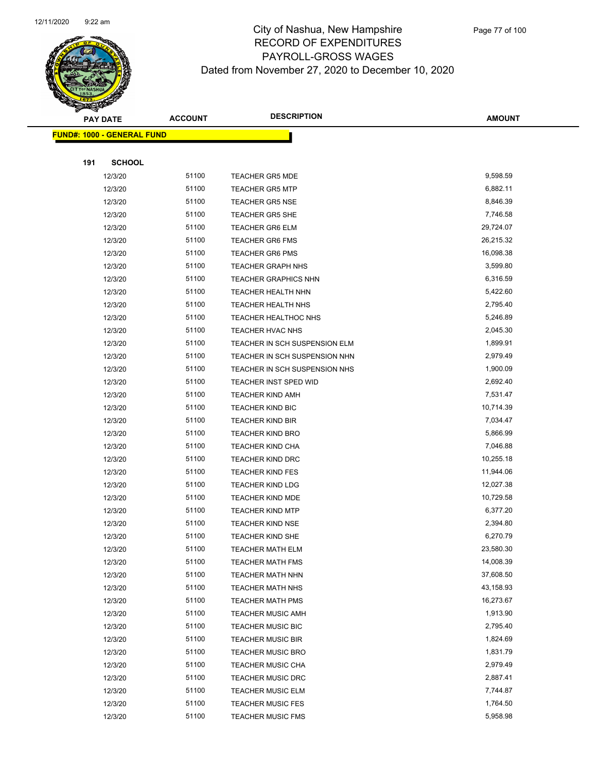

|     | <b>PAY DATE</b>                    | <b>ACCOUNT</b> | <b>DESCRIPTION</b>            | <b>AMOUNT</b> |
|-----|------------------------------------|----------------|-------------------------------|---------------|
|     | <u> FUND#: 1000 - GENERAL FUND</u> |                |                               |               |
|     |                                    |                |                               |               |
| 191 | <b>SCHOOL</b>                      |                |                               |               |
|     | 12/3/20                            | 51100          | <b>TEACHER GR5 MDE</b>        | 9,598.59      |
|     | 12/3/20                            | 51100          | <b>TEACHER GR5 MTP</b>        | 6,882.11      |
|     | 12/3/20                            | 51100          | <b>TEACHER GR5 NSE</b>        | 8,846.39      |
|     | 12/3/20                            | 51100          | <b>TEACHER GR5 SHE</b>        | 7,746.58      |
|     | 12/3/20                            | 51100          | <b>TEACHER GR6 ELM</b>        | 29,724.07     |
|     | 12/3/20                            | 51100          | <b>TEACHER GR6 FMS</b>        | 26,215.32     |
|     | 12/3/20                            | 51100          | <b>TEACHER GR6 PMS</b>        | 16,098.38     |
|     | 12/3/20                            | 51100          | <b>TEACHER GRAPH NHS</b>      | 3,599.80      |
|     | 12/3/20                            | 51100          | <b>TEACHER GRAPHICS NHN</b>   | 6,316.59      |
|     | 12/3/20                            | 51100          | <b>TEACHER HEALTH NHN</b>     | 5,422.60      |
|     | 12/3/20                            | 51100          | TEACHER HEALTH NHS            | 2,795.40      |
|     | 12/3/20                            | 51100          | <b>TEACHER HEALTHOC NHS</b>   | 5,246.89      |
|     | 12/3/20                            | 51100          | TEACHER HVAC NHS              | 2,045.30      |
|     | 12/3/20                            | 51100          | TEACHER IN SCH SUSPENSION ELM | 1,899.91      |
|     | 12/3/20                            | 51100          | TEACHER IN SCH SUSPENSION NHN | 2,979.49      |
|     | 12/3/20                            | 51100          | TEACHER IN SCH SUSPENSION NHS | 1,900.09      |
|     | 12/3/20                            | 51100          | TEACHER INST SPED WID         | 2,692.40      |
|     | 12/3/20                            | 51100          | <b>TEACHER KIND AMH</b>       | 7,531.47      |
|     | 12/3/20                            | 51100          | <b>TEACHER KIND BIC</b>       | 10,714.39     |
|     | 12/3/20                            | 51100          | <b>TEACHER KIND BIR</b>       | 7,034.47      |
|     | 12/3/20                            | 51100          | <b>TEACHER KIND BRO</b>       | 5,866.99      |
|     | 12/3/20                            | 51100          | <b>TEACHER KIND CHA</b>       | 7,046.88      |
|     | 12/3/20                            | 51100          | <b>TEACHER KIND DRC</b>       | 10,255.18     |
|     | 12/3/20                            | 51100          | <b>TEACHER KIND FES</b>       | 11,944.06     |
|     | 12/3/20                            | 51100          | <b>TEACHER KIND LDG</b>       | 12,027.38     |
|     | 12/3/20                            | 51100          | <b>TEACHER KIND MDE</b>       | 10,729.58     |
|     | 12/3/20                            | 51100          | <b>TEACHER KIND MTP</b>       | 6,377.20      |
|     | 12/3/20                            | 51100          | <b>TEACHER KIND NSE</b>       | 2,394.80      |
|     | 12/3/20                            | 51100          | <b>TEACHER KIND SHE</b>       | 6,270.79      |
|     | 12/3/20                            | 51100          | TEACHER MATH ELM              | 23,580.30     |
|     | 12/3/20                            | 51100          | <b>TEACHER MATH FMS</b>       | 14,008.39     |
|     | 12/3/20                            | 51100          | <b>TEACHER MATH NHN</b>       | 37,608.50     |
|     | 12/3/20                            | 51100          | <b>TEACHER MATH NHS</b>       | 43,158.93     |
|     | 12/3/20                            | 51100          | <b>TEACHER MATH PMS</b>       | 16,273.67     |
|     | 12/3/20                            | 51100          | <b>TEACHER MUSIC AMH</b>      | 1,913.90      |
|     | 12/3/20                            | 51100          | <b>TEACHER MUSIC BIC</b>      | 2,795.40      |
|     | 12/3/20                            | 51100          | <b>TEACHER MUSIC BIR</b>      | 1,824.69      |
|     | 12/3/20                            | 51100          | <b>TEACHER MUSIC BRO</b>      | 1,831.79      |
|     | 12/3/20                            | 51100          | <b>TEACHER MUSIC CHA</b>      | 2,979.49      |
|     | 12/3/20                            | 51100          | <b>TEACHER MUSIC DRC</b>      | 2,887.41      |
|     | 12/3/20                            | 51100          | <b>TEACHER MUSIC ELM</b>      | 7,744.87      |
|     | 12/3/20                            | 51100          | <b>TEACHER MUSIC FES</b>      | 1,764.50      |
|     | 12/3/20                            | 51100          | <b>TEACHER MUSIC FMS</b>      | 5,958.98      |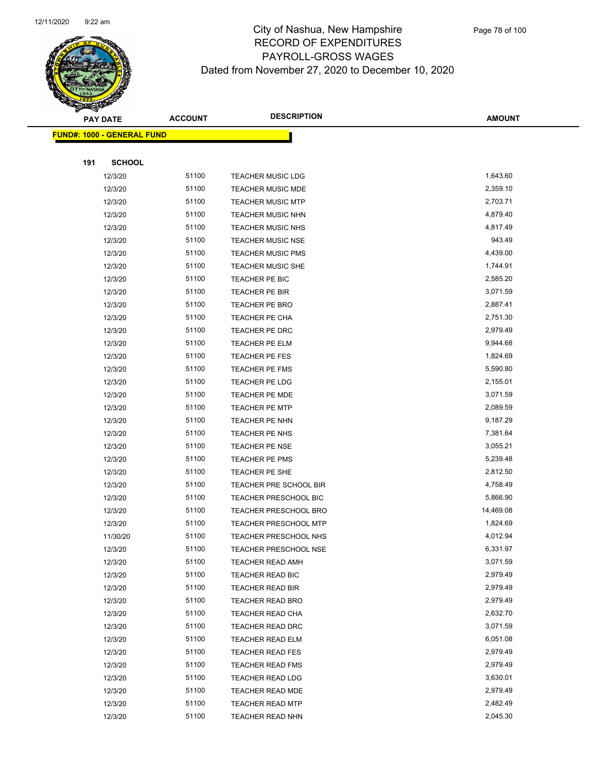

|     | <b>PAY DATE</b>                   | <b>ACCOUNT</b> | <b>DESCRIPTION</b>           | <b>AMOUNT</b> |
|-----|-----------------------------------|----------------|------------------------------|---------------|
|     | <b>FUND#: 1000 - GENERAL FUND</b> |                |                              |               |
|     |                                   |                |                              |               |
| 191 | <b>SCHOOL</b>                     |                |                              |               |
|     | 12/3/20                           | 51100          | <b>TEACHER MUSIC LDG</b>     | 1,643.60      |
|     | 12/3/20                           | 51100          | <b>TEACHER MUSIC MDE</b>     | 2,359.10      |
|     | 12/3/20                           | 51100          | <b>TEACHER MUSIC MTP</b>     | 2,703.71      |
|     | 12/3/20                           | 51100          | <b>TEACHER MUSIC NHN</b>     | 4,879.40      |
|     | 12/3/20                           | 51100          | <b>TEACHER MUSIC NHS</b>     | 4,817.49      |
|     | 12/3/20                           | 51100          | <b>TEACHER MUSIC NSE</b>     | 943.49        |
|     | 12/3/20                           | 51100          | <b>TEACHER MUSIC PMS</b>     | 4,439.00      |
|     | 12/3/20                           | 51100          | <b>TEACHER MUSIC SHE</b>     | 1,744.91      |
|     | 12/3/20                           | 51100          | TEACHER PE BIC               | 2,585.20      |
|     | 12/3/20                           | 51100          | TEACHER PE BIR               | 3,071.59      |
|     | 12/3/20                           | 51100          | <b>TEACHER PE BRO</b>        | 2,887.41      |
|     | 12/3/20                           | 51100          | TEACHER PE CHA               | 2,751.30      |
|     | 12/3/20                           | 51100          | TEACHER PE DRC               | 2,979.49      |
|     | 12/3/20                           | 51100          | <b>TEACHER PE ELM</b>        | 9,944.68      |
|     | 12/3/20                           | 51100          | TEACHER PE FES               | 1,824.69      |
|     | 12/3/20                           | 51100          | <b>TEACHER PE FMS</b>        | 5,590.80      |
|     | 12/3/20                           | 51100          | TEACHER PE LDG               | 2,155.01      |
|     | 12/3/20                           | 51100          | TEACHER PE MDE               | 3,071.59      |
|     | 12/3/20                           | 51100          | <b>TEACHER PE MTP</b>        | 2,089.59      |
|     | 12/3/20                           | 51100          | TEACHER PE NHN               | 9,187.29      |
|     | 12/3/20                           | 51100          | TEACHER PE NHS               | 7,381.64      |
|     | 12/3/20                           | 51100          | <b>TEACHER PE NSE</b>        | 3,055.21      |
|     | 12/3/20                           | 51100          | TEACHER PE PMS               | 5,239.48      |
|     | 12/3/20                           | 51100          | TEACHER PE SHE               | 2,812.50      |
|     | 12/3/20                           | 51100          | TEACHER PRE SCHOOL BIR       | 4,758.49      |
|     | 12/3/20                           | 51100          | TEACHER PRESCHOOL BIC        | 5,866.90      |
|     | 12/3/20                           | 51100          | <b>TEACHER PRESCHOOL BRO</b> | 14,469.08     |
|     | 12/3/20                           | 51100          | TEACHER PRESCHOOL MTP        | 1,824.69      |
|     | 11/30/20                          | 51100          | <b>TEACHER PRESCHOOL NHS</b> | 4,012.94      |
|     | 12/3/20                           | 51100          | TEACHER PRESCHOOL NSE        | 6,331.97      |
|     | 12/3/20                           | 51100          | <b>TEACHER READ AMH</b>      | 3,071.59      |
|     | 12/3/20                           | 51100          | <b>TEACHER READ BIC</b>      | 2,979.49      |
|     | 12/3/20                           | 51100          | <b>TEACHER READ BIR</b>      | 2,979.49      |
|     | 12/3/20                           | 51100          | TEACHER READ BRO             | 2,979.49      |
|     | 12/3/20                           | 51100          | <b>TEACHER READ CHA</b>      | 2,632.70      |
|     | 12/3/20                           | 51100          | TEACHER READ DRC             | 3,071.59      |
|     | 12/3/20                           | 51100          | TEACHER READ ELM             | 6,051.08      |
|     | 12/3/20                           | 51100          | <b>TEACHER READ FES</b>      | 2,979.49      |
|     | 12/3/20                           | 51100          | TEACHER READ FMS             | 2,979.49      |
|     | 12/3/20                           | 51100          | <b>TEACHER READ LDG</b>      | 3,630.01      |
|     | 12/3/20                           | 51100          | <b>TEACHER READ MDE</b>      | 2,979.49      |
|     | 12/3/20                           | 51100          | <b>TEACHER READ MTP</b>      | 2,482.49      |
|     | 12/3/20                           | 51100          | TEACHER READ NHN             | 2,045.30      |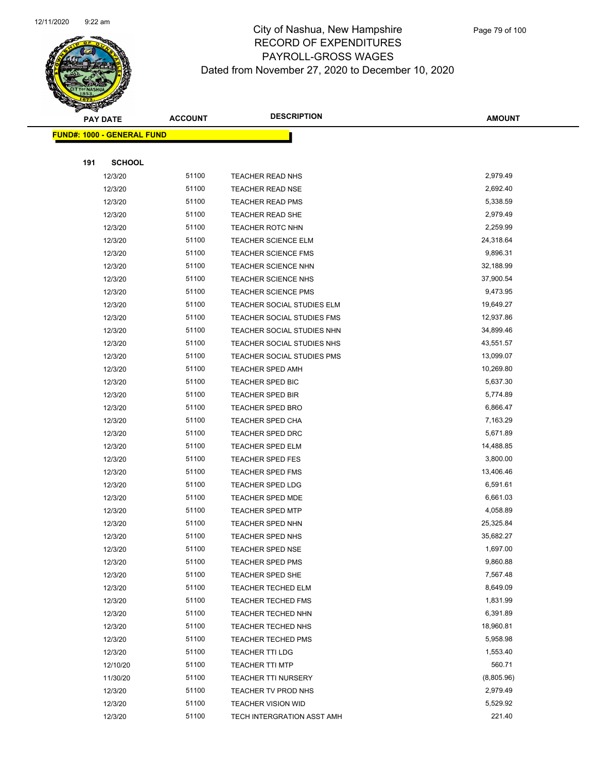

|     | <b>PAY DATE</b>                    | <b>ACCOUNT</b> | <b>DESCRIPTION</b>         | <b>AMOUNT</b> |
|-----|------------------------------------|----------------|----------------------------|---------------|
|     | <u> FUND#: 1000 - GENERAL FUND</u> |                |                            |               |
|     |                                    |                |                            |               |
| 191 | <b>SCHOOL</b>                      |                |                            |               |
|     | 12/3/20                            | 51100          | <b>TEACHER READ NHS</b>    | 2,979.49      |
|     | 12/3/20                            | 51100          | <b>TEACHER READ NSE</b>    | 2,692.40      |
|     | 12/3/20                            | 51100          | <b>TEACHER READ PMS</b>    | 5,338.59      |
|     | 12/3/20                            | 51100          | TEACHER READ SHE           | 2,979.49      |
|     | 12/3/20                            | 51100          | <b>TEACHER ROTC NHN</b>    | 2,259.99      |
|     | 12/3/20                            | 51100          | <b>TEACHER SCIENCE ELM</b> | 24,318.64     |
|     | 12/3/20                            | 51100          | <b>TEACHER SCIENCE FMS</b> | 9,896.31      |
|     | 12/3/20                            | 51100          | TEACHER SCIENCE NHN        | 32,188.99     |
|     | 12/3/20                            | 51100          | <b>TEACHER SCIENCE NHS</b> | 37,900.54     |
|     | 12/3/20                            | 51100          | <b>TEACHER SCIENCE PMS</b> | 9,473.95      |
|     | 12/3/20                            | 51100          | TEACHER SOCIAL STUDIES ELM | 19,649.27     |
|     | 12/3/20                            | 51100          | TEACHER SOCIAL STUDIES FMS | 12,937.86     |
|     | 12/3/20                            | 51100          | TEACHER SOCIAL STUDIES NHN | 34,899.46     |
|     | 12/3/20                            | 51100          | TEACHER SOCIAL STUDIES NHS | 43,551.57     |
|     | 12/3/20                            | 51100          | TEACHER SOCIAL STUDIES PMS | 13,099.07     |
|     | 12/3/20                            | 51100          | <b>TEACHER SPED AMH</b>    | 10,269.80     |
|     | 12/3/20                            | 51100          | TEACHER SPED BIC           | 5,637.30      |
|     | 12/3/20                            | 51100          | <b>TEACHER SPED BIR</b>    | 5,774.89      |
|     | 12/3/20                            | 51100          | <b>TEACHER SPED BRO</b>    | 6,866.47      |
|     | 12/3/20                            | 51100          | <b>TEACHER SPED CHA</b>    | 7,163.29      |
|     | 12/3/20                            | 51100          | <b>TEACHER SPED DRC</b>    | 5,671.89      |
|     | 12/3/20                            | 51100          | <b>TEACHER SPED ELM</b>    | 14,488.85     |
|     | 12/3/20                            | 51100          | <b>TEACHER SPED FES</b>    | 3,800.00      |
|     | 12/3/20                            | 51100          | <b>TEACHER SPED FMS</b>    | 13,406.46     |
|     | 12/3/20                            | 51100          | <b>TEACHER SPED LDG</b>    | 6,591.61      |
|     | 12/3/20                            | 51100          | <b>TEACHER SPED MDE</b>    | 6,661.03      |
|     | 12/3/20                            | 51100          | <b>TEACHER SPED MTP</b>    | 4,058.89      |
|     | 12/3/20                            | 51100          | <b>TEACHER SPED NHN</b>    | 25,325.84     |
|     | 12/3/20                            | 51100          | TEACHER SPED NHS           | 35,682.27     |
|     | 12/3/20                            | 51100          | TEACHER SPED NSE           | 1,697.00      |
|     | 12/3/20                            | 51100          | <b>TEACHER SPED PMS</b>    | 9,860.88      |
|     | 12/3/20                            | 51100          | TEACHER SPED SHE           | 7,567.48      |
|     | 12/3/20                            | 51100          | TEACHER TECHED ELM         | 8,649.09      |
|     | 12/3/20                            | 51100          | <b>TEACHER TECHED FMS</b>  | 1,831.99      |
|     | 12/3/20                            | 51100          | TEACHER TECHED NHN         | 6,391.89      |
|     | 12/3/20                            | 51100          | TEACHER TECHED NHS         | 18,960.81     |
|     | 12/3/20                            | 51100          | <b>TEACHER TECHED PMS</b>  | 5,958.98      |
|     | 12/3/20                            | 51100          | <b>TEACHER TTI LDG</b>     | 1,553.40      |
|     | 12/10/20                           | 51100          | <b>TEACHER TTI MTP</b>     | 560.71        |
|     | 11/30/20                           | 51100          | <b>TEACHER TTI NURSERY</b> | (8,805.96)    |
|     | 12/3/20                            | 51100          | TEACHER TV PROD NHS        | 2,979.49      |
|     | 12/3/20                            | 51100          | TEACHER VISION WID         | 5,529.92      |
|     | 12/3/20                            | 51100          | TECH INTERGRATION ASST AMH | 221.40        |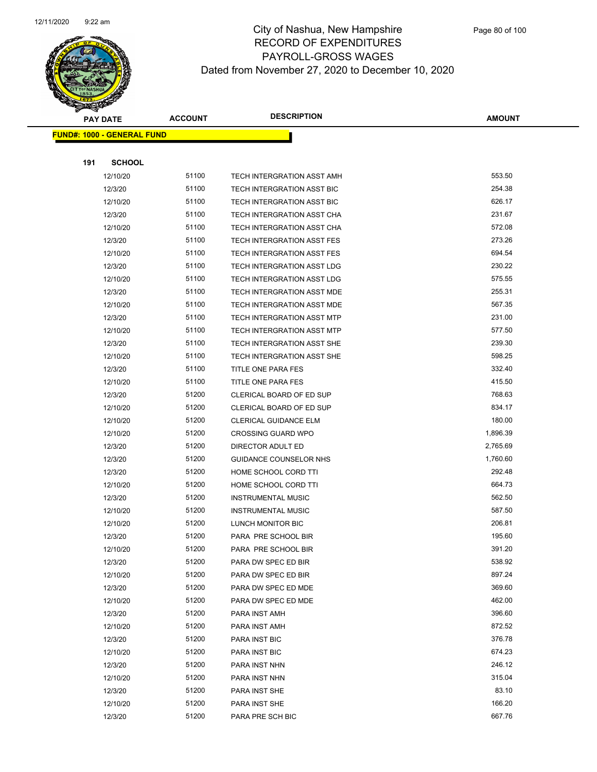

| <b>PAY DATE</b> |                                   | <b>DESCRIPTION</b><br><b>ACCOUNT</b> |                              | <b>AMOUNT</b> |
|-----------------|-----------------------------------|--------------------------------------|------------------------------|---------------|
|                 | <b>FUND#: 1000 - GENERAL FUND</b> |                                      |                              |               |
|                 |                                   |                                      |                              |               |
| 191             | <b>SCHOOL</b>                     |                                      |                              |               |
|                 | 12/10/20                          | 51100                                | TECH INTERGRATION ASST AMH   | 553.50        |
|                 | 12/3/20                           | 51100                                | TECH INTERGRATION ASST BIC   | 254.38        |
|                 | 12/10/20                          | 51100                                | TECH INTERGRATION ASST BIC   | 626.17        |
|                 | 12/3/20                           | 51100                                | TECH INTERGRATION ASST CHA   | 231.67        |
|                 | 12/10/20                          | 51100                                | TECH INTERGRATION ASST CHA   | 572.08        |
|                 | 12/3/20                           | 51100                                | TECH INTERGRATION ASST FES   | 273.26        |
|                 | 12/10/20                          | 51100                                | TECH INTERGRATION ASST FES   | 694.54        |
|                 | 12/3/20                           | 51100                                | TECH INTERGRATION ASST LDG   | 230.22        |
|                 | 12/10/20                          | 51100                                | TECH INTERGRATION ASST LDG   | 575.55        |
|                 | 12/3/20                           | 51100                                | TECH INTERGRATION ASST MDE   | 255.31        |
|                 | 12/10/20                          | 51100                                | TECH INTERGRATION ASST MDE   | 567.35        |
|                 | 12/3/20                           | 51100                                | TECH INTERGRATION ASST MTP   | 231.00        |
|                 | 12/10/20                          | 51100                                | TECH INTERGRATION ASST MTP   | 577.50        |
|                 | 12/3/20                           | 51100                                | TECH INTERGRATION ASST SHE   | 239.30        |
|                 | 12/10/20                          | 51100                                | TECH INTERGRATION ASST SHE   | 598.25        |
|                 | 12/3/20                           | 51100                                | TITLE ONE PARA FES           | 332.40        |
|                 | 12/10/20                          | 51100                                | <b>TITLE ONE PARA FES</b>    | 415.50        |
|                 | 12/3/20                           | 51200                                | CLERICAL BOARD OF ED SUP     | 768.63        |
|                 | 12/10/20                          | 51200                                | CLERICAL BOARD OF ED SUP     | 834.17        |
|                 | 12/10/20                          | 51200                                | <b>CLERICAL GUIDANCE ELM</b> | 180.00        |
|                 | 12/10/20                          | 51200                                | <b>CROSSING GUARD WPO</b>    | 1,896.39      |
|                 | 12/3/20                           | 51200                                | DIRECTOR ADULT ED            | 2,765.69      |
|                 | 12/3/20                           | 51200                                | GUIDANCE COUNSELOR NHS       | 1,760.60      |
|                 | 12/3/20                           | 51200                                | HOME SCHOOL CORD TTI         | 292.48        |
|                 | 12/10/20                          | 51200                                | HOME SCHOOL CORD TTI         | 664.73        |
|                 | 12/3/20                           | 51200                                | <b>INSTRUMENTAL MUSIC</b>    | 562.50        |
|                 | 12/10/20                          | 51200                                | <b>INSTRUMENTAL MUSIC</b>    | 587.50        |
|                 | 12/10/20                          | 51200                                | LUNCH MONITOR BIC            | 206.81        |
|                 | 12/3/20                           | 51200                                | PARA PRE SCHOOL BIR          | 195.60        |
|                 | 12/10/20                          | 51200                                | PARA PRE SCHOOL BIR          | 391.20        |
|                 | 12/3/20                           | 51200                                | PARA DW SPEC ED BIR          | 538.92        |
|                 | 12/10/20                          | 51200                                | PARA DW SPEC ED BIR          | 897.24        |
|                 | 12/3/20                           | 51200                                | PARA DW SPEC ED MDE          | 369.60        |
|                 | 12/10/20                          | 51200                                | PARA DW SPEC ED MDE          | 462.00        |
|                 | 12/3/20                           | 51200                                | PARA INST AMH                | 396.60        |
|                 | 12/10/20                          | 51200                                | PARA INST AMH                | 872.52        |
|                 | 12/3/20                           | 51200                                | PARA INST BIC                | 376.78        |
|                 | 12/10/20                          | 51200                                | PARA INST BIC                | 674.23        |
|                 | 12/3/20                           | 51200                                | PARA INST NHN                | 246.12        |
|                 | 12/10/20                          | 51200                                | PARA INST NHN                | 315.04        |
|                 | 12/3/20                           | 51200                                | PARA INST SHE                | 83.10         |
|                 | 12/10/20                          | 51200                                | PARA INST SHE                | 166.20        |
|                 | 12/3/20                           | 51200                                | PARA PRE SCH BIC             | 667.76        |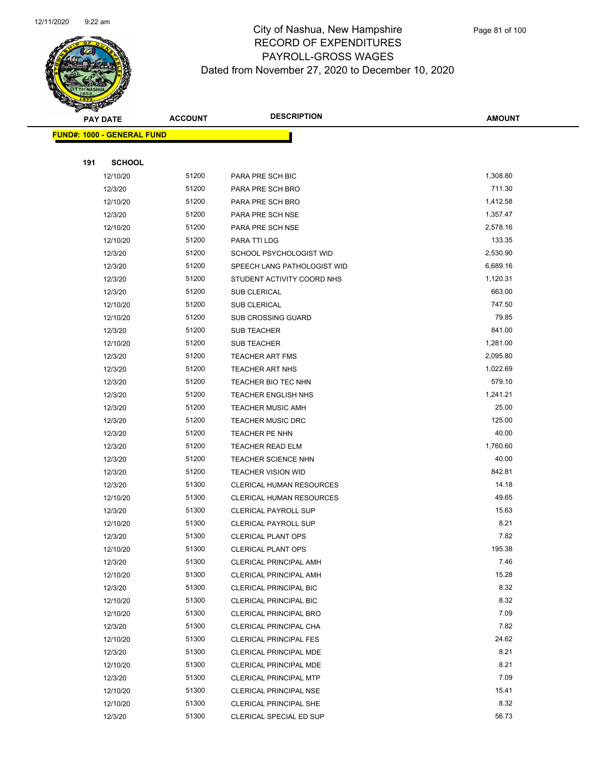

|     | <b>PAY DATE</b>                    | <b>ACCOUNT</b> | <b>DESCRIPTION</b>              | <b>AMOUNT</b> |
|-----|------------------------------------|----------------|---------------------------------|---------------|
|     | <u> FUND#: 1000 - GENERAL FUND</u> |                |                                 |               |
|     |                                    |                |                                 |               |
| 191 | <b>SCHOOL</b>                      |                |                                 |               |
|     | 12/10/20                           | 51200          | PARA PRE SCH BIC                | 1,308.80      |
|     | 12/3/20                            | 51200          | PARA PRE SCH BRO                | 711.30        |
|     | 12/10/20                           | 51200          | PARA PRE SCH BRO                | 1,412.58      |
|     | 12/3/20                            | 51200          | PARA PRE SCH NSE                | 1,357.47      |
|     | 12/10/20                           | 51200          | PARA PRE SCH NSE                | 2,578.16      |
|     | 12/10/20                           | 51200          | PARA TTI LDG                    | 133.35        |
|     | 12/3/20                            | 51200          | SCHOOL PSYCHOLOGIST WID         | 2,530.90      |
|     | 12/3/20                            | 51200          | SPEECH LANG PATHOLOGIST WID     | 6,689.16      |
|     | 12/3/20                            | 51200          | STUDENT ACTIVITY COORD NHS      | 1,120.31      |
|     | 12/3/20                            | 51200          | SUB CLERICAL                    | 663.00        |
|     | 12/10/20                           | 51200          | <b>SUB CLERICAL</b>             | 747.50        |
|     | 12/10/20                           | 51200          | <b>SUB CROSSING GUARD</b>       | 79.85         |
|     | 12/3/20                            | 51200          | <b>SUB TEACHER</b>              | 841.00        |
|     | 12/10/20                           | 51200          | SUB TEACHER                     | 1,281.00      |
|     | 12/3/20                            | 51200          | <b>TEACHER ART FMS</b>          | 2,095.80      |
|     | 12/3/20                            | 51200          | <b>TEACHER ART NHS</b>          | 1,022.69      |
|     | 12/3/20                            | 51200          | TEACHER BIO TEC NHN             | 579.10        |
|     | 12/3/20                            | 51200          | <b>TEACHER ENGLISH NHS</b>      | 1,241.21      |
|     | 12/3/20                            | 51200          | <b>TEACHER MUSIC AMH</b>        | 25.00         |
|     | 12/3/20                            | 51200          | <b>TEACHER MUSIC DRC</b>        | 125.00        |
|     | 12/3/20                            | 51200          | TEACHER PE NHN                  | 40.00         |
|     | 12/3/20                            | 51200          | <b>TEACHER READ ELM</b>         | 1,760.60      |
|     | 12/3/20                            | 51200          | <b>TEACHER SCIENCE NHN</b>      | 40.00         |
|     | 12/3/20                            | 51200          | <b>TEACHER VISION WID</b>       | 842.81        |
|     | 12/3/20                            | 51300          | <b>CLERICAL HUMAN RESOURCES</b> | 14.18         |
|     | 12/10/20                           | 51300          | <b>CLERICAL HUMAN RESOURCES</b> | 49.65         |
|     | 12/3/20                            | 51300          | <b>CLERICAL PAYROLL SUP</b>     | 15.63         |
|     | 12/10/20                           | 51300          | <b>CLERICAL PAYROLL SUP</b>     | 8.21          |
|     | 12/3/20                            | 51300          | <b>CLERICAL PLANT OPS</b>       | 7.82          |
|     | 12/10/20                           | 51300          | CLERICAL PLANT OPS              | 195.38        |
|     | 12/3/20                            | 51300          | <b>CLERICAL PRINCIPAL AMH</b>   | 7.46          |
|     | 12/10/20                           | 51300          | <b>CLERICAL PRINCIPAL AMH</b>   | 15.28         |
|     | 12/3/20                            | 51300          | <b>CLERICAL PRINCIPAL BIC</b>   | 8.32          |
|     | 12/10/20                           | 51300          | <b>CLERICAL PRINCIPAL BIC</b>   | 8.32          |
|     | 12/10/20                           | 51300          | CLERICAL PRINCIPAL BRO          | 7.09          |
|     | 12/3/20                            | 51300          | CLERICAL PRINCIPAL CHA          | 7.82          |
|     | 12/10/20                           | 51300          | <b>CLERICAL PRINCIPAL FES</b>   | 24.62         |
|     | 12/3/20                            | 51300          | CLERICAL PRINCIPAL MDE          | 8.21          |
|     | 12/10/20                           | 51300          | <b>CLERICAL PRINCIPAL MDE</b>   | 8.21          |
|     | 12/3/20                            | 51300          | <b>CLERICAL PRINCIPAL MTP</b>   | 7.09          |
|     | 12/10/20                           | 51300          | CLERICAL PRINCIPAL NSE          | 15.41         |
|     | 12/10/20                           | 51300          | CLERICAL PRINCIPAL SHE          | 8.32          |
|     | 12/3/20                            | 51300          | CLERICAL SPECIAL ED SUP         | 56.73         |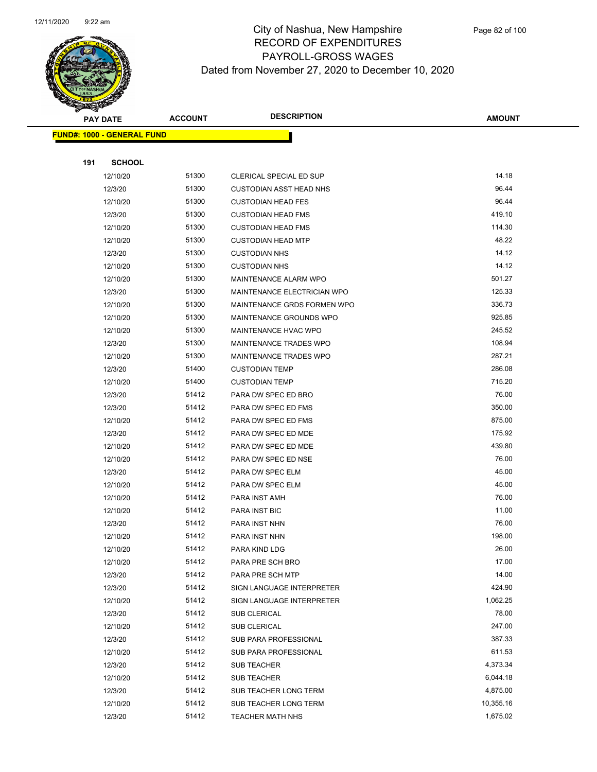

|     | <b>PAY DATE</b>                    | <b>ACCOUNT</b> | <b>DESCRIPTION</b>             | <b>AMOUNT</b> |
|-----|------------------------------------|----------------|--------------------------------|---------------|
|     | <u> FUND#: 1000 - GENERAL FUND</u> |                |                                |               |
|     |                                    |                |                                |               |
| 191 | <b>SCHOOL</b>                      |                |                                |               |
|     | 12/10/20                           | 51300          | CLERICAL SPECIAL ED SUP        | 14.18         |
|     | 12/3/20                            | 51300          | <b>CUSTODIAN ASST HEAD NHS</b> | 96.44         |
|     | 12/10/20                           | 51300          | <b>CUSTODIAN HEAD FES</b>      | 96.44         |
|     | 12/3/20                            | 51300          | <b>CUSTODIAN HEAD FMS</b>      | 419.10        |
|     | 12/10/20                           | 51300          | <b>CUSTODIAN HEAD FMS</b>      | 114.30        |
|     | 12/10/20                           | 51300          | <b>CUSTODIAN HEAD MTP</b>      | 48.22         |
|     | 12/3/20                            | 51300          | <b>CUSTODIAN NHS</b>           | 14.12         |
|     | 12/10/20                           | 51300          | <b>CUSTODIAN NHS</b>           | 14.12         |
|     | 12/10/20                           | 51300          | MAINTENANCE ALARM WPO          | 501.27        |
|     | 12/3/20                            | 51300          | MAINTENANCE ELECTRICIAN WPO    | 125.33        |
|     | 12/10/20                           | 51300          | MAINTENANCE GRDS FORMEN WPO    | 336.73        |
|     | 12/10/20                           | 51300          | MAINTENANCE GROUNDS WPO        | 925.85        |
|     | 12/10/20                           | 51300          | MAINTENANCE HVAC WPO           | 245.52        |
|     | 12/3/20                            | 51300          | MAINTENANCE TRADES WPO         | 108.94        |
|     | 12/10/20                           | 51300          | MAINTENANCE TRADES WPO         | 287.21        |
|     | 12/3/20                            | 51400          | <b>CUSTODIAN TEMP</b>          | 286.08        |
|     | 12/10/20                           | 51400          | <b>CUSTODIAN TEMP</b>          | 715.20        |
|     | 12/3/20                            | 51412          | PARA DW SPEC ED BRO            | 76.00         |
|     | 12/3/20                            | 51412          | PARA DW SPEC ED FMS            | 350.00        |
|     | 12/10/20                           | 51412          | PARA DW SPEC ED FMS            | 875.00        |
|     | 12/3/20                            | 51412          | PARA DW SPEC ED MDE            | 175.92        |
|     | 12/10/20                           | 51412          | PARA DW SPEC ED MDE            | 439.80        |
|     | 12/10/20                           | 51412          | PARA DW SPEC ED NSE            | 76.00         |
|     | 12/3/20                            | 51412          | PARA DW SPEC ELM               | 45.00         |
|     | 12/10/20                           | 51412          | PARA DW SPEC ELM               | 45.00         |
|     | 12/10/20                           | 51412          | PARA INST AMH                  | 76.00         |
|     | 12/10/20                           | 51412          | <b>PARA INST BIC</b>           | 11.00         |
|     | 12/3/20                            | 51412          | PARA INST NHN                  | 76.00         |
|     | 12/10/20                           | 51412          | PARA INST NHN                  | 198.00        |
|     | 12/10/20                           | 51412          | PARA KIND LDG                  | 26.00         |
|     | 12/10/20                           | 51412          | PARA PRE SCH BRO               | 17.00         |
|     | 12/3/20                            | 51412          | PARA PRE SCH MTP               | 14.00         |
|     | 12/3/20                            | 51412          | SIGN LANGUAGE INTERPRETER      | 424.90        |
|     | 12/10/20                           | 51412          | SIGN LANGUAGE INTERPRETER      | 1,062.25      |
|     | 12/3/20                            | 51412          | SUB CLERICAL                   | 78.00         |
|     | 12/10/20                           | 51412          | <b>SUB CLERICAL</b>            | 247.00        |
|     | 12/3/20                            | 51412          | SUB PARA PROFESSIONAL          | 387.33        |
|     | 12/10/20                           | 51412          | SUB PARA PROFESSIONAL          | 611.53        |
|     | 12/3/20                            | 51412          | <b>SUB TEACHER</b>             | 4,373.34      |
|     | 12/10/20                           | 51412          | <b>SUB TEACHER</b>             | 6,044.18      |
|     | 12/3/20                            | 51412          | SUB TEACHER LONG TERM          | 4,875.00      |
|     | 12/10/20                           | 51412          | SUB TEACHER LONG TERM          | 10,355.16     |
|     | 12/3/20                            | 51412          | <b>TEACHER MATH NHS</b>        | 1,675.02      |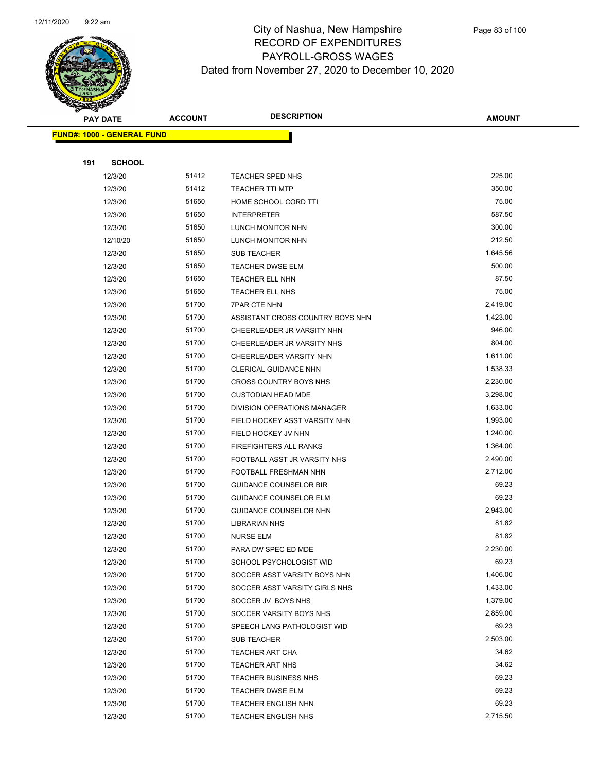

|     | <b>PAY DATE</b>                   | <b>ACCOUNT</b> | <b>DESCRIPTION</b>               | <b>AMOUNT</b> |
|-----|-----------------------------------|----------------|----------------------------------|---------------|
|     | <b>FUND#: 1000 - GENERAL FUND</b> |                |                                  |               |
|     |                                   |                |                                  |               |
| 191 | <b>SCHOOL</b>                     |                |                                  |               |
|     | 12/3/20                           | 51412          | TEACHER SPED NHS                 | 225.00        |
|     | 12/3/20                           | 51412          | <b>TEACHER TTI MTP</b>           | 350.00        |
|     | 12/3/20                           | 51650          | HOME SCHOOL CORD TTI             | 75.00         |
|     | 12/3/20                           | 51650          | <b>INTERPRETER</b>               | 587.50        |
|     | 12/3/20                           | 51650          | LUNCH MONITOR NHN                | 300.00        |
|     | 12/10/20                          | 51650          | <b>LUNCH MONITOR NHN</b>         | 212.50        |
|     | 12/3/20                           | 51650          | <b>SUB TEACHER</b>               | 1,645.56      |
|     | 12/3/20                           | 51650          | <b>TEACHER DWSE ELM</b>          | 500.00        |
|     | 12/3/20                           | 51650          | TEACHER ELL NHN                  | 87.50         |
|     | 12/3/20                           | 51650          | <b>TEACHER ELL NHS</b>           | 75.00         |
|     | 12/3/20                           | 51700          | <b>7PAR CTE NHN</b>              | 2,419.00      |
|     | 12/3/20                           | 51700          | ASSISTANT CROSS COUNTRY BOYS NHN | 1,423.00      |
|     | 12/3/20                           | 51700          | CHEERLEADER JR VARSITY NHN       | 946.00        |
|     | 12/3/20                           | 51700          | CHEERLEADER JR VARSITY NHS       | 804.00        |
|     | 12/3/20                           | 51700          | CHEERLEADER VARSITY NHN          | 1,611.00      |
|     | 12/3/20                           | 51700          | CLERICAL GUIDANCE NHN            | 1,538.33      |
|     | 12/3/20                           | 51700          | CROSS COUNTRY BOYS NHS           | 2,230.00      |
|     | 12/3/20                           | 51700          | <b>CUSTODIAN HEAD MDE</b>        | 3,298.00      |
|     | 12/3/20                           | 51700          | DIVISION OPERATIONS MANAGER      | 1,633.00      |
|     | 12/3/20                           | 51700          | FIELD HOCKEY ASST VARSITY NHN    | 1,993.00      |
|     | 12/3/20                           | 51700          | FIELD HOCKEY JV NHN              | 1,240.00      |
|     | 12/3/20                           | 51700          | <b>FIREFIGHTERS ALL RANKS</b>    | 1,364.00      |
|     | 12/3/20                           | 51700          | FOOTBALL ASST JR VARSITY NHS     | 2,490.00      |
|     | 12/3/20                           | 51700          | FOOTBALL FRESHMAN NHN            | 2,712.00      |
|     | 12/3/20                           | 51700          | <b>GUIDANCE COUNSELOR BIR</b>    | 69.23         |
|     | 12/3/20                           | 51700          | <b>GUIDANCE COUNSELOR ELM</b>    | 69.23         |
|     | 12/3/20                           | 51700          | GUIDANCE COUNSELOR NHN           | 2,943.00      |
|     | 12/3/20                           | 51700          | <b>LIBRARIAN NHS</b>             | 81.82         |
|     | 12/3/20                           | 51700          | <b>NURSE ELM</b>                 | 81.82         |
|     | 12/3/20                           | 51700          | PARA DW SPEC ED MDE              | 2,230.00      |
|     | 12/3/20                           | 51700          | SCHOOL PSYCHOLOGIST WID          | 69.23         |
|     | 12/3/20                           | 51700          | SOCCER ASST VARSITY BOYS NHN     | 1,406.00      |
|     | 12/3/20                           | 51700          | SOCCER ASST VARSITY GIRLS NHS    | 1,433.00      |
|     | 12/3/20                           | 51700          | SOCCER JV BOYS NHS               | 1,379.00      |
|     | 12/3/20                           | 51700          | SOCCER VARSITY BOYS NHS          | 2,859.00      |
|     | 12/3/20                           | 51700          | SPEECH LANG PATHOLOGIST WID      | 69.23         |
|     | 12/3/20                           | 51700          | <b>SUB TEACHER</b>               | 2,503.00      |
|     | 12/3/20                           | 51700          | <b>TEACHER ART CHA</b>           | 34.62         |
|     | 12/3/20                           | 51700          | <b>TEACHER ART NHS</b>           | 34.62         |
|     | 12/3/20                           | 51700          | <b>TEACHER BUSINESS NHS</b>      | 69.23         |
|     | 12/3/20                           | 51700          | <b>TEACHER DWSE ELM</b>          | 69.23         |
|     | 12/3/20                           | 51700          | TEACHER ENGLISH NHN              | 69.23         |
|     | 12/3/20                           | 51700          | <b>TEACHER ENGLISH NHS</b>       | 2,715.50      |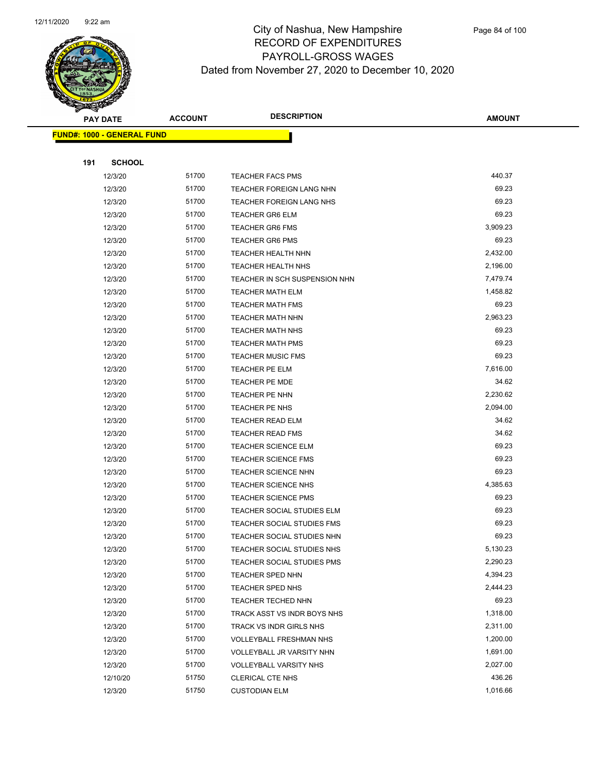

| <b>PAY DATE</b> |                                   | <b>DESCRIPTION</b><br><b>ACCOUNT</b> |                                | <b>AMOUNT</b> |
|-----------------|-----------------------------------|--------------------------------------|--------------------------------|---------------|
|                 | <b>FUND#: 1000 - GENERAL FUND</b> |                                      |                                |               |
|                 |                                   |                                      |                                |               |
| 191             | <b>SCHOOL</b>                     |                                      |                                |               |
|                 | 12/3/20                           | 51700                                | <b>TEACHER FACS PMS</b>        | 440.37        |
|                 | 12/3/20                           | 51700                                | TEACHER FOREIGN LANG NHN       | 69.23         |
|                 | 12/3/20                           | 51700                                | TEACHER FOREIGN LANG NHS       | 69.23         |
|                 | 12/3/20                           | 51700                                | <b>TEACHER GR6 ELM</b>         | 69.23         |
|                 | 12/3/20                           | 51700                                | <b>TEACHER GR6 FMS</b>         | 3,909.23      |
|                 | 12/3/20                           | 51700                                | <b>TEACHER GR6 PMS</b>         | 69.23         |
|                 | 12/3/20                           | 51700                                | TEACHER HEALTH NHN             | 2,432.00      |
|                 | 12/3/20                           | 51700                                | <b>TEACHER HEALTH NHS</b>      | 2,196.00      |
|                 | 12/3/20                           | 51700                                | TEACHER IN SCH SUSPENSION NHN  | 7,479.74      |
|                 | 12/3/20                           | 51700                                | <b>TEACHER MATH ELM</b>        | 1,458.82      |
|                 | 12/3/20                           | 51700                                | <b>TEACHER MATH FMS</b>        | 69.23         |
|                 | 12/3/20                           | 51700                                | <b>TEACHER MATH NHN</b>        | 2,963.23      |
|                 | 12/3/20                           | 51700                                | <b>TEACHER MATH NHS</b>        | 69.23         |
|                 | 12/3/20                           | 51700                                | <b>TEACHER MATH PMS</b>        | 69.23         |
|                 | 12/3/20                           | 51700                                | <b>TEACHER MUSIC FMS</b>       | 69.23         |
|                 | 12/3/20                           | 51700                                | <b>TEACHER PE ELM</b>          | 7,616.00      |
|                 | 12/3/20                           | 51700                                | <b>TEACHER PE MDE</b>          | 34.62         |
|                 | 12/3/20                           | 51700                                | TEACHER PE NHN                 | 2,230.62      |
|                 | 12/3/20                           | 51700                                | TEACHER PE NHS                 | 2,094.00      |
|                 | 12/3/20                           | 51700                                | <b>TEACHER READ ELM</b>        | 34.62         |
|                 | 12/3/20                           | 51700                                | <b>TEACHER READ FMS</b>        | 34.62         |
|                 | 12/3/20                           | 51700                                | <b>TEACHER SCIENCE ELM</b>     | 69.23         |
|                 | 12/3/20                           | 51700                                | <b>TEACHER SCIENCE FMS</b>     | 69.23         |
|                 | 12/3/20                           | 51700                                | <b>TEACHER SCIENCE NHN</b>     | 69.23         |
|                 | 12/3/20                           | 51700                                | <b>TEACHER SCIENCE NHS</b>     | 4,385.63      |
|                 | 12/3/20                           | 51700                                | <b>TEACHER SCIENCE PMS</b>     | 69.23         |
|                 | 12/3/20                           | 51700                                | TEACHER SOCIAL STUDIES ELM     | 69.23         |
|                 | 12/3/20                           | 51700                                | TEACHER SOCIAL STUDIES FMS     | 69.23         |
|                 | 12/3/20                           | 51700                                | TEACHER SOCIAL STUDIES NHN     | 69.23         |
|                 | 12/3/20                           | 51700                                | TEACHER SOCIAL STUDIES NHS     | 5,130.23      |
|                 | 12/3/20                           | 51700                                | TEACHER SOCIAL STUDIES PMS     | 2,290.23      |
|                 | 12/3/20                           | 51700                                | TEACHER SPED NHN               | 4,394.23      |
|                 | 12/3/20                           | 51700                                | TEACHER SPED NHS               | 2,444.23      |
|                 | 12/3/20                           | 51700                                | TEACHER TECHED NHN             | 69.23         |
|                 | 12/3/20                           | 51700                                | TRACK ASST VS INDR BOYS NHS    | 1,318.00      |
|                 | 12/3/20                           | 51700                                | TRACK VS INDR GIRLS NHS        | 2,311.00      |
|                 | 12/3/20                           | 51700                                | <b>VOLLEYBALL FRESHMAN NHS</b> | 1,200.00      |
|                 | 12/3/20                           | 51700                                | VOLLEYBALL JR VARSITY NHN      | 1,691.00      |
|                 | 12/3/20                           | 51700                                | <b>VOLLEYBALL VARSITY NHS</b>  | 2,027.00      |
|                 | 12/10/20                          | 51750                                | <b>CLERICAL CTE NHS</b>        | 436.26        |
|                 | 12/3/20                           | 51750                                | <b>CUSTODIAN ELM</b>           | 1,016.66      |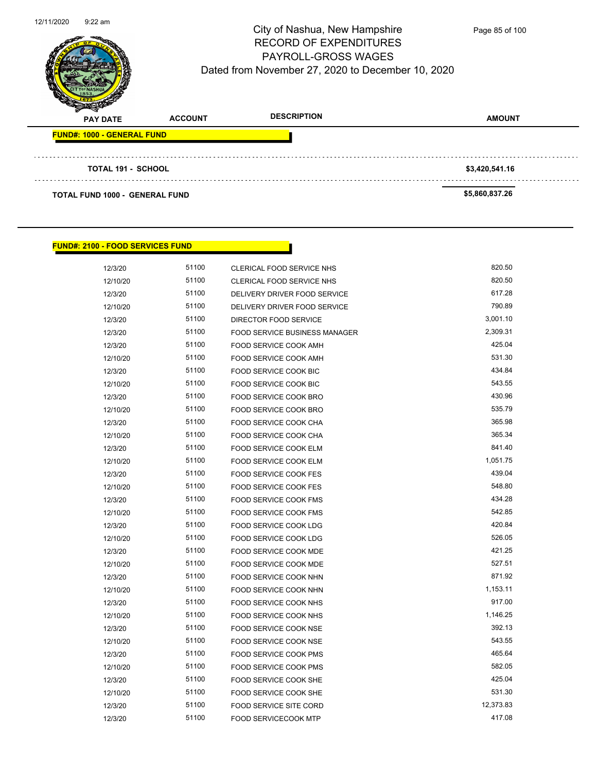

**PAY DATE ACCOUNT DESCRIPTION AMOUNT FUND#: 1000 - GENERAL FUND TOTAL 191 - SCHOOL \$3,420,541.16 TOTAL FUND 1000 - GENERAL FUND \$5,860,837.26** 

#### **FUND#: 2100 - FOOD SERVICES FUND**

| 12/3/20  | 51100 | CLERICAL FOOD SERVICE NHS            | 820.50    |
|----------|-------|--------------------------------------|-----------|
| 12/10/20 | 51100 | CLERICAL FOOD SERVICE NHS            | 820.50    |
| 12/3/20  | 51100 | DELIVERY DRIVER FOOD SERVICE         | 617.28    |
| 12/10/20 | 51100 | DELIVERY DRIVER FOOD SERVICE         | 790.89    |
| 12/3/20  | 51100 | DIRECTOR FOOD SERVICE                | 3,001.10  |
| 12/3/20  | 51100 | <b>FOOD SERVICE BUSINESS MANAGER</b> | 2,309.31  |
| 12/3/20  | 51100 | <b>FOOD SERVICE COOK AMH</b>         | 425.04    |
| 12/10/20 | 51100 | FOOD SERVICE COOK AMH                | 531.30    |
| 12/3/20  | 51100 | FOOD SERVICE COOK BIC                | 434.84    |
| 12/10/20 | 51100 | FOOD SERVICE COOK BIC                | 543.55    |
| 12/3/20  | 51100 | FOOD SERVICE COOK BRO                | 430.96    |
| 12/10/20 | 51100 | FOOD SERVICE COOK BRO                | 535.79    |
| 12/3/20  | 51100 | FOOD SERVICE COOK CHA                | 365.98    |
| 12/10/20 | 51100 | FOOD SERVICE COOK CHA                | 365.34    |
| 12/3/20  | 51100 | FOOD SERVICE COOK ELM                | 841.40    |
| 12/10/20 | 51100 | FOOD SERVICE COOK ELM                | 1,051.75  |
| 12/3/20  | 51100 | <b>FOOD SERVICE COOK FES</b>         | 439.04    |
| 12/10/20 | 51100 | <b>FOOD SERVICE COOK FES</b>         | 548.80    |
| 12/3/20  | 51100 | <b>FOOD SERVICE COOK FMS</b>         | 434.28    |
| 12/10/20 | 51100 | <b>FOOD SERVICE COOK FMS</b>         | 542.85    |
| 12/3/20  | 51100 | FOOD SERVICE COOK LDG                | 420.84    |
| 12/10/20 | 51100 | FOOD SERVICE COOK LDG                | 526.05    |
| 12/3/20  | 51100 | <b>FOOD SERVICE COOK MDE</b>         | 421.25    |
| 12/10/20 | 51100 | <b>FOOD SERVICE COOK MDE</b>         | 527.51    |
| 12/3/20  | 51100 | FOOD SERVICE COOK NHN                | 871.92    |
| 12/10/20 | 51100 | FOOD SERVICE COOK NHN                | 1,153.11  |
| 12/3/20  | 51100 | <b>FOOD SERVICE COOK NHS</b>         | 917.00    |
| 12/10/20 | 51100 | FOOD SERVICE COOK NHS                | 1,146.25  |
| 12/3/20  | 51100 | FOOD SERVICE COOK NSE                | 392.13    |
| 12/10/20 | 51100 | <b>FOOD SERVICE COOK NSE</b>         | 543.55    |
| 12/3/20  | 51100 | FOOD SERVICE COOK PMS                | 465.64    |
| 12/10/20 | 51100 | <b>FOOD SERVICE COOK PMS</b>         | 582.05    |
| 12/3/20  | 51100 | <b>FOOD SERVICE COOK SHE</b>         | 425.04    |
| 12/10/20 | 51100 | <b>FOOD SERVICE COOK SHE</b>         | 531.30    |
| 12/3/20  | 51100 | <b>FOOD SERVICE SITE CORD</b>        | 12,373.83 |
| 12/3/20  | 51100 | <b>FOOD SERVICECOOK MTP</b>          | 417.08    |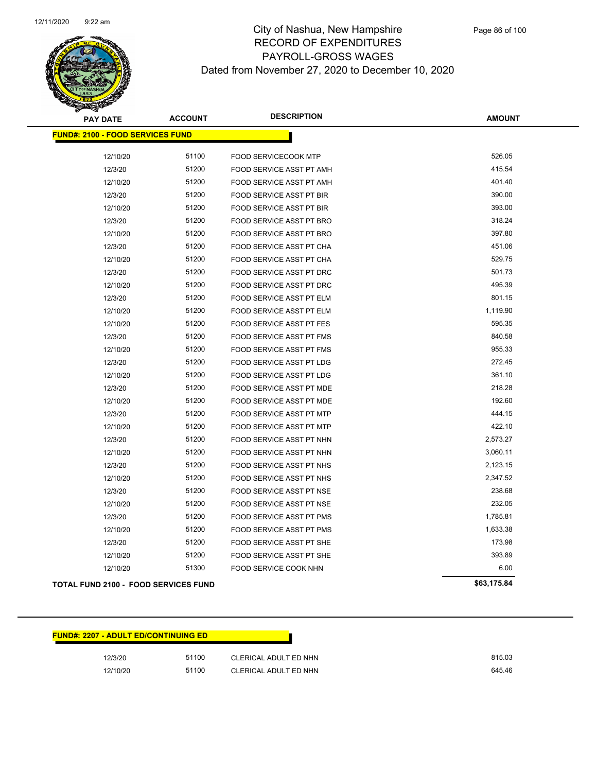

| <b>PAY DATE</b>                             | <b>ACCOUNT</b> | <b>DESCRIPTION</b>              | <b>AMOUNT</b> |
|---------------------------------------------|----------------|---------------------------------|---------------|
| <b>FUND#: 2100 - FOOD SERVICES FUND</b>     |                |                                 |               |
|                                             |                |                                 |               |
| 12/10/20                                    | 51100          | FOOD SERVICECOOK MTP            | 526.05        |
| 12/3/20                                     | 51200          | FOOD SERVICE ASST PT AMH        | 415.54        |
| 12/10/20                                    | 51200          | FOOD SERVICE ASST PT AMH        | 401.40        |
| 12/3/20                                     | 51200          | FOOD SERVICE ASST PT BIR        | 390.00        |
| 12/10/20                                    | 51200          | FOOD SERVICE ASST PT BIR        | 393.00        |
| 12/3/20                                     | 51200          | FOOD SERVICE ASST PT BRO        | 318.24        |
| 12/10/20                                    | 51200          | FOOD SERVICE ASST PT BRO        | 397.80        |
| 12/3/20                                     | 51200          | <b>FOOD SERVICE ASST PT CHA</b> | 451.06        |
| 12/10/20                                    | 51200          | FOOD SERVICE ASST PT CHA        | 529.75        |
| 12/3/20                                     | 51200          | FOOD SERVICE ASST PT DRC        | 501.73        |
| 12/10/20                                    | 51200          | FOOD SERVICE ASST PT DRC        | 495.39        |
| 12/3/20                                     | 51200          | FOOD SERVICE ASST PT ELM        | 801.15        |
| 12/10/20                                    | 51200          | FOOD SERVICE ASST PT ELM        | 1,119.90      |
| 12/10/20                                    | 51200          | <b>FOOD SERVICE ASST PT FES</b> | 595.35        |
| 12/3/20                                     | 51200          | FOOD SERVICE ASST PT FMS        | 840.58        |
| 12/10/20                                    | 51200          | FOOD SERVICE ASST PT FMS        | 955.33        |
| 12/3/20                                     | 51200          | FOOD SERVICE ASST PT LDG        | 272.45        |
| 12/10/20                                    | 51200          | FOOD SERVICE ASST PT LDG        | 361.10        |
| 12/3/20                                     | 51200          | FOOD SERVICE ASST PT MDE        | 218.28        |
| 12/10/20                                    | 51200          | FOOD SERVICE ASST PT MDE        | 192.60        |
| 12/3/20                                     | 51200          | FOOD SERVICE ASST PT MTP        | 444.15        |
| 12/10/20                                    | 51200          | FOOD SERVICE ASST PT MTP        | 422.10        |
| 12/3/20                                     | 51200          | FOOD SERVICE ASST PT NHN        | 2,573.27      |
| 12/10/20                                    | 51200          | FOOD SERVICE ASST PT NHN        | 3,060.11      |
| 12/3/20                                     | 51200          | FOOD SERVICE ASST PT NHS        | 2,123.15      |
| 12/10/20                                    | 51200          | FOOD SERVICE ASST PT NHS        | 2,347.52      |
| 12/3/20                                     | 51200          | FOOD SERVICE ASST PT NSE        | 238.68        |
| 12/10/20                                    | 51200          | FOOD SERVICE ASST PT NSE        | 232.05        |
| 12/3/20                                     | 51200          | FOOD SERVICE ASST PT PMS        | 1,785.81      |
| 12/10/20                                    | 51200          | FOOD SERVICE ASST PT PMS        | 1,633.38      |
| 12/3/20                                     | 51200          | FOOD SERVICE ASST PT SHE        | 173.98        |
| 12/10/20                                    | 51200          | FOOD SERVICE ASST PT SHE        | 393.89        |
| 12/10/20                                    | 51300          | FOOD SERVICE COOK NHN           | 6.00          |
| <b>TOTAL FUND 2100 - FOOD SERVICES FUND</b> |                |                                 | \$63,175.84   |

| <b>TOTAL FUND 2100 - FOOD SERVICES FUND</b> |  |
|---------------------------------------------|--|
|---------------------------------------------|--|

| <u> FUND#: 2207 - ADULT ED/CONTINUING ED</u> |  |
|----------------------------------------------|--|
|----------------------------------------------|--|

| 12/3/20  | 51100 | CLERICAL ADULT ED NHN | 815.03 |
|----------|-------|-----------------------|--------|
| 12/10/20 | 51100 | CLERICAL ADULT ED NHN | 645.46 |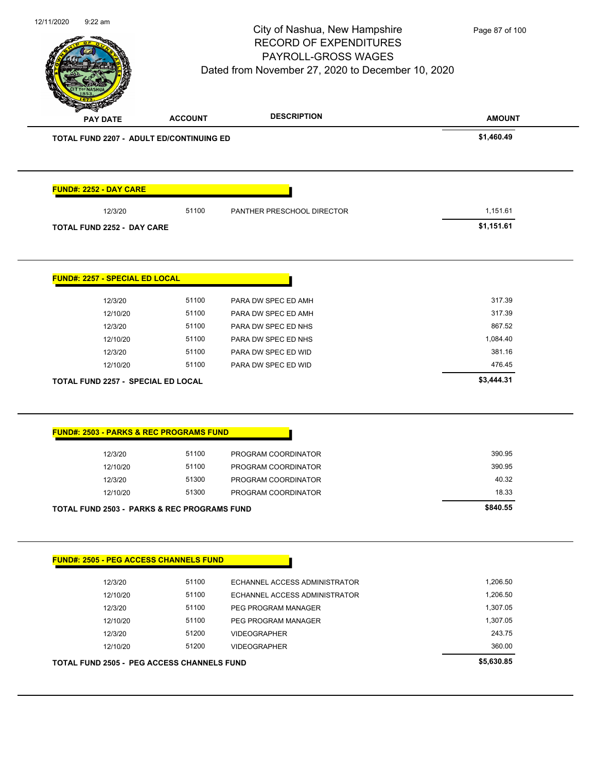

|                                                                                                                                                                                                                        |       |                                      | <b>AMOUNT</b> |
|------------------------------------------------------------------------------------------------------------------------------------------------------------------------------------------------------------------------|-------|--------------------------------------|---------------|
| TOTAL FUND 2207 - ADULT ED/CONTINUING ED                                                                                                                                                                               |       |                                      | \$1,460.49    |
| <b>FUND#: 2252 - DAY CARE</b>                                                                                                                                                                                          |       |                                      |               |
| 12/3/20                                                                                                                                                                                                                | 51100 | PANTHER PRESCHOOL DIRECTOR           | 1,151.61      |
| <b>TOTAL FUND 2252 - DAY CARE</b>                                                                                                                                                                                      |       |                                      | \$1,151.61    |
| <b>FUND#: 2257 - SPECIAL ED LOCAL</b>                                                                                                                                                                                  |       |                                      |               |
| 12/3/20                                                                                                                                                                                                                | 51100 | PARA DW SPEC ED AMH                  | 317.39        |
| 12/10/20                                                                                                                                                                                                               | 51100 | PARA DW SPEC ED AMH                  | 317.39        |
| 12/3/20                                                                                                                                                                                                                | 51100 | PARA DW SPEC ED NHS                  | 867.52        |
| 12/10/20                                                                                                                                                                                                               | 51100 | PARA DW SPEC ED NHS                  | 1,084.40      |
| 12/3/20                                                                                                                                                                                                                | 51100 | PARA DW SPEC ED WID                  | 381.16        |
|                                                                                                                                                                                                                        |       | PARA DW SPEC ED WID                  | 476.45        |
| 12/10/20                                                                                                                                                                                                               | 51100 |                                      |               |
|                                                                                                                                                                                                                        |       |                                      | \$3,444.31    |
|                                                                                                                                                                                                                        |       |                                      |               |
| 12/3/20                                                                                                                                                                                                                | 51100 | PROGRAM COORDINATOR                  | 390.95        |
| 12/10/20                                                                                                                                                                                                               | 51100 | PROGRAM COORDINATOR                  | 390.95        |
| 12/3/20                                                                                                                                                                                                                | 51300 | PROGRAM COORDINATOR                  | 40.32         |
| 12/10/20                                                                                                                                                                                                               | 51300 | PROGRAM COORDINATOR                  | 18.33         |
|                                                                                                                                                                                                                        |       |                                      | \$840.55      |
|                                                                                                                                                                                                                        |       |                                      |               |
| 12/3/20                                                                                                                                                                                                                | 51100 | ECHANNEL ACCESS ADMINISTRATOR        | 1,206.50      |
| 12/10/20                                                                                                                                                                                                               | 51100 | <b>ECHANNEL ACCESS ADMINISTRATOR</b> | 1,206.50      |
| 12/3/20                                                                                                                                                                                                                | 51100 | PEG PROGRAM MANAGER                  | 1,307.05      |
| 12/10/20                                                                                                                                                                                                               | 51100 | PEG PROGRAM MANAGER                  | 1,307.05      |
| 12/3/20                                                                                                                                                                                                                | 51200 | <b>VIDEOGRAPHER</b>                  | 243.75        |
| <b>TOTAL FUND 2257 - SPECIAL ED LOCAL</b><br><b>FUND#: 2503 - PARKS &amp; REC PROGRAMS FUND</b><br><b>TOTAL FUND 2503 - PARKS &amp; REC PROGRAMS FUND</b><br><b>FUND#: 2505 - PEG ACCESS CHANNELS FUND</b><br>12/10/20 | 51200 | <b>VIDEOGRAPHER</b>                  | 360.00        |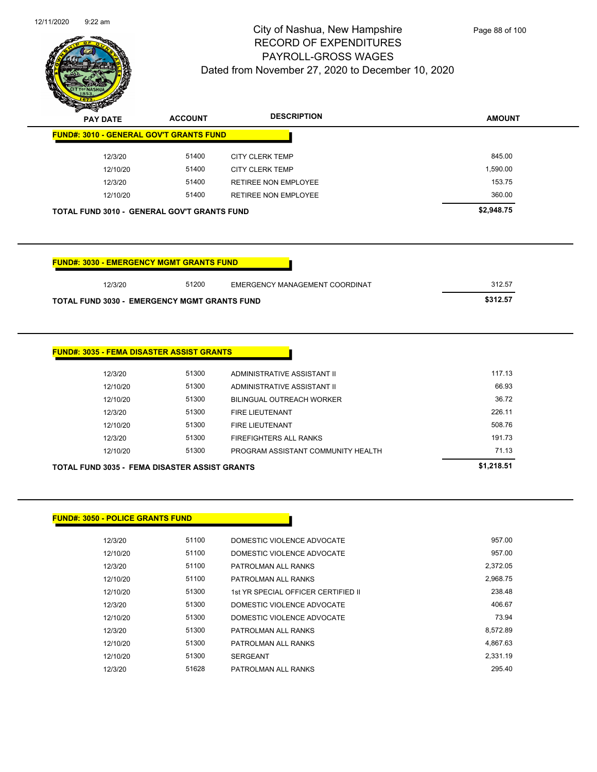

| $\mathscr{D} \mathscr{\rightharpoonup} \mathscr{\rightharpoonup}$<br><b>PAY DATE</b> | <b>ACCOUNT</b> | <b>DESCRIPTION</b>   | <b>AMOUNT</b> |
|--------------------------------------------------------------------------------------|----------------|----------------------|---------------|
| <b>FUND#: 3010 - GENERAL GOV'T GRANTS FUND</b>                                       |                |                      |               |
| 12/3/20                                                                              | 51400          | CITY CLERK TEMP      | 845.00        |
| 12/10/20                                                                             | 51400          | CITY CLERK TEMP      | .590.00       |
| 12/3/20                                                                              | 51400          | RETIREE NON EMPLOYEE | 153.75        |
| 12/10/20                                                                             | 51400          | RETIREE NON EMPLOYEE | 360.00        |
| <b>TOTAL FUND 3010 - GENERAL GOV'T GRANTS FUND</b>                                   |                |                      | \$2,948.75    |

| <b>FUND#: 3030 - EMERGENCY MGMT GRANTS FUND</b>     |       |                                |          |
|-----------------------------------------------------|-------|--------------------------------|----------|
| 12/3/20                                             | 51200 | EMERGENCY MANAGEMENT COORDINAT | 312.57   |
| <b>TOTAL FUND 3030 - EMERGENCY MGMT GRANTS FUND</b> |       |                                | \$312.57 |

| <b>FUND#: 3035 - FEMA DISASTER ASSIST GRANTS</b> |  |
|--------------------------------------------------|--|
|--------------------------------------------------|--|

| TOTAL FUND 3035 - FEMA DISASTER ASSIST GRANTS |       |                                    | \$1,218.51 |
|-----------------------------------------------|-------|------------------------------------|------------|
| 12/10/20                                      | 51300 | PROGRAM ASSISTANT COMMUNITY HEALTH | 71.13      |
| 12/3/20                                       | 51300 | FIREFIGHTERS ALL RANKS             | 191.73     |
| 12/10/20                                      | 51300 | <b>FIRE LIEUTENANT</b>             | 508.76     |
| 12/3/20                                       | 51300 | <b>FIRE LIEUTENANT</b>             | 226.11     |
| 12/10/20                                      | 51300 | BILINGUAL OUTREACH WORKER          | 36.72      |
| 12/10/20                                      | 51300 | ADMINISTRATIVE ASSISTANT II        | 66.93      |
| 12/3/20                                       | 51300 | ADMINISTRATIVE ASSISTANT II        | 117.13     |
|                                               |       |                                    |            |

|  | <b>FUND#: 3050 - POLICE GRANTS FUND</b> |  |
|--|-----------------------------------------|--|
|--|-----------------------------------------|--|

| 12/3/20  | 51100 | DOMESTIC VIOLENCE ADVOCATE          | 957.00   |
|----------|-------|-------------------------------------|----------|
| 12/10/20 | 51100 | DOMESTIC VIOLENCE ADVOCATE          | 957.00   |
| 12/3/20  | 51100 | PATROLMAN ALL RANKS                 | 2.372.05 |
| 12/10/20 | 51100 | PATROLMAN ALL RANKS                 | 2.968.75 |
| 12/10/20 | 51300 | 1st YR SPECIAL OFFICER CERTIFIED II | 238.48   |
| 12/3/20  | 51300 | DOMESTIC VIOLENCE ADVOCATE          | 406.67   |
| 12/10/20 | 51300 | DOMESTIC VIOLENCE ADVOCATE          | 73.94    |
| 12/3/20  | 51300 | PATROLMAN ALL RANKS                 | 8.572.89 |
| 12/10/20 | 51300 | PATROLMAN ALL RANKS                 | 4.867.63 |
| 12/10/20 | 51300 | <b>SERGEANT</b>                     | 2.331.19 |
| 12/3/20  | 51628 | PATROLMAN ALL RANKS                 | 295.40   |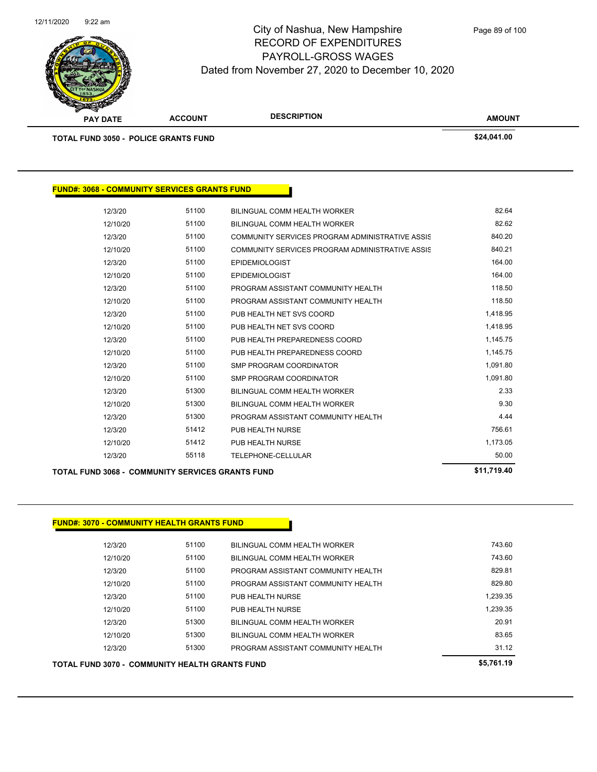

| <b>PAY DATE</b>                                     | <b>ACCOUNT</b> | <b>DESCRIPTION</b>                              | <b>AMOUNT</b> |  |
|-----------------------------------------------------|----------------|-------------------------------------------------|---------------|--|
| <b>TOTAL FUND 3050 - POLICE GRANTS FUND</b>         |                |                                                 | \$24,041.00   |  |
|                                                     |                |                                                 |               |  |
|                                                     |                |                                                 |               |  |
| <b>FUND#: 3068 - COMMUNITY SERVICES GRANTS FUND</b> |                |                                                 |               |  |
| 12/3/20                                             | 51100          | <b>BILINGUAL COMM HEALTH WORKER</b>             | 82.64         |  |
| 12/10/20                                            | 51100          | <b>BILINGUAL COMM HEALTH WORKER</b>             | 82.62         |  |
| 12/3/20                                             | 51100          | COMMUNITY SERVICES PROGRAM ADMINISTRATIVE ASSIS | 840.20        |  |
| 12/10/20                                            | 51100          | COMMUNITY SERVICES PROGRAM ADMINISTRATIVE ASSIS | 840.21        |  |
| 12/3/20                                             | 51100          | <b>EPIDEMIOLOGIST</b>                           | 164.00        |  |
| 12/10/20                                            | 51100          | <b>EPIDEMIOLOGIST</b>                           | 164.00        |  |
| 12/3/20                                             | 51100          | PROGRAM ASSISTANT COMMUNITY HEALTH              | 118.50        |  |
| 12/10/20                                            | 51100          | PROGRAM ASSISTANT COMMUNITY HEALTH              | 118.50        |  |
| 12/3/20                                             | 51100          | PUB HEALTH NET SVS COORD                        | 1,418.95      |  |
| 12/10/20                                            | 51100          | PUB HEALTH NET SVS COORD                        | 1,418.95      |  |
| 12/3/20                                             | 51100          | PUB HEALTH PREPAREDNESS COORD                   | 1,145.75      |  |
| 12/10/20                                            | 51100          | PUB HEALTH PREPAREDNESS COORD                   | 1,145.75      |  |
| 12/3/20                                             | 51100          | <b>SMP PROGRAM COORDINATOR</b>                  | 1,091.80      |  |
| 12/10/20                                            | 51100          | <b>SMP PROGRAM COORDINATOR</b>                  | 1,091.80      |  |
| 12/3/20                                             | 51300          | <b>BILINGUAL COMM HEALTH WORKER</b>             | 2.33          |  |
| 12/10/20                                            | 51300          | BILINGUAL COMM HEALTH WORKER                    | 9.30          |  |

12/3/20 51300 PROGRAM ASSISTANT COMMUNITY HEALTH 4.44 12/3/20 51412 PUB HEALTH NURSE 756.61 12/10/20 51412 PUB HEALTH NURSE 1,173.05 12/3/20 55118 TELEPHONE-CELLULAR 50.00

**TOTAL FUND 3068 - COMMUNITY SERVICES GRANTS FUND \$11,719.40** 

#### **FUND#: 3070 - COMMUNITY HEALTH GRANTS FUND**

| <b>TOTAL FUND 3070 - COMMUNITY HEALTH GRANTS FUND</b> | \$5,761.19 |                                    |          |
|-------------------------------------------------------|------------|------------------------------------|----------|
| 12/3/20                                               | 51300      | PROGRAM ASSISTANT COMMUNITY HEALTH | 31.12    |
| 12/10/20                                              | 51300      | BILINGUAL COMM HEALTH WORKER       | 83.65    |
| 12/3/20                                               | 51300      | BILINGUAL COMM HEALTH WORKER       | 20.91    |
| 12/10/20                                              | 51100      | PUB HEALTH NURSE                   | 1.239.35 |
| 12/3/20                                               | 51100      | PUB HEALTH NURSE                   | 1.239.35 |
| 12/10/20                                              | 51100      | PROGRAM ASSISTANT COMMUNITY HEALTH | 829.80   |
| 12/3/20                                               | 51100      | PROGRAM ASSISTANT COMMUNITY HEALTH | 829.81   |
| 12/10/20                                              | 51100      | BILINGUAL COMM HEALTH WORKER       | 743.60   |
| 12/3/20                                               | 51100      | BILINGUAL COMM HEALTH WORKER       | 743.60   |
|                                                       |            |                                    |          |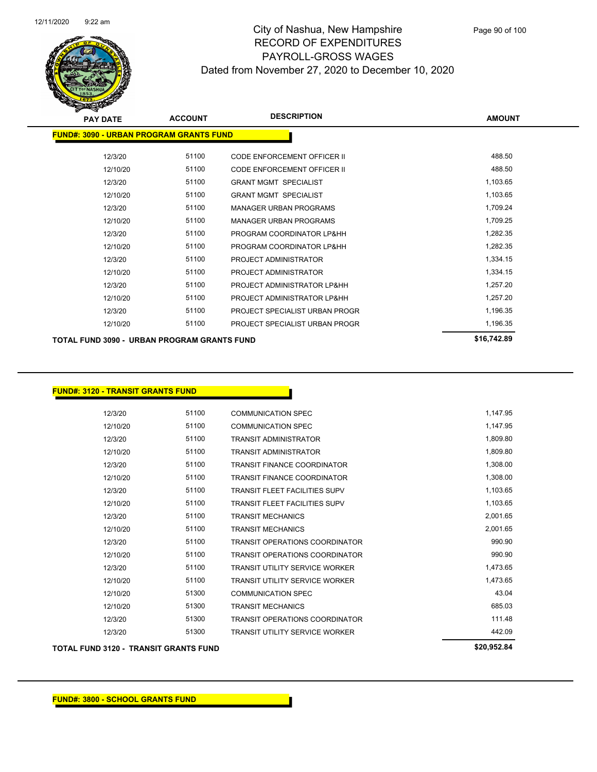

| <b>PAY DATE</b>                                | <b>ACCOUNT</b> | <b>DESCRIPTION</b>             | <b>AMOUNT</b> |
|------------------------------------------------|----------------|--------------------------------|---------------|
| <b>FUND#: 3090 - URBAN PROGRAM GRANTS FUND</b> |                |                                |               |
| 12/3/20                                        | 51100          | CODE ENFORCEMENT OFFICER II    | 488.50        |
| 12/10/20                                       | 51100          | CODE ENFORCEMENT OFFICER II    | 488.50        |
| 12/3/20                                        | 51100          | <b>GRANT MGMT SPECIALIST</b>   | 1,103.65      |
| 12/10/20                                       | 51100          | <b>GRANT MGMT SPECIALIST</b>   | 1,103.65      |
| 12/3/20                                        | 51100          | <b>MANAGER URBAN PROGRAMS</b>  | 1,709.24      |
| 12/10/20                                       | 51100          | <b>MANAGER URBAN PROGRAMS</b>  | 1,709.25      |
| 12/3/20                                        | 51100          | PROGRAM COORDINATOR LP&HH      | 1,282.35      |
| 12/10/20                                       | 51100          | PROGRAM COORDINATOR LP&HH      | 1,282.35      |
| 12/3/20                                        | 51100          | PROJECT ADMINISTRATOR          | 1,334.15      |
| 12/10/20                                       | 51100          | PROJECT ADMINISTRATOR          | 1,334.15      |
| 12/3/20                                        | 51100          | PROJECT ADMINISTRATOR LP&HH    | 1,257.20      |
| 12/10/20                                       | 51100          | PROJECT ADMINISTRATOR LP&HH    | 1,257.20      |
| 12/3/20                                        | 51100          | PROJECT SPECIALIST URBAN PROGR | 1,196.35      |
| 12/10/20                                       | 51100          | PROJECT SPECIALIST URBAN PROGR | 1,196.35      |
| TOTAL FUND 3090 - URBAN PROGRAM GRANTS FUND    |                |                                | \$16,742.89   |

| <b>FUND#: 3120 - TRANSIT GRANTS FUND</b> |          |                                              |                                       |             |
|------------------------------------------|----------|----------------------------------------------|---------------------------------------|-------------|
|                                          | 12/3/20  | 51100                                        | <b>COMMUNICATION SPEC</b>             | 1,147.95    |
|                                          | 12/10/20 | 51100                                        | <b>COMMUNICATION SPEC</b>             | 1,147.95    |
|                                          | 12/3/20  | 51100                                        | <b>TRANSIT ADMINISTRATOR</b>          | 1,809.80    |
|                                          | 12/10/20 | 51100                                        | <b>TRANSIT ADMINISTRATOR</b>          | 1,809.80    |
|                                          | 12/3/20  | 51100                                        | <b>TRANSIT FINANCE COORDINATOR</b>    | 1,308.00    |
|                                          | 12/10/20 | 51100                                        | <b>TRANSIT FINANCE COORDINATOR</b>    | 1,308.00    |
|                                          | 12/3/20  | 51100                                        | <b>TRANSIT FLEET FACILITIES SUPV</b>  | 1,103.65    |
|                                          | 12/10/20 | 51100                                        | <b>TRANSIT FLEET FACILITIES SUPV</b>  | 1,103.65    |
|                                          | 12/3/20  | 51100                                        | <b>TRANSIT MECHANICS</b>              | 2,001.65    |
|                                          | 12/10/20 | 51100                                        | <b>TRANSIT MECHANICS</b>              | 2,001.65    |
|                                          | 12/3/20  | 51100                                        | <b>TRANSIT OPERATIONS COORDINATOR</b> | 990.90      |
|                                          | 12/10/20 | 51100                                        | <b>TRANSIT OPERATIONS COORDINATOR</b> | 990.90      |
|                                          | 12/3/20  | 51100                                        | <b>TRANSIT UTILITY SERVICE WORKER</b> | 1,473.65    |
|                                          | 12/10/20 | 51100                                        | <b>TRANSIT UTILITY SERVICE WORKER</b> | 1,473.65    |
|                                          | 12/10/20 | 51300                                        | <b>COMMUNICATION SPEC</b>             | 43.04       |
|                                          | 12/10/20 | 51300                                        | <b>TRANSIT MECHANICS</b>              | 685.03      |
|                                          | 12/3/20  | 51300                                        | <b>TRANSIT OPERATIONS COORDINATOR</b> | 111.48      |
|                                          | 12/3/20  | 51300                                        | <b>TRANSIT UTILITY SERVICE WORKER</b> | 442.09      |
|                                          |          | <b>TOTAL FUND 3120 - TRANSIT GRANTS FUND</b> |                                       | \$20,952.84 |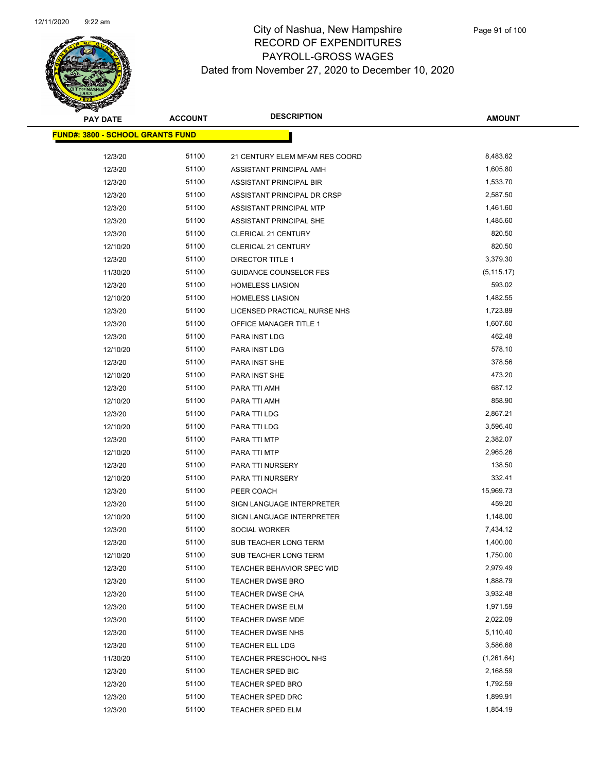

| <b>PAY DATE</b>                         | <b>ACCOUNT</b> | <b>DESCRIPTION</b>               | <b>AMOUNT</b> |
|-----------------------------------------|----------------|----------------------------------|---------------|
| <b>FUND#: 3800 - SCHOOL GRANTS FUND</b> |                |                                  |               |
| 12/3/20                                 | 51100          | 21 CENTURY ELEM MFAM RES COORD   | 8,483.62      |
| 12/3/20                                 | 51100          | ASSISTANT PRINCIPAL AMH          | 1,605.80      |
| 12/3/20                                 | 51100          | ASSISTANT PRINCIPAL BIR          | 1,533.70      |
| 12/3/20                                 | 51100          | ASSISTANT PRINCIPAL DR CRSP      | 2,587.50      |
| 12/3/20                                 | 51100          | ASSISTANT PRINCIPAL MTP          | 1,461.60      |
| 12/3/20                                 | 51100          | ASSISTANT PRINCIPAL SHE          | 1,485.60      |
| 12/3/20                                 | 51100          | <b>CLERICAL 21 CENTURY</b>       | 820.50        |
| 12/10/20                                | 51100          | <b>CLERICAL 21 CENTURY</b>       | 820.50        |
| 12/3/20                                 | 51100          | DIRECTOR TITLE 1                 | 3,379.30      |
| 11/30/20                                | 51100          | GUIDANCE COUNSELOR FES           | (5, 115.17)   |
| 12/3/20                                 | 51100          | <b>HOMELESS LIASION</b>          | 593.02        |
| 12/10/20                                | 51100          | <b>HOMELESS LIASION</b>          | 1,482.55      |
| 12/3/20                                 | 51100          | LICENSED PRACTICAL NURSE NHS     | 1,723.89      |
| 12/3/20                                 | 51100          | OFFICE MANAGER TITLE 1           | 1,607.60      |
| 12/3/20                                 | 51100          | PARA INST LDG                    | 462.48        |
| 12/10/20                                | 51100          | PARA INST LDG                    | 578.10        |
| 12/3/20                                 | 51100          | <b>PARA INST SHE</b>             | 378.56        |
| 12/10/20                                | 51100          | PARA INST SHE                    | 473.20        |
| 12/3/20                                 | 51100          | PARA TTI AMH                     | 687.12        |
| 12/10/20                                | 51100          | PARA TTI AMH                     | 858.90        |
| 12/3/20                                 | 51100          | PARA TTI LDG                     | 2,867.21      |
| 12/10/20                                | 51100          | PARA TTI LDG                     | 3,596.40      |
| 12/3/20                                 | 51100          | PARA TTI MTP                     | 2,382.07      |
| 12/10/20                                | 51100          | PARA TTI MTP                     | 2,965.26      |
| 12/3/20                                 | 51100          | PARA TTI NURSERY                 | 138.50        |
| 12/10/20                                | 51100          | PARA TTI NURSERY                 | 332.41        |
| 12/3/20                                 | 51100          | PEER COACH                       | 15,969.73     |
| 12/3/20                                 | 51100          | <b>SIGN LANGUAGE INTERPRETER</b> | 459.20        |
| 12/10/20                                | 51100          | SIGN LANGUAGE INTERPRETER        | 1,148.00      |
| 12/3/20                                 | 51100          | SOCIAL WORKER                    | 7,434.12      |
| 12/3/20                                 | 51100          | SUB TEACHER LONG TERM            | 1,400.00      |
| 12/10/20                                | 51100          | SUB TEACHER LONG TERM            | 1,750.00      |
| 12/3/20                                 | 51100          | TEACHER BEHAVIOR SPEC WID        | 2,979.49      |
| 12/3/20                                 | 51100          | <b>TEACHER DWSE BRO</b>          | 1,888.79      |
| 12/3/20                                 | 51100          | TEACHER DWSE CHA                 | 3,932.48      |
| 12/3/20                                 | 51100          | TEACHER DWSE ELM                 | 1,971.59      |
| 12/3/20                                 | 51100          | TEACHER DWSE MDE                 | 2,022.09      |
| 12/3/20                                 | 51100          | <b>TEACHER DWSE NHS</b>          | 5,110.40      |
| 12/3/20                                 | 51100          | <b>TEACHER ELL LDG</b>           | 3,586.68      |
| 11/30/20                                | 51100          | TEACHER PRESCHOOL NHS            | (1,261.64)    |
| 12/3/20                                 | 51100          | <b>TEACHER SPED BIC</b>          | 2,168.59      |
| 12/3/20                                 | 51100          | <b>TEACHER SPED BRO</b>          | 1,792.59      |
| 12/3/20                                 | 51100          | TEACHER SPED DRC                 | 1,899.91      |
| 12/3/20                                 | 51100          | TEACHER SPED ELM                 | 1,854.19      |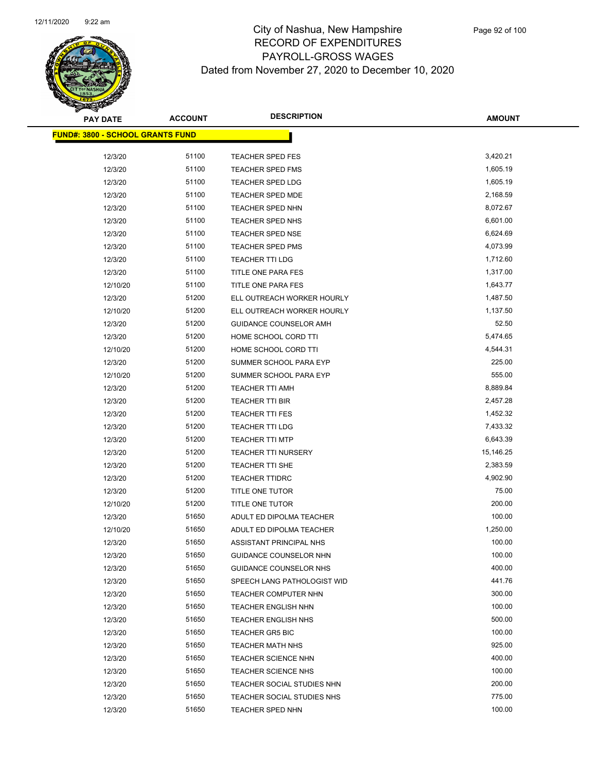

| <b>PAY DATE</b>                         | <b>ACCOUNT</b> | <b>DESCRIPTION</b>          | <b>AMOUNT</b> |
|-----------------------------------------|----------------|-----------------------------|---------------|
| <b>FUND#: 3800 - SCHOOL GRANTS FUND</b> |                |                             |               |
| 12/3/20                                 | 51100          | <b>TEACHER SPED FES</b>     | 3,420.21      |
| 12/3/20                                 | 51100          | <b>TEACHER SPED FMS</b>     | 1,605.19      |
| 12/3/20                                 | 51100          | TEACHER SPED LDG            | 1,605.19      |
| 12/3/20                                 | 51100          | <b>TEACHER SPED MDE</b>     | 2,168.59      |
| 12/3/20                                 | 51100          | <b>TEACHER SPED NHN</b>     | 8,072.67      |
| 12/3/20                                 | 51100          | <b>TEACHER SPED NHS</b>     | 6,601.00      |
| 12/3/20                                 | 51100          | <b>TEACHER SPED NSE</b>     | 6,624.69      |
| 12/3/20                                 | 51100          | <b>TEACHER SPED PMS</b>     | 4,073.99      |
| 12/3/20                                 | 51100          | <b>TEACHER TTI LDG</b>      | 1,712.60      |
| 12/3/20                                 | 51100          | TITLE ONE PARA FES          | 1,317.00      |
| 12/10/20                                | 51100          | TITLE ONE PARA FES          | 1,643.77      |
| 12/3/20                                 | 51200          | ELL OUTREACH WORKER HOURLY  | 1,487.50      |
| 12/10/20                                | 51200          | ELL OUTREACH WORKER HOURLY  | 1,137.50      |
| 12/3/20                                 | 51200          | GUIDANCE COUNSELOR AMH      | 52.50         |
| 12/3/20                                 | 51200          | HOME SCHOOL CORD TTI        | 5,474.65      |
| 12/10/20                                | 51200          | HOME SCHOOL CORD TTI        | 4,544.31      |
| 12/3/20                                 | 51200          | SUMMER SCHOOL PARA EYP      | 225.00        |
| 12/10/20                                | 51200          | SUMMER SCHOOL PARA EYP      | 555.00        |
| 12/3/20                                 | 51200          | <b>TEACHER TTI AMH</b>      | 8,889.84      |
| 12/3/20                                 | 51200          | TEACHER TTI BIR             | 2,457.28      |
| 12/3/20                                 | 51200          | <b>TEACHER TTI FES</b>      | 1,452.32      |
| 12/3/20                                 | 51200          | <b>TEACHER TTI LDG</b>      | 7,433.32      |
| 12/3/20                                 | 51200          | <b>TEACHER TTI MTP</b>      | 6,643.39      |
| 12/3/20                                 | 51200          | <b>TEACHER TTI NURSERY</b>  | 15,146.25     |
| 12/3/20                                 | 51200          | TEACHER TTI SHE             | 2,383.59      |
| 12/3/20                                 | 51200          | <b>TEACHER TTIDRC</b>       | 4,902.90      |
| 12/3/20                                 | 51200          | TITLE ONE TUTOR             | 75.00         |
| 12/10/20                                | 51200          | TITLE ONE TUTOR             | 200.00        |
| 12/3/20                                 | 51650          | ADULT ED DIPOLMA TEACHER    | 100.00        |
| 12/10/20                                | 51650          | ADULT ED DIPOLMA TEACHER    | 1,250.00      |
| 12/3/20                                 | 51650          | ASSISTANT PRINCIPAL NHS     | 100.00        |
| 12/3/20                                 | 51650          | GUIDANCE COUNSELOR NHN      | 100.00        |
| 12/3/20                                 | 51650          | GUIDANCE COUNSELOR NHS      | 400.00        |
| 12/3/20                                 | 51650          | SPEECH LANG PATHOLOGIST WID | 441.76        |
| 12/3/20                                 | 51650          | <b>TEACHER COMPUTER NHN</b> | 300.00        |
| 12/3/20                                 | 51650          | <b>TEACHER ENGLISH NHN</b>  | 100.00        |
| 12/3/20                                 | 51650          | <b>TEACHER ENGLISH NHS</b>  | 500.00        |
| 12/3/20                                 | 51650          | <b>TEACHER GR5 BIC</b>      | 100.00        |
| 12/3/20                                 | 51650          | <b>TEACHER MATH NHS</b>     | 925.00        |
| 12/3/20                                 | 51650          | <b>TEACHER SCIENCE NHN</b>  | 400.00        |
| 12/3/20                                 | 51650          | <b>TEACHER SCIENCE NHS</b>  | 100.00        |
| 12/3/20                                 | 51650          | TEACHER SOCIAL STUDIES NHN  | 200.00        |
| 12/3/20                                 | 51650          | TEACHER SOCIAL STUDIES NHS  | 775.00        |
| 12/3/20                                 | 51650          | TEACHER SPED NHN            | 100.00        |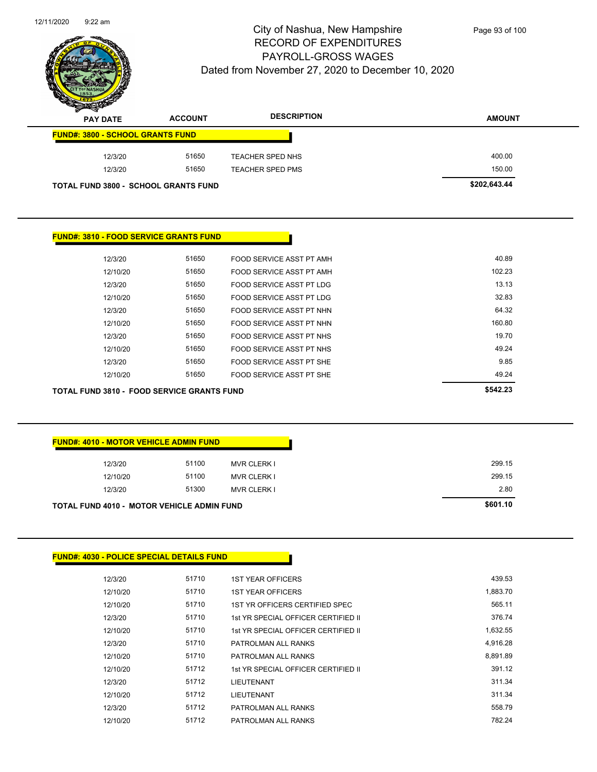

| $\mathscr{D}$<br>$\tilde{\phantom{a}}$<br><b>PAY DATE</b> | <b>ACCOUNT</b> | <b>DESCRIPTION</b> | <b>AMOUNT</b> |
|-----------------------------------------------------------|----------------|--------------------|---------------|
| <b>FUND#: 3800 - SCHOOL GRANTS FUND</b>                   |                |                    |               |
| 12/3/20                                                   | 51650          | TEACHER SPED NHS   | 400.00        |
| 12/3/20                                                   | 51650          | TEACHER SPED PMS   | 150.00        |
| <b>TOTAL FUND 3800 - SCHOOL GRANTS FUND</b>               |                |                    | \$202,643.44  |

| <b>TOTAL FUND 3810 - FOOD SERVICE GRANTS FUND</b> |          |       |                          | \$542.23 |
|---------------------------------------------------|----------|-------|--------------------------|----------|
|                                                   | 12/10/20 | 51650 | FOOD SERVICE ASST PT SHE | 49.24    |
|                                                   | 12/3/20  | 51650 | FOOD SERVICE ASST PT SHE | 9.85     |
|                                                   | 12/10/20 | 51650 | FOOD SERVICE ASST PT NHS | 49.24    |
|                                                   | 12/3/20  | 51650 | FOOD SERVICE ASST PT NHS | 19.70    |
|                                                   | 12/10/20 | 51650 | FOOD SERVICE ASST PT NHN | 160.80   |
|                                                   | 12/3/20  | 51650 | FOOD SERVICE ASST PT NHN | 64.32    |
|                                                   | 12/10/20 | 51650 | FOOD SERVICE ASST PT LDG | 32.83    |
|                                                   | 12/3/20  | 51650 | FOOD SERVICE ASST PT LDG | 13.13    |
|                                                   | 12/10/20 | 51650 | FOOD SERVICE ASST PT AMH | 102.23   |
|                                                   | 12/3/20  | 51650 | FOOD SERVICE ASST PT AMH | 40.89    |

| <b>FUND#: 4010 - MOTOR VEHICLE ADMIN FUND</b>     |                             |  |
|---------------------------------------------------|-----------------------------|--|
|                                                   |                             |  |
| 12/3/20                                           | 51100<br><b>MVR CLERK I</b> |  |
| 12/10/20                                          | 51100<br><b>MVR CLERK I</b> |  |
| 12/3/20                                           | 51300<br><b>MVR CLERK I</b> |  |
| <b>TOTAL FUND 4010 - MOTOR VEHICLE ADMIN FUND</b> |                             |  |

#### **FUND#: 4030 - POLICE SPECIAL DETAILS FUND**

| 12/3/20  | 51710 | <b>1ST YEAR OFFICERS</b>            | 439.53   |
|----------|-------|-------------------------------------|----------|
| 12/10/20 | 51710 | <b>1ST YEAR OFFICERS</b>            | 1,883.70 |
| 12/10/20 | 51710 | 1ST YR OFFICERS CERTIFIED SPEC      | 565.11   |
| 12/3/20  | 51710 | 1st YR SPECIAL OFFICER CERTIFIED II | 376.74   |
| 12/10/20 | 51710 | 1st YR SPECIAL OFFICER CERTIFIED II | 1,632.55 |
| 12/3/20  | 51710 | PATROLMAN ALL RANKS                 | 4,916.28 |
| 12/10/20 | 51710 | PATROLMAN ALL RANKS                 | 8.891.89 |
| 12/10/20 | 51712 | 1st YR SPECIAL OFFICER CERTIFIED II | 391.12   |
| 12/3/20  | 51712 | <b>LIEUTENANT</b>                   | 311.34   |
| 12/10/20 | 51712 | LIEUTENANT                          | 311.34   |
| 12/3/20  | 51712 | PATROLMAN ALL RANKS                 | 558.79   |
| 12/10/20 | 51712 | PATROLMAN ALL RANKS                 | 782.24   |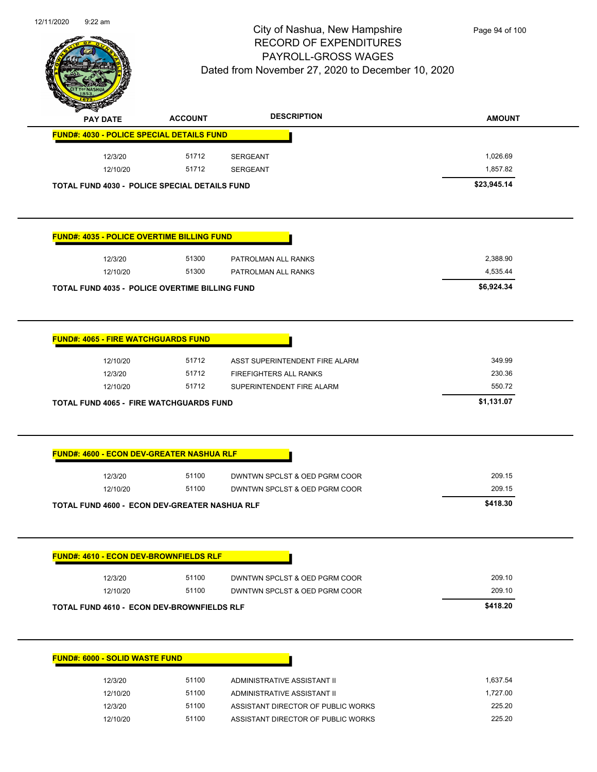

| <b>PAY DATE</b>                                                                                                                                        | <b>ACCOUNT</b> | <b>DESCRIPTION</b>                 | <b>AMOUNT</b> |
|--------------------------------------------------------------------------------------------------------------------------------------------------------|----------------|------------------------------------|---------------|
| <b>FUND#: 4030 - POLICE SPECIAL DETAILS FUND</b>                                                                                                       |                |                                    |               |
| 12/3/20                                                                                                                                                | 51712          | <b>SERGEANT</b>                    | 1,026.69      |
| 12/10/20                                                                                                                                               | 51712          | <b>SERGEANT</b>                    | 1,857.82      |
|                                                                                                                                                        |                |                                    | \$23,945.14   |
| <b>TOTAL FUND 4030 - POLICE SPECIAL DETAILS FUND</b>                                                                                                   |                |                                    |               |
| <b>FUND#: 4035 - POLICE OVERTIME BILLING FUND</b>                                                                                                      |                |                                    |               |
| 12/3/20                                                                                                                                                | 51300          | PATROLMAN ALL RANKS                | 2,388.90      |
| 12/10/20                                                                                                                                               | 51300          | PATROLMAN ALL RANKS                | 4,535.44      |
| <b>TOTAL FUND 4035 - POLICE OVERTIME BILLING FUND</b>                                                                                                  |                |                                    | \$6,924.34    |
| <b>FUND#: 4065 - FIRE WATCHGUARDS FUND</b>                                                                                                             |                |                                    |               |
| 12/10/20                                                                                                                                               | 51712          | ASST SUPERINTENDENT FIRE ALARM     | 349.99        |
| 12/3/20                                                                                                                                                | 51712          | FIREFIGHTERS ALL RANKS             | 230.36        |
| 12/10/20                                                                                                                                               | 51712          | SUPERINTENDENT FIRE ALARM          | 550.72        |
|                                                                                                                                                        |                |                                    |               |
| <b>TOTAL FUND 4065 - FIRE WATCHGUARDS FUND</b>                                                                                                         |                |                                    | \$1,131.07    |
|                                                                                                                                                        |                |                                    |               |
| 12/3/20                                                                                                                                                | 51100          | DWNTWN SPCLST & OED PGRM COOR      | 209.15        |
| 12/10/20                                                                                                                                               | 51100          | DWNTWN SPCLST & OED PGRM COOR      | 209.15        |
| <b>FUND#: 4600 - ECON DEV-GREATER NASHUA RLF</b><br>TOTAL FUND 4600 - ECON DEV-GREATER NASHUA RLF                                                      |                |                                    | \$418.30      |
|                                                                                                                                                        |                |                                    |               |
| 12/3/20                                                                                                                                                | 51100          | DWNTWN SPCLST & OED PGRM COOR      | 209.10        |
| 12/10/20                                                                                                                                               | 51100          | DWNTWN SPCLST & OED PGRM COOR      | 209.10        |
|                                                                                                                                                        |                |                                    | \$418.20      |
|                                                                                                                                                        |                |                                    |               |
|                                                                                                                                                        |                |                                    |               |
| 12/3/20                                                                                                                                                | 51100          | ADMINISTRATIVE ASSISTANT II        | 1,637.54      |
| 12/10/20                                                                                                                                               | 51100          | ADMINISTRATIVE ASSISTANT II        | 1,727.00      |
| <b>FUND#: 4610 - ECON DEV-BROWNFIELDS RLF</b><br><b>TOTAL FUND 4610 - ECON DEV-BROWNFIELDS RLF</b><br><b>FUND#: 6000 - SOLID WASTE FUND</b><br>12/3/20 | 51100          | ASSISTANT DIRECTOR OF PUBLIC WORKS | 225.20        |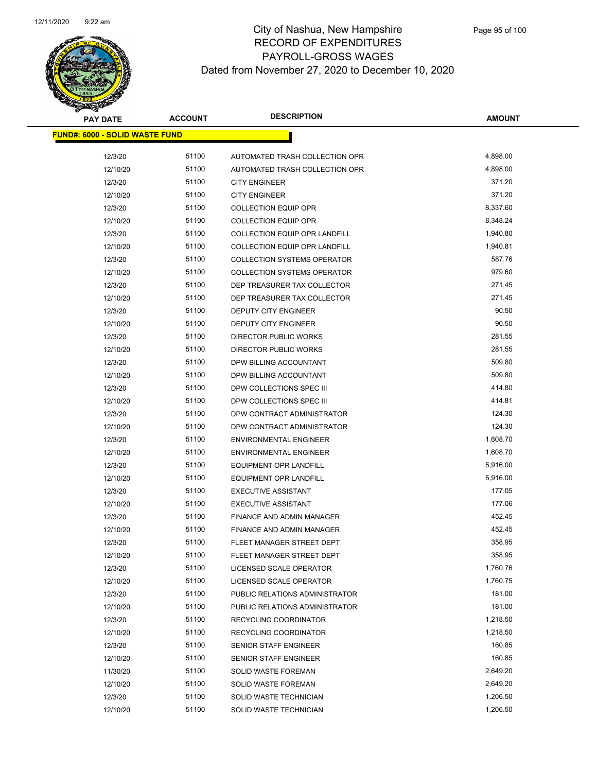

| <b>PAY DATE</b>                       | <b>ACCOUNT</b> | <b>DESCRIPTION</b>                   | <b>AMOUNT</b> |
|---------------------------------------|----------------|--------------------------------------|---------------|
| <b>FUND#: 6000 - SOLID WASTE FUND</b> |                |                                      |               |
| 12/3/20                               | 51100          | AUTOMATED TRASH COLLECTION OPR       | 4,898.00      |
| 12/10/20                              | 51100          | AUTOMATED TRASH COLLECTION OPR       | 4,898.00      |
| 12/3/20                               | 51100          | <b>CITY ENGINEER</b>                 | 371.20        |
| 12/10/20                              | 51100          | <b>CITY ENGINEER</b>                 | 371.20        |
| 12/3/20                               | 51100          | <b>COLLECTION EQUIP OPR</b>          | 8,337.60      |
| 12/10/20                              | 51100          | <b>COLLECTION EQUIP OPR</b>          | 8,348.24      |
| 12/3/20                               | 51100          | <b>COLLECTION EQUIP OPR LANDFILL</b> | 1,940.80      |
| 12/10/20                              | 51100          | <b>COLLECTION EQUIP OPR LANDFILL</b> | 1,940.81      |
| 12/3/20                               | 51100          | <b>COLLECTION SYSTEMS OPERATOR</b>   | 587.76        |
| 12/10/20                              | 51100          | <b>COLLECTION SYSTEMS OPERATOR</b>   | 979.60        |
| 12/3/20                               | 51100          | DEP TREASURER TAX COLLECTOR          | 271.45        |
| 12/10/20                              | 51100          | DEP TREASURER TAX COLLECTOR          | 271.45        |
| 12/3/20                               | 51100          | DEPUTY CITY ENGINEER                 | 90.50         |
| 12/10/20                              | 51100          | DEPUTY CITY ENGINEER                 | 90.50         |
| 12/3/20                               | 51100          | DIRECTOR PUBLIC WORKS                | 281.55        |
| 12/10/20                              | 51100          | <b>DIRECTOR PUBLIC WORKS</b>         | 281.55        |
| 12/3/20                               | 51100          | DPW BILLING ACCOUNTANT               | 509.80        |
| 12/10/20                              | 51100          | DPW BILLING ACCOUNTANT               | 509.80        |
| 12/3/20                               | 51100          | DPW COLLECTIONS SPEC III             | 414.80        |
| 12/10/20                              | 51100          | DPW COLLECTIONS SPEC III             | 414.81        |
| 12/3/20                               | 51100          | DPW CONTRACT ADMINISTRATOR           | 124.30        |
| 12/10/20                              | 51100          | DPW CONTRACT ADMINISTRATOR           | 124.30        |
| 12/3/20                               | 51100          | <b>ENVIRONMENTAL ENGINEER</b>        | 1,608.70      |
| 12/10/20                              | 51100          | <b>ENVIRONMENTAL ENGINEER</b>        | 1,608.70      |
| 12/3/20                               | 51100          | <b>EQUIPMENT OPR LANDFILL</b>        | 5,916.00      |
| 12/10/20                              | 51100          | <b>EQUIPMENT OPR LANDFILL</b>        | 5,916.00      |
| 12/3/20                               | 51100          | <b>EXECUTIVE ASSISTANT</b>           | 177.05        |
| 12/10/20                              | 51100          | <b>EXECUTIVE ASSISTANT</b>           | 177.06        |
| 12/3/20                               | 51100          | FINANCE AND ADMIN MANAGER            | 452.45        |
| 12/10/20                              | 51100          | FINANCE AND ADMIN MANAGER            | 452.45        |
| 12/3/20                               | 51100          | FLEET MANAGER STREET DEPT            | 358.95        |
| 12/10/20                              | 51100          | FLEET MANAGER STREET DEPT            | 358.95        |
| 12/3/20                               | 51100          | LICENSED SCALE OPERATOR              | 1,760.76      |
| 12/10/20                              | 51100          | LICENSED SCALE OPERATOR              | 1,760.75      |
| 12/3/20                               | 51100          | PUBLIC RELATIONS ADMINISTRATOR       | 181.00        |
| 12/10/20                              | 51100          | PUBLIC RELATIONS ADMINISTRATOR       | 181.00        |
| 12/3/20                               | 51100          | RECYCLING COORDINATOR                | 1,218.50      |
| 12/10/20                              | 51100          | RECYCLING COORDINATOR                | 1,218.50      |
| 12/3/20                               | 51100          | SENIOR STAFF ENGINEER                | 160.85        |
| 12/10/20                              | 51100          | SENIOR STAFF ENGINEER                | 160.85        |
| 11/30/20                              | 51100          | SOLID WASTE FOREMAN                  | 2,649.20      |
| 12/10/20                              | 51100          | SOLID WASTE FOREMAN                  | 2,649.20      |
| 12/3/20                               | 51100          | SOLID WASTE TECHNICIAN               | 1,206.50      |
| 12/10/20                              | 51100          | SOLID WASTE TECHNICIAN               | 1,206.50      |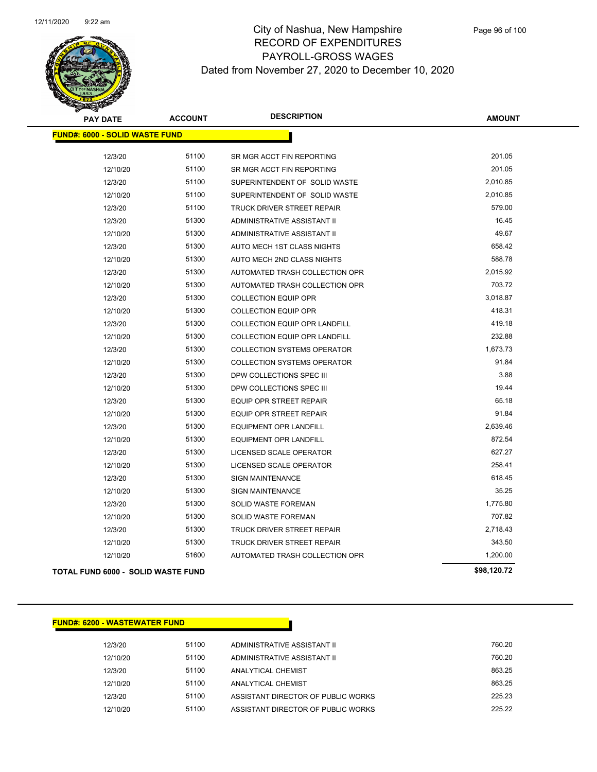

| <b>PAY DATE</b>                           | <b>ACCOUNT</b> | <b>DESCRIPTION</b>                 | <b>AMOUNT</b> |
|-------------------------------------------|----------------|------------------------------------|---------------|
| <b>FUND#: 6000 - SOLID WASTE FUND</b>     |                |                                    |               |
| 12/3/20                                   | 51100          | SR MGR ACCT FIN REPORTING          | 201.05        |
| 12/10/20                                  | 51100          | SR MGR ACCT FIN REPORTING          | 201.05        |
| 12/3/20                                   | 51100          | SUPERINTENDENT OF SOLID WASTE      | 2,010.85      |
| 12/10/20                                  | 51100          | SUPERINTENDENT OF SOLID WASTE      | 2,010.85      |
| 12/3/20                                   | 51100          | <b>TRUCK DRIVER STREET REPAIR</b>  | 579.00        |
| 12/3/20                                   | 51300          | ADMINISTRATIVE ASSISTANT II        | 16.45         |
| 12/10/20                                  | 51300          | ADMINISTRATIVE ASSISTANT II        | 49.67         |
| 12/3/20                                   | 51300          | AUTO MECH 1ST CLASS NIGHTS         | 658.42        |
| 12/10/20                                  | 51300          | AUTO MECH 2ND CLASS NIGHTS         | 588.78        |
| 12/3/20                                   | 51300          | AUTOMATED TRASH COLLECTION OPR     | 2,015.92      |
| 12/10/20                                  | 51300          | AUTOMATED TRASH COLLECTION OPR     | 703.72        |
| 12/3/20                                   | 51300          | <b>COLLECTION EQUIP OPR</b>        | 3,018.87      |
| 12/10/20                                  | 51300          | <b>COLLECTION EQUIP OPR</b>        | 418.31        |
| 12/3/20                                   | 51300          | COLLECTION EQUIP OPR LANDFILL      | 419.18        |
| 12/10/20                                  | 51300          | COLLECTION EQUIP OPR LANDFILL      | 232.88        |
| 12/3/20                                   | 51300          | <b>COLLECTION SYSTEMS OPERATOR</b> | 1,673.73      |
| 12/10/20                                  | 51300          | <b>COLLECTION SYSTEMS OPERATOR</b> | 91.84         |
| 12/3/20                                   | 51300          | DPW COLLECTIONS SPEC III           | 3.88          |
| 12/10/20                                  | 51300          | DPW COLLECTIONS SPEC III           | 19.44         |
| 12/3/20                                   | 51300          | <b>EQUIP OPR STREET REPAIR</b>     | 65.18         |
| 12/10/20                                  | 51300          | <b>EQUIP OPR STREET REPAIR</b>     | 91.84         |
| 12/3/20                                   | 51300          | <b>EQUIPMENT OPR LANDFILL</b>      | 2,639.46      |
| 12/10/20                                  | 51300          | <b>EQUIPMENT OPR LANDFILL</b>      | 872.54        |
| 12/3/20                                   | 51300          | LICENSED SCALE OPERATOR            | 627.27        |
| 12/10/20                                  | 51300          | LICENSED SCALE OPERATOR            | 258.41        |
| 12/3/20                                   | 51300          | <b>SIGN MAINTENANCE</b>            | 618.45        |
| 12/10/20                                  | 51300          | <b>SIGN MAINTENANCE</b>            | 35.25         |
| 12/3/20                                   | 51300          | <b>SOLID WASTE FOREMAN</b>         | 1,775.80      |
| 12/10/20                                  | 51300          | <b>SOLID WASTE FOREMAN</b>         | 707.82        |
| 12/3/20                                   | 51300          | TRUCK DRIVER STREET REPAIR         | 2,718.43      |
| 12/10/20                                  | 51300          | TRUCK DRIVER STREET REPAIR         | 343.50        |
| 12/10/20                                  | 51600          | AUTOMATED TRASH COLLECTION OPR     | 1,200.00      |
| <b>TOTAL FUND 6000 - SOLID WASTE FUND</b> |                |                                    | \$98,120.72   |

#### **FUND#: 6200 - WASTEWATER FUND**

12/3/20 51100 ADMINISTRATIVE ASSISTANT II 760.20 12/10/20 51100 ADMINISTRATIVE ASSISTANT II 760.20 12/3/20 51100 ANALYTICAL CHEMIST 3663.25 12/10/20 51100 ANALYTICAL CHEMIST 863.25 12/3/20 51100 ASSISTANT DIRECTOR OF PUBLIC WORKS 225.23 12/10/20 51100 ASSISTANT DIRECTOR OF PUBLIC WORKS 225.22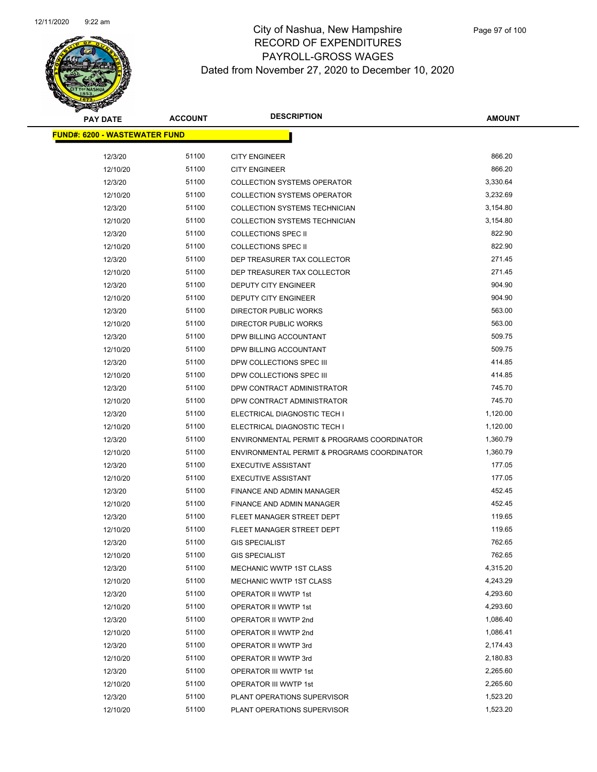

| <b>PAY DATE</b>                       | <b>ACCOUNT</b> | <b>DESCRIPTION</b>                          | <b>AMOUNT</b> |  |
|---------------------------------------|----------------|---------------------------------------------|---------------|--|
| <u> FUND#: 6200 - WASTEWATER FUND</u> |                |                                             |               |  |
| 12/3/20                               | 51100          | <b>CITY ENGINEER</b>                        | 866.20        |  |
| 12/10/20                              | 51100          | <b>CITY ENGINEER</b>                        | 866.20        |  |
| 12/3/20                               | 51100          | <b>COLLECTION SYSTEMS OPERATOR</b>          | 3,330.64      |  |
| 12/10/20                              | 51100          | <b>COLLECTION SYSTEMS OPERATOR</b>          | 3,232.69      |  |
| 12/3/20                               | 51100          | COLLECTION SYSTEMS TECHNICIAN               | 3,154.80      |  |
| 12/10/20                              | 51100          | <b>COLLECTION SYSTEMS TECHNICIAN</b>        | 3,154.80      |  |
| 12/3/20                               | 51100          | <b>COLLECTIONS SPEC II</b>                  | 822.90        |  |
| 12/10/20                              | 51100          | <b>COLLECTIONS SPEC II</b>                  | 822.90        |  |
| 12/3/20                               | 51100          | DEP TREASURER TAX COLLECTOR                 | 271.45        |  |
| 12/10/20                              | 51100          | DEP TREASURER TAX COLLECTOR                 | 271.45        |  |
| 12/3/20                               | 51100          | DEPUTY CITY ENGINEER                        | 904.90        |  |
| 12/10/20                              | 51100          | DEPUTY CITY ENGINEER                        | 904.90        |  |
| 12/3/20                               | 51100          | <b>DIRECTOR PUBLIC WORKS</b>                | 563.00        |  |
| 12/10/20                              | 51100          | DIRECTOR PUBLIC WORKS                       | 563.00        |  |
| 12/3/20                               | 51100          | DPW BILLING ACCOUNTANT                      | 509.75        |  |
| 12/10/20                              | 51100          | DPW BILLING ACCOUNTANT                      | 509.75        |  |
| 12/3/20                               | 51100          | DPW COLLECTIONS SPEC III                    | 414.85        |  |
| 12/10/20                              | 51100          | DPW COLLECTIONS SPEC III                    | 414.85        |  |
| 12/3/20                               | 51100          | DPW CONTRACT ADMINISTRATOR                  | 745.70        |  |
| 12/10/20                              | 51100          | DPW CONTRACT ADMINISTRATOR                  | 745.70        |  |
| 12/3/20                               | 51100          | ELECTRICAL DIAGNOSTIC TECH I                | 1,120.00      |  |
| 12/10/20                              | 51100          | ELECTRICAL DIAGNOSTIC TECH I                | 1,120.00      |  |
| 12/3/20                               | 51100          | ENVIRONMENTAL PERMIT & PROGRAMS COORDINATOR | 1,360.79      |  |
| 12/10/20                              | 51100          | ENVIRONMENTAL PERMIT & PROGRAMS COORDINATOR | 1,360.79      |  |
| 12/3/20                               | 51100          | <b>EXECUTIVE ASSISTANT</b>                  | 177.05        |  |
| 12/10/20                              | 51100          | <b>EXECUTIVE ASSISTANT</b>                  | 177.05        |  |
| 12/3/20                               | 51100          | FINANCE AND ADMIN MANAGER                   | 452.45        |  |
| 12/10/20                              | 51100          | FINANCE AND ADMIN MANAGER                   | 452.45        |  |
| 12/3/20                               | 51100          | FLEET MANAGER STREET DEPT                   | 119.65        |  |
| 12/10/20                              | 51100          | FLEET MANAGER STREET DEPT                   | 119.65        |  |
| 12/3/20                               | 51100          | <b>GIS SPECIALIST</b>                       | 762.65        |  |
| 12/10/20                              | 51100          | <b>GIS SPECIALIST</b>                       | 762.65        |  |
| 12/3/20                               | 51100          | MECHANIC WWTP 1ST CLASS                     | 4,315.20      |  |
| 12/10/20                              | 51100          | MECHANIC WWTP 1ST CLASS                     | 4,243.29      |  |
| 12/3/20                               | 51100          | OPERATOR II WWTP 1st                        | 4,293.60      |  |
| 12/10/20                              | 51100          | OPERATOR II WWTP 1st                        | 4,293.60      |  |
| 12/3/20                               | 51100          | OPERATOR II WWTP 2nd                        | 1,086.40      |  |
| 12/10/20                              | 51100          | OPERATOR II WWTP 2nd                        | 1,086.41      |  |
| 12/3/20                               | 51100          | OPERATOR II WWTP 3rd                        | 2,174.43      |  |
| 12/10/20                              | 51100          | OPERATOR II WWTP 3rd                        | 2,180.83      |  |
| 12/3/20                               | 51100          | OPERATOR III WWTP 1st                       | 2,265.60      |  |
| 12/10/20                              | 51100          | OPERATOR III WWTP 1st                       | 2,265.60      |  |
| 12/3/20                               | 51100          | PLANT OPERATIONS SUPERVISOR                 | 1,523.20      |  |
| 12/10/20                              | 51100          | PLANT OPERATIONS SUPERVISOR                 | 1,523.20      |  |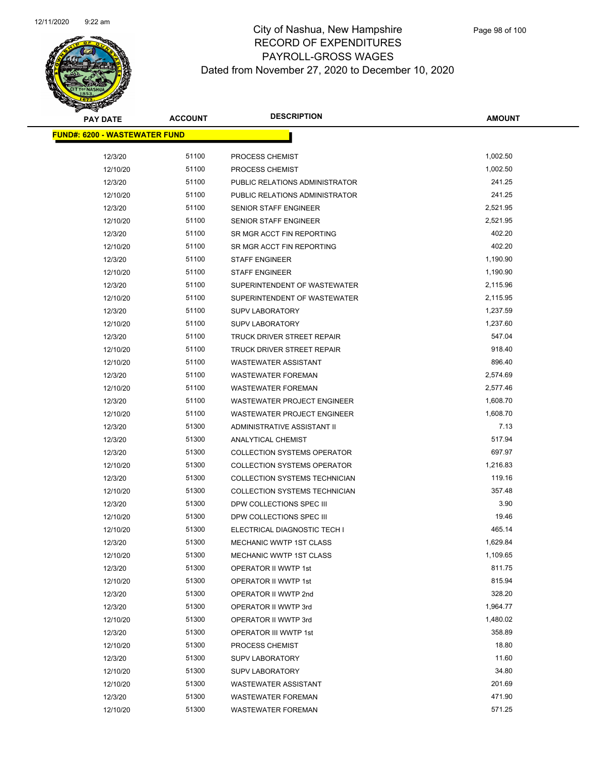

| <b>PAY DATE</b>                      | <b>ACCOUNT</b> | <b>DESCRIPTION</b>                 | <b>AMOUNT</b> |
|--------------------------------------|----------------|------------------------------------|---------------|
| <b>FUND#: 6200 - WASTEWATER FUND</b> |                |                                    |               |
| 12/3/20                              | 51100          | PROCESS CHEMIST                    | 1,002.50      |
| 12/10/20                             | 51100          | PROCESS CHEMIST                    | 1,002.50      |
| 12/3/20                              | 51100          | PUBLIC RELATIONS ADMINISTRATOR     | 241.25        |
| 12/10/20                             | 51100          | PUBLIC RELATIONS ADMINISTRATOR     | 241.25        |
| 12/3/20                              | 51100          | <b>SENIOR STAFF ENGINEER</b>       | 2,521.95      |
| 12/10/20                             | 51100          | SENIOR STAFF ENGINEER              | 2,521.95      |
| 12/3/20                              | 51100          | SR MGR ACCT FIN REPORTING          | 402.20        |
| 12/10/20                             | 51100          | SR MGR ACCT FIN REPORTING          | 402.20        |
| 12/3/20                              | 51100          | <b>STAFF ENGINEER</b>              | 1,190.90      |
| 12/10/20                             | 51100          | <b>STAFF ENGINEER</b>              | 1,190.90      |
| 12/3/20                              | 51100          | SUPERINTENDENT OF WASTEWATER       | 2,115.96      |
| 12/10/20                             | 51100          | SUPERINTENDENT OF WASTEWATER       | 2,115.95      |
| 12/3/20                              | 51100          | SUPV LABORATORY                    | 1,237.59      |
| 12/10/20                             | 51100          | <b>SUPV LABORATORY</b>             | 1,237.60      |
| 12/3/20                              | 51100          | TRUCK DRIVER STREET REPAIR         | 547.04        |
| 12/10/20                             | 51100          | TRUCK DRIVER STREET REPAIR         | 918.40        |
| 12/10/20                             | 51100          | <b>WASTEWATER ASSISTANT</b>        | 896.40        |
| 12/3/20                              | 51100          | <b>WASTEWATER FOREMAN</b>          | 2,574.69      |
| 12/10/20                             | 51100          | <b>WASTEWATER FOREMAN</b>          | 2,577.46      |
| 12/3/20                              | 51100          | WASTEWATER PROJECT ENGINEER        | 1,608.70      |
| 12/10/20                             | 51100          | WASTEWATER PROJECT ENGINEER        | 1,608.70      |
| 12/3/20                              | 51300          | ADMINISTRATIVE ASSISTANT II        | 7.13          |
| 12/3/20                              | 51300          | ANALYTICAL CHEMIST                 | 517.94        |
| 12/3/20                              | 51300          | <b>COLLECTION SYSTEMS OPERATOR</b> | 697.97        |
| 12/10/20                             | 51300          | <b>COLLECTION SYSTEMS OPERATOR</b> | 1,216.83      |
| 12/3/20                              | 51300          | COLLECTION SYSTEMS TECHNICIAN      | 119.16        |
| 12/10/20                             | 51300          | COLLECTION SYSTEMS TECHNICIAN      | 357.48        |
| 12/3/20                              | 51300          | DPW COLLECTIONS SPEC III           | 3.90          |
| 12/10/20                             | 51300          | DPW COLLECTIONS SPEC III           | 19.46         |
| 12/10/20                             | 51300          | ELECTRICAL DIAGNOSTIC TECH I       | 465.14        |
| 12/3/20                              | 51300          | <b>MECHANIC WWTP 1ST CLASS</b>     | 1,629.84      |
| 12/10/20                             | 51300          | MECHANIC WWTP 1ST CLASS            | 1,109.65      |
| 12/3/20                              | 51300          | <b>OPERATOR II WWTP 1st</b>        | 811.75        |
| 12/10/20                             | 51300          | OPERATOR II WWTP 1st               | 815.94        |
| 12/3/20                              | 51300          | OPERATOR II WWTP 2nd               | 328.20        |
| 12/3/20                              | 51300          | OPERATOR II WWTP 3rd               | 1,964.77      |
| 12/10/20                             | 51300          | OPERATOR II WWTP 3rd               | 1,480.02      |
| 12/3/20                              | 51300          | OPERATOR III WWTP 1st              | 358.89        |
| 12/10/20                             | 51300          | PROCESS CHEMIST                    | 18.80         |
| 12/3/20                              | 51300          | <b>SUPV LABORATORY</b>             | 11.60         |
| 12/10/20                             | 51300          | <b>SUPV LABORATORY</b>             | 34.80         |
| 12/10/20                             | 51300          | <b>WASTEWATER ASSISTANT</b>        | 201.69        |
| 12/3/20                              | 51300          | <b>WASTEWATER FOREMAN</b>          | 471.90        |
| 12/10/20                             | 51300          | <b>WASTEWATER FOREMAN</b>          | 571.25        |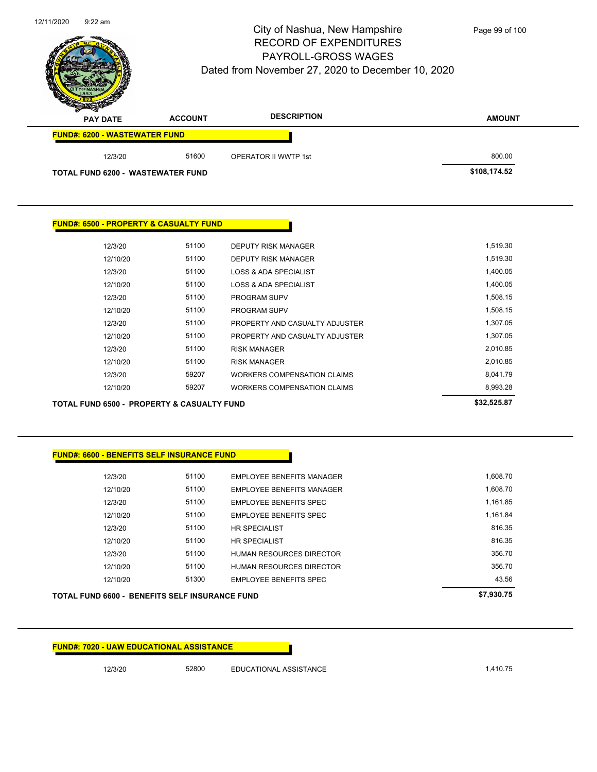

Page 99 of 100

| $-$<br><b>PAY DATE</b>                   | <b>ACCOUNT</b> | <b>DESCRIPTION</b>          | <b>AMOUNT</b> |
|------------------------------------------|----------------|-----------------------------|---------------|
| <b>FUND#: 6200 - WASTEWATER FUND</b>     |                |                             |               |
| 12/3/20                                  | 51600          | <b>OPERATOR II WWTP 1st</b> | 800.00        |
| <b>TOTAL FUND 6200 - WASTEWATER FUND</b> |                |                             | \$108,174.52  |

### **FUND#: 6500 - PROPERTY & CASUALTY FUND**

|          |       |                                    | enn cho az |
|----------|-------|------------------------------------|------------|
| 12/10/20 | 59207 | WORKERS COMPENSATION CLAIMS        | 8,993.28   |
| 12/3/20  | 59207 | <b>WORKERS COMPENSATION CLAIMS</b> | 8.041.79   |
| 12/10/20 | 51100 | <b>RISK MANAGER</b>                | 2.010.85   |
| 12/3/20  | 51100 | <b>RISK MANAGER</b>                | 2,010.85   |
| 12/10/20 | 51100 | PROPERTY AND CASUALTY ADJUSTER     | 1.307.05   |
| 12/3/20  | 51100 | PROPERTY AND CASUALTY ADJUSTER     | 1,307.05   |
| 12/10/20 | 51100 | <b>PROGRAM SUPV</b>                | 1,508.15   |
| 12/3/20  | 51100 | <b>PROGRAM SUPV</b>                | 1,508.15   |
| 12/10/20 | 51100 | LOSS & ADA SPECIALIST              | 1,400.05   |
| 12/3/20  | 51100 | <b>LOSS &amp; ADA SPECIALIST</b>   | 1,400.05   |
| 12/10/20 | 51100 | <b>DEPUTY RISK MANAGER</b>         | 1,519.30   |
| 12/3/20  | 51100 | DEPUTY RISK MANAGER                | 1,519.30   |
|          |       |                                    |            |

**TOTAL FUND 6500 - PROPERTY & CASUALTY FUND \$32,525.87** 

# **FUND#: 6600 - BENEFITS SELF INSURANCE FUND**

| <b>TOTAL FUND 6600 - BENEFITS SELF INSURANCE FUND</b> |          |       |                                  | \$7.930.75 |
|-------------------------------------------------------|----------|-------|----------------------------------|------------|
|                                                       | 12/10/20 | 51300 | <b>EMPLOYEE BENEFITS SPEC</b>    | 43.56      |
|                                                       | 12/10/20 | 51100 | <b>HUMAN RESOURCES DIRECTOR</b>  | 356.70     |
|                                                       | 12/3/20  | 51100 | <b>HUMAN RESOURCES DIRECTOR</b>  | 356.70     |
|                                                       | 12/10/20 | 51100 | <b>HR SPECIALIST</b>             | 816.35     |
|                                                       | 12/3/20  | 51100 | <b>HR SPECIALIST</b>             | 816.35     |
|                                                       | 12/10/20 | 51100 | <b>EMPLOYEE BENEFITS SPEC</b>    | 1,161.84   |
|                                                       | 12/3/20  | 51100 | <b>EMPLOYEE BENEFITS SPEC</b>    | 1.161.85   |
|                                                       | 12/10/20 | 51100 | <b>EMPLOYEE BENEFITS MANAGER</b> | 1,608.70   |
|                                                       | 12/3/20  | 51100 | <b>EMPLOYEE BENEFITS MANAGER</b> | 1,608.70   |

**FUND#: 7020 - UAW EDUCATIONAL ASSISTANCE**